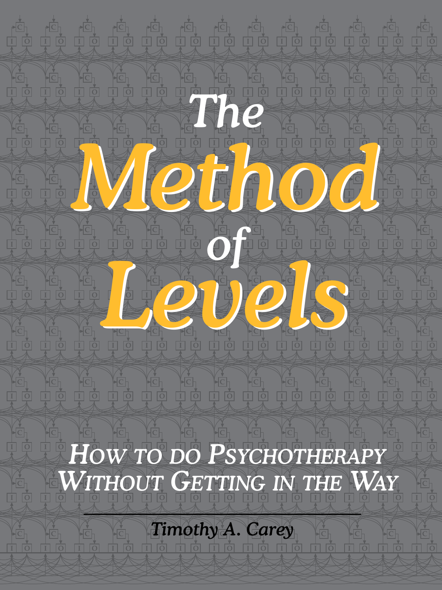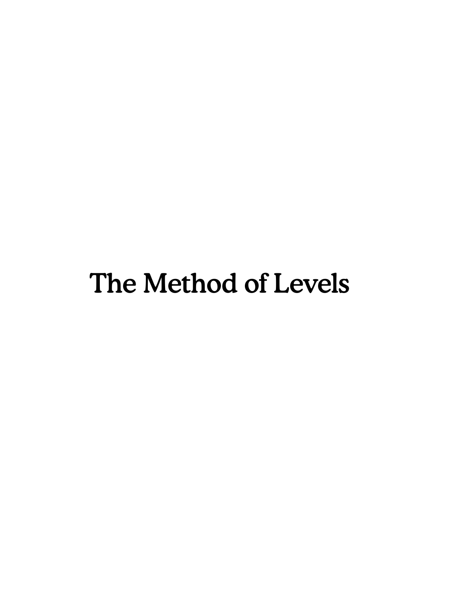## The Method of Levels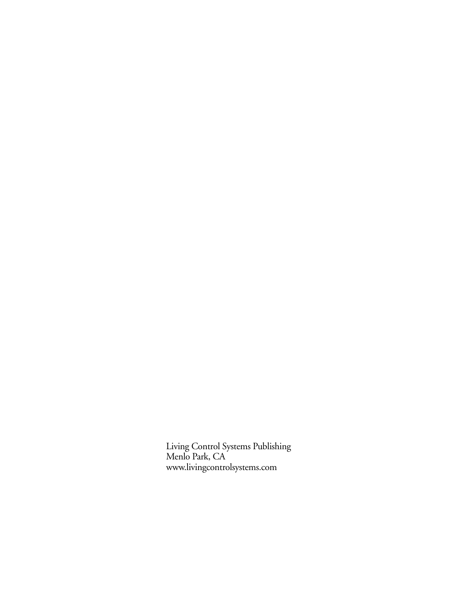Living Control Systems Publishing *Without Getting in the Way* Menlo Park, CA www.livingcontrolsystems.com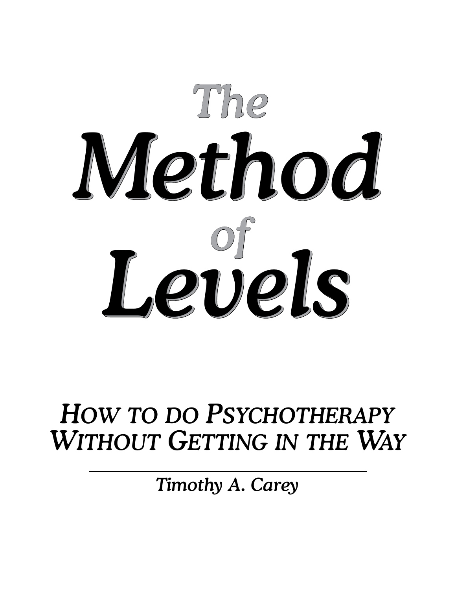

## *How to do Psychotherapy Without Getting in the Way*

*Timothy A. Carey*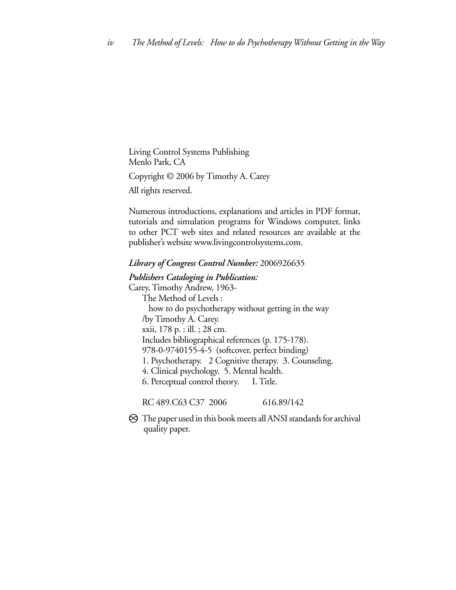Living Control Systems Publishing Menlo Park, CA Copyright © 2006 by Timothy A. Carey All rights reserved.

Numerous introductions, explanations and articles in PDF format, tutorials and simulation programs for Windows computer, links to other PCT web sites and related resources are available at the publisher's website www.livingcontrolsystems.com.

#### *Library of Congress Control Number:* 2006926635

*Publishers Cataloging in Publication:* Carey, Timothy Andrew, 1963- The Method of Levels : how to do psychotherapy without getting in the way /by Timothy A. Carey. xxii, 178 p. : ill. ; 28 cm. Includes bibliographical references (p. 175-178). 978-0-9740155-4-5 (softcover, perfect binding) 1. Psychotherapy. 2 Cognitive therapy. 3. Counseling. 4. Clinical psychology. 5. Mental health. 6. Perceptual control theory. I. Title. RC 489.C63 C37 2006 616.89/142

 $\otimes$  The paper used in this book meets all ANSI standards for archival quality paper.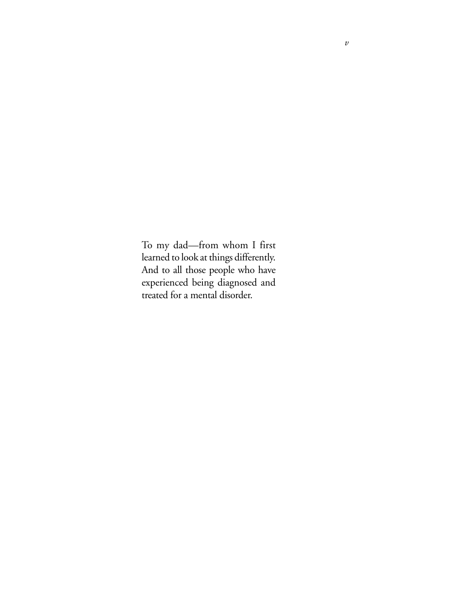To my dad—from whom I first learned to look at things differently. And to all those people who have experienced being diagnosed and treated for a mental disorder.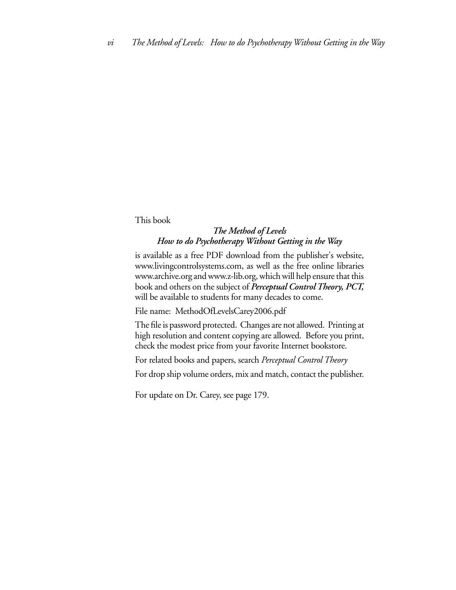This book

#### *The Method of Levels How to do Psychotherapy Without Getting in the Way*

is available as a free PDF download from the publisher's website, www.livingcontrolsystems.com, as well as the free online libraries www.archive.org and www.z-lib.org, which will help ensure that this book and others on the subject of *Perceptual Control Theory, PCT,* will be available to students for many decades to come.

File name: MethodOfLevelsCarey2006.pdf

The file is password protected. Changes are not allowed. Printing at high resolution and content copying are allowed. Before you print, check the modest price from your favorite Internet bookstore.

For related books and papers, search *Perceptual Control Theory*

For drop ship volume orders, mix and match, contact the publisher.

For update on Dr. Carey, see page 179.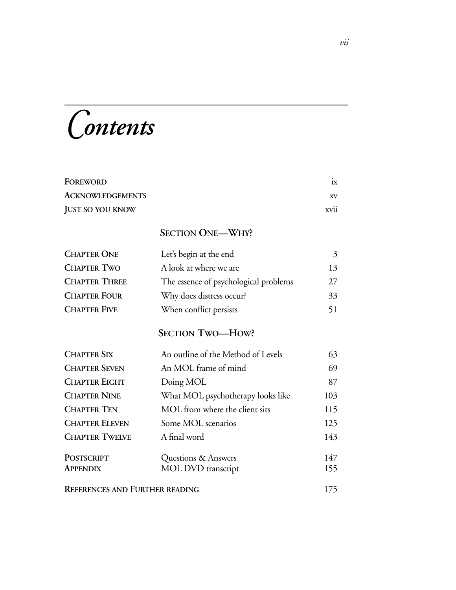# *Contents*

| FOREWORD                |                              |
|-------------------------|------------------------------|
| <b>ACKNOWLEDGEMENTS</b> | xv                           |
| <b>JUST SO YOU KNOW</b> | $\cdot \cdot$<br><b>XV11</b> |

#### **Section One—Why?**

| <b>CHAPTER ONE</b>   | Let's begin at the end                | 3  |
|----------------------|---------------------------------------|----|
| <b>CHAPTER TWO</b>   | A look at where we are                | 13 |
| <b>CHAPTER THREE</b> | The essence of psychological problems | 27 |
| <b>CHAPTER FOUR</b>  | Why does distress occur?              | 33 |
| <b>CHAPTER FIVE</b>  | When conflict persists                | 51 |

#### **Section Two—How?**

| <b>CHAPTER SIX</b>            | An outline of the Method of Levels | 63           |
|-------------------------------|------------------------------------|--------------|
| <b>CHAPTER SEVEN</b>          | An MOL frame of mind               | 69           |
| <b>CHAPTER EIGHT</b>          | Doing MOL                          | 87           |
| <b>CHAPTER NINE</b>           | What MOL psychotherapy looks like  | 103          |
| <b>CHAPTER TEN</b>            | MOL from where the client sits     | 115          |
| <b>CHAPTER ELEVEN</b>         | Some MOL scenarios                 | 125          |
| <b>CHAPTER TWELVE</b>         | A final word                       | 143          |
| <b>POSTSCRIPT</b>             | Questions & Answers                | 147          |
| <b>APPENDIX</b>               | MOL DVD transcript                 | 155          |
| Desensersona irre Preserves a |                                    | 1 <i>- r</i> |

**References and Further reading** 175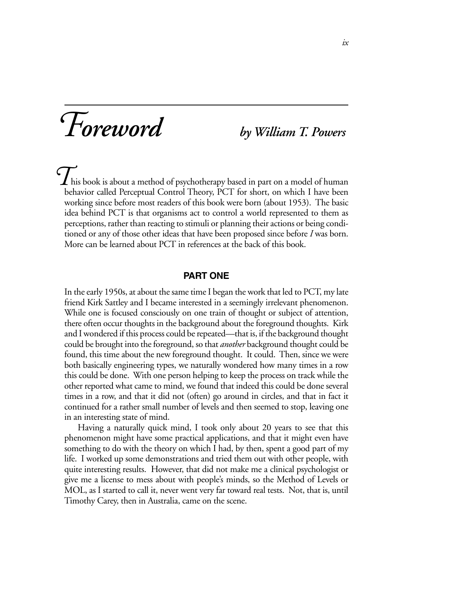# *Foreword by William T. Powers*

This book is about a method of psychotherapy based in part on a model of human behavior called Perceptual Control Theory, PCT for short, on which I have been working since before most readers of this book were born (about 1953). The basic idea behind PCT is that organisms act to control a world represented to them as perceptions, rather than reacting to stimuli or planning their actions or being conditioned or any of those other ideas that have been proposed since before *I* was born. More can be learned about PCT in references at the back of this book.

#### **Part One**

In the early 1950s, at about the same time I began the work that led to PCT, my late friend Kirk Sattley and I became interested in a seemingly irrelevant phenomenon. While one is focused consciously on one train of thought or subject of attention, there often occur thoughts in the background about the foreground thoughts. Kirk and I wondered if this process could be repeated—that is, if the background thought could be brought into the foreground, so that *another* background thought could be found, this time about the new foreground thought. It could. Then, since we were both basically engineering types, we naturally wondered how many times in a row this could be done. With one person helping to keep the process on track while the other reported what came to mind, we found that indeed this could be done several times in a row, and that it did not (often) go around in circles, and that in fact it continued for a rather small number of levels and then seemed to stop, leaving one in an interesting state of mind.

Having a naturally quick mind, I took only about 20 years to see that this phenomenon might have some practical applications, and that it might even have something to do with the theory on which I had, by then, spent a good part of my life. I worked up some demonstrations and tried them out with other people, with quite interesting results. However, that did not make me a clinical psychologist or give me a license to mess about with people's minds, so the Method of Levels or MOL, as I started to call it, never went very far toward real tests. Not, that is, until Timothy Carey, then in Australia, came on the scene.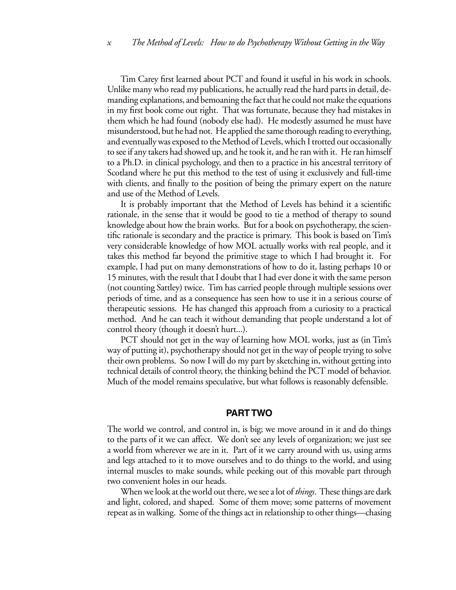Tim Carey first learned about PCT and found it useful in his work in schools. Unlike many who read my publications, he actually read the hard parts in detail, demanding explanations, and bemoaning the fact that he could not make the equations in my first book come out right. That was fortunate, because they had mistakes in them which he had found (nobody else had). He modestly assumed he must have misunderstood, but he had not. He applied the same thorough reading to everything, and eventually was exposed to the Method of Levels, which I trotted out occasionally to see if any takers had showed up, and he took it, and he ran with it. He ran himself to a Ph.D. in clinical psychology, and then to a practice in his ancestral territory of Scotland where he put this method to the test of using it exclusively and full-time with clients, and finally to the position of being the primary expert on the nature and use of the Method of Levels.

It is probably important that the Method of Levels has behind it a scientific rationale, in the sense that it would be good to tie a method of therapy to sound knowledge about how the brain works. But for a book on psychotherapy, the scientific rationale is secondary and the practice is primary. This book is based on Tim's very considerable knowledge of how MOL actually works with real people, and it takes this method far beyond the primitive stage to which I had brought it. For example, I had put on many demonstrations of how to do it, lasting perhaps 10 or 15 minutes, with the result that I doubt that I had ever done it with the same person (not counting Sattley) twice. Tim has carried people through multiple sessions over periods of time, and as a consequence has seen how to use it in a serious course of therapeutic sessions. He has changed this approach from a curiosity to a practical method. And he can teach it without demanding that people understand a lot of control theory (though it doesn't hurt...).

PCT should not get in the way of learning how MOL works, just as (in Tim's way of putting it), psychotherapy should not get in the way of people trying to solve their own problems. So now I will do my part by sketching in, without getting into technical details of control theory, the thinking behind the PCT model of behavior. Much of the model remains speculative, but what follows is reasonably defensible.

#### **Part Two**

The world we control, and control in, is big; we move around in it and do things to the parts of it we can affect. We don't see any levels of organization; we just see a world from wherever we are in it. Part of it we carry around with us, using arms and legs attached to it to move ourselves and to do things to the world, and using internal muscles to make sounds, while peeking out of this movable part through two convenient holes in our heads.

When we look at the world out there, we see a lot of *things*. These things are dark and light, colored, and shaped. Some of them move; some patterns of movement repeat as in walking. Some of the things act in relationship to other things—chasing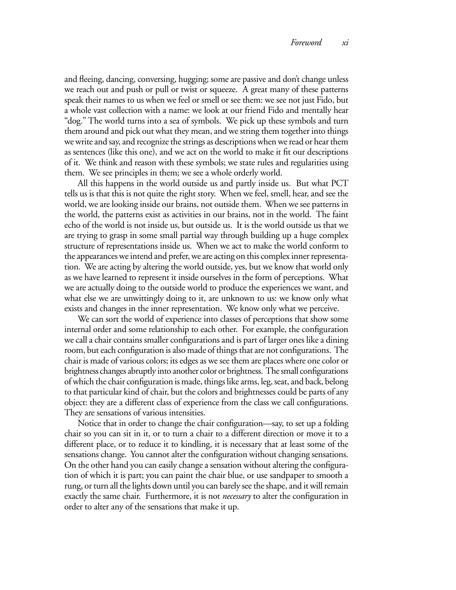and fleeing, dancing, conversing, hugging; some are passive and don't change unless we reach out and push or pull or twist or squeeze. A great many of these patterns speak their names to us when we feel or smell or see them: we see not just Fido, but a whole vast collection with a name: we look at our friend Fido and mentally hear "dog." The world turns into a sea of symbols. We pick up these symbols and turn them around and pick out what they mean, and we string them together into things we write and say, and recognize the strings as descriptions when we read or hear them as sentences (like this one), and we act on the world to make it fit our descriptions of it. We think and reason with these symbols; we state rules and regularities using them. We see principles in them; we see a whole orderly world.

All this happens in the world outside us and partly inside us. But what PCT tells us is that this is not quite the right story. When we feel, smell, hear, and see the world, we are looking inside our brains, not outside them. When we see patterns in the world, the patterns exist as activities in our brains, not in the world. The faint echo of the world is not inside us, but outside us. It is the world outside us that we are trying to grasp in some small partial way through building up a huge complex structure of representations inside us. When we act to make the world conform to the appearances we intend and prefer, we are acting on this complex inner representation. We are acting by altering the world outside, yes, but we know that world only as we have learned to represent it inside ourselves in the form of perceptions. What we are actually doing to the outside world to produce the experiences we want, and what else we are unwittingly doing to it, are unknown to us: we know only what exists and changes in the inner representation. We know only what we perceive.

We can sort the world of experience into classes of perceptions that show some internal order and some relationship to each other. For example, the configuration we call a chair contains smaller configurations and is part of larger ones like a dining room, but each configuration is also made of things that are not configurations. The chair is made of various colors; its edges as we see them are places where one color or brightness changes abruptly into another color or brightness. The small configurations of which the chair configuration is made, things like arms, leg, seat, and back, belong to that particular kind of chair, but the colors and brightnesses could be parts of any object: they are a different class of experience from the class we call configurations. They are sensations of various intensities.

Notice that in order to change the chair configuration—say, to set up a folding chair so you can sit in it, or to turn a chair to a different direction or move it to a different place, or to reduce it to kindling, it is necessary that at least some of the sensations change. You cannot alter the configuration without changing sensations. On the other hand you can easily change a sensation without altering the configuration of which it is part; you can paint the chair blue, or use sandpaper to smooth a rung, or turn all the lights down until you can barely see the shape, and it will remain exactly the same chair. Furthermore, it is not *necessary* to alter the configuration in order to alter any of the sensations that make it up.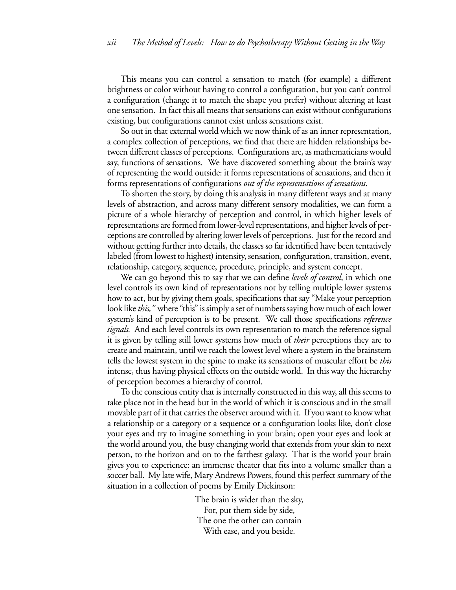This means you can control a sensation to match (for example) a different brightness or color without having to control a configuration, but you can't control a configuration (change it to match the shape you prefer) without altering at least one sensation. In fact this all means that sensations can exist without configurations existing, but configurations cannot exist unless sensations exist.

So out in that external world which we now think of as an inner representation, a complex collection of perceptions, we find that there are hidden relationships between different classes of perceptions. Configurations are, as mathematicians would say, functions of sensations. We have discovered something about the brain's way of representing the world outside: it forms representations of sensations, and then it forms representations of configurations *out of the representations of sensations*.

To shorten the story, by doing this analysis in many different ways and at many levels of abstraction, and across many different sensory modalities, we can form a picture of a whole hierarchy of perception and control, in which higher levels of representations are formed from lower-level representations, and higher levels of perceptions are controlled by altering lower levels of perceptions. Just for the record and without getting further into details, the classes so far identified have been tentatively labeled (from lowest to highest) intensity, sensation, configuration, transition, event, relationship, category, sequence, procedure, principle, and system concept.

We can go beyond this to say that we can define *levels of control*, in which one level controls its own kind of representations not by telling multiple lower systems how to act, but by giving them goals, specifications that say "Make your perception look like *this,"* where "this" is simply a set of numbers saying how much of each lower system's kind of perception is to be present. We call those specifications *reference signals.* And each level controls its own representation to match the reference signal it is given by telling still lower systems how much of *their* perceptions they are to create and maintain, until we reach the lowest level where a system in the brainstem tells the lowest system in the spine to make its sensations of muscular effort be *this* intense, thus having physical effects on the outside world. In this way the hierarchy of perception becomes a hierarchy of control.

To the conscious entity that is internally constructed in this way, all this seems to take place not in the head but in the world of which it is conscious and in the small movable part of it that carries the observer around with it. If you want to know what a relationship or a category or a sequence or a configuration looks like, don't close your eyes and try to imagine something in your brain; open your eyes and look at the world around you, the busy changing world that extends from your skin to next person, to the horizon and on to the farthest galaxy. That is the world your brain gives you to experience: an immense theater that fits into a volume smaller than a soccer ball. My late wife, Mary Andrews Powers, found this perfect summary of the situation in a collection of poems by Emily Dickinson:

> The brain is wider than the sky, For, put them side by side, The one the other can contain With ease, and you beside.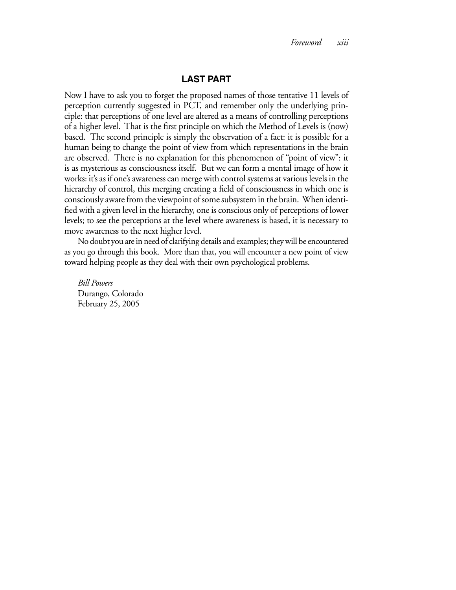#### **Last part**

Now I have to ask you to forget the proposed names of those tentative 11 levels of perception currently suggested in PCT, and remember only the underlying principle: that perceptions of one level are altered as a means of controlling perceptions of a higher level. That is the first principle on which the Method of Levels is (now) based. The second principle is simply the observation of a fact: it is possible for a human being to change the point of view from which representations in the brain are observed. There is no explanation for this phenomenon of "point of view": it is as mysterious as consciousness itself. But we can form a mental image of how it works: it's as if one's awareness can merge with control systems at various levels in the hierarchy of control, this merging creating a field of consciousness in which one is consciously aware from the viewpoint of some subsystem in the brain. When identified with a given level in the hierarchy, one is conscious only of perceptions of lower levels; to see the perceptions at the level where awareness is based, it is necessary to move awareness to the next higher level.

No doubt you are in need of clarifying details and examples; they will be encountered as you go through this book. More than that, you will encounter a new point of view toward helping people as they deal with their own psychological problems.

*Bill Powers* Durango, Colorado February 25, 2005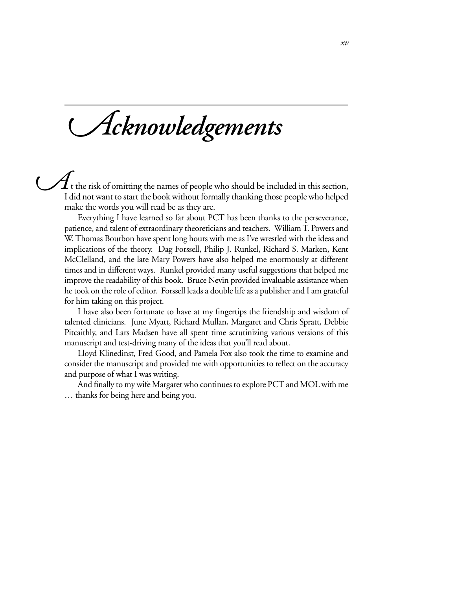# *Acknowledgements*

 $\mathcal{A}_{\text{t}}$  the risk of omitting the names of people who should be included in this section, I did not want to start the book without formally thanking those people who helped make the words you will read be as they are.

Everything I have learned so far about PCT has been thanks to the perseverance, patience, and talent of extraordinary theoreticians and teachers. William T. Powers and W. Thomas Bourbon have spent long hours with me as I've wrestled with the ideas and implications of the theory. Dag Forssell, Philip J. Runkel, Richard S. Marken, Kent McClelland, and the late Mary Powers have also helped me enormously at different times and in different ways. Runkel provided many useful suggestions that helped me improve the readability of this book. Bruce Nevin provided invaluable assistance when he took on the role of editor. Forssell leads a double life as a publisher and I am grateful for him taking on this project.

I have also been fortunate to have at my fingertips the friendship and wisdom of talented clinicians. June Myatt, Richard Mullan, Margaret and Chris Spratt, Debbie Pitcaithly, and Lars Madsen have all spent time scrutinizing various versions of this manuscript and test-driving many of the ideas that you'll read about.

Lloyd Klinedinst, Fred Good, and Pamela Fox also took the time to examine and consider the manuscript and provided me with opportunities to reflect on the accuracy and purpose of what I was writing.

And finally to my wife Margaret who continues to explore PCT and MOL with me … thanks for being here and being you.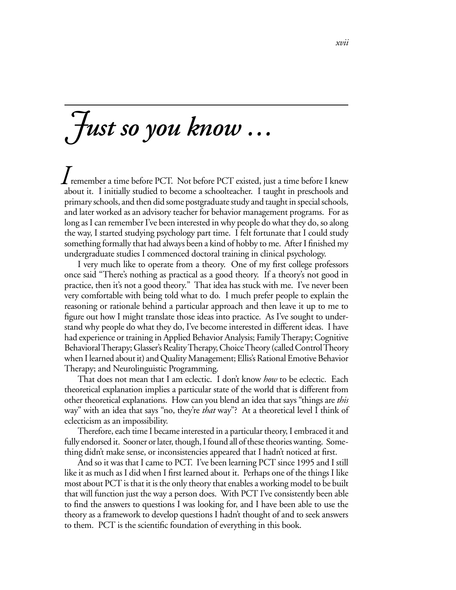# *Just so you know …*

 remember a time before PCT. Not before PCT existed, just a time before I knew *I*about it. I initially studied to become a schoolteacher. I taught in preschools and primary schools, and then did some postgraduate study and taught in special schools, and later worked as an advisory teacher for behavior management programs. For as long as I can remember I've been interested in why people do what they do, so along the way, I started studying psychology part time. I felt fortunate that I could study something formally that had always been a kind of hobby to me. After I finished my undergraduate studies I commenced doctoral training in clinical psychology.

I very much like to operate from a theory. One of my first college professors once said "There's nothing as practical as a good theory. If a theory's not good in practice, then it's not a good theory." That idea has stuck with me. I've never been very comfortable with being told what to do. I much prefer people to explain the reasoning or rationale behind a particular approach and then leave it up to me to figure out how I might translate those ideas into practice. As I've sought to understand why people do what they do, I've become interested in different ideas. I have had experience or training in Applied Behavior Analysis; Family Therapy; Cognitive Behavioral Therapy; Glasser's Reality Therapy, Choice Theory (called Control Theory when I learned about it) and Quality Management; Ellis's Rational Emotive Behavior Therapy; and Neurolinguistic Programming.

That does not mean that I am eclectic. I don't know *how* to be eclectic. Each theoretical explanation implies a particular state of the world that is different from other theoretical explanations. How can you blend an idea that says "things are *this* way" with an idea that says "no, they're *that* way"? At a theoretical level I think of eclecticism as an impossibility.

Therefore, each time I became interested in a particular theory, I embraced it and fully endorsed it. Sooner or later, though, I found all of these theories wanting. Something didn't make sense, or inconsistencies appeared that I hadn't noticed at first.

And so it was that I came to PCT. I've been learning PCT since 1995 and I still like it as much as I did when I first learned about it. Perhaps one of the things I like most about PCT is that it is the only theory that enables a working model to be built that will function just the way a person does. With PCT I've consistently been able to find the answers to questions I was looking for, and I have been able to use the theory as a framework to develop questions I hadn't thought of and to seek answers to them. PCT is the scientific foundation of everything in this book.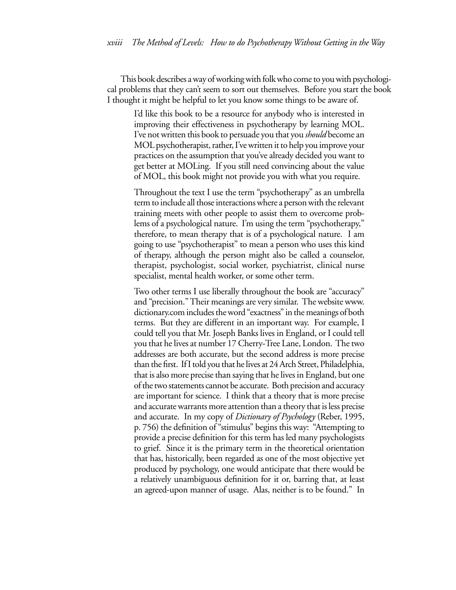This book describes a way of working with folk who come to you with psychological problems that they can't seem to sort out themselves. Before you start the book I thought it might be helpful to let you know some things to be aware of.

I'd like this book to be a resource for anybody who is interested in improving their effectiveness in psychotherapy by learning MOL. I've not written this book to persuade you that you *should* become an MOL psychotherapist, rather, I've written it to help you improve your practices on the assumption that you've already decided you want to get better at MOLing. If you still need convincing about the value of MOL, this book might not provide you with what you require.

Throughout the text I use the term "psychotherapy" as an umbrella term to include all those interactions where a person with the relevant training meets with other people to assist them to overcome problems of a psychological nature. I'm using the term "psychotherapy," therefore, to mean therapy that is of a psychological nature. I am going to use "psychotherapist" to mean a person who uses this kind of therapy, although the person might also be called a counselor, therapist, psychologist, social worker, psychiatrist, clinical nurse specialist, mental health worker, or some other term.

Two other terms I use liberally throughout the book are "accuracy" and "precision." Their meanings are very similar. The website www. dictionary.com includes the word "exactness" in the meanings of both terms. But they are different in an important way. For example, I could tell you that Mr. Joseph Banks lives in England, or I could tell you that he lives at number 17 Cherry-Tree Lane, London. The two addresses are both accurate, but the second address is more precise than the first. If I told you that he lives at 24 Arch Street, Philadelphia, that is also more precise than saying that he lives in England, but one of the two statements cannot be accurate. Both precision and accuracy are important for science. I think that a theory that is more precise and accurate warrants more attention than a theory that is less precise and accurate. In my copy of *Dictionary of Psychology* (Reber, 1995, p. 756) the definition of "stimulus" begins this way: "Attempting to provide a precise definition for this term has led many psychologists to grief. Since it is the primary term in the theoretical orientation that has, historically, been regarded as one of the most objective yet produced by psychology, one would anticipate that there would be a relatively unambiguous definition for it or, barring that, at least an agreed-upon manner of usage. Alas, neither is to be found." In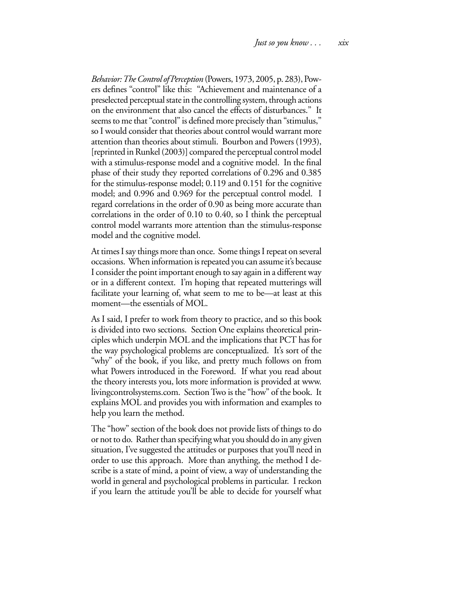*Behavior:TheControl ofPerception* (Powers, 1973, 2005, p. 283), Powers defines "control" like this: "Achievement and maintenance of a preselected perceptual state in the controlling system, through actions on the environment that also cancel the effects of disturbances." It seems to me that "control" is defined more precisely than "stimulus," so I would consider that theories about control would warrant more attention than theories about stimuli. Bourbon and Powers (1993), [reprinted in Runkel (2003)] compared the perceptual control model with a stimulus-response model and a cognitive model. In the final phase of their study they reported correlations of 0.296 and 0.385 for the stimulus-response model; 0.119 and 0.151 for the cognitive model; and 0.996 and 0.969 for the perceptual control model. I regard correlations in the order of 0.90 as being more accurate than correlations in the order of 0.10 to 0.40, so I think the perceptual control model warrants more attention than the stimulus-response model and the cognitive model.

At times I say things more than once. Some things I repeat on several occasions. When information is repeated you can assume it's because I consider the point important enough to say again in a different way or in a different context. I'm hoping that repeated mutterings will facilitate your learning of, what seem to me to be—at least at this moment—the essentials of MOL.

As I said, I prefer to work from theory to practice, and so this book is divided into two sections. Section One explains theoretical principles which underpin MOL and the implications that PCT has for the way psychological problems are conceptualized. It's sort of the "why" of the book, if you like, and pretty much follows on from what Powers introduced in the Foreword. If what you read about the theory interests you, lots more information is provided at www. livingcontrolsystems.com. Section Two is the "how" of the book. It explains MOL and provides you with information and examples to help you learn the method.

The "how" section of the book does not provide lists of things to do or not to do. Rather than specifying what you should do in any given situation, I've suggested the attitudes or purposes that you'll need in order to use this approach. More than anything, the method I describe is a state of mind, a point of view, a way of understanding the world in general and psychological problems in particular. I reckon if you learn the attitude you'll be able to decide for yourself what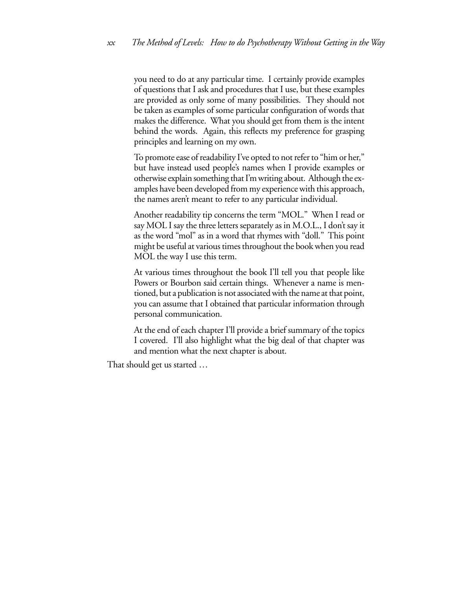you need to do at any particular time. I certainly provide examples of questions that I ask and procedures that I use, but these examples are provided as only some of many possibilities. They should not be taken as examples of some particular configuration of words that makes the difference. What you should get from them is the intent behind the words. Again, this reflects my preference for grasping principles and learning on my own.

To promote ease of readability I've opted to not refer to "him or her," but have instead used people's names when I provide examples or otherwise explain something that I'm writing about. Although the examples have been developed from my experience with this approach, the names aren't meant to refer to any particular individual.

Another readability tip concerns the term "MOL." When I read or say MOL I say the three letters separately as in M.O.L., I don't say it as the word "mol" as in a word that rhymes with "doll." This point might be useful at various times throughout the book when you read MOL the way I use this term.

At various times throughout the book I'll tell you that people like Powers or Bourbon said certain things. Whenever a name is mentioned, but a publication is not associated with the name at that point, you can assume that I obtained that particular information through personal communication.

At the end of each chapter I'll provide a brief summary of the topics I covered. I'll also highlight what the big deal of that chapter was and mention what the next chapter is about.

That should get us started …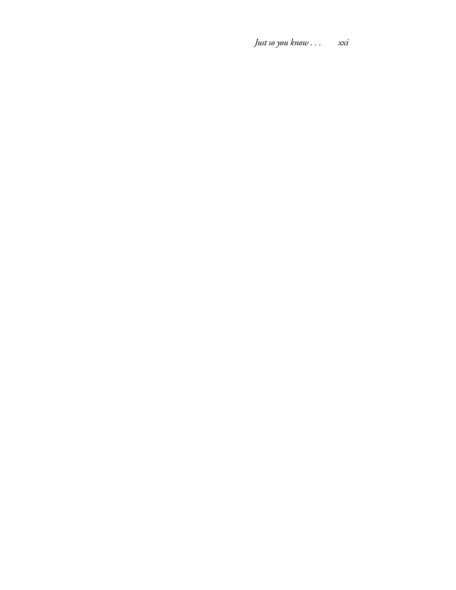*Just so you know . . . xxi*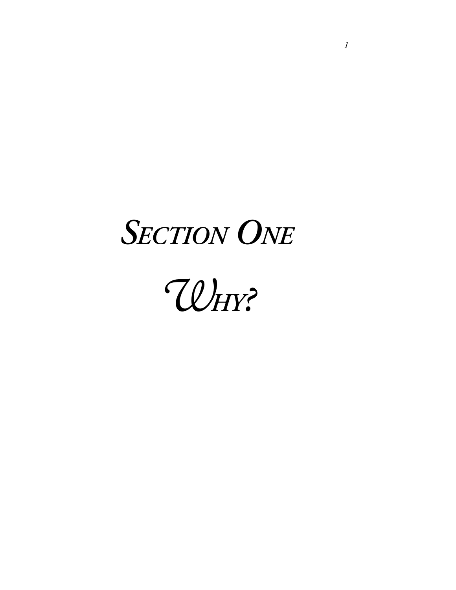# *Section One Why?*

*1*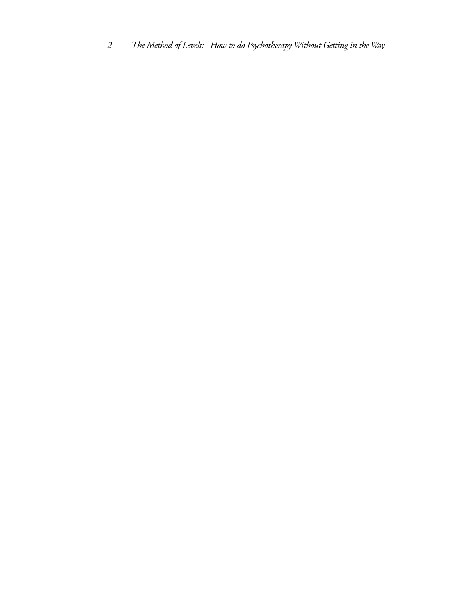*2 The Method of Levels: How to do Psychotherapy Without Getting in the Way*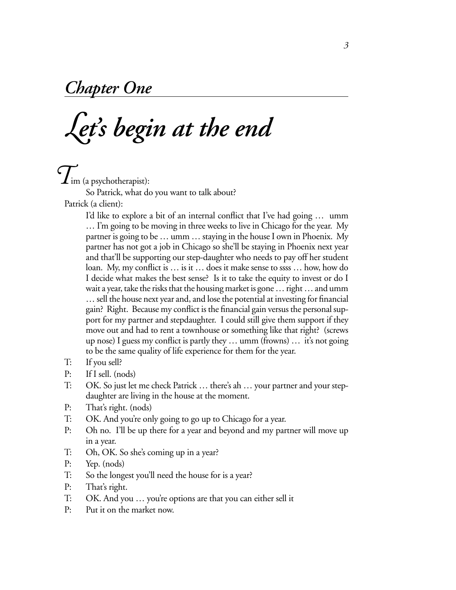### *Chapter One*

*Let's begin at the end*

 $\tau$ im (a psychotherapist):

So Patrick, what do you want to talk about?

Patrick (a client):

I'd like to explore a bit of an internal conflict that I've had going … umm … I'm going to be moving in three weeks to live in Chicago for the year. My partner is going to be … umm … staying in the house I own in Phoenix. My partner has not got a job in Chicago so she'll be staying in Phoenix next year and that'll be supporting our step-daughter who needs to pay off her student loan. My, my conflict is … is it … does it make sense to ssss … how, how do I decide what makes the best sense? Is it to take the equity to invest or do I wait a year, take the risks that the housing market is gone … right … and umm … sell the house next year and, and lose the potential at investing for financial gain? Right. Because my conflict is the financial gain versus the personal support for my partner and stepdaughter. I could still give them support if they move out and had to rent a townhouse or something like that right? (screws up nose) I guess my conflict is partly they … umm (frowns) … it's not going to be the same quality of life experience for them for the year.

- T: If you sell?
- P: If I sell. (nods)
- T: OK. So just let me check Patrick … there's ah … your partner and your stepdaughter are living in the house at the moment.
- P: That's right. (nods)
- T: OK. And you're only going to go up to Chicago for a year.
- P: Oh no. I'll be up there for a year and beyond and my partner will move up in a year.
- T: Oh, OK. So she's coming up in a year?
- P: Yep. (nods)
- T: So the longest you'll need the house for is a year?
- P: That's right.
- T: OK. And you … you're options are that you can either sell it
- P: Put it on the market now.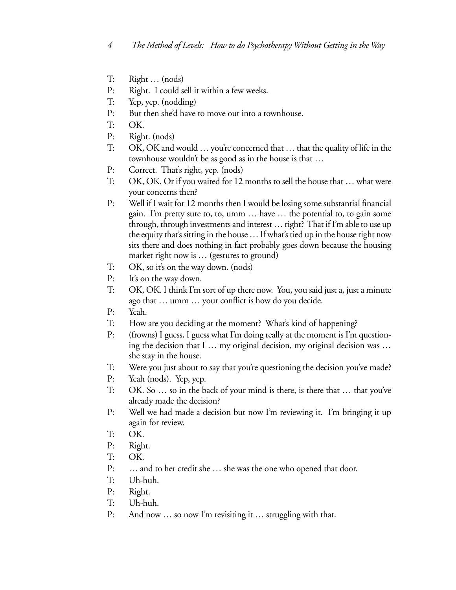- T: Right … (nods)
- P: Right. I could sell it within a few weeks.
- T: Yep, yep. (nodding)
- P: But then she'd have to move out into a townhouse.
- T: OK.
- P: Right. (nods)
- T: OK, OK and would … you're concerned that … that the quality of life in the townhouse wouldn't be as good as in the house is that …
- P: Correct. That's right, yep. (nods)
- T: OK, OK. Or if you waited for 12 months to sell the house that … what were your concerns then?
- P: Well if I wait for 12 months then I would be losing some substantial financial gain. I'm pretty sure to, to, umm … have … the potential to, to gain some through, through investments and interest … right? That if I'm able to use up the equity that's sitting in the house … If what's tied up in the house right now sits there and does nothing in fact probably goes down because the housing market right now is … (gestures to ground)
- T: OK, so it's on the way down. (nods)
- P: It's on the way down.
- T: OK, OK. I think I'm sort of up there now. You, you said just a, just a minute ago that … umm … your conflict is how do you decide.
- P: Yeah.
- T: How are you deciding at the moment? What's kind of happening?
- P: (frowns) I guess, I guess what I'm doing really at the moment is I'm questioning the decision that I … my original decision, my original decision was … she stay in the house.
- T: Were you just about to say that you're questioning the decision you've made?
- P: Yeah (nods). Yep, yep.
- T: OK. So … so in the back of your mind is there, is there that … that you've already made the decision?
- P: Well we had made a decision but now I'm reviewing it. I'm bringing it up again for review.
- T: OK.
- P: Right.
- T: OK.
- P: … and to her credit she … she was the one who opened that door.
- T: Uh-huh.
- P: Right.
- T: Uh-huh.
- P: And now … so now I'm revisiting it … struggling with that.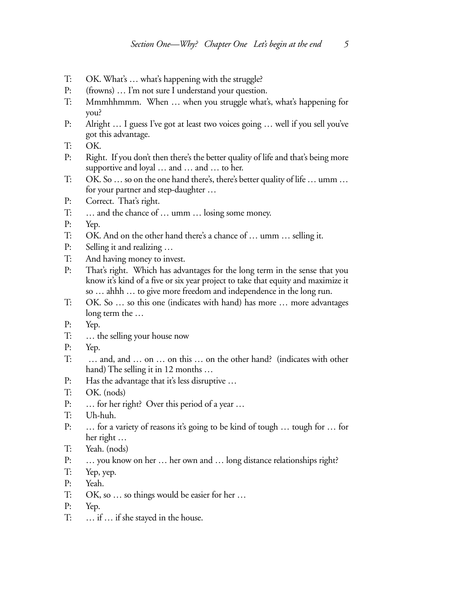- T: OK. What's … what's happening with the struggle?
- P: (frowns) … I'm not sure I understand your question.
- T: Mmmhhmmm. When … when you struggle what's, what's happening for you?
- P: Alright … I guess I've got at least two voices going … well if you sell you've got this advantage.
- T: OK.
- P: Right. If you don't then there's the better quality of life and that's being more supportive and loyal … and … and … to her.
- T: OK. So … so on the one hand there's, there's better quality of life … umm … for your partner and step-daughter …
- P: Correct. That's right.
- T: … and the chance of … umm … losing some money.
- P: Yep.
- T: OK. And on the other hand there's a chance of … umm … selling it.
- P: Selling it and realizing …
- T: And having money to invest.
- P: That's right. Which has advantages for the long term in the sense that you know it's kind of a five or six year project to take that equity and maximize it so … ahhh … to give more freedom and independence in the long run.
- T: OK. So … so this one (indicates with hand) has more … more advantages long term the …
- P: Yep.
- T: … the selling your house now
- P: Yep.
- T: … and, and … on … on this … on the other hand? (indicates with other hand) The selling it in 12 months ...
- P: Has the advantage that it's less disruptive ...
- T: OK. (nods)
- P: … for her right? Over this period of a year …
- T: Uh-huh.
- P: … for a variety of reasons it's going to be kind of tough … tough for … for her right …
- T: Yeah. (nods)
- P: ... you know on her ... her own and ... long distance relationships right?
- T: Yep, yep.
- P: Yeah.
- T: OK, so … so things would be easier for her …
- P: Yep.
- T: … if … if she stayed in the house.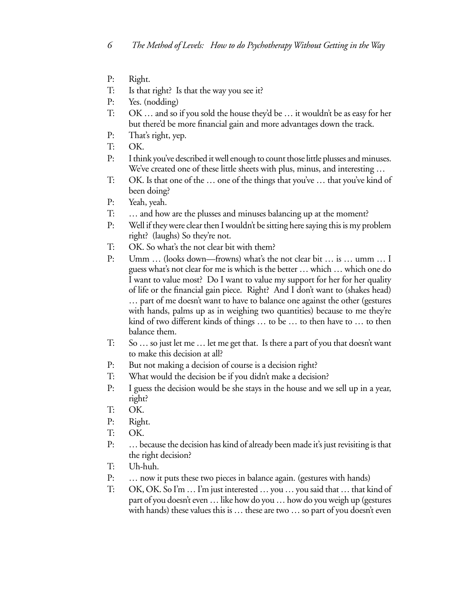- P: Right.
- T: Is that right? Is that the way you see it?
- P: Yes. (nodding)
- T: OK … and so if you sold the house they'd be … it wouldn't be as easy for her but there'd be more financial gain and more advantages down the track.
- P: That's right, yep.
- T: OK.
- P: I think you've described it well enough to count those little plusses and minuses. We've created one of these little sheets with plus, minus, and interesting ...
- T: OK. Is that one of the … one of the things that you've … that you've kind of been doing?
- P: Yeah, yeah.
- T: … and how are the plusses and minuses balancing up at the moment?
- P: Well if they were clear then I wouldn't be sitting here saying this is my problem right? (laughs) So they're not.
- T: OK. So what's the not clear bit with them?
- P: Umm … (looks down—frowns) what's the not clear bit … is … umm … I guess what's not clear for me is which is the better … which … which one do I want to value most? Do I want to value my support for her for her quality of life or the financial gain piece. Right? And I don't want to (shakes head) … part of me doesn't want to have to balance one against the other (gestures with hands, palms up as in weighing two quantities) because to me they're kind of two different kinds of things … to be … to then have to … to then balance them.
- T: So … so just let me … let me get that. Is there a part of you that doesn't want to make this decision at all?
- P: But not making a decision of course is a decision right?
- T: What would the decision be if you didn't make a decision?
- P: I guess the decision would be she stays in the house and we sell up in a year, right?
- T: OK.
- P: Right.
- T: OK.
- P: … because the decision has kind of already been made it's just revisiting is that the right decision?
- T: Uh-huh.
- P: … now it puts these two pieces in balance again. (gestures with hands)
- T: OK, OK. So I'm … I'm just interested … you … you said that … that kind of part of you doesn't even … like how do you … how do you weigh up (gestures with hands) these values this is … these are two … so part of you doesn't even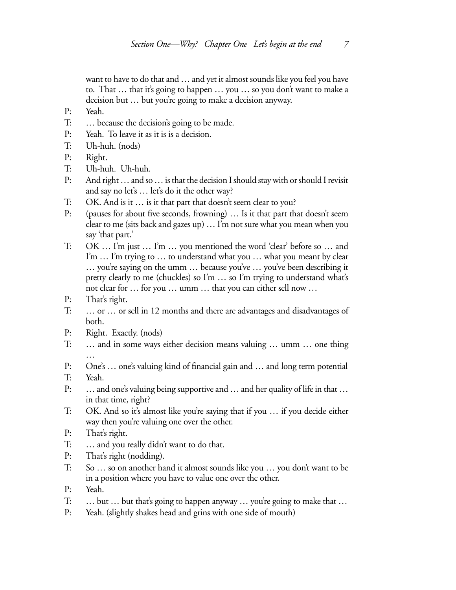want to have to do that and … and yet it almost sounds like you feel you have to. That … that it's going to happen … you … so you don't want to make a decision but … but you're going to make a decision anyway.

- P: Yeah.
- T: … because the decision's going to be made.
- P: Yeah. To leave it as it is is a decision.
- T: Uh-huh. (nods)
- P: Right.
- T: Uh-huh. Uh-huh.
- P: And right … and so … is that the decision I should stay with or should I revisit and say no let's … let's do it the other way?
- T: OK. And is it … is it that part that doesn't seem clear to you?
- P: (pauses for about five seconds, frowning) ... Is it that part that doesn't seem clear to me (sits back and gazes up) … I'm not sure what you mean when you say 'that part.'
- T: OK … I'm just … I'm … you mentioned the word 'clear' before so … and I'm ... I'm trying to ... to understand what you ... what you meant by clear … you're saying on the umm … because you've … you've been describing it pretty clearly to me (chuckles) so I'm … so I'm trying to understand what's not clear for … for you … umm … that you can either sell now …
- P: That's right.
- T: … or … or sell in 12 months and there are advantages and disadvantages of both.
- P: Right. Exactly. (nods)
- T: … and in some ways either decision means valuing … umm … one thing …
- P: One's ... one's valuing kind of financial gain and ... and long term potential T: Yeah.
- P: … and one's valuing being supportive and … and her quality of life in that … in that time, right?
- T: OK. And so it's almost like you're saying that if you … if you decide either way then you're valuing one over the other.
- P: That's right.
- T: … and you really didn't want to do that.
- P: That's right (nodding).
- T: So … so on another hand it almost sounds like you … you don't want to be in a position where you have to value one over the other.
- P: Yeah.
- T: … but … but that's going to happen anyway … you're going to make that …
- P: Yeah. (slightly shakes head and grins with one side of mouth)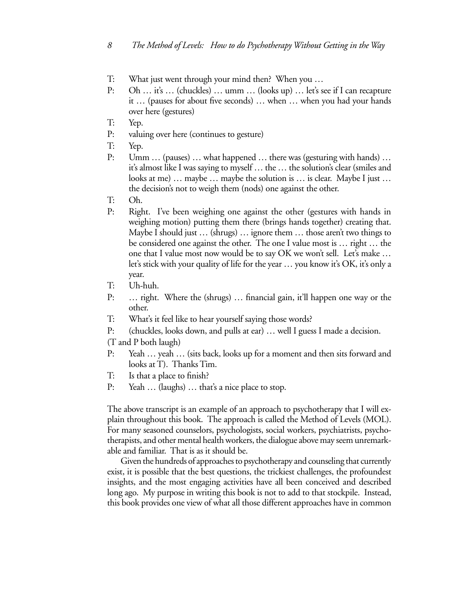- T: What just went through your mind then? When you …
- P: Oh ... it's ... (chuckles) ... umm ... (looks up) ... let's see if I can recapture it … (pauses for about five seconds) … when … when you had your hands over here (gestures)
- T: Yep.
- P: valuing over here (continues to gesture)
- T: Yep.
- P: Umm … (pauses) … what happened … there was (gesturing with hands) … it's almost like I was saying to myself ... the ... the solution's clear (smiles and looks at me) … maybe … maybe the solution is … is clear. Maybe I just … the decision's not to weigh them (nods) one against the other.
- T: Oh.
- P: Right. I've been weighing one against the other (gestures with hands in weighing motion) putting them there (brings hands together) creating that. Maybe I should just … (shrugs) … ignore them … those aren't two things to be considered one against the other. The one I value most is … right … the one that I value most now would be to say OK we won't sell. Let's make … let's stick with your quality of life for the year … you know it's OK, it's only a year.
- T: Uh-huh.
- P: … right. Where the (shrugs) … financial gain, it'll happen one way or the other.
- T: What's it feel like to hear yourself saying those words?
- P: (chuckles, looks down, and pulls at ear) … well I guess I made a decision.
- (T and P both laugh)
- P: Yeah … yeah … (sits back, looks up for a moment and then sits forward and looks at T). Thanks Tim.
- T: Is that a place to finish?
- P: Yeah ... (laughs) ... that's a nice place to stop.

The above transcript is an example of an approach to psychotherapy that I will explain throughout this book. The approach is called the Method of Levels (MOL). For many seasoned counselors, psychologists, social workers, psychiatrists, psychotherapists, and other mental health workers, the dialogue above may seem unremarkable and familiar. That is as it should be.

Given the hundreds of approaches to psychotherapy and counseling that currently exist, it is possible that the best questions, the trickiest challenges, the profoundest insights, and the most engaging activities have all been conceived and described long ago. My purpose in writing this book is not to add to that stockpile. Instead, this book provides one view of what all those different approaches have in common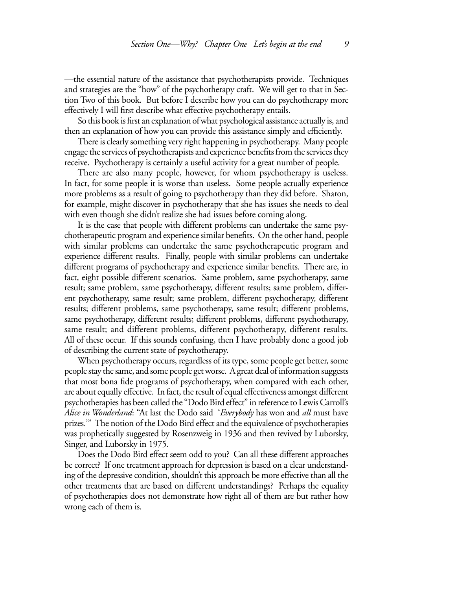—the essential nature of the assistance that psychotherapists provide. Techniques and strategies are the "how" of the psychotherapy craft. We will get to that in Section Two of this book. But before I describe how you can do psychotherapy more effectively I will first describe what effective psychotherapy entails.

So this book is first an explanation of what psychological assistance actually is, and then an explanation of how you can provide this assistance simply and efficiently.

There is clearly something very right happening in psychotherapy. Many people engage the services of psychotherapists and experience benefits from the services they receive. Psychotherapy is certainly a useful activity for a great number of people.

There are also many people, however, for whom psychotherapy is useless. In fact, for some people it is worse than useless. Some people actually experience more problems as a result of going to psychotherapy than they did before. Sharon, for example, might discover in psychotherapy that she has issues she needs to deal with even though she didn't realize she had issues before coming along.

It is the case that people with different problems can undertake the same psychotherapeutic program and experience similar benefits. On the other hand, people with similar problems can undertake the same psychotherapeutic program and experience different results. Finally, people with similar problems can undertake different programs of psychotherapy and experience similar benefits. There are, in fact, eight possible different scenarios. Same problem, same psychotherapy, same result; same problem, same psychotherapy, different results; same problem, different psychotherapy, same result; same problem, different psychotherapy, different results; different problems, same psychotherapy, same result; different problems, same psychotherapy, different results; different problems, different psychotherapy, same result; and different problems, different psychotherapy, different results. All of these occur. If this sounds confusing, then I have probably done a good job of describing the current state of psychotherapy.

When psychotherapy occurs, regardless of its type, some people get better, some people stay the same, and some people get worse. A great deal of information suggests that most bona fide programs of psychotherapy, when compared with each other, are about equally effective. In fact, the result of equal effectiveness amongst different psychotherapies has been called the "Dodo Bird effect" in reference to Lewis Carroll's *Alice in Wonderland*: "At last the Dodo said '*Everybody* has won and *all* must have prizes.'" The notion of the Dodo Bird effect and the equivalence of psychotherapies was prophetically suggested by Rosenzweig in 1936 and then revived by Luborsky, Singer, and Luborsky in 1975.

Does the Dodo Bird effect seem odd to you? Can all these different approaches be correct? If one treatment approach for depression is based on a clear understanding of the depressive condition, shouldn't this approach be more effective than all the other treatments that are based on different understandings? Perhaps the equality of psychotherapies does not demonstrate how right all of them are but rather how wrong each of them is.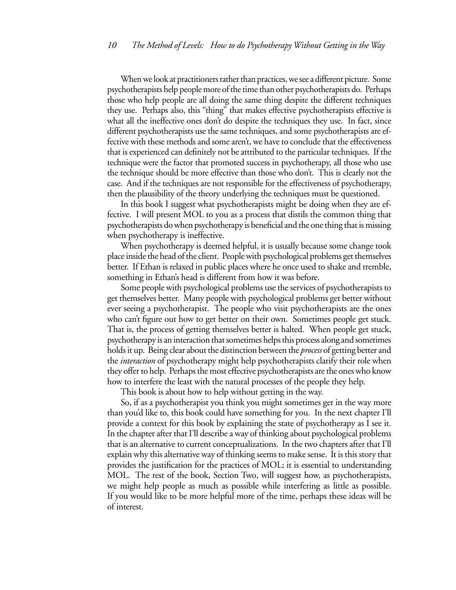When we look at practitioners rather than practices, we see a different picture. Some psychotherapists help people more of the time than other psychotherapists do. Perhaps those who help people are all doing the same thing despite the different techniques they use. Perhaps also, this "thing" that makes effective psychotherapists effective is what all the ineffective ones don't do despite the techniques they use. In fact, since different psychotherapists use the same techniques, and some psychotherapists are effective with these methods and some aren't, we have to conclude that the effectiveness that is experienced can definitely not be attributed to the particular techniques. If the technique were the factor that promoted success in psychotherapy, all those who use the technique should be more effective than those who don't. This is clearly not the case. And if the techniques are not responsible for the effectiveness of psychotherapy, then the plausibility of the theory underlying the techniques must be questioned.

In this book I suggest what psychotherapists might be doing when they are effective. I will present MOL to you as a process that distils the common thing that psychotherapists do when psychotherapy is beneficial and the one thing that is missing when psychotherapy is ineffective.

When psychotherapy is deemed helpful, it is usually because some change took place inside the head of the client. People with psychological problems get themselves better. If Ethan is relaxed in public places where he once used to shake and tremble, something in Ethan's head is different from how it was before.

Some people with psychological problems use the services of psychotherapists to get themselves better. Many people with psychological problems get better without ever seeing a psychotherapist. The people who visit psychotherapists are the ones who can't figure out how to get better on their own. Sometimes people get stuck. That is, the process of getting themselves better is halted. When people get stuck, psychotherapy is an interaction that sometimes helps this process along and sometimes holds it up. Being clear about the distinction between the *process* of getting better and the *interaction* of psychotherapy might help psychotherapists clarify their role when they offer to help. Perhaps the most effective psychotherapists are the ones who know how to interfere the least with the natural processes of the people they help.

This book is about how to help without getting in the way.

So, if as a psychotherapist you think you might sometimes get in the way more than you'd like to, this book could have something for you. In the next chapter I'll provide a context for this book by explaining the state of psychotherapy as I see it. In the chapter after that I'll describe a way of thinking about psychological problems that is an alternative to current conceptualizations. In the two chapters after that I'll explain why this alternative way of thinking seems to make sense. It is this story that provides the justification for the practices of MOL; it is essential to understanding MOL. The rest of the book, Section Two, will suggest how, as psychotherapists, we might help people as much as possible while interfering as little as possible. If you would like to be more helpful more of the time, perhaps these ideas will be of interest.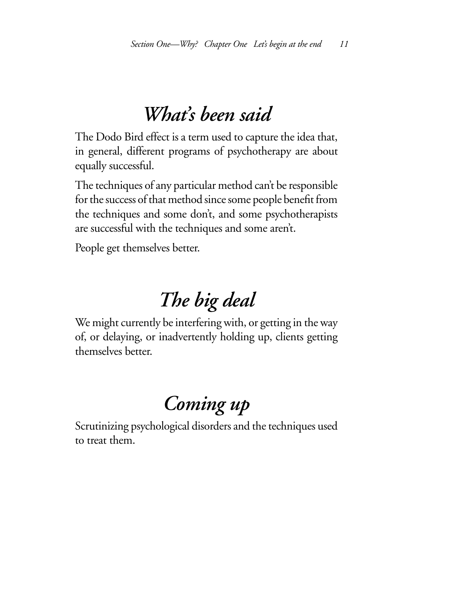## *What's been said*

The Dodo Bird effect is a term used to capture the idea that, in general, different programs of psychotherapy are about equally successful.

The techniques of any particular method can't be responsible for the success of that method since some people benefit from the techniques and some don't, and some psychotherapists are successful with the techniques and some aren't.

People get themselves better.

## *The big deal*

We might currently be interfering with, or getting in the way of, or delaying, or inadvertently holding up, clients getting themselves better.

## *Coming up*

Scrutinizing psychological disorders and the techniques used to treat them.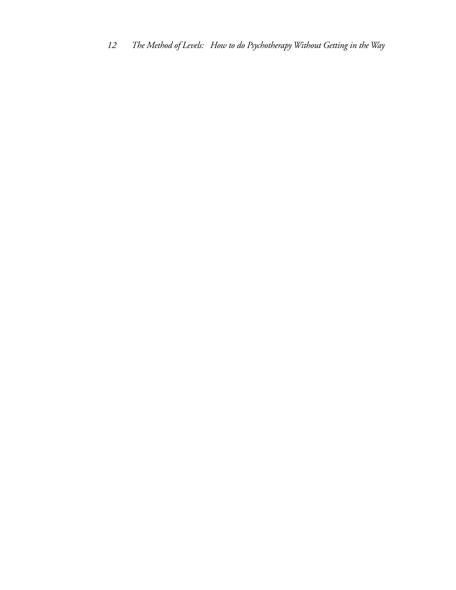*12 The Method of Levels: How to do Psychotherapy Without Getting in the Way*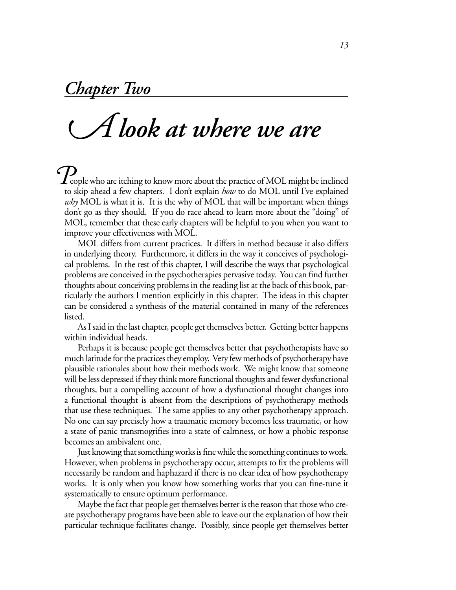### *Chapter Two*

# *A look at where we are*

 $\boldsymbol{I}$  eople who are itching to know more about the practice of MOL might be inclined **the** schip are itching to know more about the practice of MOL might be inclined to skip ahead a few chapters. I don't explain *how* to do MOL until I've explained *why* MOL is what it is. It is the why of MOL that will be important when things don't go as they should. If you do race ahead to learn more about the "doing" of MOL, remember that these early chapters will be helpful to you when you want to improve your effectiveness with MOL.

MOL differs from current practices. It differs in method because it also differs in underlying theory. Furthermore, it differs in the way it conceives of psychological problems. In the rest of this chapter, I will describe the ways that psychological problems are conceived in the psychotherapies pervasive today. You can find further thoughts about conceiving problems in the reading list at the back of this book, particularly the authors I mention explicitly in this chapter. The ideas in this chapter can be considered a synthesis of the material contained in many of the references listed.

As I said in the last chapter, people get themselves better. Getting better happens within individual heads.

Perhaps it is because people get themselves better that psychotherapists have so much latitude for the practices they employ. Very few methods of psychotherapy have plausible rationales about how their methods work. We might know that someone will be less depressed if they think more functional thoughts and fewer dysfunctional thoughts, but a compelling account of how a dysfunctional thought changes into a functional thought is absent from the descriptions of psychotherapy methods that use these techniques. The same applies to any other psychotherapy approach. No one can say precisely how a traumatic memory becomes less traumatic, or how a state of panic transmogrifies into a state of calmness, or how a phobic response becomes an ambivalent one.

Just knowing that something works is fine while the something continues to work. However, when problems in psychotherapy occur, attempts to fix the problems will necessarily be random and haphazard if there is no clear idea of how psychotherapy works. It is only when you know how something works that you can fine-tune it systematically to ensure optimum performance.

Maybe the fact that people get themselves better is the reason that those who create psychotherapy programs have been able to leave out the explanation of how their particular technique facilitates change. Possibly, since people get themselves better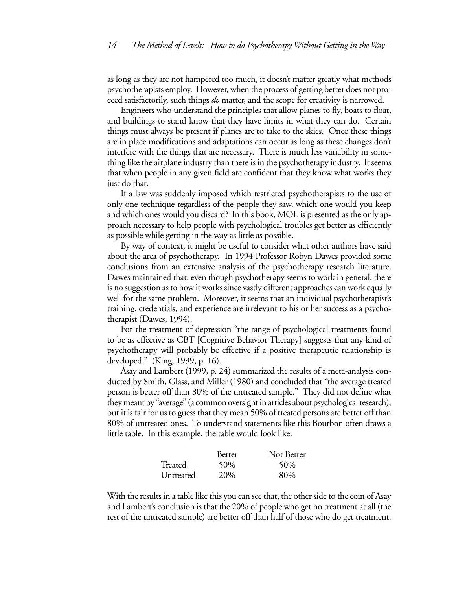as long as they are not hampered too much, it doesn't matter greatly what methods psychotherapists employ. However, when the process of getting better does not proceed satisfactorily, such things *do* matter, and the scope for creativity is narrowed.

Engineers who understand the principles that allow planes to fly, boats to float, and buildings to stand know that they have limits in what they can do. Certain things must always be present if planes are to take to the skies. Once these things are in place modifications and adaptations can occur as long as these changes don't interfere with the things that are necessary. There is much less variability in something like the airplane industry than there is in the psychotherapy industry. It seems that when people in any given field are confident that they know what works they just do that.

If a law was suddenly imposed which restricted psychotherapists to the use of only one technique regardless of the people they saw, which one would you keep and which ones would you discard? In this book, MOL is presented as the only approach necessary to help people with psychological troubles get better as efficiently as possible while getting in the way as little as possible.

By way of context, it might be useful to consider what other authors have said about the area of psychotherapy. In 1994 Professor Robyn Dawes provided some conclusions from an extensive analysis of the psychotherapy research literature. Dawes maintained that, even though psychotherapy seems to work in general, there is no suggestion as to how it works since vastly different approaches can work equally well for the same problem. Moreover, it seems that an individual psychotherapist's training, credentials, and experience are irrelevant to his or her success as a psychotherapist (Dawes, 1994).

For the treatment of depression "the range of psychological treatments found to be as effective as CBT [Cognitive Behavior Therapy] suggests that any kind of psychotherapy will probably be effective if a positive therapeutic relationship is developed." (King, 1999, p. 16).

Asay and Lambert (1999, p. 24) summarized the results of a meta-analysis conducted by Smith, Glass, and Miller (1980) and concluded that "the average treated person is better off than 80% of the untreated sample." They did not define what they meant by "average" (a common oversight in articles about psychological research), but it is fair for us to guess that they mean 50% of treated persons are better off than 80% of untreated ones. To understand statements like this Bourbon often draws a little table. In this example, the table would look like:

|           | <b>Better</b> | Not Better |
|-----------|---------------|------------|
| Treated   | 50%           | 50\%       |
| Untreated | 20%           | 80%        |

With the results in a table like this you can see that, the other side to the coin of Asay and Lambert's conclusion is that the 20% of people who get no treatment at all (the rest of the untreated sample) are better off than half of those who do get treatment.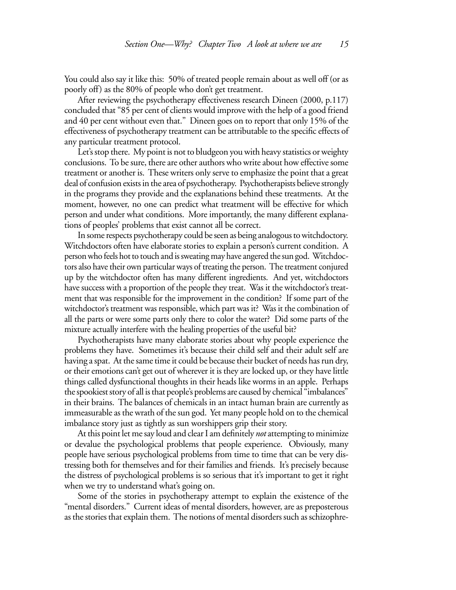You could also say it like this: 50% of treated people remain about as well off (or as poorly off) as the 80% of people who don't get treatment.

After reviewing the psychotherapy effectiveness research Dineen (2000, p.117) concluded that "85 per cent of clients would improve with the help of a good friend and 40 per cent without even that." Dineen goes on to report that only 15% of the effectiveness of psychotherapy treatment can be attributable to the specific effects of any particular treatment protocol.

Let's stop there. My point is not to bludgeon you with heavy statistics or weighty conclusions. To be sure, there are other authors who write about how effective some treatment or another is. These writers only serve to emphasize the point that a great deal of confusion exists in the area of psychotherapy. Psychotherapists believe strongly in the programs they provide and the explanations behind these treatments. At the moment, however, no one can predict what treatment will be effective for which person and under what conditions. More importantly, the many different explanations of peoples' problems that exist cannot all be correct.

In some respects psychotherapy could be seen as being analogous to witchdoctory. Witchdoctors often have elaborate stories to explain a person's current condition. A person who feels hot to touch and is sweating may have angered the sun god. Witchdoctors also have their own particular ways of treating the person. The treatment conjured up by the witchdoctor often has many different ingredients. And yet, witchdoctors have success with a proportion of the people they treat. Was it the witchdoctor's treatment that was responsible for the improvement in the condition? If some part of the witchdoctor's treatment was responsible, which part was it? Was it the combination of all the parts or were some parts only there to color the water? Did some parts of the mixture actually interfere with the healing properties of the useful bit?

Psychotherapists have many elaborate stories about why people experience the problems they have. Sometimes it's because their child self and their adult self are having a spat. At the same time it could be because their bucket of needs has run dry, or their emotions can't get out of wherever it is they are locked up, or they have little things called dysfunctional thoughts in their heads like worms in an apple. Perhaps the spookiest story of all is that people's problems are caused by chemical "imbalances" in their brains. The balances of chemicals in an intact human brain are currently as immeasurable as the wrath of the sun god. Yet many people hold on to the chemical imbalance story just as tightly as sun worshippers grip their story.

At this point let me say loud and clear I am definitely *not* attempting to minimize or devalue the psychological problems that people experience. Obviously, many people have serious psychological problems from time to time that can be very distressing both for themselves and for their families and friends. It's precisely because the distress of psychological problems is so serious that it's important to get it right when we try to understand what's going on.

Some of the stories in psychotherapy attempt to explain the existence of the "mental disorders." Current ideas of mental disorders, however, are as preposterous as the stories that explain them. The notions of mental disorders such as schizophre-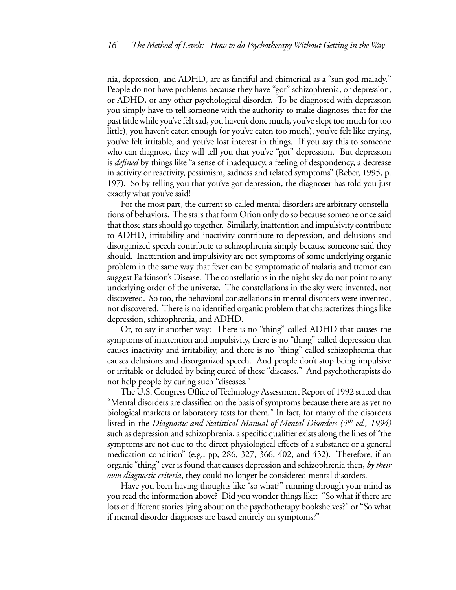nia, depression, and ADHD, are as fanciful and chimerical as a "sun god malady." People do not have problems because they have "got" schizophrenia, or depression, or ADHD, or any other psychological disorder. To be diagnosed with depression you simply have to tell someone with the authority to make diagnoses that for the past little while you've felt sad, you haven't done much, you've slept too much (or too little), you haven't eaten enough (or you've eaten too much), you've felt like crying, you've felt irritable, and you've lost interest in things. If you say this to someone who can diagnose, they will tell you that you've "got" depression. But depression is *defined* by things like "a sense of inadequacy, a feeling of despondency, a decrease in activity or reactivity, pessimism, sadness and related symptoms" (Reber, 1995, p. 197). So by telling you that you've got depression, the diagnoser has told you just exactly what you've said!

For the most part, the current so-called mental disorders are arbitrary constellations of behaviors. The stars that form Orion only do so because someone once said that those stars should go together. Similarly, inattention and impulsivity contribute to ADHD, irritability and inactivity contribute to depression, and delusions and disorganized speech contribute to schizophrenia simply because someone said they should. Inattention and impulsivity are not symptoms of some underlying organic problem in the same way that fever can be symptomatic of malaria and tremor can suggest Parkinson's Disease. The constellations in the night sky do not point to any underlying order of the universe. The constellations in the sky were invented, not discovered. So too, the behavioral constellations in mental disorders were invented, not discovered. There is no identified organic problem that characterizes things like depression, schizophrenia, and ADHD.

Or, to say it another way: There is no "thing" called ADHD that causes the symptoms of inattention and impulsivity, there is no "thing" called depression that causes inactivity and irritability, and there is no "thing" called schizophrenia that causes delusions and disorganized speech. And people don't stop being impulsive or irritable or deluded by being cured of these "diseases." And psychotherapists do not help people by curing such "diseases."

The U.S. Congress Office of Technology Assessment Report of 1992 stated that "Mental disorders are classified on the basis of symptoms because there are as yet no biological markers or laboratory tests for them." In fact, for many of the disorders listed in the *Diagnostic and Statistical Manual of Mental Disorders (4th ed., 1994)* such as depression and schizophrenia, a specific qualifier exists along the lines of "the symptoms are not due to the direct physiological effects of a substance or a general medication condition" (e.g., pp, 286, 327, 366, 402, and 432). Therefore, if an organic "thing" ever is found that causes depression and schizophrenia then, *by their own diagnostic criteria*, they could no longer be considered mental disorders.

Have you been having thoughts like "so what?" running through your mind as you read the information above? Did you wonder things like: "So what if there are lots of different stories lying about on the psychotherapy bookshelves?" or "So what if mental disorder diagnoses are based entirely on symptoms?"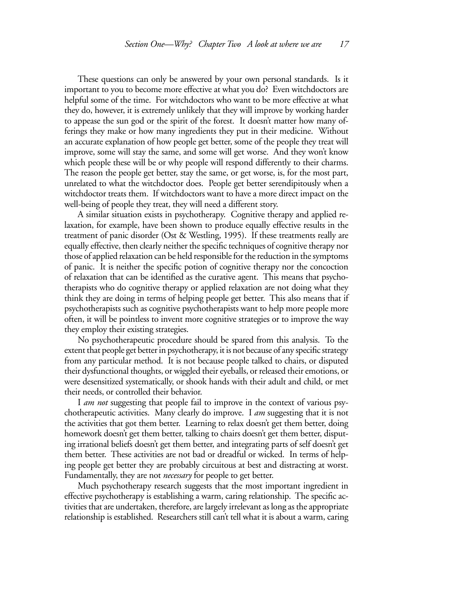These questions can only be answered by your own personal standards. Is it important to you to become more effective at what you do? Even witchdoctors are helpful some of the time. For witchdoctors who want to be more effective at what they do, however, it is extremely unlikely that they will improve by working harder to appease the sun god or the spirit of the forest. It doesn't matter how many offerings they make or how many ingredients they put in their medicine. Without an accurate explanation of how people get better, some of the people they treat will improve, some will stay the same, and some will get worse. And they won't know which people these will be or why people will respond differently to their charms. The reason the people get better, stay the same, or get worse, is, for the most part, unrelated to what the witchdoctor does. People get better serendipitously when a witchdoctor treats them. If witchdoctors want to have a more direct impact on the well-being of people they treat, they will need a different story.

A similar situation exists in psychotherapy. Cognitive therapy and applied relaxation, for example, have been shown to produce equally effective results in the treatment of panic disorder (Ost & Westling, 1995). If these treatments really are equally effective, then clearly neither the specific techniques of cognitive therapy nor those of applied relaxation can be held responsible for the reduction in the symptoms of panic. It is neither the specific potion of cognitive therapy nor the concoction of relaxation that can be identified as the curative agent. This means that psychotherapists who do cognitive therapy or applied relaxation are not doing what they think they are doing in terms of helping people get better. This also means that if psychotherapists such as cognitive psychotherapists want to help more people more often, it will be pointless to invent more cognitive strategies or to improve the way they employ their existing strategies.

No psychotherapeutic procedure should be spared from this analysis. To the extent that people get better in psychotherapy, it is not because of any specific strategy from any particular method. It is not because people talked to chairs, or disputed their dysfunctional thoughts, or wiggled their eyeballs, or released their emotions, or were desensitized systematically, or shook hands with their adult and child, or met their needs, or controlled their behavior.

I *am not* suggesting that people fail to improve in the context of various psychotherapeutic activities. Many clearly do improve. I *am* suggesting that it is not the activities that got them better. Learning to relax doesn't get them better, doing homework doesn't get them better, talking to chairs doesn't get them better, disputing irrational beliefs doesn't get them better, and integrating parts of self doesn't get them better. These activities are not bad or dreadful or wicked. In terms of helping people get better they are probably circuitous at best and distracting at worst. Fundamentally, they are not *necessary* for people to get better.

Much psychotherapy research suggests that the most important ingredient in effective psychotherapy is establishing a warm, caring relationship. The specific activities that are undertaken, therefore, are largely irrelevant as long as the appropriate relationship is established. Researchers still can't tell what it is about a warm, caring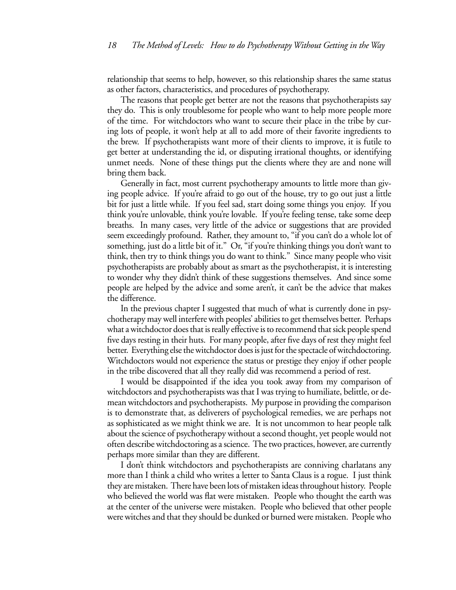relationship that seems to help, however, so this relationship shares the same status as other factors, characteristics, and procedures of psychotherapy.

The reasons that people get better are not the reasons that psychotherapists say they do. This is only troublesome for people who want to help more people more of the time. For witchdoctors who want to secure their place in the tribe by curing lots of people, it won't help at all to add more of their favorite ingredients to the brew. If psychotherapists want more of their clients to improve, it is futile to get better at understanding the id, or disputing irrational thoughts, or identifying unmet needs. None of these things put the clients where they are and none will bring them back.

Generally in fact, most current psychotherapy amounts to little more than giving people advice. If you're afraid to go out of the house, try to go out just a little bit for just a little while. If you feel sad, start doing some things you enjoy. If you think you're unlovable, think you're lovable. If you're feeling tense, take some deep breaths. In many cases, very little of the advice or suggestions that are provided seem exceedingly profound. Rather, they amount to, "if you can't do a whole lot of something, just do a little bit of it." Or, "if you're thinking things you don't want to think, then try to think things you do want to think." Since many people who visit psychotherapists are probably about as smart as the psychotherapist, it is interesting to wonder why they didn't think of these suggestions themselves. And since some people are helped by the advice and some aren't, it can't be the advice that makes the difference.

In the previous chapter I suggested that much of what is currently done in psychotherapy may well interfere with peoples' abilities to get themselves better. Perhaps what a witchdoctor does that is really effective is to recommend that sick people spend five days resting in their huts. For many people, after five days of rest they might feel better. Everything else the witchdoctor does is just for the spectacle of witchdoctoring. Witchdoctors would not experience the status or prestige they enjoy if other people in the tribe discovered that all they really did was recommend a period of rest.

I would be disappointed if the idea you took away from my comparison of witchdoctors and psychotherapists was that I was trying to humiliate, belittle, or demean witchdoctors and psychotherapists. My purpose in providing the comparison is to demonstrate that, as deliverers of psychological remedies, we are perhaps not as sophisticated as we might think we are. It is not uncommon to hear people talk about the science of psychotherapy without a second thought, yet people would not often describe witchdoctoring as a science. The two practices, however, are currently perhaps more similar than they are different.

I don't think witchdoctors and psychotherapists are conniving charlatans any more than I think a child who writes a letter to Santa Claus is a rogue. I just think they are mistaken. There have been lots of mistaken ideas throughout history. People who believed the world was flat were mistaken. People who thought the earth was at the center of the universe were mistaken. People who believed that other people were witches and that they should be dunked or burned were mistaken. People who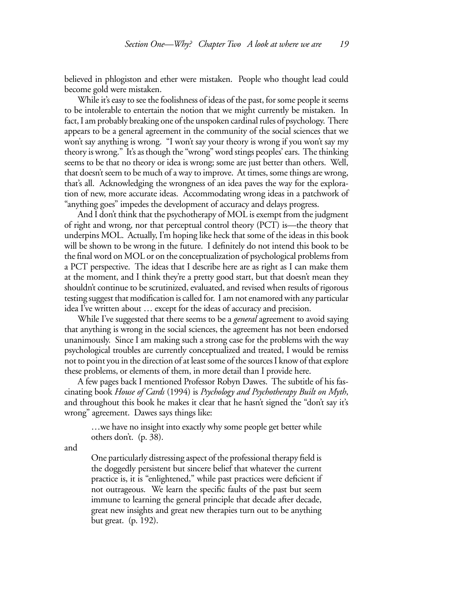believed in phlogiston and ether were mistaken. People who thought lead could become gold were mistaken.

While it's easy to see the foolishness of ideas of the past, for some people it seems to be intolerable to entertain the notion that we might currently be mistaken. In fact, I am probably breaking one of the unspoken cardinal rules of psychology. There appears to be a general agreement in the community of the social sciences that we won't say anything is wrong. "I won't say your theory is wrong if you won't say my theory is wrong." It's as though the "wrong" word stings peoples' ears. The thinking seems to be that no theory or idea is wrong; some are just better than others. Well, that doesn't seem to be much of a way to improve. At times, some things are wrong, that's all. Acknowledging the wrongness of an idea paves the way for the exploration of new, more accurate ideas. Accommodating wrong ideas in a patchwork of "anything goes" impedes the development of accuracy and delays progress.

And I don't think that the psychotherapy of MOL is exempt from the judgment of right and wrong, nor that perceptual control theory (PCT) is—the theory that underpins MOL. Actually, I'm hoping like heck that some of the ideas in this book will be shown to be wrong in the future. I definitely do not intend this book to be the final word on MOL or on the conceptualization of psychological problems from a PCT perspective. The ideas that I describe here are as right as I can make them at the moment, and I think they're a pretty good start, but that doesn't mean they shouldn't continue to be scrutinized, evaluated, and revised when results of rigorous testing suggest that modification is called for. I am not enamored with any particular idea I've written about … except for the ideas of accuracy and precision.

While I've suggested that there seems to be a *general* agreement to avoid saying that anything is wrong in the social sciences, the agreement has not been endorsed unanimously. Since I am making such a strong case for the problems with the way psychological troubles are currently conceptualized and treated, I would be remiss not to point you in the direction of at least some of the sources I know of that explore these problems, or elements of them, in more detail than I provide here.

A few pages back I mentioned Professor Robyn Dawes. The subtitle of his fascinating book *House of Cards* (1994) is *Psychology and Psychotherapy Built on Myth*, and throughout this book he makes it clear that he hasn't signed the "don't say it's wrong" agreement. Dawes says things like:

…we have no insight into exactly why some people get better while others don't. (p. 38).

and

One particularly distressing aspect of the professional therapy field is the doggedly persistent but sincere belief that whatever the current practice is, it is "enlightened," while past practices were deficient if not outrageous. We learn the specific faults of the past but seem immune to learning the general principle that decade after decade, great new insights and great new therapies turn out to be anything but great. (p. 192).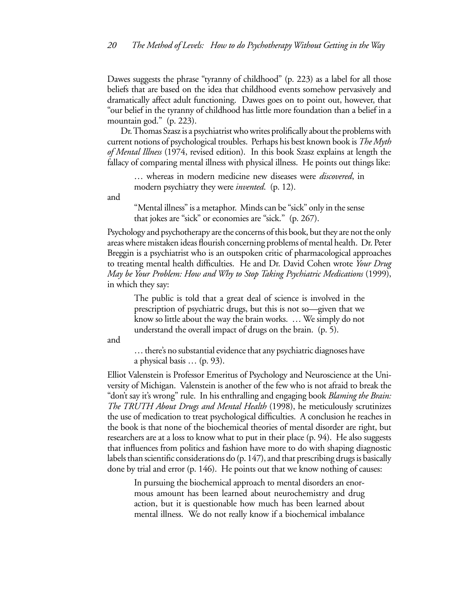Dawes suggests the phrase "tyranny of childhood" (p. 223) as a label for all those beliefs that are based on the idea that childhood events somehow pervasively and dramatically affect adult functioning. Dawes goes on to point out, however, that "our belief in the tyranny of childhood has little more foundation than a belief in a mountain god." (p. 223).

Dr. Thomas Szasz is a psychiatrist who writes prolifically about the problems with current notions of psychological troubles. Perhaps his best known book is *The Myth of Mental Illness* (1974, revised edition). In this book Szasz explains at length the fallacy of comparing mental illness with physical illness. He points out things like:

… whereas in modern medicine new diseases were *discovered*, in modern psychiatry they were *invented*. (p. 12).

and

"Mental illness" is a metaphor. Minds can be "sick" only in the sense that jokes are "sick" or economies are "sick." (p. 267).

Psychology and psychotherapy are the concerns of this book, but they are not the only areas where mistaken ideas flourish concerning problems of mental health. Dr. Peter Breggin is a psychiatrist who is an outspoken critic of pharmacological approaches to treating mental health difficulties. He and Dr. David Cohen wrote *Your Drug May be Your Problem: How and Why to Stop Taking Psychiatric Medications* (1999), in which they say:

The public is told that a great deal of science is involved in the prescription of psychiatric drugs, but this is not so—given that we know so little about the way the brain works. … We simply do not understand the overall impact of drugs on the brain. (p. 5).

and

… there's no substantial evidence that any psychiatric diagnoses have a physical basis … (p. 93).

Elliot Valenstein is Professor Emeritus of Psychology and Neuroscience at the University of Michigan. Valenstein is another of the few who is not afraid to break the "don't say it's wrong" rule. In his enthralling and engaging book *Blaming the Brain: The TRUTH About Drugs and Mental Health* (1998), he meticulously scrutinizes the use of medication to treat psychological difficulties. A conclusion he reaches in the book is that none of the biochemical theories of mental disorder are right, but researchers are at a loss to know what to put in their place (p. 94). He also suggests that influences from politics and fashion have more to do with shaping diagnostic labels than scientific considerations do (p. 147), and that prescribing drugs is basically done by trial and error (p. 146). He points out that we know nothing of causes:

In pursuing the biochemical approach to mental disorders an enormous amount has been learned about neurochemistry and drug action, but it is questionable how much has been learned about mental illness. We do not really know if a biochemical imbalance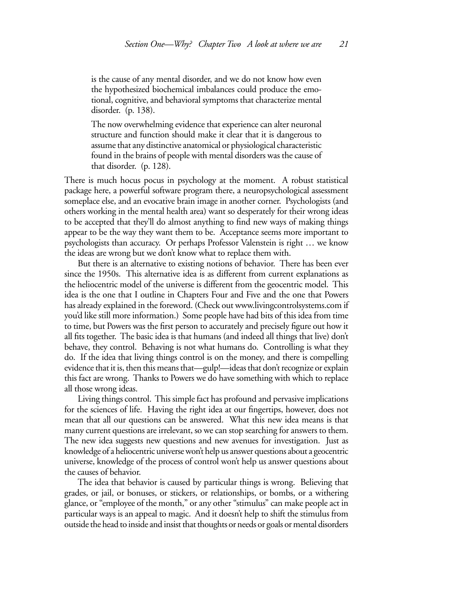is the cause of any mental disorder, and we do not know how even the hypothesized biochemical imbalances could produce the emotional, cognitive, and behavioral symptoms that characterize mental disorder. (p. 138).

The now overwhelming evidence that experience can alter neuronal structure and function should make it clear that it is dangerous to assume that any distinctive anatomical or physiological characteristic found in the brains of people with mental disorders was the cause of that disorder. (p. 128).

There is much hocus pocus in psychology at the moment. A robust statistical package here, a powerful software program there, a neuropsychological assessment someplace else, and an evocative brain image in another corner. Psychologists (and others working in the mental health area) want so desperately for their wrong ideas to be accepted that they'll do almost anything to find new ways of making things appear to be the way they want them to be. Acceptance seems more important to psychologists than accuracy. Or perhaps Professor Valenstein is right … we know the ideas are wrong but we don't know what to replace them with.

But there is an alternative to existing notions of behavior. There has been ever since the 1950s. This alternative idea is as different from current explanations as the heliocentric model of the universe is different from the geocentric model. This idea is the one that I outline in Chapters Four and Five and the one that Powers has already explained in the foreword. (Check out www.livingcontrolsystems.com if you'd like still more information.) Some people have had bits of this idea from time to time, but Powers was the first person to accurately and precisely figure out how it all fits together. The basic idea is that humans (and indeed all things that live) don't behave, they control. Behaving is not what humans do. Controlling is what they do. If the idea that living things control is on the money, and there is compelling evidence that it is, then this means that—gulp!—ideas that don't recognize or explain this fact are wrong. Thanks to Powers we do have something with which to replace all those wrong ideas.

Living things control. This simple fact has profound and pervasive implications for the sciences of life. Having the right idea at our fingertips, however, does not mean that all our questions can be answered. What this new idea means is that many current questions are irrelevant, so we can stop searching for answers to them. The new idea suggests new questions and new avenues for investigation. Just as knowledge of a heliocentric universe won't help us answer questions about a geocentric universe, knowledge of the process of control won't help us answer questions about the causes of behavior.

The idea that behavior is caused by particular things is wrong. Believing that grades, or jail, or bonuses, or stickers, or relationships, or bombs, or a withering glance, or "employee of the month," or any other "stimulus" can make people act in particular ways is an appeal to magic. And it doesn't help to shift the stimulus from outside the head to inside and insist that thoughts or needs or goals or mental disorders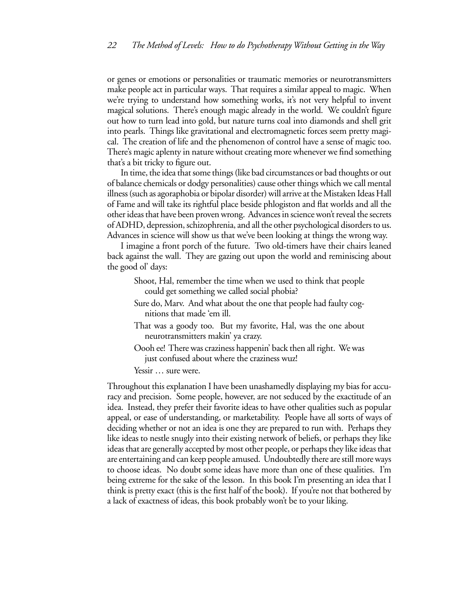or genes or emotions or personalities or traumatic memories or neurotransmitters make people act in particular ways. That requires a similar appeal to magic. When we're trying to understand how something works, it's not very helpful to invent magical solutions. There's enough magic already in the world. We couldn't figure out how to turn lead into gold, but nature turns coal into diamonds and shell grit into pearls. Things like gravitational and electromagnetic forces seem pretty magical. The creation of life and the phenomenon of control have a sense of magic too. There's magic aplenty in nature without creating more whenever we find something that's a bit tricky to figure out.

In time, the idea that some things (like bad circumstances or bad thoughts or out of balance chemicals or dodgy personalities) cause other things which we call mental illness (such as agoraphobia or bipolar disorder) will arrive at the Mistaken Ideas Hall of Fame and will take its rightful place beside phlogiston and flat worlds and all the other ideas that have been proven wrong. Advances in science won't reveal the secrets of ADHD, depression, schizophrenia, and all the other psychological disorders to us. Advances in science will show us that we've been looking at things the wrong way.

I imagine a front porch of the future. Two old-timers have their chairs leaned back against the wall. They are gazing out upon the world and reminiscing about the good ol' days:

- Shoot, Hal, remember the time when we used to think that people could get something we called social phobia?
- Sure do, Marv. And what about the one that people had faulty cognitions that made 'em ill.
- That was a goody too. But my favorite, Hal, was the one about neurotransmitters makin' ya crazy.
- Oooh ee! There was craziness happenin' back then all right. We was just confused about where the craziness wuz!

Yessir ... sure were.

Throughout this explanation I have been unashamedly displaying my bias for accuracy and precision. Some people, however, are not seduced by the exactitude of an idea. Instead, they prefer their favorite ideas to have other qualities such as popular appeal, or ease of understanding, or marketability. People have all sorts of ways of deciding whether or not an idea is one they are prepared to run with. Perhaps they like ideas to nestle snugly into their existing network of beliefs, or perhaps they like ideas that are generally accepted by most other people, or perhaps they like ideas that are entertaining and can keep people amused. Undoubtedly there are still more ways to choose ideas. No doubt some ideas have more than one of these qualities. I'm being extreme for the sake of the lesson. In this book I'm presenting an idea that I think is pretty exact (this is the first half of the book). If you're not that bothered by a lack of exactness of ideas, this book probably won't be to your liking.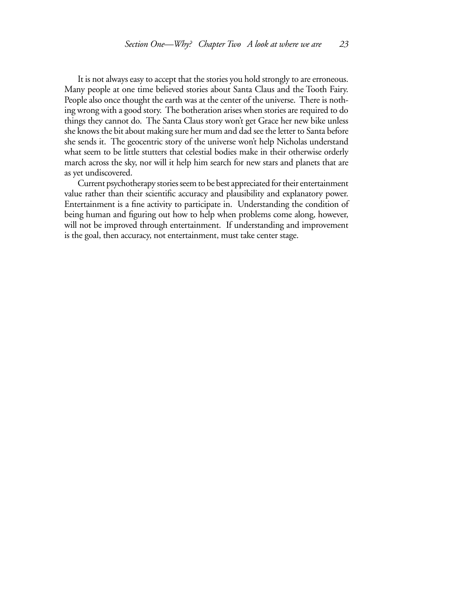It is not always easy to accept that the stories you hold strongly to are erroneous. Many people at one time believed stories about Santa Claus and the Tooth Fairy. People also once thought the earth was at the center of the universe. There is nothing wrong with a good story. The botheration arises when stories are required to do things they cannot do. The Santa Claus story won't get Grace her new bike unless she knows the bit about making sure her mum and dad see the letter to Santa before she sends it. The geocentric story of the universe won't help Nicholas understand what seem to be little stutters that celestial bodies make in their otherwise orderly march across the sky, nor will it help him search for new stars and planets that are as yet undiscovered.

Current psychotherapy stories seem to be best appreciated for their entertainment value rather than their scientific accuracy and plausibility and explanatory power. Entertainment is a fine activity to participate in. Understanding the condition of being human and figuring out how to help when problems come along, however, will not be improved through entertainment. If understanding and improvement is the goal, then accuracy, not entertainment, must take center stage.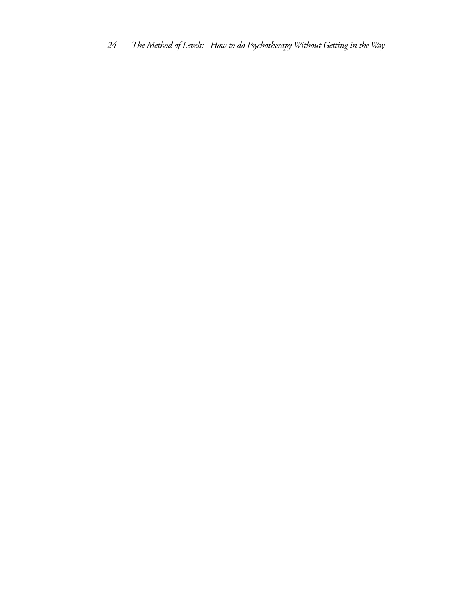*24 The Method of Levels: How to do Psychotherapy Without Getting in the Way*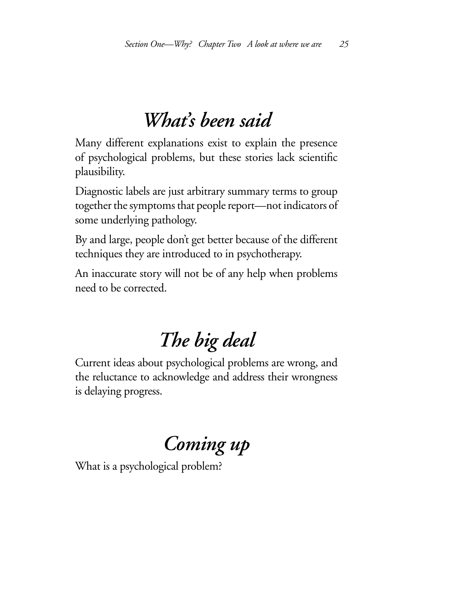## *What's been said*

Many different explanations exist to explain the presence of psychological problems, but these stories lack scientific plausibility.

Diagnostic labels are just arbitrary summary terms to group together the symptoms that people report—not indicators of some underlying pathology.

By and large, people don't get better because of the different techniques they are introduced to in psychotherapy.

An inaccurate story will not be of any help when problems need to be corrected.

## *The big deal*

Current ideas about psychological problems are wrong, and the reluctance to acknowledge and address their wrongness is delaying progress.

## *Coming up*

What is a psychological problem?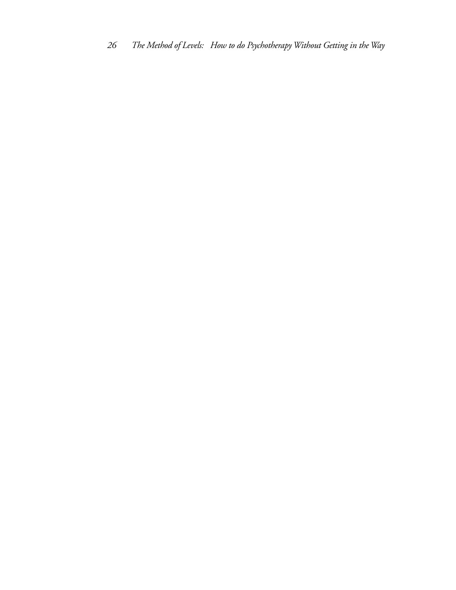*26 The Method of Levels: How to do Psychotherapy Without Getting in the Way*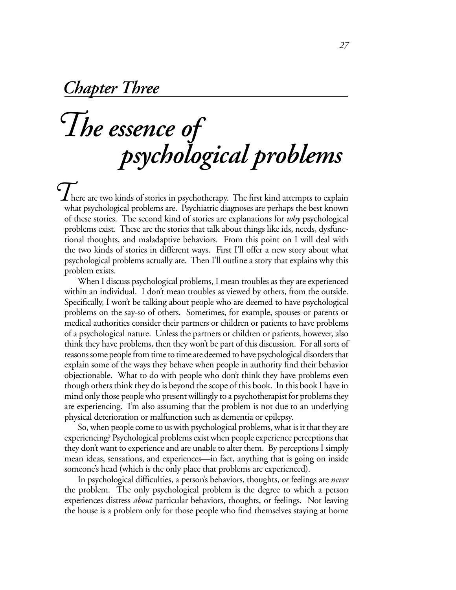### *Chapter Three*

## *The essence of psychological problems*

**L** here are two kinds of stories in psychotherapy. The first kind attempts to explain There are two kinds of stories in psychotherapy. The first kind attempts to explain what psychological problems are. Psychiatric diagnoses are perhaps the best known of these stories. The second kind of stories are explanations for *why* psychological problems exist. These are the stories that talk about things like ids, needs, dysfunctional thoughts, and maladaptive behaviors. From this point on I will deal with the two kinds of stories in different ways. First I'll offer a new story about what psychological problems actually are. Then I'll outline a story that explains why this problem exists.

When I discuss psychological problems, I mean troubles as they are experienced within an individual. I don't mean troubles as viewed by others, from the outside. Specifically, I won't be talking about people who are deemed to have psychological problems on the say-so of others. Sometimes, for example, spouses or parents or medical authorities consider their partners or children or patients to have problems of a psychological nature. Unless the partners or children or patients, however, also think they have problems, then they won't be part of this discussion. For all sorts of reasons some people from time to time are deemed to have psychological disorders that explain some of the ways they behave when people in authority find their behavior objectionable. What to do with people who don't think they have problems even though others think they do is beyond the scope of this book. In this book I have in mind only those people who present willingly to a psychotherapist for problems they are experiencing. I'm also assuming that the problem is not due to an underlying physical deterioration or malfunction such as dementia or epilepsy.

So, when people come to us with psychological problems, what is it that they are experiencing? Psychological problems exist when people experience perceptions that they don't want to experience and are unable to alter them. By perceptions I simply mean ideas, sensations, and experiences—in fact, anything that is going on inside someone's head (which is the only place that problems are experienced).

In psychological difficulties, a person's behaviors, thoughts, or feelings are *never* the problem. The only psychological problem is the degree to which a person experiences distress *about* particular behaviors, thoughts, or feelings. Not leaving the house is a problem only for those people who find themselves staying at home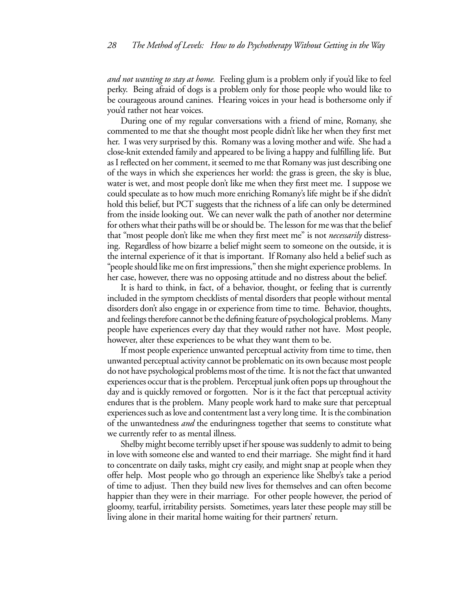*and not wanting to stay at home.* Feeling glum is a problem only if you'd like to feel perky. Being afraid of dogs is a problem only for those people who would like to be courageous around canines. Hearing voices in your head is bothersome only if you'd rather not hear voices.

During one of my regular conversations with a friend of mine, Romany, she commented to me that she thought most people didn't like her when they first met her. I was very surprised by this. Romany was a loving mother and wife. She had a close-knit extended family and appeared to be living a happy and fulfilling life. But as I reflected on her comment, it seemed to me that Romany was just describing one of the ways in which she experiences her world: the grass is green, the sky is blue, water is wet, and most people don't like me when they first meet me. I suppose we could speculate as to how much more enriching Romany's life might be if she didn't hold this belief, but PCT suggests that the richness of a life can only be determined from the inside looking out. We can never walk the path of another nor determine for others what their paths will be or should be. The lesson for me was that the belief that "most people don't like me when they first meet me" is not *necessarily* distressing. Regardless of how bizarre a belief might seem to someone on the outside, it is the internal experience of it that is important. If Romany also held a belief such as "people should like me on first impressions," then she might experience problems. In her case, however, there was no opposing attitude and no distress about the belief.

It is hard to think, in fact, of a behavior, thought, or feeling that is currently included in the symptom checklists of mental disorders that people without mental disorders don't also engage in or experience from time to time. Behavior, thoughts, and feelings therefore cannot be the defining feature of psychological problems. Many people have experiences every day that they would rather not have. Most people, however, alter these experiences to be what they want them to be.

If most people experience unwanted perceptual activity from time to time, then unwanted perceptual activity cannot be problematic on its own because most people do not have psychological problems most of the time. It is not the fact that unwanted experiences occur that is the problem. Perceptual junk often pops up throughout the day and is quickly removed or forgotten. Nor is it the fact that perceptual activity endures that is the problem. Many people work hard to make sure that perceptual experiences such as love and contentment last a very long time. It is the combination of the unwantedness *and* the enduringness together that seems to constitute what we currently refer to as mental illness.

Shelby might become terribly upset if her spouse was suddenly to admit to being in love with someone else and wanted to end their marriage. She might find it hard to concentrate on daily tasks, might cry easily, and might snap at people when they offer help. Most people who go through an experience like Shelby's take a period of time to adjust. Then they build new lives for themselves and can often become happier than they were in their marriage. For other people however, the period of gloomy, tearful, irritability persists. Sometimes, years later these people may still be living alone in their marital home waiting for their partners' return.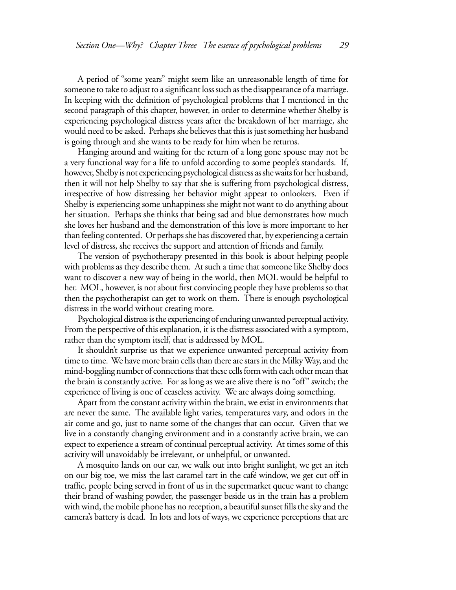A period of "some years" might seem like an unreasonable length of time for someone to take to adjust to a significant loss such as the disappearance of a marriage. In keeping with the definition of psychological problems that I mentioned in the second paragraph of this chapter, however, in order to determine whether Shelby is experiencing psychological distress years after the breakdown of her marriage, she would need to be asked. Perhaps she believes that this is just something her husband is going through and she wants to be ready for him when he returns.

Hanging around and waiting for the return of a long gone spouse may not be a very functional way for a life to unfold according to some people's standards. If, however, Shelby is not experiencing psychological distress as she waits for her husband, then it will not help Shelby to say that she is suffering from psychological distress, irrespective of how distressing her behavior might appear to onlookers. Even if Shelby is experiencing some unhappiness she might not want to do anything about her situation. Perhaps she thinks that being sad and blue demonstrates how much she loves her husband and the demonstration of this love is more important to her than feeling contented. Or perhaps she has discovered that, by experiencing a certain level of distress, she receives the support and attention of friends and family.

The version of psychotherapy presented in this book is about helping people with problems as they describe them. At such a time that someone like Shelby does want to discover a new way of being in the world, then MOL would be helpful to her. MOL, however, is not about first convincing people they have problems so that then the psychotherapist can get to work on them. There is enough psychological distress in the world without creating more.

Psychological distress is the experiencing of enduring unwanted perceptual activity. From the perspective of this explanation, it is the distress associated with a symptom, rather than the symptom itself, that is addressed by MOL.

It shouldn't surprise us that we experience unwanted perceptual activity from time to time. We have more brain cells than there are stars in the Milky Way, and the mind-boggling number of connections that these cells form with each other mean that the brain is constantly active. For as long as we are alive there is no "off" switch; the experience of living is one of ceaseless activity. We are always doing something.

Apart from the constant activity within the brain, we exist in environments that are never the same. The available light varies, temperatures vary, and odors in the air come and go, just to name some of the changes that can occur. Given that we live in a constantly changing environment and in a constantly active brain, we can expect to experience a stream of continual perceptual activity. At times some of this activity will unavoidably be irrelevant, or unhelpful, or unwanted.

A mosquito lands on our ear, we walk out into bright sunlight, we get an itch on our big toe, we miss the last caramel tart in the café window, we get cut off in traffic, people being served in front of us in the supermarket queue want to change their brand of washing powder, the passenger beside us in the train has a problem with wind, the mobile phone has no reception, a beautiful sunset fills the sky and the camera's battery is dead. In lots and lots of ways, we experience perceptions that are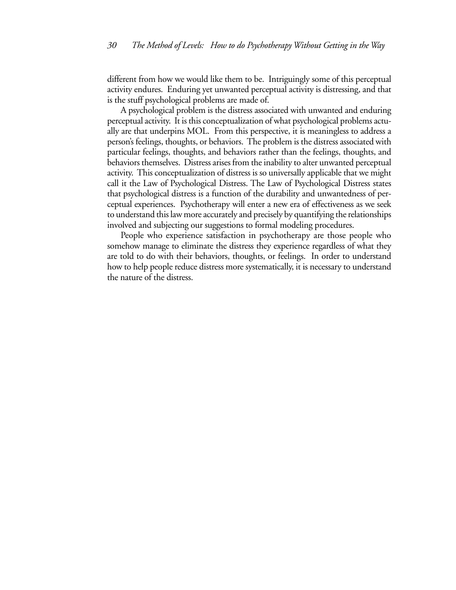different from how we would like them to be. Intriguingly some of this perceptual activity endures. Enduring yet unwanted perceptual activity is distressing, and that is the stuff psychological problems are made of.

A psychological problem is the distress associated with unwanted and enduring perceptual activity. It is this conceptualization of what psychological problems actually are that underpins MOL. From this perspective, it is meaningless to address a person's feelings, thoughts, or behaviors. The problem is the distress associated with particular feelings, thoughts, and behaviors rather than the feelings, thoughts, and behaviors themselves. Distress arises from the inability to alter unwanted perceptual activity. This conceptualization of distress is so universally applicable that we might call it the Law of Psychological Distress. The Law of Psychological Distress states that psychological distress is a function of the durability and unwantedness of perceptual experiences. Psychotherapy will enter a new era of effectiveness as we seek to understand this law more accurately and precisely by quantifying the relationships involved and subjecting our suggestions to formal modeling procedures.

People who experience satisfaction in psychotherapy are those people who somehow manage to eliminate the distress they experience regardless of what they are told to do with their behaviors, thoughts, or feelings. In order to understand how to help people reduce distress more systematically, it is necessary to understand the nature of the distress.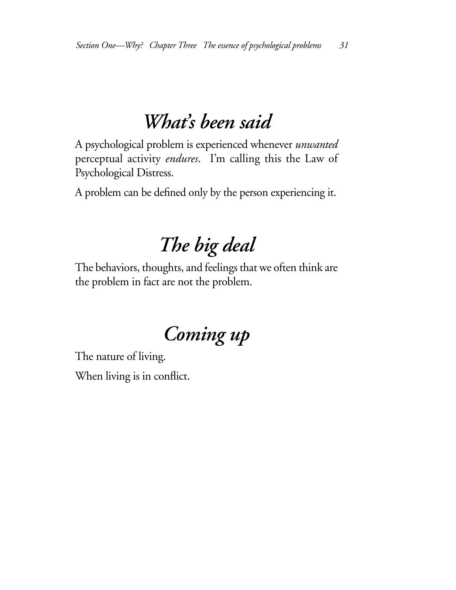## *What's been said*

A psychological problem is experienced whenever *unwanted* perceptual activity *endures*. I'm calling this the Law of Psychological Distress.

A problem can be defined only by the person experiencing it.

## *The big deal*

The behaviors, thoughts, and feelings that we often think are the problem in fact are not the problem.

## *Coming up*

The nature of living. When living is in conflict.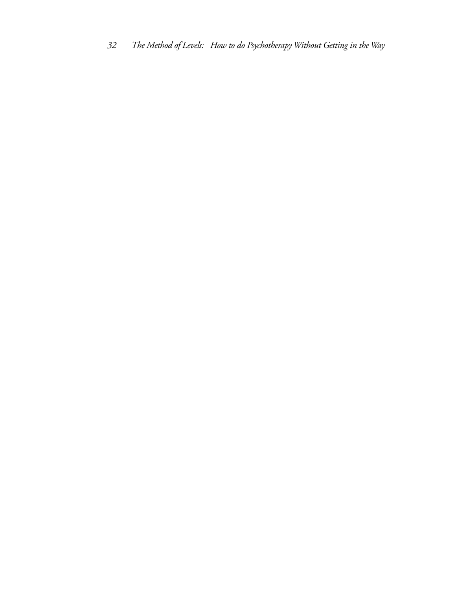*32 The Method of Levels: How to do Psychotherapy Without Getting in the Way*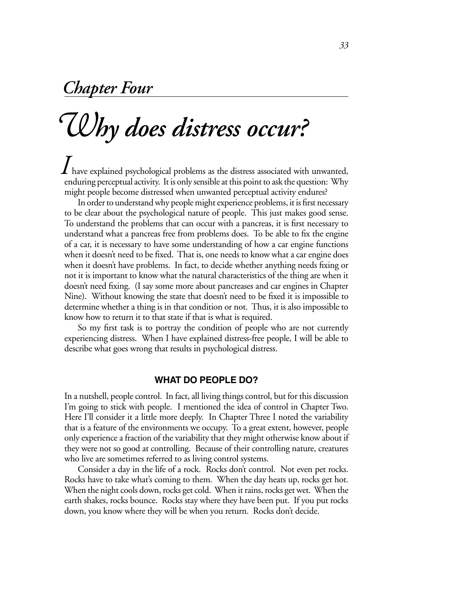## *Chapter Four*

# *Why does distress occur?*

I have explained psychological problems as the distress associated with unwanted, *I* have explained psychological problems as the distress associated with unwanted, enduring perceptual activity. It is only sensible at this point to ask the question: Why might people become distressed when unwanted perceptual activity endures?

In order to understand why people might experience problems, it is first necessary to be clear about the psychological nature of people. This just makes good sense. To understand the problems that can occur with a pancreas, it is first necessary to understand what a pancreas free from problems does. To be able to fix the engine of a car, it is necessary to have some understanding of how a car engine functions when it doesn't need to be fixed. That is, one needs to know what a car engine does when it doesn't have problems. In fact, to decide whether anything needs fixing or not it is important to know what the natural characteristics of the thing are when it doesn't need fixing. (I say some more about pancreases and car engines in Chapter Nine). Without knowing the state that doesn't need to be fixed it is impossible to determine whether a thing is in that condition or not. Thus, it is also impossible to know how to return it to that state if that is what is required.

So my first task is to portray the condition of people who are not currently experiencing distress. When I have explained distress-free people, I will be able to describe what goes wrong that results in psychological distress.

### **What do people do?**

In a nutshell, people control. In fact, all living things control, but for this discussion I'm going to stick with people. I mentioned the idea of control in Chapter Two. Here I'll consider it a little more deeply. In Chapter Three I noted the variability that is a feature of the environments we occupy. To a great extent, however, people only experience a fraction of the variability that they might otherwise know about if they were not so good at controlling. Because of their controlling nature, creatures who live are sometimes referred to as living control systems.

Consider a day in the life of a rock. Rocks don't control. Not even pet rocks. Rocks have to take what's coming to them. When the day heats up, rocks get hot. When the night cools down, rocks get cold. When it rains, rocks get wet. When the earth shakes, rocks bounce. Rocks stay where they have been put. If you put rocks down, you know where they will be when you return. Rocks don't decide.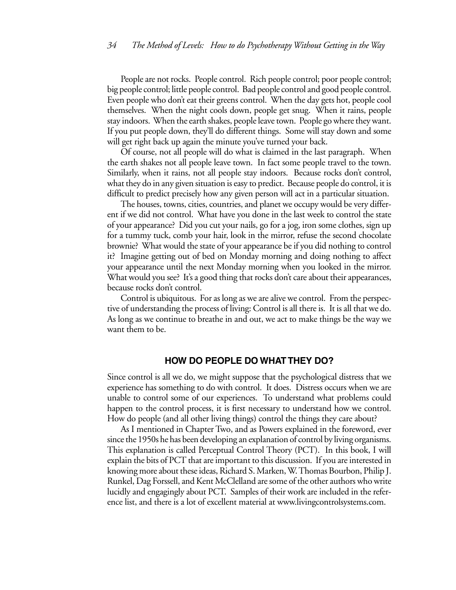People are not rocks. People control. Rich people control; poor people control; big people control; little people control. Bad people control and good people control. Even people who don't eat their greens control. When the day gets hot, people cool themselves. When the night cools down, people get snug. When it rains, people stay indoors. When the earth shakes, people leave town. People go where they want. If you put people down, they'll do different things. Some will stay down and some will get right back up again the minute you've turned your back.

Of course, not all people will do what is claimed in the last paragraph. When the earth shakes not all people leave town. In fact some people travel to the town. Similarly, when it rains, not all people stay indoors. Because rocks don't control, what they do in any given situation is easy to predict. Because people do control, it is difficult to predict precisely how any given person will act in a particular situation.

The houses, towns, cities, countries, and planet we occupy would be very different if we did not control. What have you done in the last week to control the state of your appearance? Did you cut your nails, go for a jog, iron some clothes, sign up for a tummy tuck, comb your hair, look in the mirror, refuse the second chocolate brownie? What would the state of your appearance be if you did nothing to control it? Imagine getting out of bed on Monday morning and doing nothing to affect your appearance until the next Monday morning when you looked in the mirror. What would you see? It's a good thing that rocks don't care about their appearances, because rocks don't control.

Control is ubiquitous. For as long as we are alive we control. From the perspective of understanding the process of living: Control is all there is. It is all that we do. As long as we continue to breathe in and out, we act to make things be the way we want them to be.

### **How do people do what they do?**

Since control is all we do, we might suppose that the psychological distress that we experience has something to do with control. It does. Distress occurs when we are unable to control some of our experiences. To understand what problems could happen to the control process, it is first necessary to understand how we control. How do people (and all other living things) control the things they care about?

As I mentioned in Chapter Two, and as Powers explained in the foreword, ever since the 1950s he has been developing an explanation of control by living organisms. This explanation is called Perceptual Control Theory (PCT). In this book, I will explain the bits of PCT that are important to this discussion. If you are interested in knowing more about these ideas, Richard S. Marken, W. Thomas Bourbon, Philip J. Runkel, Dag Forssell, and Kent McClelland are some of the other authors who write lucidly and engagingly about PCT. Samples of their work are included in the reference list, and there is a lot of excellent material at www.livingcontrolsystems.com.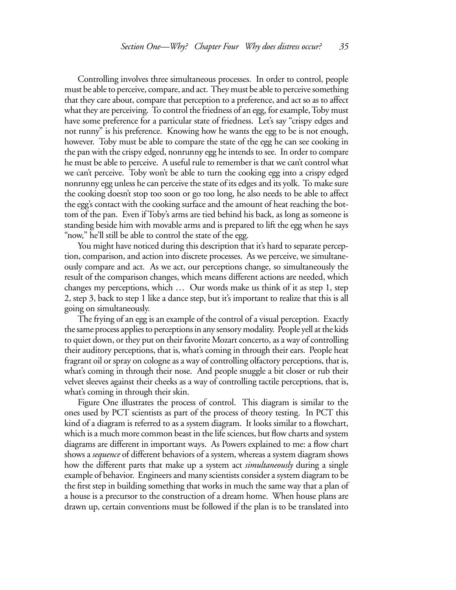Controlling involves three simultaneous processes. In order to control, people must be able to perceive, compare, and act. They must be able to perceive something that they care about, compare that perception to a preference, and act so as to affect what they are perceiving. To control the friedness of an egg, for example, Toby must have some preference for a particular state of friedness. Let's say "crispy edges and not runny" is his preference. Knowing how he wants the egg to be is not enough, however. Toby must be able to compare the state of the egg he can see cooking in the pan with the crispy edged, nonrunny egg he intends to see. In order to compare he must be able to perceive. A useful rule to remember is that we can't control what we can't perceive. Toby won't be able to turn the cooking egg into a crispy edged nonrunny egg unless he can perceive the state of its edges and its yolk. To make sure the cooking doesn't stop too soon or go too long, he also needs to be able to affect the egg's contact with the cooking surface and the amount of heat reaching the bottom of the pan. Even if Toby's arms are tied behind his back, as long as someone is standing beside him with movable arms and is prepared to lift the egg when he says "now," he'll still be able to control the state of the egg.

You might have noticed during this description that it's hard to separate perception, comparison, and action into discrete processes. As we perceive, we simultaneously compare and act. As we act, our perceptions change, so simultaneously the result of the comparison changes, which means different actions are needed, which changes my perceptions, which … Our words make us think of it as step 1, step 2, step 3, back to step 1 like a dance step, but it's important to realize that this is all going on simultaneously.

The frying of an egg is an example of the control of a visual perception. Exactly the same process applies to perceptions in any sensory modality. People yell at the kids to quiet down, or they put on their favorite Mozart concerto, as a way of controlling their auditory perceptions, that is, what's coming in through their ears. People heat fragrant oil or spray on cologne as a way of controlling olfactory perceptions, that is, what's coming in through their nose. And people snuggle a bit closer or rub their velvet sleeves against their cheeks as a way of controlling tactile perceptions, that is, what's coming in through their skin.

Figure One illustrates the process of control. This diagram is similar to the ones used by PCT scientists as part of the process of theory testing. In PCT this kind of a diagram is referred to as a system diagram. It looks similar to a flowchart, which is a much more common beast in the life sciences, but flow charts and system diagrams are different in important ways. As Powers explained to me: a flow chart shows a *sequence* of different behaviors of a system, whereas a system diagram shows how the different parts that make up a system act *simultaneously* during a single example of behavior. Engineers and many scientists consider a system diagram to be the first step in building something that works in much the same way that a plan of a house is a precursor to the construction of a dream home. When house plans are drawn up, certain conventions must be followed if the plan is to be translated into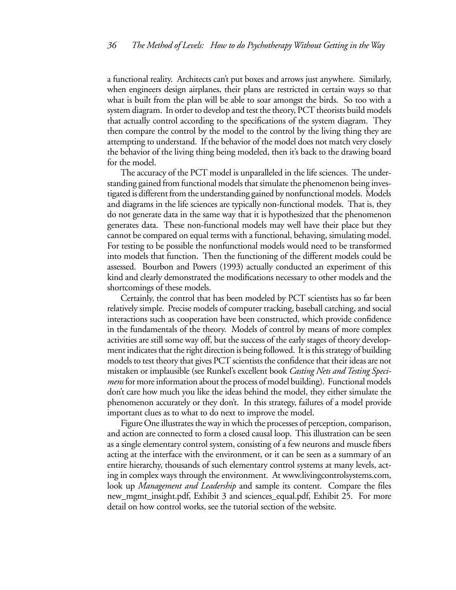a functional reality. Architects can't put boxes and arrows just anywhere. Similarly, when engineers design airplanes, their plans are restricted in certain ways so that what is built from the plan will be able to soar amongst the birds. So too with a system diagram. In order to develop and test the theory, PCT theorists build models that actually control according to the specifications of the system diagram. They then compare the control by the model to the control by the living thing they are attempting to understand. If the behavior of the model does not match very closely the behavior of the living thing being modeled, then it's back to the drawing board for the model.

The accuracy of the PCT model is unparalleled in the life sciences. The understanding gained from functional models that simulate the phenomenon being investigated is different from the understanding gained by nonfunctional models. Models and diagrams in the life sciences are typically non-functional models. That is, they do not generate data in the same way that it is hypothesized that the phenomenon generates data. These non-functional models may well have their place but they cannot be compared on equal terms with a functional, behaving, simulating model. For testing to be possible the nonfunctional models would need to be transformed into models that function. Then the functioning of the different models could be assessed. Bourbon and Powers (1993) actually conducted an experiment of this kind and clearly demonstrated the modifications necessary to other models and the shortcomings of these models.

Certainly, the control that has been modeled by PCT scientists has so far been relatively simple. Precise models of computer tracking, baseball catching, and social interactions such as cooperation have been constructed, which provide confidence in the fundamentals of the theory. Models of control by means of more complex activities are still some way off, but the success of the early stages of theory development indicates that the right direction is being followed. It is this strategy of building models to test theory that gives PCT scientists the confidence that their ideas are not mistaken or implausible (see Runkel's excellent book *Casting Nets and Testing Specimens* for more information about the process of model building). Functional models don't care how much you like the ideas behind the model, they either simulate the phenomenon accurately or they don't. In this strategy, failures of a model provide important clues as to what to do next to improve the model.

Figure One illustrates the way in which the processes of perception, comparison, and action are connected to form a closed causal loop. This illustration can be seen as a single elementary control system, consisting of a few neurons and muscle fibers acting at the interface with the environment, or it can be seen as a summary of an entire hierarchy, thousands of such elementary control systems at many levels, acting in complex ways through the environment. At www.livingcontrolsystems.com, look up *Management and Leadership* and sample its content. Compare the files new\_mgmt\_insight.pdf, Exhibit 3 and sciences\_equal.pdf, Exhibit 25. For more detail on how control works, see the tutorial section of the website.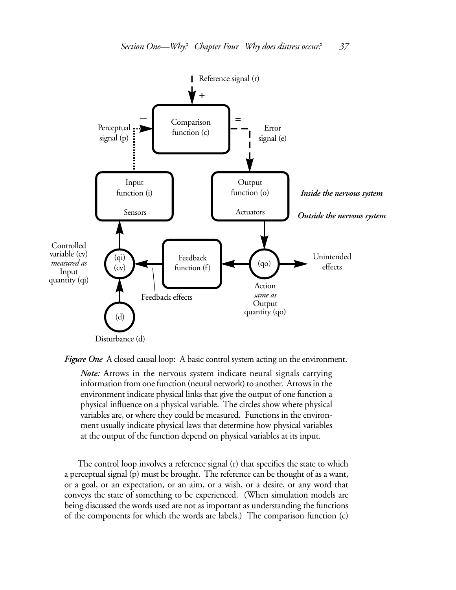

*Figure One* A closed causal loop: A basic control system acting on the environment.

*Note:* Arrows in the nervous system indicate neural signals carrying information from one function (neural network) to another. Arrows in the environment indicate physical links that give the output of one function a physical influence on a physical variable. The circles show where physical variables are, or where they could be measured. Functions in the environment usually indicate physical laws that determine how physical variables at the output of the function depend on physical variables at its input.

The control loop involves a reference signal (r) that specifies the state to which a perceptual signal (p) must be brought. The reference can be thought of as a want, or a goal, or an expectation, or an aim, or a wish, or a desire, or any word that conveys the state of something to be experienced. (When simulation models are being discussed the words used are not as important as understanding the functions of the components for which the words are labels.) The comparison function (c)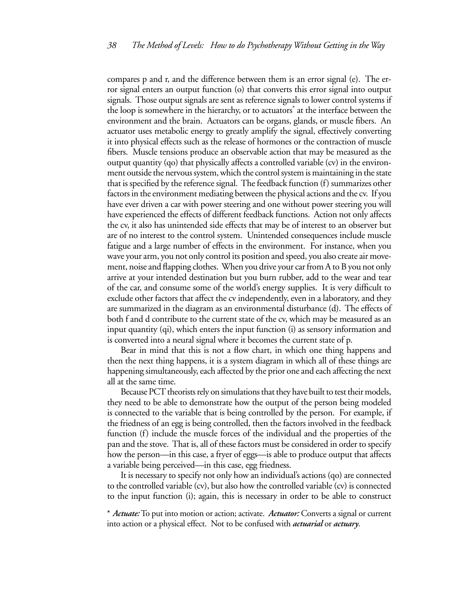compares p and r, and the difference between them is an error signal (e). The error signal enters an output function (o) that converts this error signal into output signals. Those output signals are sent as reference signals to lower control systems if the loop is somewhere in the hierarchy, or to actuators<sup>\*</sup> at the interface between the environment and the brain. Actuators can be organs, glands, or muscle fibers. An actuator uses metabolic energy to greatly amplify the signal, effectively converting it into physical effects such as the release of hormones or the contraction of muscle fibers. Muscle tensions produce an observable action that may be measured as the output quantity (qo) that physically affects a controlled variable (cv) in the environment outside the nervous system, which the control system is maintaining in the state that is specified by the reference signal. The feedback function (f) summarizes other factors in the environment mediating between the physical actions and the cv. If you have ever driven a car with power steering and one without power steering you will have experienced the effects of different feedback functions. Action not only affects the cv, it also has unintended side effects that may be of interest to an observer but are of no interest to the control system. Unintended consequences include muscle fatigue and a large number of effects in the environment. For instance, when you wave your arm, you not only control its position and speed, you also create air movement, noise and flapping clothes. When you drive your car from A to B you not only arrive at your intended destination but you burn rubber, add to the wear and tear of the car, and consume some of the world's energy supplies. It is very difficult to exclude other factors that affect the cv independently, even in a laboratory, and they are summarized in the diagram as an environmental disturbance (d). The effects of both f and d contribute to the current state of the cv, which may be measured as an input quantity (qi), which enters the input function (i) as sensory information and is converted into a neural signal where it becomes the current state of p.

Bear in mind that this is not a flow chart, in which one thing happens and then the next thing happens, it is a system diagram in which all of these things are happening simultaneously, each affected by the prior one and each affecting the next all at the same time.

Because PCT theorists rely on simulations that they have built to test their models, they need to be able to demonstrate how the output of the person being modeled is connected to the variable that is being controlled by the person. For example, if the friedness of an egg is being controlled, then the factors involved in the feedback function (f) include the muscle forces of the individual and the properties of the pan and the stove. That is, all of these factors must be considered in order to specify how the person—in this case, a fryer of eggs—is able to produce output that affects a variable being perceived—in this case, egg friedness.

It is necessary to specify not only how an individual's actions (qo) are connected to the controlled variable (cv), but also how the controlled variable (cv) is connected to the input function (i); again, this is necessary in order to be able to construct

\* *Actuate:* To put into motion or action; activate. *Actuator:* Converts a signal or current into action or a physical effect. Not to be confused with *actuarial* or *actuary*.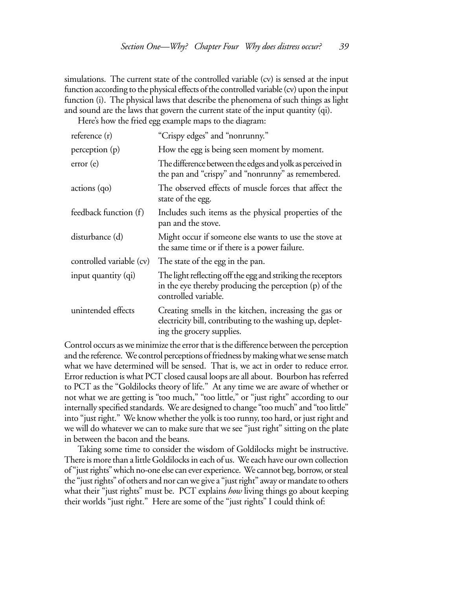simulations. The current state of the controlled variable (cv) is sensed at the input function according to the physical effects of the controlled variable (cv) upon the input function (i). The physical laws that describe the phenomena of such things as light and sound are the laws that govern the current state of the input quantity (qi).

Here's how the fried egg example maps to the diagram:

| reference $(r)$          | "Crispy edges" and "nonrunny."                                                                                                                  |
|--------------------------|-------------------------------------------------------------------------------------------------------------------------------------------------|
| perception $(p)$         | How the egg is being seen moment by moment.                                                                                                     |
| error(e)                 | The difference between the edges and yolk as perceived in<br>the pan and "crispy" and "nonrunny" as remembered.                                 |
| actions(qo)              | The observed effects of muscle forces that affect the<br>state of the egg.                                                                      |
| feedback function (f)    | Includes such items as the physical properties of the<br>pan and the stove.                                                                     |
| disturbance (d)          | Might occur if someone else wants to use the stove at<br>the same time or if there is a power failure.                                          |
| controlled variable (cv) | The state of the egg in the pan.                                                                                                                |
| input quantity (qi)      | The light reflecting off the egg and striking the receptors<br>in the eye thereby producing the perception (p) of the<br>controlled variable.   |
| unintended effects       | Creating smells in the kitchen, increasing the gas or<br>electricity bill, contributing to the washing up, deplet-<br>ing the grocery supplies. |

Control occurs as we minimize the error that is the difference between the perception and the reference. We control perceptions of friedness by making what we sense match what we have determined will be sensed. That is, we act in order to reduce error. Error reduction is what PCT closed causal loops are all about. Bourbon has referred to PCT as the "Goldilocks theory of life." At any time we are aware of whether or not what we are getting is "too much," "too little," or "just right" according to our internally specified standards. We are designed to change "too much" and "too little" into "just right." We know whether the yolk is too runny, too hard, or just right and we will do whatever we can to make sure that we see "just right" sitting on the plate in between the bacon and the beans.

Taking some time to consider the wisdom of Goldilocks might be instructive. There is more than a little Goldilocks in each of us. We each have our own collection of "just rights" which no-one else can ever experience. We cannot beg, borrow, or steal the "just rights" of others and nor can we give a "just right" away or mandate to others what their "just rights" must be. PCT explains *how* living things go about keeping their worlds "just right." Here are some of the "just rights" I could think of: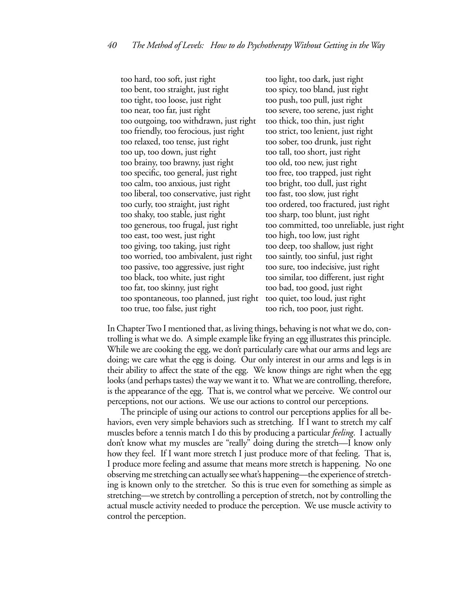too hard, too soft, just right too bent, too straight, just right too tight, too loose, just right too near, too far, just right too outgoing, too withdrawn, just right too friendly, too ferocious, just right too relaxed, too tense, just right too up, too down, just right too brainy, too brawny, just right too specific, too general, just right too calm, too anxious, just right too liberal, too conservative, just right too curly, too straight, just right too shaky, too stable, just right too generous, too frugal, just right too east, too west, just right too giving, too taking, just right too worried, too ambivalent, just right too passive, too aggressive, just right too black, too white, just right too fat, too skinny, just right too spontaneous, too planned, just right too true, too false, just right

too light, too dark, just right too spicy, too bland, just right too push, too pull, just right too severe, too serene, just right too thick, too thin, just right too strict, too lenient, just right too sober, too drunk, just right too tall, too short, just right too old, too new, just right too free, too trapped, just right too bright, too dull, just right too fast, too slow, just right too ordered, too fractured, just right too sharp, too blunt, just right too committed, too unreliable, just right too high, too low, just right too deep, too shallow, just right too saintly, too sinful, just right too sure, too indecisive, just right too similar, too different, just right too bad, too good, just right too quiet, too loud, just right too rich, too poor, just right.

In Chapter Two I mentioned that, as living things, behaving is not what we do, controlling is what we do. A simple example like frying an egg illustrates this principle. While we are cooking the egg, we don't particularly care what our arms and legs are doing; we care what the egg is doing. Our only interest in our arms and legs is in their ability to affect the state of the egg. We know things are right when the egg looks (and perhaps tastes) the way we want it to. What we are controlling, therefore, is the appearance of the egg. That is, we control what we perceive. We control our perceptions, not our actions. We use our actions to control our perceptions.

The principle of using our actions to control our perceptions applies for all behaviors, even very simple behaviors such as stretching. If I want to stretch my calf muscles before a tennis match I do this by producing a particular *feeling*. I actually don't know what my muscles are "really" doing during the stretch—I know only how they feel. If I want more stretch I just produce more of that feeling. That is, I produce more feeling and assume that means more stretch is happening. No one observing me stretching can actually see what's happening—the experience of stretching is known only to the stretcher. So this is true even for something as simple as stretching—we stretch by controlling a perception of stretch, not by controlling the actual muscle activity needed to produce the perception. We use muscle activity to control the perception.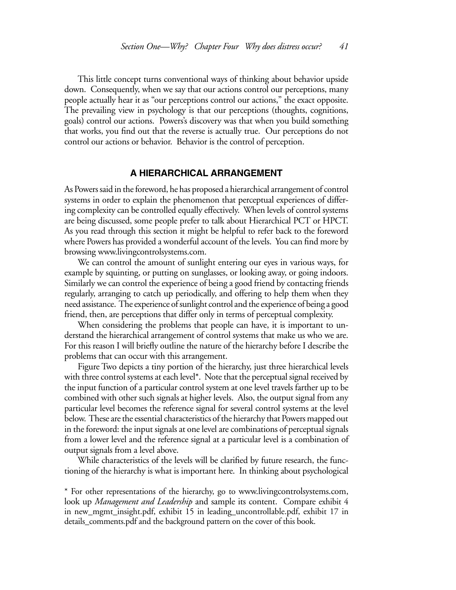This little concept turns conventional ways of thinking about behavior upside down. Consequently, when we say that our actions control our perceptions, many people actually hear it as "our perceptions control our actions," the exact opposite. The prevailing view in psychology is that our perceptions (thoughts, cognitions, goals) control our actions. Powers's discovery was that when you build something that works, you find out that the reverse is actually true. Our perceptions do not control our actions or behavior. Behavior is the control of perception.

#### **A hierarchical arrangement**

As Powers said in the foreword, he has proposed a hierarchical arrangement of control systems in order to explain the phenomenon that perceptual experiences of differing complexity can be controlled equally effectively. When levels of control systems are being discussed, some people prefer to talk about Hierarchical PCT or HPCT. As you read through this section it might be helpful to refer back to the foreword where Powers has provided a wonderful account of the levels. You can find more by browsing www.livingcontrolsystems.com.

We can control the amount of sunlight entering our eyes in various ways, for example by squinting, or putting on sunglasses, or looking away, or going indoors. Similarly we can control the experience of being a good friend by contacting friends regularly, arranging to catch up periodically, and offering to help them when they need assistance. The experience of sunlight control and the experience of being a good friend, then, are perceptions that differ only in terms of perceptual complexity.

When considering the problems that people can have, it is important to understand the hierarchical arrangement of control systems that make us who we are. For this reason I will briefly outline the nature of the hierarchy before I describe the problems that can occur with this arrangement.

Figure Two depicts a tiny portion of the hierarchy, just three hierarchical levels with three control systems at each level<sup>\*</sup>. Note that the perceptual signal received by the input function of a particular control system at one level travels farther up to be combined with other such signals at higher levels. Also, the output signal from any particular level becomes the reference signal for several control systems at the level below. These are the essential characteristics of the hierarchy that Powers mapped out in the foreword: the input signals at one level are combinations of perceptual signals from a lower level and the reference signal at a particular level is a combination of output signals from a level above.

While characteristics of the levels will be clarified by future research, the functioning of the hierarchy is what is important here. In thinking about psychological

\* For other representations of the hierarchy, go to www.livingcontrolsystems.com, look up *Management and Leadership* and sample its content. Compare exhibit 4 in new\_mgmt\_insight.pdf, exhibit 15 in leading\_uncontrollable.pdf, exhibit 17 in details\_comments.pdf and the background pattern on the cover of this book.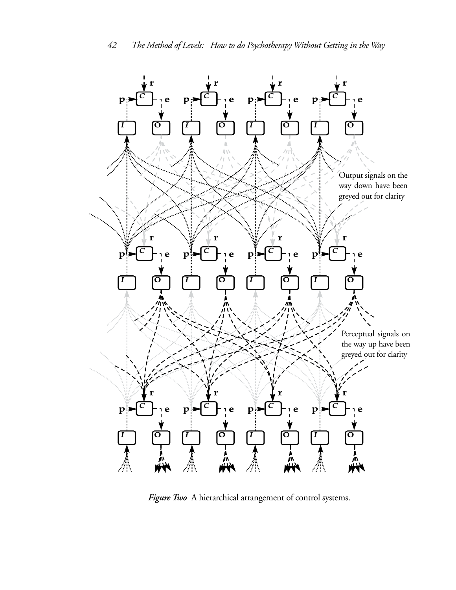

*Figure Two* A hierarchical arrangement of control systems.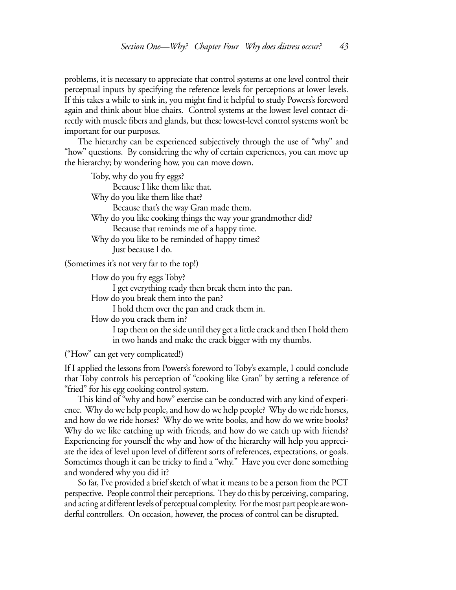problems, it is necessary to appreciate that control systems at one level control their perceptual inputs by specifying the reference levels for perceptions at lower levels. If this takes a while to sink in, you might find it helpful to study Powers's foreword again and think about blue chairs. Control systems at the lowest level contact directly with muscle fibers and glands, but these lowest-level control systems won't be important for our purposes.

The hierarchy can be experienced subjectively through the use of "why" and "how" questions. By considering the why of certain experiences, you can move up the hierarchy; by wondering how, you can move down.

Toby, why do you fry eggs? Because I like them like that. Why do you like them like that? Because that's the way Gran made them. Why do you like cooking things the way your grandmother did? Because that reminds me of a happy time. Why do you like to be reminded of happy times? Just because I do. (Sometimes it's not very far to the top!)

How do you fry eggs Toby?

I get everything ready then break them into the pan.

How do you break them into the pan?

I hold them over the pan and crack them in.

How do you crack them in?

I tap them on the side until they get a little crack and then I hold them in two hands and make the crack bigger with my thumbs.

("How" can get very complicated!)

If I applied the lessons from Powers's foreword to Toby's example, I could conclude that Toby controls his perception of "cooking like Gran" by setting a reference of "fried" for his egg cooking control system.

This kind of "why and how" exercise can be conducted with any kind of experience. Why do we help people, and how do we help people? Why do we ride horses, and how do we ride horses? Why do we write books, and how do we write books? Why do we like catching up with friends, and how do we catch up with friends? Experiencing for yourself the why and how of the hierarchy will help you appreciate the idea of level upon level of different sorts of references, expectations, or goals. Sometimes though it can be tricky to find a "why." Have you ever done something and wondered why you did it?

So far, I've provided a brief sketch of what it means to be a person from the PCT perspective. People control their perceptions. They do this by perceiving, comparing, and acting at different levels of perceptual complexity. For the most part people are wonderful controllers. On occasion, however, the process of control can be disrupted.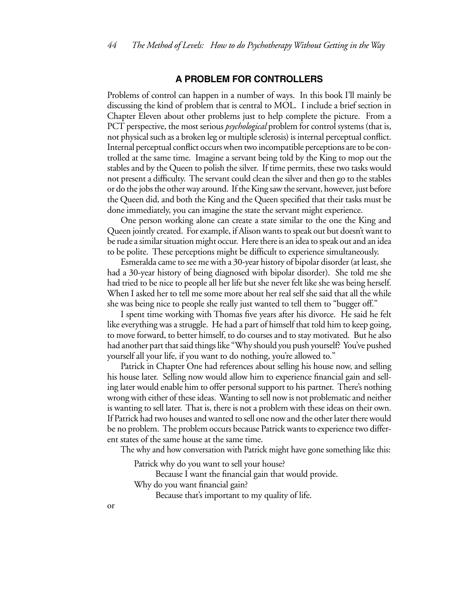### **A problem for controllers**

Problems of control can happen in a number of ways. In this book I'll mainly be discussing the kind of problem that is central to MOL. I include a brief section in Chapter Eleven about other problems just to help complete the picture. From a PCT perspective, the most serious *psychological* problem for control systems (that is, not physical such as a broken leg or multiple sclerosis) is internal perceptual conflict. Internal perceptual conflict occurs when two incompatible perceptions are to be controlled at the same time. Imagine a servant being told by the King to mop out the stables and by the Queen to polish the silver. If time permits, these two tasks would not present a difficulty. The servant could clean the silver and then go to the stables or do the jobs the other way around. If the King saw the servant, however, just before the Queen did, and both the King and the Queen specified that their tasks must be done immediately, you can imagine the state the servant might experience.

One person working alone can create a state similar to the one the King and Queen jointly created. For example, if Alison wants to speak out but doesn't want to be rude a similar situation might occur. Here there is an idea to speak out and an idea to be polite. These perceptions might be difficult to experience simultaneously.

Esmeralda came to see me with a 30-year history of bipolar disorder (at least, she had a 30-year history of being diagnosed with bipolar disorder). She told me she had tried to be nice to people all her life but she never felt like she was being herself. When I asked her to tell me some more about her real self she said that all the while she was being nice to people she really just wanted to tell them to "bugger off."

I spent time working with Thomas five years after his divorce. He said he felt like everything was a struggle. He had a part of himself that told him to keep going, to move forward, to better himself, to do courses and to stay motivated. But he also had another part that said things like "Why should you push yourself? You've pushed yourself all your life, if you want to do nothing, you're allowed to."

Patrick in Chapter One had references about selling his house now, and selling his house later. Selling now would allow him to experience financial gain and selling later would enable him to offer personal support to his partner. There's nothing wrong with either of these ideas. Wanting to sell now is not problematic and neither is wanting to sell later. That is, there is not a problem with these ideas on their own. If Patrick had two houses and wanted to sell one now and the other later there would be no problem. The problem occurs because Patrick wants to experience two different states of the same house at the same time.

The why and how conversation with Patrick might have gone something like this:

Patrick why do you want to sell your house?

Because I want the financial gain that would provide.

Why do you want financial gain?

Because that's important to my quality of life.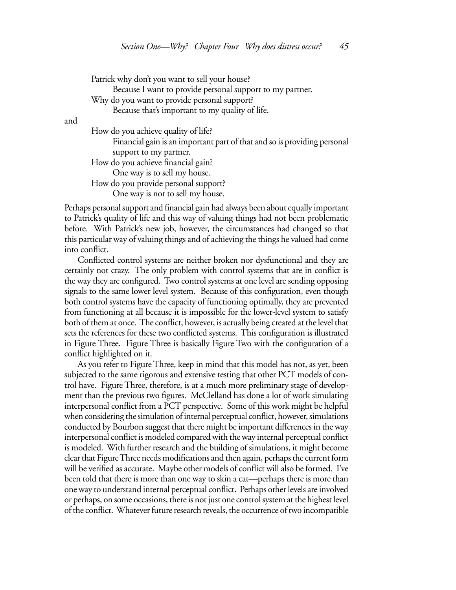| Patrick why don't you want to sell your house?                           |
|--------------------------------------------------------------------------|
| Because I want to provide personal support to my partner.                |
| Why do you want to provide personal support?                             |
| Because that's important to my quality of life.                          |
|                                                                          |
| How do you achieve quality of life?                                      |
| Financial gain is an important part of that and so is providing personal |
| support to my partner.                                                   |
| How do you achieve financial gain?                                       |
| One way is to sell my house.                                             |
| How do you provide personal support?                                     |
| One way is not to sell my house.                                         |

and

Perhaps personal support and financial gain had always been about equally important to Patrick's quality of life and this way of valuing things had not been problematic before. With Patrick's new job, however, the circumstances had changed so that this particular way of valuing things and of achieving the things he valued had come into conflict.

Conflicted control systems are neither broken nor dysfunctional and they are certainly not crazy. The only problem with control systems that are in conflict is the way they are configured. Two control systems at one level are sending opposing signals to the same lower level system. Because of this configuration, even though both control systems have the capacity of functioning optimally, they are prevented from functioning at all because it is impossible for the lower-level system to satisfy both of them at once. The conflict, however, is actually being created at the level that sets the references for these two conflicted systems. This configuration is illustrated in Figure Three. Figure Three is basically Figure Two with the configuration of a conflict highlighted on it.

As you refer to Figure Three, keep in mind that this model has not, as yet, been subjected to the same rigorous and extensive testing that other PCT models of control have. Figure Three, therefore, is at a much more preliminary stage of development than the previous two figures. McClelland has done a lot of work simulating interpersonal conflict from a PCT perspective. Some of this work might be helpful when considering the simulation of internal perceptual conflict, however, simulations conducted by Bourbon suggest that there might be important differences in the way interpersonal conflict is modeled compared with the way internal perceptual conflict is modeled. With further research and the building of simulations, it might become clear that Figure Three needs modifications and then again, perhaps the current form will be verified as accurate. Maybe other models of conflict will also be formed. I've been told that there is more than one way to skin a cat—perhaps there is more than one way to understand internal perceptual conflict. Perhaps other levels are involved or perhaps, on some occasions, there is not just one control system at the highest level of the conflict. Whatever future research reveals, the occurrence of two incompatible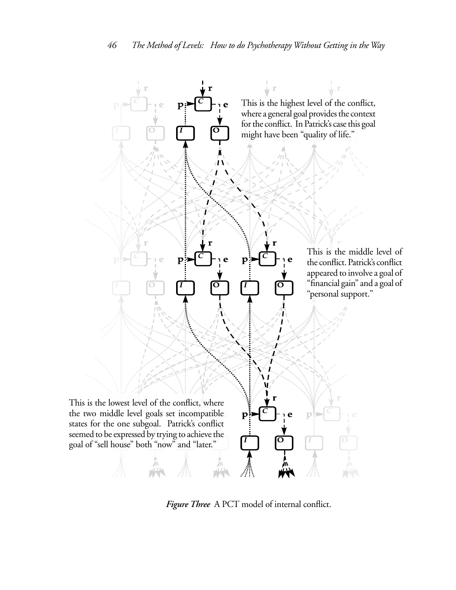

*Figure Three* A PCT model of internal conflict.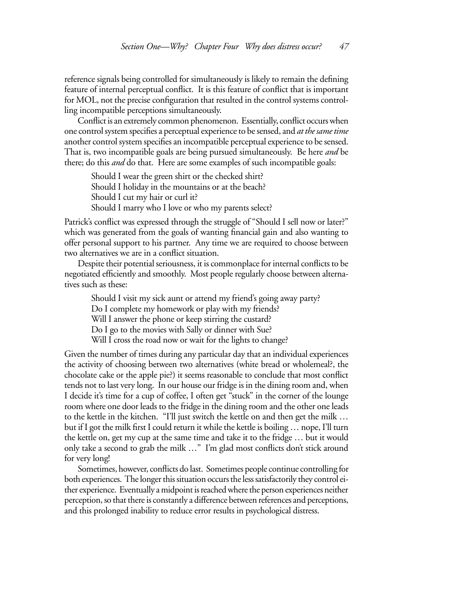reference signals being controlled for simultaneously is likely to remain the defining feature of internal perceptual conflict. It is this feature of conflict that is important for MOL, not the precise configuration that resulted in the control systems controlling incompatible perceptions simultaneously.

Conflict is an extremely common phenomenon. Essentially, conflict occurs when one control system specifies a perceptual experience to be sensed, and *at thesametime* another control system specifies an incompatible perceptual experience to be sensed. That is, two incompatible goals are being pursued simultaneously. Be here *and* be there; do this *and* do that. Here are some examples of such incompatible goals:

Should I wear the green shirt or the checked shirt? Should I holiday in the mountains or at the beach? Should I cut my hair or curl it? Should I marry who I love or who my parents select?

Patrick's conflict was expressed through the struggle of "Should I sell now or later?" which was generated from the goals of wanting financial gain and also wanting to offer personal support to his partner. Any time we are required to choose between two alternatives we are in a conflict situation.

Despite their potential seriousness, it is commonplace for internal conflicts to be negotiated efficiently and smoothly. Most people regularly choose between alternatives such as these:

Should I visit my sick aunt or attend my friend's going away party? Do I complete my homework or play with my friends? Will I answer the phone or keep stirring the custard? Do I go to the movies with Sally or dinner with Sue? Will I cross the road now or wait for the lights to change?

Given the number of times during any particular day that an individual experiences the activity of choosing between two alternatives (white bread or wholemeal?, the chocolate cake or the apple pie?) it seems reasonable to conclude that most conflict tends not to last very long. In our house our fridge is in the dining room and, when I decide it's time for a cup of coffee, I often get "stuck" in the corner of the lounge room where one door leads to the fridge in the dining room and the other one leads to the kettle in the kitchen. "I'll just switch the kettle on and then get the milk … but if I got the milk first I could return it while the kettle is boiling … nope, I'll turn the kettle on, get my cup at the same time and take it to the fridge … but it would only take a second to grab the milk …" I'm glad most conflicts don't stick around for very long!

Sometimes, however, conflicts do last. Sometimes people continue controlling for both experiences. The longer this situation occurs the less satisfactorily they control either experience. Eventually a midpoint is reached where the person experiences neither perception, so that there is constantly a difference between references and perceptions, and this prolonged inability to reduce error results in psychological distress.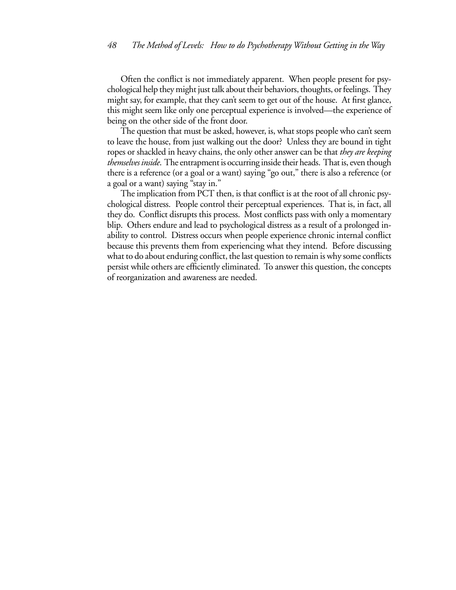Often the conflict is not immediately apparent. When people present for psychological help they might just talk about their behaviors, thoughts, or feelings. They might say, for example, that they can't seem to get out of the house. At first glance, this might seem like only one perceptual experience is involved—the experience of being on the other side of the front door.

The question that must be asked, however, is, what stops people who can't seem to leave the house, from just walking out the door? Unless they are bound in tight ropes or shackled in heavy chains, the only other answer can be that *they are keeping themselvesinside*. The entrapment is occurring inside their heads. That is, even though there is a reference (or a goal or a want) saying "go out," there is also a reference (or a goal or a want) saying "stay in."

The implication from PCT then, is that conflict is at the root of all chronic psychological distress. People control their perceptual experiences. That is, in fact, all they do. Conflict disrupts this process. Most conflicts pass with only a momentary blip. Others endure and lead to psychological distress as a result of a prolonged inability to control. Distress occurs when people experience chronic internal conflict because this prevents them from experiencing what they intend. Before discussing what to do about enduring conflict, the last question to remain is why some conflicts persist while others are efficiently eliminated. To answer this question, the concepts of reorganization and awareness are needed.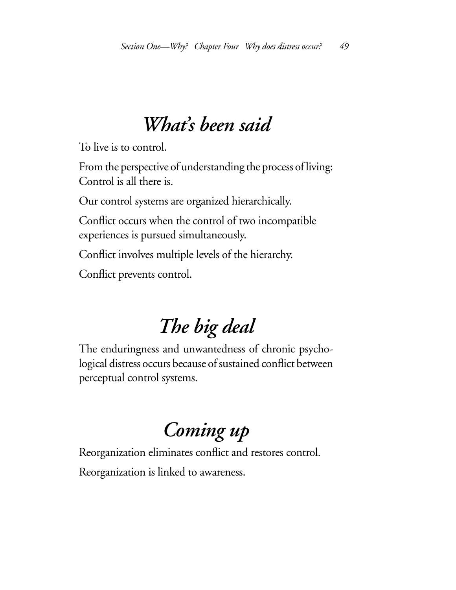## *What's been said*

To live is to control.

From the perspective of understanding the process of living: Control is all there is.

Our control systems are organized hierarchically.

Conflict occurs when the control of two incompatible experiences is pursued simultaneously.

Conflict involves multiple levels of the hierarchy.

Conflict prevents control.

## *The big deal*

The enduringness and unwantedness of chronic psychological distress occurs because of sustained conflict between perceptual control systems.

## *Coming up*

Reorganization eliminates conflict and restores control.

Reorganization is linked to awareness.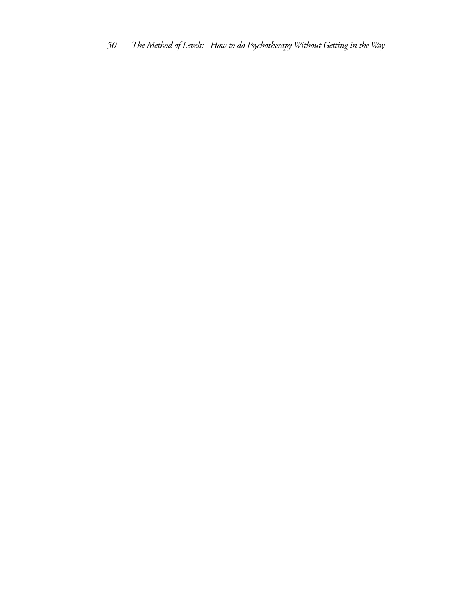*50 The Method of Levels: How to do Psychotherapy Without Getting in the Way*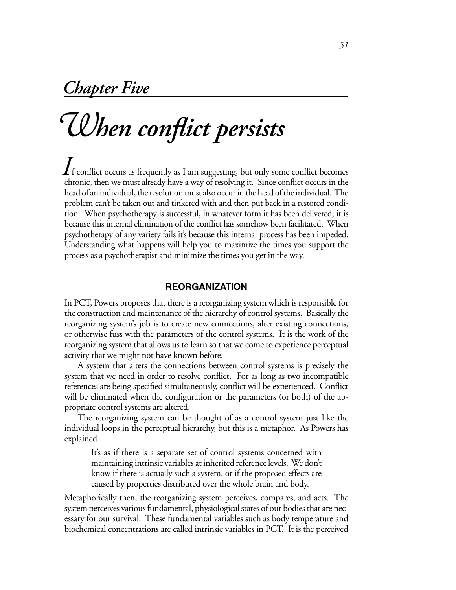### *Chapter Five*

# *W hen conflict persists*

 f conflict occurs as frequently as I am suggesting, but only some conflict becomes *I*chronic, then we must already have a way of resolving it. Since conflict occurs in the head of an individual, the resolution must also occur in the head of the individual. The problem can't be taken out and tinkered with and then put back in a restored condition. When psychotherapy is successful, in whatever form it has been delivered, it is because this internal elimination of the conflict has somehow been facilitated. When psychotherapy of any variety fails it's because this internal process has been impeded. Understanding what happens will help you to maximize the times you support the process as a psychotherapist and minimize the times you get in the way.

#### **Reorganization**

In PCT, Powers proposes that there is a reorganizing system which is responsible for the construction and maintenance of the hierarchy of control systems. Basically the reorganizing system's job is to create new connections, alter existing connections, or otherwise fuss with the parameters of the control systems. It is the work of the reorganizing system that allows us to learn so that we come to experience perceptual activity that we might not have known before.

A system that alters the connections between control systems is precisely the system that we need in order to resolve conflict. For as long as two incompatible references are being specified simultaneously, conflict will be experienced. Conflict will be eliminated when the configuration or the parameters (or both) of the appropriate control systems are altered.

The reorganizing system can be thought of as a control system just like the individual loops in the perceptual hierarchy, but this is a metaphor. As Powers has explained

It's as if there is a separate set of control systems concerned with maintaining intrinsic variables at inherited reference levels. We don't know if there is actually such a system, or if the proposed effects are caused by properties distributed over the whole brain and body.

Metaphorically then, the reorganizing system perceives, compares, and acts. The system perceives various fundamental, physiological states of our bodies that are necessary for our survival. These fundamental variables such as body temperature and biochemical concentrations are called intrinsic variables in PCT. It is the perceived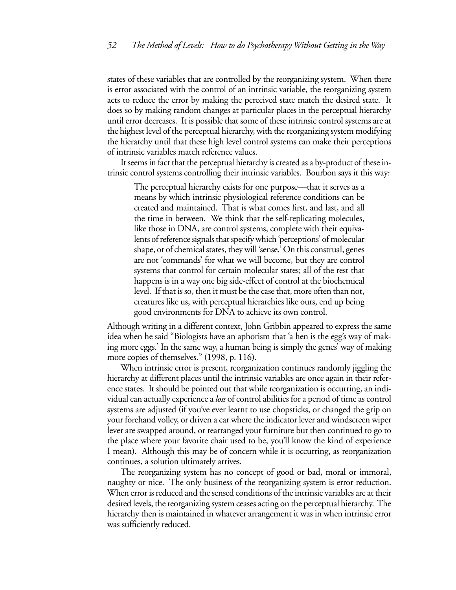states of these variables that are controlled by the reorganizing system. When there is error associated with the control of an intrinsic variable, the reorganizing system acts to reduce the error by making the perceived state match the desired state. It does so by making random changes at particular places in the perceptual hierarchy until error decreases. It is possible that some of these intrinsic control systems are at the highest level of the perceptual hierarchy, with the reorganizing system modifying the hierarchy until that these high level control systems can make their perceptions of intrinsic variables match reference values.

It seems in fact that the perceptual hierarchy is created as a by-product of these intrinsic control systems controlling their intrinsic variables. Bourbon says it this way:

The perceptual hierarchy exists for one purpose—that it serves as a means by which intrinsic physiological reference conditions can be created and maintained. That is what comes first, and last, and all the time in between. We think that the self-replicating molecules, like those in DNA, are control systems, complete with their equivalents of reference signals that specify which 'perceptions' of molecular shape, or of chemical states, they will 'sense.' On this construal, genes are not 'commands' for what we will become, but they are control systems that control for certain molecular states; all of the rest that happens is in a way one big side-effect of control at the biochemical level. If that is so, then it must be the case that, more often than not, creatures like us, with perceptual hierarchies like ours, end up being good environments for DNA to achieve its own control.

Although writing in a different context, John Gribbin appeared to express the same idea when he said "Biologists have an aphorism that 'a hen is the egg's way of making more eggs.' In the same way, a human being is simply the genes' way of making more copies of themselves." (1998, p. 116).

When intrinsic error is present, reorganization continues randomly jiggling the hierarchy at different places until the intrinsic variables are once again in their reference states. It should be pointed out that while reorganization is occurring, an individual can actually experience a *loss* of control abilities for a period of time as control systems are adjusted (if you've ever learnt to use chopsticks, or changed the grip on your forehand volley, or driven a car where the indicator lever and windscreen wiper lever are swapped around, or rearranged your furniture but then continued to go to the place where your favorite chair used to be, you'll know the kind of experience I mean). Although this may be of concern while it is occurring, as reorganization continues, a solution ultimately arrives.

The reorganizing system has no concept of good or bad, moral or immoral, naughty or nice. The only business of the reorganizing system is error reduction. When error is reduced and the sensed conditions of the intrinsic variables are at their desired levels, the reorganizing system ceases acting on the perceptual hierarchy. The hierarchy then is maintained in whatever arrangement it was in when intrinsic error was sufficiently reduced.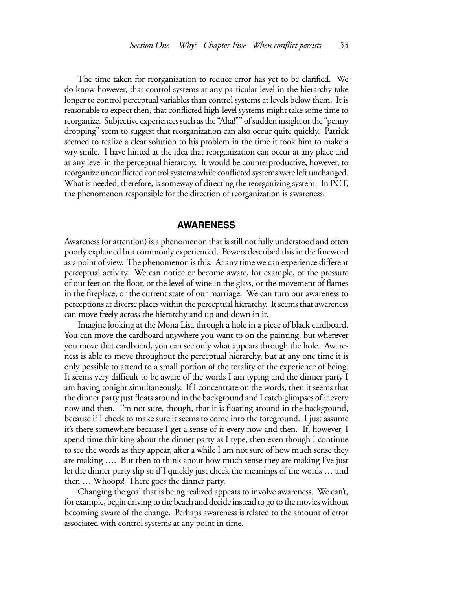The time taken for reorganization to reduce error has yet to be clarified. We do know however, that control systems at any particular level in the hierarchy take longer to control perceptual variables than control systems at levels below them. It is reasonable to expect then, that conflicted high-level systems might take some time to reorganize. Subjective experiences such as the "Aha!"" of sudden insight or the "penny dropping" seem to suggest that reorganization can also occur quite quickly. Patrick seemed to realize a clear solution to his problem in the time it took him to make a wry smile. I have hinted at the idea that reorganization can occur at any place and at any level in the perceptual hierarchy. It would be counterproductive, however, to reorganize unconflicted control systems while conflicted systems were left unchanged. What is needed, therefore, is someway of directing the reorganizing system. In PCT, the phenomenon responsible for the direction of reorganization is awareness.

#### **Awareness**

Awareness (or attention) is a phenomenon that is still not fully understood and often poorly explained but commonly experienced. Powers described this in the foreword as a point of view. The phenomenon is this: At any time we can experience different perceptual activity. We can notice or become aware, for example, of the pressure of our feet on the floor, or the level of wine in the glass, or the movement of flames in the fireplace, or the current state of our marriage. We can turn our awareness to perceptions at diverse places within the perceptual hierarchy. It seems that awareness can move freely across the hierarchy and up and down in it.

Imagine looking at the Mona Lisa through a hole in a piece of black cardboard. You can move the cardboard anywhere you want to on the painting, but wherever you move that cardboard, you can see only what appears through the hole. Awareness is able to move throughout the perceptual hierarchy, but at any one time it is only possible to attend to a small portion of the totality of the experience of being. It seems very difficult to be aware of the words I am typing and the dinner party I am having tonight simultaneously. If I concentrate on the words, then it seems that the dinner party just floats around in the background and I catch glimpses of it every now and then. I'm not sure, though, that it is floating around in the background, because if I check to make sure it seems to come into the foreground. I just assume it's there somewhere because I get a sense of it every now and then. If, however, I spend time thinking about the dinner party as I type, then even though I continue to see the words as they appear, after a while I am not sure of how much sense they are making …. But then to think about how much sense they are making I've just let the dinner party slip so if I quickly just check the meanings of the words … and then … Whoops! There goes the dinner party.

Changing the goal that is being realized appears to involve awareness. We can't, for example, begin driving to the beach and decide instead to go to the movies without becoming aware of the change. Perhaps awareness is related to the amount of error associated with control systems at any point in time.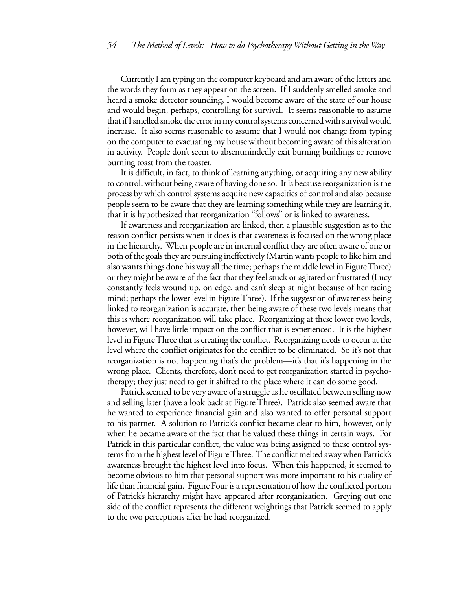Currently I am typing on the computer keyboard and am aware of the letters and the words they form as they appear on the screen. If I suddenly smelled smoke and heard a smoke detector sounding, I would become aware of the state of our house and would begin, perhaps, controlling for survival. It seems reasonable to assume that if I smelled smoke the error in my control systems concerned with survival would increase. It also seems reasonable to assume that I would not change from typing on the computer to evacuating my house without becoming aware of this alteration in activity. People don't seem to absentmindedly exit burning buildings or remove burning toast from the toaster.

It is difficult, in fact, to think of learning anything, or acquiring any new ability to control, without being aware of having done so. It is because reorganization is the process by which control systems acquire new capacities of control and also because people seem to be aware that they are learning something while they are learning it, that it is hypothesized that reorganization "follows" or is linked to awareness.

If awareness and reorganization are linked, then a plausible suggestion as to the reason conflict persists when it does is that awareness is focused on the wrong place in the hierarchy. When people are in internal conflict they are often aware of one or both of the goals they are pursuing ineffectively (Martin wants people to like him and also wants things done his way all the time; perhaps the middle level in Figure Three) or they might be aware of the fact that they feel stuck or agitated or frustrated (Lucy constantly feels wound up, on edge, and can't sleep at night because of her racing mind; perhaps the lower level in Figure Three). If the suggestion of awareness being linked to reorganization is accurate, then being aware of these two levels means that this is where reorganization will take place. Reorganizing at these lower two levels, however, will have little impact on the conflict that is experienced. It is the highest level in Figure Three that is creating the conflict. Reorganizing needs to occur at the level where the conflict originates for the conflict to be eliminated. So it's not that reorganization is not happening that's the problem—it's that it's happening in the wrong place. Clients, therefore, don't need to get reorganization started in psychotherapy; they just need to get it shifted to the place where it can do some good.

Patrick seemed to be very aware of a struggle as he oscillated between selling now and selling later (have a look back at Figure Three). Patrick also seemed aware that he wanted to experience financial gain and also wanted to offer personal support to his partner. A solution to Patrick's conflict became clear to him, however, only when he became aware of the fact that he valued these things in certain ways. For Patrick in this particular conflict, the value was being assigned to these control systems from the highest level of Figure Three. The conflict melted away when Patrick's awareness brought the highest level into focus. When this happened, it seemed to become obvious to him that personal support was more important to his quality of life than financial gain. Figure Four is a representation of how the conflicted portion of Patrick's hierarchy might have appeared after reorganization. Greying out one side of the conflict represents the different weightings that Patrick seemed to apply to the two perceptions after he had reorganized.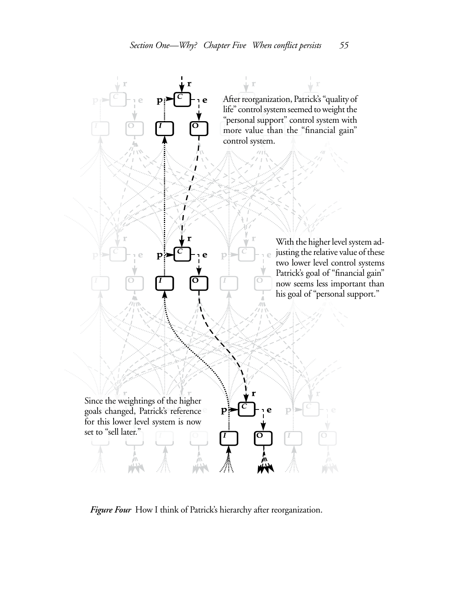

*Figure Four* How I think of Patrick's hierarchy after reorganization.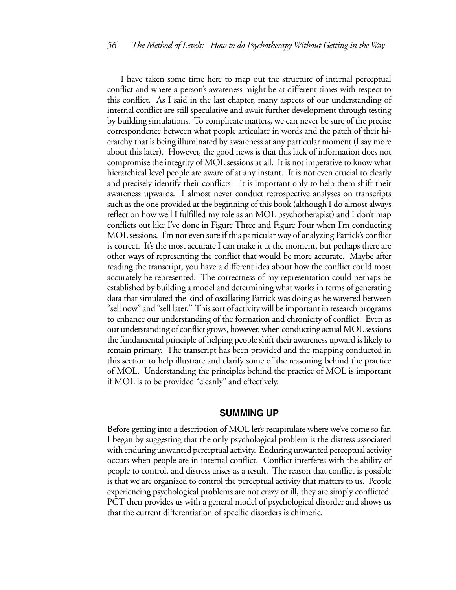I have taken some time here to map out the structure of internal perceptual conflict and where a person's awareness might be at different times with respect to this conflict. As I said in the last chapter, many aspects of our understanding of internal conflict are still speculative and await further development through testing by building simulations. To complicate matters, we can never be sure of the precise correspondence between what people articulate in words and the patch of their hierarchy that is being illuminated by awareness at any particular moment (I say more about this later). However, the good news is that this lack of information does not compromise the integrity of MOL sessions at all. It is not imperative to know what hierarchical level people are aware of at any instant. It is not even crucial to clearly and precisely identify their conflicts—it is important only to help them shift their awareness upwards. I almost never conduct retrospective analyses on transcripts such as the one provided at the beginning of this book (although I do almost always reflect on how well I fulfilled my role as an MOL psychotherapist) and I don't map conflicts out like I've done in Figure Three and Figure Four when I'm conducting MOL sessions. I'm not even sure if this particular way of analyzing Patrick's conflict is correct. It's the most accurate I can make it at the moment, but perhaps there are other ways of representing the conflict that would be more accurate. Maybe after reading the transcript, you have a different idea about how the conflict could most accurately be represented. The correctness of my representation could perhaps be established by building a model and determining what works in terms of generating data that simulated the kind of oscillating Patrick was doing as he wavered between "sell now" and "sell later." This sort of activity will be important in research programs to enhance our understanding of the formation and chronicity of conflict. Even as our understanding of conflict grows, however, when conducting actual MOL sessions the fundamental principle of helping people shift their awareness upward is likely to remain primary. The transcript has been provided and the mapping conducted in this section to help illustrate and clarify some of the reasoning behind the practice of MOL. Understanding the principles behind the practice of MOL is important if MOL is to be provided "cleanly" and effectively.

#### **Summing Up**

Before getting into a description of MOL let's recapitulate where we've come so far. I began by suggesting that the only psychological problem is the distress associated with enduring unwanted perceptual activity. Enduring unwanted perceptual activity occurs when people are in internal conflict. Conflict interferes with the ability of people to control, and distress arises as a result. The reason that conflict is possible is that we are organized to control the perceptual activity that matters to us. People experiencing psychological problems are not crazy or ill, they are simply conflicted. PCT then provides us with a general model of psychological disorder and shows us that the current differentiation of specific disorders is chimeric.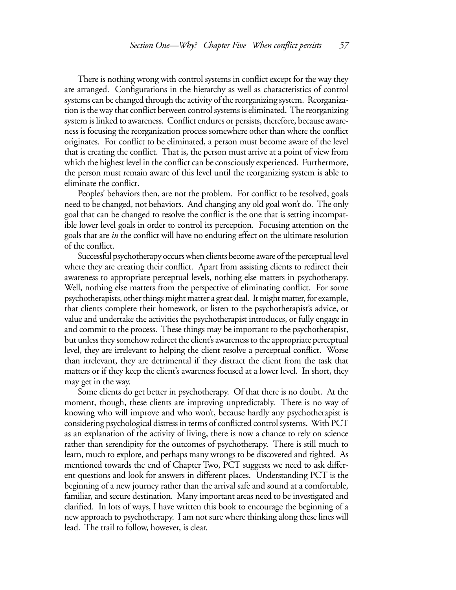There is nothing wrong with control systems in conflict except for the way they are arranged. Configurations in the hierarchy as well as characteristics of control systems can be changed through the activity of the reorganizing system. Reorganization is the way that conflict between control systems is eliminated. The reorganizing system is linked to awareness. Conflict endures or persists, therefore, because awareness is focusing the reorganization process somewhere other than where the conflict originates. For conflict to be eliminated, a person must become aware of the level that is creating the conflict. That is, the person must arrive at a point of view from which the highest level in the conflict can be consciously experienced. Furthermore, the person must remain aware of this level until the reorganizing system is able to eliminate the conflict.

Peoples' behaviors then, are not the problem. For conflict to be resolved, goals need to be changed, not behaviors. And changing any old goal won't do. The only goal that can be changed to resolve the conflict is the one that is setting incompatible lower level goals in order to control its perception. Focusing attention on the goals that are *in* the conflict will have no enduring effect on the ultimate resolution of the conflict.

Successful psychotherapy occurs when clients become aware of the perceptual level where they are creating their conflict. Apart from assisting clients to redirect their awareness to appropriate perceptual levels, nothing else matters in psychotherapy. Well, nothing else matters from the perspective of eliminating conflict. For some psychotherapists, other things might matter a great deal. It might matter, for example, that clients complete their homework, or listen to the psychotherapist's advice, or value and undertake the activities the psychotherapist introduces, or fully engage in and commit to the process. These things may be important to the psychotherapist, but unless they somehow redirect the client's awareness to the appropriate perceptual level, they are irrelevant to helping the client resolve a perceptual conflict. Worse than irrelevant, they are detrimental if they distract the client from the task that matters or if they keep the client's awareness focused at a lower level. In short, they may get in the way.

Some clients do get better in psychotherapy. Of that there is no doubt. At the moment, though, these clients are improving unpredictably. There is no way of knowing who will improve and who won't, because hardly any psychotherapist is considering psychological distress in terms of conflicted control systems. With PCT as an explanation of the activity of living, there is now a chance to rely on science rather than serendipity for the outcomes of psychotherapy. There is still much to learn, much to explore, and perhaps many wrongs to be discovered and righted. As mentioned towards the end of Chapter Two, PCT suggests we need to ask different questions and look for answers in different places. Understanding PCT is the beginning of a new journey rather than the arrival safe and sound at a comfortable, familiar, and secure destination. Many important areas need to be investigated and clarified. In lots of ways, I have written this book to encourage the beginning of a new approach to psychotherapy. I am not sure where thinking along these lines will lead. The trail to follow, however, is clear.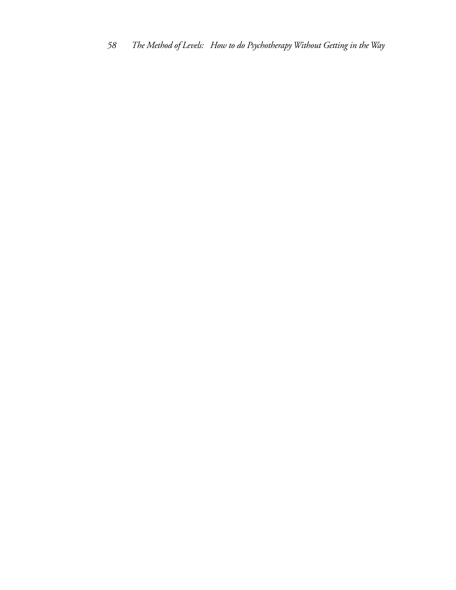*58 The Method of Levels: How to do Psychotherapy Without Getting in the Way*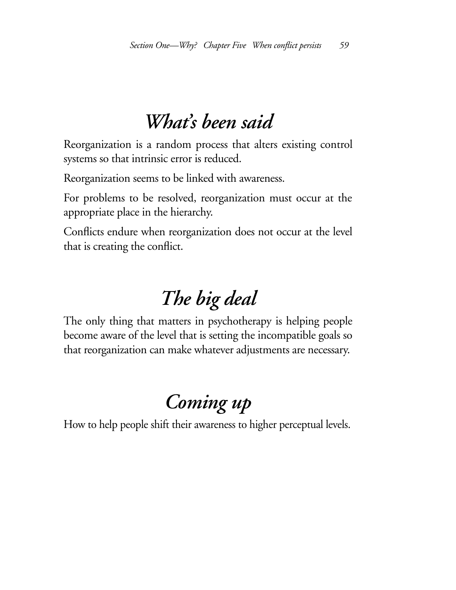### *What's been said*

Reorganization is a random process that alters existing control systems so that intrinsic error is reduced.

Reorganization seems to be linked with awareness.

For problems to be resolved, reorganization must occur at the appropriate place in the hierarchy.

Conflicts endure when reorganization does not occur at the level that is creating the conflict.

# *The big deal*

The only thing that matters in psychotherapy is helping people become aware of the level that is setting the incompatible goals so that reorganization can make whatever adjustments are necessary.

## *Coming up*

How to help people shift their awareness to higher perceptual levels.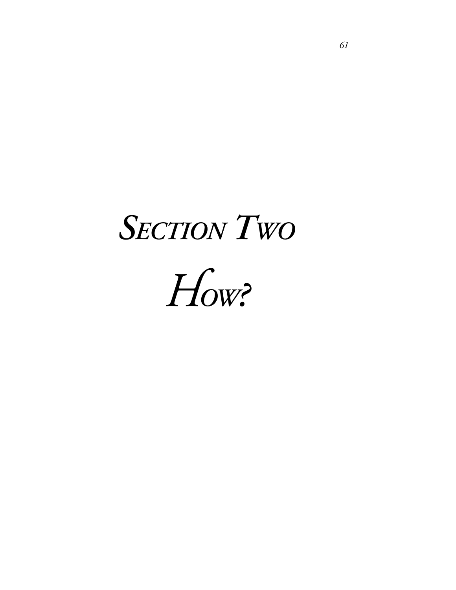# *Section Two How?*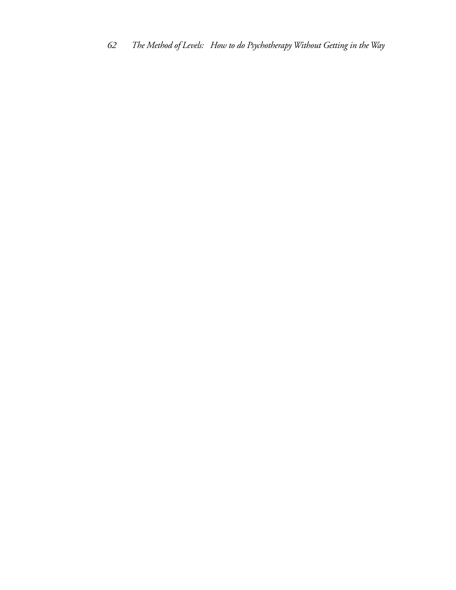*62 The Method of Levels: How to do Psychotherapy Without Getting in the Way*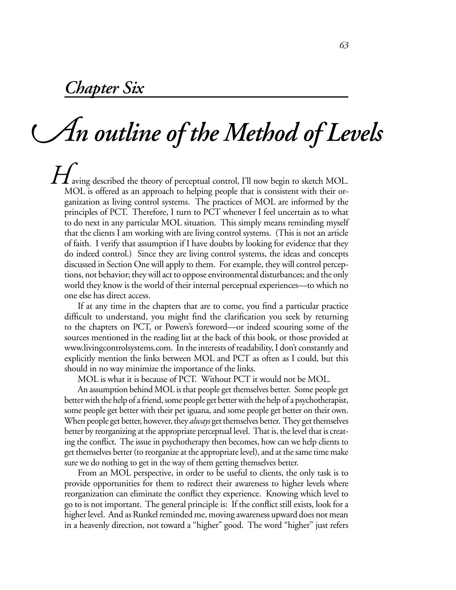### *Chapter Six*

# *An outline of the Method of Levels*

**L** aving described the theory of perceptual control, I'll now begin to sketch MOL. *M* aving described the theory of perceptual control, I'll now begin to sketch MOL.<br>MOL is offered as an approach to helping people that is consistent with their organization as living control systems. The practices of MOL are informed by the principles of PCT. Therefore, I turn to PCT whenever I feel uncertain as to what to do next in any particular MOL situation. This simply means reminding myself that the clients I am working with are living control systems. (This is not an article of faith. I verify that assumption if I have doubts by looking for evidence that they do indeed control.) Since they are living control systems, the ideas and concepts discussed in Section One will apply to them. For example, they will control perceptions, not behavior; they will act to oppose environmental disturbances; and the only world they know is the world of their internal perceptual experiences—to which no one else has direct access.

If at any time in the chapters that are to come, you find a particular practice difficult to understand, you might find the clarification you seek by returning to the chapters on PCT, or Powers's foreword—or indeed scouring some of the sources mentioned in the reading list at the back of this book, or those provided at www.livingcontrolsystems.com. In the interests of readability, I don't constantly and explicitly mention the links between MOL and PCT as often as I could, but this should in no way minimize the importance of the links.

MOL is what it is because of PCT. Without PCT it would not be MOL.

An assumption behind MOL is that people get themselves better. Some people get better with the help of a friend, some people get better with the help of a psychotherapist, some people get better with their pet iguana, and some people get better on their own. When people get better, however, they *always* get themselves better. They get themselves better by reorganizing at the appropriate perceptual level. That is, the level that is creating the conflict. The issue in psychotherapy then becomes, how can we help clients to get themselves better (to reorganize at the appropriate level), and at the same time make sure we do nothing to get in the way of them getting themselves better.

From an MOL perspective, in order to be useful to clients, the only task is to provide opportunities for them to redirect their awareness to higher levels where reorganization can eliminate the conflict they experience. Knowing which level to go to is not important. The general principle is: If the conflict still exists, look for a higher level. And as Runkel reminded me, moving awareness upward does not mean in a heavenly direction, not toward a "higher" good. The word "higher" just refers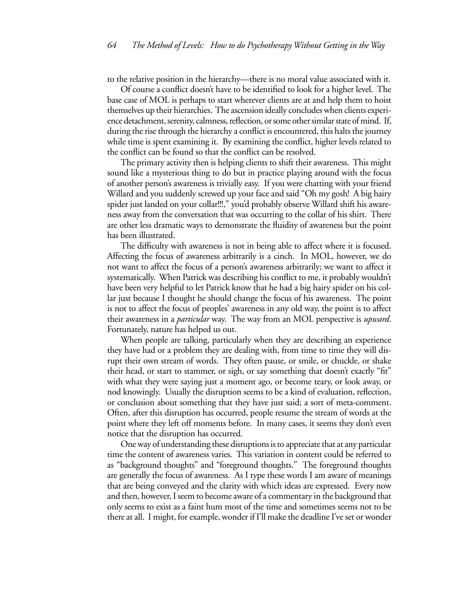to the relative position in the hierarchy—there is no moral value associated with it.

Of course a conflict doesn't have to be identified to look for a higher level. The base case of MOL is perhaps to start wherever clients are at and help them to hoist themselves up their hierarchies. The ascension ideally concludes when clients experience detachment, serenity, calmness, reflection, or some other similar state of mind. If, during the rise through the hierarchy a conflict is encountered, this halts the journey while time is spent examining it. By examining the conflict, higher levels related to the conflict can be found so that the conflict can be resolved.

The primary activity then is helping clients to shift their awareness. This might sound like a mysterious thing to do but in practice playing around with the focus of another person's awareness is trivially easy. If you were chatting with your friend Willard and you suddenly screwed up your face and said "Oh my gosh! A big hairy spider just landed on your collar!!!," you'd probably observe Willard shift his awareness away from the conversation that was occurring to the collar of his shirt. There are other less dramatic ways to demonstrate the fluidity of awareness but the point has been illustrated.

The difficulty with awareness is not in being able to affect where it is focused. Affecting the focus of awareness arbitrarily is a cinch. In MOL, however, we do not want to affect the focus of a person's awareness arbitrarily; we want to affect it systematically. When Patrick was describing his conflict to me, it probably wouldn't have been very helpful to let Patrick know that he had a big hairy spider on his collar just because I thought he should change the focus of his awareness. The point is not to affect the focus of peoples' awareness in any old way, the point is to affect their awareness in a *particular* way. The way from an MOL perspective is *upward*. Fortunately, nature has helped us out.

When people are talking, particularly when they are describing an experience they have had or a problem they are dealing with, from time to time they will disrupt their own stream of words. They often pause, or smile, or chuckle, or shake their head, or start to stammer, or sigh, or say something that doesn't exactly "fit" with what they were saying just a moment ago, or become teary, or look away, or nod knowingly. Usually the disruption seems to be a kind of evaluation, reflection, or conclusion about something that they have just said; a sort of meta-comment. Often, after this disruption has occurred, people resume the stream of words at the point where they left off moments before. In many cases, it seems they don't even notice that the disruption has occurred.

One way of understanding these disruptions is to appreciate that at any particular time the content of awareness varies. This variation in content could be referred to as "background thoughts" and "foreground thoughts." The foreground thoughts are generally the focus of awareness. As I type these words I am aware of meanings that are being conveyed and the clarity with which ideas are expressed. Every now and then, however, I seem to become aware of a commentary in the background that only seems to exist as a faint hum most of the time and sometimes seems not to be there at all. I might, for example, wonder if I'll make the deadline I've set or wonder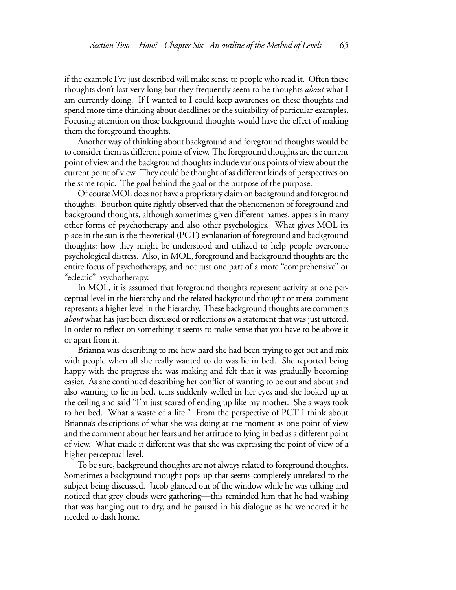if the example I've just described will make sense to people who read it. Often these thoughts don't last very long but they frequently seem to be thoughts *about* what I am currently doing. If I wanted to I could keep awareness on these thoughts and spend more time thinking about deadlines or the suitability of particular examples. Focusing attention on these background thoughts would have the effect of making them the foreground thoughts.

Another way of thinking about background and foreground thoughts would be to consider them as different points of view. The foreground thoughts are the current point of view and the background thoughts include various points of view about the current point of view. They could be thought of as different kinds of perspectives on the same topic. The goal behind the goal or the purpose of the purpose.

Of course MOL does not have a proprietary claim on background and foreground thoughts. Bourbon quite rightly observed that the phenomenon of foreground and background thoughts, although sometimes given different names, appears in many other forms of psychotherapy and also other psychologies. What gives MOL its place in the sun is the theoretical (PCT) explanation of foreground and background thoughts: how they might be understood and utilized to help people overcome psychological distress. Also, in MOL, foreground and background thoughts are the entire focus of psychotherapy, and not just one part of a more "comprehensive" or "eclectic" psychotherapy.

In MOL, it is assumed that foreground thoughts represent activity at one perceptual level in the hierarchy and the related background thought or meta-comment represents a higher level in the hierarchy. These background thoughts are comments *about* what has just been discussed or reflections *on* a statement that was just uttered. In order to reflect on something it seems to make sense that you have to be above it or apart from it.

Brianna was describing to me how hard she had been trying to get out and mix with people when all she really wanted to do was lie in bed. She reported being happy with the progress she was making and felt that it was gradually becoming easier. As she continued describing her conflict of wanting to be out and about and also wanting to lie in bed, tears suddenly welled in her eyes and she looked up at the ceiling and said "I'm just scared of ending up like my mother. She always took to her bed. What a waste of a life." From the perspective of PCT I think about Brianna's descriptions of what she was doing at the moment as one point of view and the comment about her fears and her attitude to lying in bed as a different point of view. What made it different was that she was expressing the point of view of a higher perceptual level.

To be sure, background thoughts are not always related to foreground thoughts. Sometimes a background thought pops up that seems completely unrelated to the subject being discussed. Jacob glanced out of the window while he was talking and noticed that grey clouds were gathering—this reminded him that he had washing that was hanging out to dry, and he paused in his dialogue as he wondered if he needed to dash home.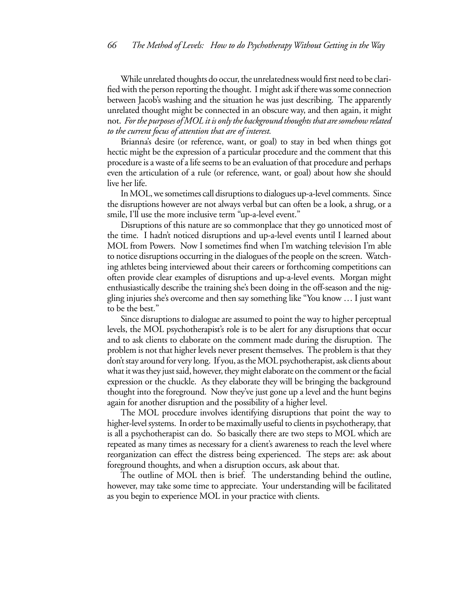While unrelated thoughts do occur, the unrelatedness would first need to be clarified with the person reporting the thought. I might ask if there was some connection between Jacob's washing and the situation he was just describing. The apparently unrelated thought might be connected in an obscure way, and then again, it might not. *Forthe purposes of MOL it is onlythe background thoughts that aresomehowrelated to the current focus of attention that are of interest.*

Brianna's desire (or reference, want, or goal) to stay in bed when things got hectic might be the expression of a particular procedure and the comment that this procedure is a waste of a life seems to be an evaluation of that procedure and perhaps even the articulation of a rule (or reference, want, or goal) about how she should live her life.

In MOL, we sometimes call disruptions to dialogues up-a-level comments. Since the disruptions however are not always verbal but can often be a look, a shrug, or a smile, I'll use the more inclusive term "up-a-level event."

Disruptions of this nature are so commonplace that they go unnoticed most of the time. I hadn't noticed disruptions and up-a-level events until I learned about MOL from Powers. Now I sometimes find when I'm watching television I'm able to notice disruptions occurring in the dialogues of the people on the screen. Watching athletes being interviewed about their careers or forthcoming competitions can often provide clear examples of disruptions and up-a-level events. Morgan might enthusiastically describe the training she's been doing in the off-season and the niggling injuries she's overcome and then say something like "You know … I just want to be the best."

Since disruptions to dialogue are assumed to point the way to higher perceptual levels, the MOL psychotherapist's role is to be alert for any disruptions that occur and to ask clients to elaborate on the comment made during the disruption. The problem is not that higher levels never present themselves. The problem is that they don't stay around for very long. If you, as the MOL psychotherapist, ask clients about what it was they just said, however, they might elaborate on the comment or the facial expression or the chuckle. As they elaborate they will be bringing the background thought into the foreground. Now they've just gone up a level and the hunt begins again for another disruption and the possibility of a higher level.

The MOL procedure involves identifying disruptions that point the way to higher-level systems. In order to be maximally useful to clients in psychotherapy, that is all a psychotherapist can do. So basically there are two steps to MOL which are repeated as many times as necessary for a client's awareness to reach the level where reorganization can effect the distress being experienced. The steps are: ask about foreground thoughts, and when a disruption occurs, ask about that.

The outline of MOL then is brief. The understanding behind the outline, however, may take some time to appreciate. Your understanding will be facilitated as you begin to experience MOL in your practice with clients.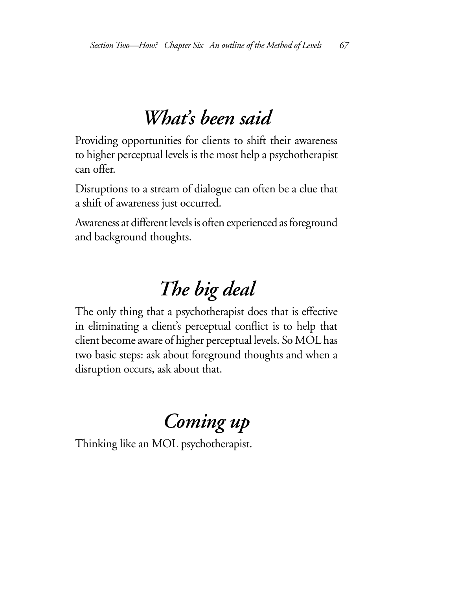## *What's been said*

Providing opportunities for clients to shift their awareness to higher perceptual levels is the most help a psychotherapist can offer.

Disruptions to a stream of dialogue can often be a clue that a shift of awareness just occurred.

Awareness at different levels is often experienced as foreground and background thoughts.

# *The big deal*

The only thing that a psychotherapist does that is effective in eliminating a client's perceptual conflict is to help that client become aware of higher perceptual levels. So MOL has two basic steps: ask about foreground thoughts and when a disruption occurs, ask about that.

# *Coming up*

Thinking like an MOL psychotherapist.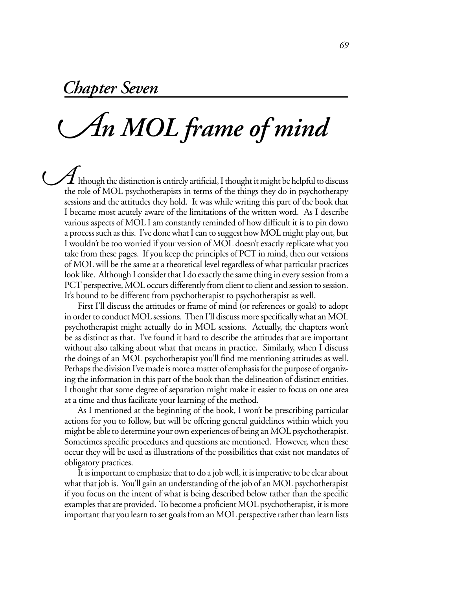### *Chapter Seven*

# *An MOL frame of mind*

*A* lthough the distinction is entirely artificial, I thought it might be helpful to discuss the role of MOL psychotherapists in terms of the things they do in psychotherapy sessions and the attitudes they hold. It was while writing this part of the book that I became most acutely aware of the limitations of the written word. As I describe various aspects of MOL I am constantly reminded of how difficult it is to pin down a process such as this. I've done what I can to suggest how MOL might play out, but I wouldn't be too worried if your version of MOL doesn't exactly replicate what you take from these pages. If you keep the principles of PCT in mind, then our versions of MOL will be the same at a theoretical level regardless of what particular practices look like. Although I consider that I do exactly the same thing in every session from a PCT perspective, MOL occurs differently from client to client and session to session. It's bound to be different from psychotherapist to psychotherapist as well.

First I'll discuss the attitudes or frame of mind (or references or goals) to adopt in order to conduct MOL sessions. Then I'll discuss more specifically what an MOL psychotherapist might actually do in MOL sessions. Actually, the chapters won't be as distinct as that. I've found it hard to describe the attitudes that are important without also talking about what that means in practice. Similarly, when I discuss the doings of an MOL psychotherapist you'll find me mentioning attitudes as well. Perhaps the division I've made is more a matter of emphasis for the purpose of organizing the information in this part of the book than the delineation of distinct entities. I thought that some degree of separation might make it easier to focus on one area at a time and thus facilitate your learning of the method.

As I mentioned at the beginning of the book, I won't be prescribing particular actions for you to follow, but will be offering general guidelines within which you might be able to determine your own experiences of being an MOL psychotherapist. Sometimes specific procedures and questions are mentioned. However, when these occur they will be used as illustrations of the possibilities that exist not mandates of obligatory practices.

It is important to emphasize that to do a job well, it is imperative to be clear about what that job is. You'll gain an understanding of the job of an MOL psychotherapist if you focus on the intent of what is being described below rather than the specific examples that are provided. To become a proficient MOL psychotherapist, it is more important that you learn to set goals from an MOL perspective rather than learn lists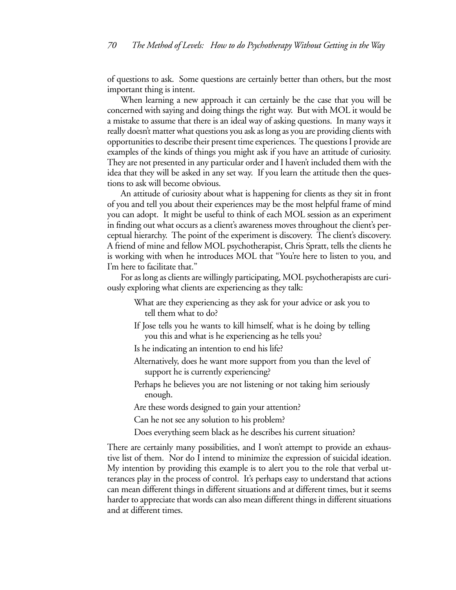of questions to ask. Some questions are certainly better than others, but the most important thing is intent.

When learning a new approach it can certainly be the case that you will be concerned with saying and doing things the right way. But with MOL it would be a mistake to assume that there is an ideal way of asking questions. In many ways it really doesn't matter what questions you ask as long as you are providing clients with opportunities to describe their present time experiences. The questions I provide are examples of the kinds of things you might ask if you have an attitude of curiosity. They are not presented in any particular order and I haven't included them with the idea that they will be asked in any set way. If you learn the attitude then the questions to ask will become obvious.

An attitude of curiosity about what is happening for clients as they sit in front of you and tell you about their experiences may be the most helpful frame of mind you can adopt. It might be useful to think of each MOL session as an experiment in finding out what occurs as a client's awareness moves throughout the client's perceptual hierarchy. The point of the experiment is discovery. The client's discovery. A friend of mine and fellow MOL psychotherapist, Chris Spratt, tells the clients he is working with when he introduces MOL that "You're here to listen to you, and I'm here to facilitate that."

For as long as clients are willingly participating, MOL psychotherapists are curiously exploring what clients are experiencing as they talk:

- What are they experiencing as they ask for your advice or ask you to tell them what to do?
- If Jose tells you he wants to kill himself, what is he doing by telling you this and what is he experiencing as he tells you?
- Is he indicating an intention to end his life?
- Alternatively, does he want more support from you than the level of support he is currently experiencing?
- Perhaps he believes you are not listening or not taking him seriously enough.

Are these words designed to gain your attention?

Can he not see any solution to his problem?

Does everything seem black as he describes his current situation?

There are certainly many possibilities, and I won't attempt to provide an exhaustive list of them. Nor do I intend to minimize the expression of suicidal ideation. My intention by providing this example is to alert you to the role that verbal utterances play in the process of control. It's perhaps easy to understand that actions can mean different things in different situations and at different times, but it seems harder to appreciate that words can also mean different things in different situations and at different times.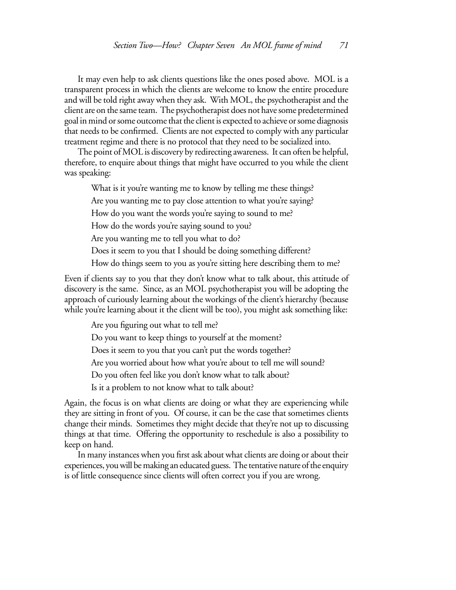It may even help to ask clients questions like the ones posed above. MOL is a transparent process in which the clients are welcome to know the entire procedure and will be told right away when they ask. With MOL, the psychotherapist and the client are on the same team. The psychotherapist does not have some predetermined goal in mind or some outcome that the client is expected to achieve or some diagnosis that needs to be confirmed. Clients are not expected to comply with any particular treatment regime and there is no protocol that they need to be socialized into.

The point of MOL is discovery by redirecting awareness. It can often be helpful, therefore, to enquire about things that might have occurred to you while the client was speaking:

What is it you're wanting me to know by telling me these things?

Are you wanting me to pay close attention to what you're saying?

How do you want the words you're saying to sound to me?

How do the words you're saying sound to you?

Are you wanting me to tell you what to do?

Does it seem to you that I should be doing something different?

How do things seem to you as you're sitting here describing them to me?

Even if clients say to you that they don't know what to talk about, this attitude of discovery is the same. Since, as an MOL psychotherapist you will be adopting the approach of curiously learning about the workings of the client's hierarchy (because while you're learning about it the client will be too), you might ask something like:

Are you figuring out what to tell me?

Do you want to keep things to yourself at the moment?

Does it seem to you that you can't put the words together?

Are you worried about how what you're about to tell me will sound?

Do you often feel like you don't know what to talk about?

Is it a problem to not know what to talk about?

Again, the focus is on what clients are doing or what they are experiencing while they are sitting in front of you. Of course, it can be the case that sometimes clients change their minds. Sometimes they might decide that they're not up to discussing things at that time. Offering the opportunity to reschedule is also a possibility to keep on hand.

In many instances when you first ask about what clients are doing or about their experiences, you will be making an educated guess. The tentative nature of the enquiry is of little consequence since clients will often correct you if you are wrong.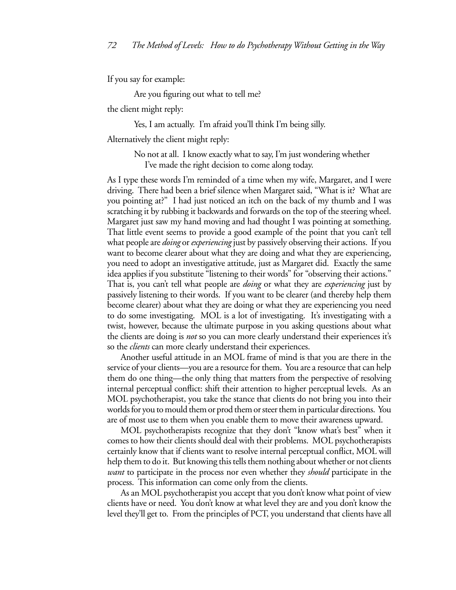If you say for example:

Are you figuring out what to tell me?

the client might reply:

Yes, I am actually. I'm afraid you'll think I'm being silly.

Alternatively the client might reply:

No not at all. I know exactly what to say, I'm just wondering whether I've made the right decision to come along today.

As I type these words I'm reminded of a time when my wife, Margaret, and I were driving. There had been a brief silence when Margaret said, "What is it? What are you pointing at?" I had just noticed an itch on the back of my thumb and I was scratching it by rubbing it backwards and forwards on the top of the steering wheel. Margaret just saw my hand moving and had thought I was pointing at something. That little event seems to provide a good example of the point that you can't tell what people are *doing* or*experiencing* just by passively observing their actions. If you want to become clearer about what they are doing and what they are experiencing, you need to adopt an investigative attitude, just as Margaret did. Exactly the same idea applies if you substitute "listening to their words" for "observing their actions." That is, you can't tell what people are *doing* or what they are *experiencing* just by passively listening to their words. If you want to be clearer (and thereby help them become clearer) about what they are doing or what they are experiencing you need to do some investigating. MOL is a lot of investigating. It's investigating with a twist, however, because the ultimate purpose in you asking questions about what the clients are doing is *not* so you can more clearly understand their experiences it's so the *clients* can more clearly understand their experiences.

Another useful attitude in an MOL frame of mind is that you are there in the service of your clients—you are a resource for them. You are a resource that can help them do one thing—the only thing that matters from the perspective of resolving internal perceptual conflict: shift their attention to higher perceptual levels. As an MOL psychotherapist, you take the stance that clients do not bring you into their worlds for you to mould them or prod them or steer them in particular directions. You are of most use to them when you enable them to move their awareness upward.

MOL psychotherapists recognize that they don't "know what's best" when it comes to how their clients should deal with their problems. MOL psychotherapists certainly know that if clients want to resolve internal perceptual conflict, MOL will help them to do it. But knowing this tells them nothing about whether or not clients *want* to participate in the process nor even whether they *should* participate in the process. This information can come only from the clients.

As an MOL psychotherapist you accept that you don't know what point of view clients have or need. You don't know at what level they are and you don't know the level they'll get to. From the principles of PCT, you understand that clients have all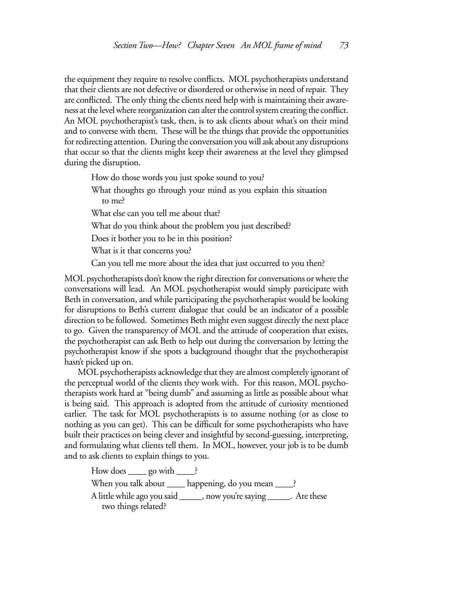the equipment they require to resolve conflicts. MOL psychotherapists understand that their clients are not defective or disordered or otherwise in need of repair. They are conflicted. The only thing the clients need help with is maintaining their awareness at the level where reorganization can alter the control system creating the conflict. An MOL psychotherapist's task, then, is to ask clients about what's on their mind and to converse with them. These will be the things that provide the opportunities for redirecting attention. During the conversation you will ask about any disruptions that occur so that the clients might keep their awareness at the level they glimpsed during the disruption.

How do those words you just spoke sound to you? What thoughts go through your mind as you explain this situation to me? What else can you tell me about that? What do you think about the problem you just described? Does it bother you to be in this position? What is it that concerns you?

Can you tell me more about the idea that just occurred to you then?

MOL psychotherapists don't know the right direction for conversations or where the conversations will lead. An MOL psychotherapist would simply participate with Beth in conversation, and while participating the psychotherapist would be looking for disruptions to Beth's current dialogue that could be an indicator of a possible direction to be followed. Sometimes Beth might even suggest directly the next place to go. Given the transparency of MOL and the attitude of cooperation that exists, the psychotherapist can ask Beth to help out during the conversation by letting the psychotherapist know if she spots a background thought that the psychotherapist hasn't picked up on.

MOL psychotherapists acknowledge that they are almost completely ignorant of the perceptual world of the clients they work with. For this reason, MOL psychotherapists work hard at "being dumb" and assuming as little as possible about what is being said. This approach is adopted from the attitude of curiosity mentioned earlier. The task for MOL psychotherapists is to assume nothing (or as close to nothing as you can get). This can be difficult for some psychotherapists who have built their practices on being clever and insightful by second-guessing, interpreting, and formulating what clients tell them. In MOL, however, your job is to be dumb and to ask clients to explain things to you.

How does <u>equilibration</u> go with <u>see</u>?

When you talk about \_\_\_\_\_ happening, do you mean \_\_\_\_?

A little while ago you said \_\_\_\_\_\_, now you're saying \_\_\_\_\_\_. Are these two things related?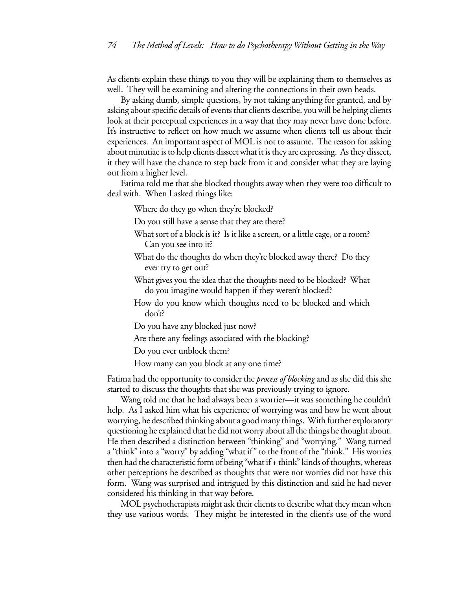As clients explain these things to you they will be explaining them to themselves as well. They will be examining and altering the connections in their own heads.

By asking dumb, simple questions, by not taking anything for granted, and by asking about specific details of events that clients describe, you will be helping clients look at their perceptual experiences in a way that they may never have done before. It's instructive to reflect on how much we assume when clients tell us about their experiences. An important aspect of MOL is not to assume. The reason for asking about minutiae is to help clients dissect what it is they are expressing. As they dissect, it they will have the chance to step back from it and consider what they are laying out from a higher level.

Fatima told me that she blocked thoughts away when they were too difficult to deal with. When I asked things like:

Where do they go when they're blocked?

Do you still have a sense that they are there?

What sort of a block is it? Is it like a screen, or a little cage, or a room? Can you see into it?

What do the thoughts do when they're blocked away there? Do they ever try to get out?

What gives you the idea that the thoughts need to be blocked? What do you imagine would happen if they weren't blocked?

How do you know which thoughts need to be blocked and which don't?

Do you have any blocked just now?

Are there any feelings associated with the blocking?

Do you ever unblock them?

How many can you block at any one time?

Fatima had the opportunity to consider the *process of blocking* and as she did this she started to discuss the thoughts that she was previously trying to ignore.

Wang told me that he had always been a worrier—it was something he couldn't help. As I asked him what his experience of worrying was and how he went about worrying, he described thinking about a good many things. With further exploratory questioning he explained that he did not worry about all the things he thought about. He then described a distinction between "thinking" and "worrying." Wang turned a "think" into a "worry" by adding "what if" to the front of the "think." His worries then had the characteristic form of being "what if + think" kinds of thoughts, whereas other perceptions he described as thoughts that were not worries did not have this form. Wang was surprised and intrigued by this distinction and said he had never considered his thinking in that way before.

MOL psychotherapists might ask their clients to describe what they mean when they use various words. They might be interested in the client's use of the word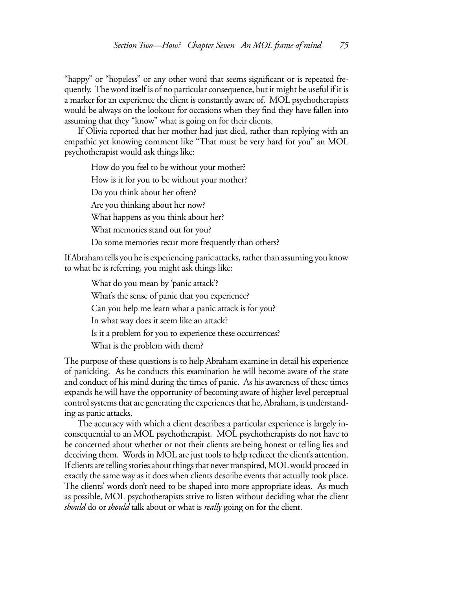"happy" or "hopeless" or any other word that seems significant or is repeated frequently. The word itself is of no particular consequence, but it might be useful if it is a marker for an experience the client is constantly aware of. MOL psychotherapists would be always on the lookout for occasions when they find they have fallen into assuming that they "know" what is going on for their clients.

If Olivia reported that her mother had just died, rather than replying with an empathic yet knowing comment like "That must be very hard for you" an MOL psychotherapist would ask things like:

How do you feel to be without your mother? How is it for you to be without your mother? Do you think about her often? Are you thinking about her now? What happens as you think about her? What memories stand out for you? Do some memories recur more frequently than others?

If Abraham tells you he is experiencing panic attacks, rather than assuming you know to what he is referring, you might ask things like:

What do you mean by 'panic attack'? What's the sense of panic that you experience? Can you help me learn what a panic attack is for you? In what way does it seem like an attack? Is it a problem for you to experience these occurrences? What is the problem with them?

The purpose of these questions is to help Abraham examine in detail his experience of panicking. As he conducts this examination he will become aware of the state and conduct of his mind during the times of panic. As his awareness of these times expands he will have the opportunity of becoming aware of higher level perceptual control systems that are generating the experiences that he, Abraham, is understanding as panic attacks.

The accuracy with which a client describes a particular experience is largely inconsequential to an MOL psychotherapist. MOL psychotherapists do not have to be concerned about whether or not their clients are being honest or telling lies and deceiving them. Words in MOL are just tools to help redirect the client's attention. If clients are telling stories about things that never transpired, MOL would proceed in exactly the same way as it does when clients describe events that actually took place. The clients' words don't need to be shaped into more appropriate ideas. As much as possible, MOL psychotherapists strive to listen without deciding what the client *should* do or *should* talk about or what is *really* going on for the client.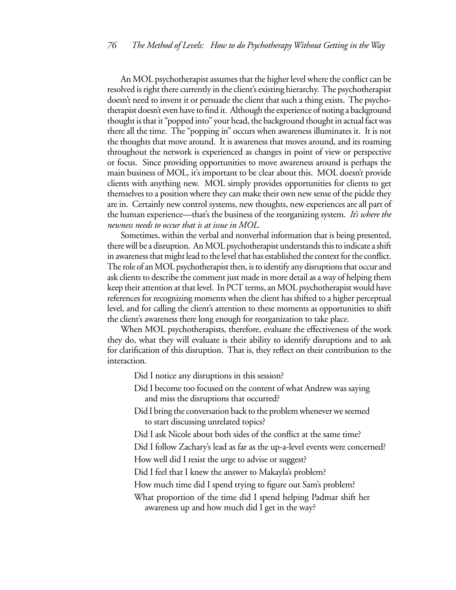An MOL psychotherapist assumes that the higher level where the conflict can be resolved is right there currently in the client's existing hierarchy. The psychotherapist doesn't need to invent it or persuade the client that such a thing exists. The psychotherapist doesn't even have to find it. Although the experience of noting a background thought is that it "popped into" your head, the background thought in actual fact was there all the time. The "popping in" occurs when awareness illuminates it. It is not the thoughts that move around. It is awareness that moves around, and its roaming throughout the network is experienced as changes in point of view or perspective or focus. Since providing opportunities to move awareness around is perhaps the main business of MOL, it's important to be clear about this. MOL doesn't provide clients with anything new. MOL simply provides opportunities for clients to get themselves to a position where they can make their own new sense of the pickle they are in. Certainly new control systems, new thoughts, new experiences are all part of the human experience—that's the business of the reorganizing system. *It's where the newness needs to occur that is at issue in MOL.*

Sometimes, within the verbal and nonverbal information that is being presented, there will be a disruption. An MOL psychotherapist understands this to indicate a shift in awareness that might lead to the level that has established the context for the conflict. The role of an MOL psychotherapist then, is to identify any disruptions that occur and ask clients to describe the comment just made in more detail as a way of helping them keep their attention at that level. In PCT terms, an MOL psychotherapist would have references for recognizing moments when the client has shifted to a higher perceptual level, and for calling the client's attention to these moments as opportunities to shift the client's awareness there long enough for reorganization to take place.

When MOL psychotherapists, therefore, evaluate the effectiveness of the work they do, what they will evaluate is their ability to identify disruptions and to ask for clarification of this disruption. That is, they reflect on their contribution to the interaction.

Did I notice any disruptions in this session?

- Did I become too focused on the content of what Andrew was saying and miss the disruptions that occurred?
- Did I bring the conversation back to the problem whenever we seemed to start discussing unrelated topics?

Did I ask Nicole about both sides of the conflict at the same time?

Did I follow Zachary's lead as far as the up-a-level events were concerned?

How well did I resist the urge to advise or suggest?

Did I feel that I knew the answer to Makayla's problem?

How much time did I spend trying to figure out Sam's problem?

What proportion of the time did I spend helping Padmar shift her awareness up and how much did I get in the way?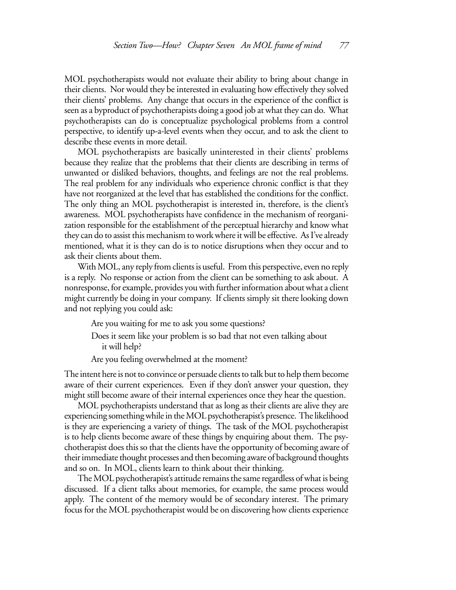MOL psychotherapists would not evaluate their ability to bring about change in their clients. Nor would they be interested in evaluating how effectively they solved their clients' problems. Any change that occurs in the experience of the conflict is seen as a byproduct of psychotherapists doing a good job at what they can do. What psychotherapists can do is conceptualize psychological problems from a control perspective, to identify up-a-level events when they occur, and to ask the client to describe these events in more detail.

MOL psychotherapists are basically uninterested in their clients' problems because they realize that the problems that their clients are describing in terms of unwanted or disliked behaviors, thoughts, and feelings are not the real problems. The real problem for any individuals who experience chronic conflict is that they have not reorganized at the level that has established the conditions for the conflict. The only thing an MOL psychotherapist is interested in, therefore, is the client's awareness. MOL psychotherapists have confidence in the mechanism of reorganization responsible for the establishment of the perceptual hierarchy and know what they can do to assist this mechanism to work where it will be effective. As I've already mentioned, what it is they can do is to notice disruptions when they occur and to ask their clients about them.

With MOL, any reply from clients is useful. From this perspective, even no reply is a reply. No response or action from the client can be something to ask about. A nonresponse, for example, provides you with further information about what a client might currently be doing in your company. If clients simply sit there looking down and not replying you could ask:

Are you waiting for me to ask you some questions?

- Does it seem like your problem is so bad that not even talking about it will help?
- Are you feeling overwhelmed at the moment?

The intent here is not to convince or persuade clients to talk but to help them become aware of their current experiences. Even if they don't answer your question, they might still become aware of their internal experiences once they hear the question.

MOL psychotherapists understand that as long as their clients are alive they are experiencing something while in the MOL psychotherapist's presence. The likelihood is they are experiencing a variety of things. The task of the MOL psychotherapist is to help clients become aware of these things by enquiring about them. The psychotherapist does this so that the clients have the opportunity of becoming aware of their immediate thought processes and then becoming aware of background thoughts and so on. In MOL, clients learn to think about their thinking.

The MOL psychotherapist's attitude remains the same regardless of what is being discussed. If a client talks about memories, for example, the same process would apply. The content of the memory would be of secondary interest. The primary focus for the MOL psychotherapist would be on discovering how clients experience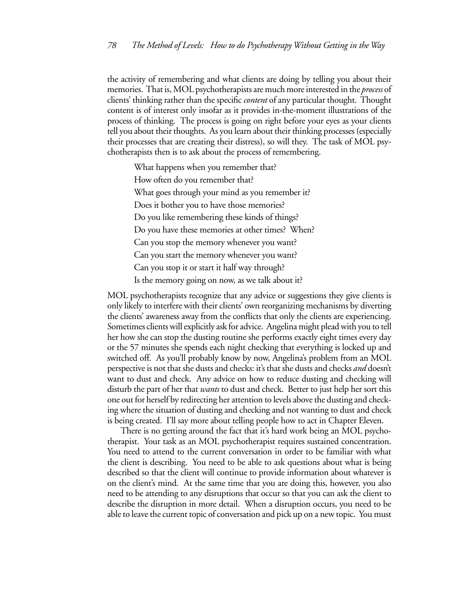the activity of remembering and what clients are doing by telling you about their memories. That is, MOL psychotherapists are much more interested in the *process* of clients' thinking rather than the specific *content* of any particular thought. Thought content is of interest only insofar as it provides in-the-moment illustrations of the process of thinking. The process is going on right before your eyes as your clients tell you about their thoughts. As you learn about their thinking processes (especially their processes that are creating their distress), so will they. The task of MOL psychotherapists then is to ask about the process of remembering.

What happens when you remember that? How often do you remember that? What goes through your mind as you remember it? Does it bother you to have those memories? Do you like remembering these kinds of things? Do you have these memories at other times? When? Can you stop the memory whenever you want? Can you start the memory whenever you want? Can you stop it or start it half way through? Is the memory going on now, as we talk about it?

MOL psychotherapists recognize that any advice or suggestions they give clients is only likely to interfere with their clients' own reorganizing mechanisms by diverting the clients' awareness away from the conflicts that only the clients are experiencing. Sometimes clients will explicitly ask for advice. Angelina might plead with you to tell her how she can stop the dusting routine she performs exactly eight times every day or the 57 minutes she spends each night checking that everything is locked up and switched off. As you'll probably know by now, Angelina's problem from an MOL perspective is not that she dusts and checks: it's that she dusts and checks *and* doesn't want to dust and check. Any advice on how to reduce dusting and checking will disturb the part of her that *wants* to dust and check. Better to just help her sort this one out for herself by redirecting her attention to levels above the dusting and checking where the situation of dusting and checking and not wanting to dust and check is being created. I'll say more about telling people how to act in Chapter Eleven.

There is no getting around the fact that it's hard work being an MOL psychotherapist. Your task as an MOL psychotherapist requires sustained concentration. You need to attend to the current conversation in order to be familiar with what the client is describing. You need to be able to ask questions about what is being described so that the client will continue to provide information about whatever is on the client's mind. At the same time that you are doing this, however, you also need to be attending to any disruptions that occur so that you can ask the client to describe the disruption in more detail. When a disruption occurs, you need to be able to leave the current topic of conversation and pick up on a new topic. You must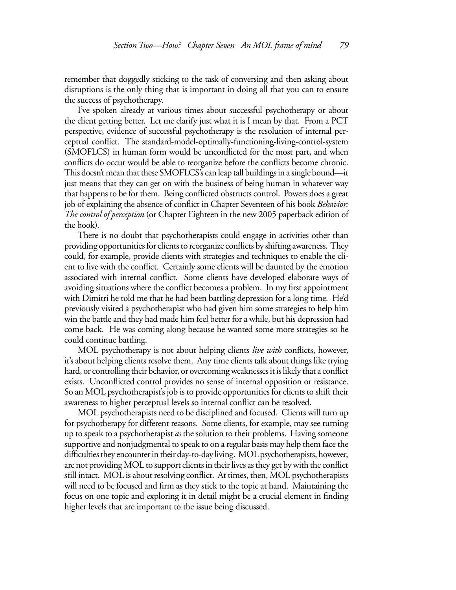remember that doggedly sticking to the task of conversing and then asking about disruptions is the only thing that is important in doing all that you can to ensure the success of psychotherapy.

I've spoken already at various times about successful psychotherapy or about the client getting better. Let me clarify just what it is I mean by that. From a PCT perspective, evidence of successful psychotherapy is the resolution of internal perceptual conflict. The standard-model-optimally-functioning-living-control-system (SMOFLCS) in human form would be unconflicted for the most part, and when conflicts do occur would be able to reorganize before the conflicts become chronic. This doesn't mean that these SMOFLCS's can leap tall buildings in a single bound—it just means that they can get on with the business of being human in whatever way that happens to be for them. Being conflicted obstructs control. Powers does a great job of explaining the absence of conflict in Chapter Seventeen of his book *Behavior: The control of perception* (or Chapter Eighteen in the new 2005 paperback edition of the book)*.*

There is no doubt that psychotherapists could engage in activities other than providing opportunities for clients to reorganize conflicts by shifting awareness. They could, for example, provide clients with strategies and techniques to enable the client to live with the conflict. Certainly some clients will be daunted by the emotion associated with internal conflict. Some clients have developed elaborate ways of avoiding situations where the conflict becomes a problem. In my first appointment with Dimitri he told me that he had been battling depression for a long time. He'd previously visited a psychotherapist who had given him some strategies to help him win the battle and they had made him feel better for a while, but his depression had come back. He was coming along because he wanted some more strategies so he could continue battling.

MOL psychotherapy is not about helping clients *live with* conflicts, however, it's about helping clients resolve them. Any time clients talk about things like trying hard, or controlling their behavior, or overcoming weaknesses it is likely that a conflict exists. Unconflicted control provides no sense of internal opposition or resistance. So an MOL psychotherapist's job is to provide opportunities for clients to shift their awareness to higher perceptual levels so internal conflict can be resolved.

MOL psychotherapists need to be disciplined and focused. Clients will turn up for psychotherapy for different reasons. Some clients, for example, may see turning up to speak to a psychotherapist *as* the solution to their problems. Having someone supportive and nonjudgmental to speak to on a regular basis may help them face the difficulties they encounter in their day-to-day living. MOL psychotherapists, however, are not providing MOL to support clients in their lives as they get by with the conflict still intact. MOL is about resolving conflict. At times, then, MOL psychotherapists will need to be focused and firm as they stick to the topic at hand. Maintaining the focus on one topic and exploring it in detail might be a crucial element in finding higher levels that are important to the issue being discussed.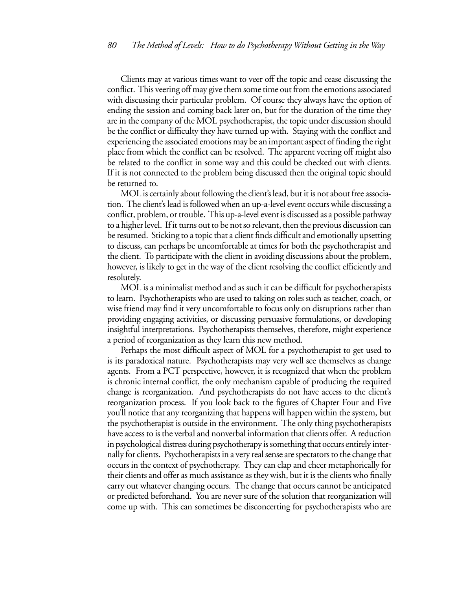Clients may at various times want to veer off the topic and cease discussing the conflict. This veering off may give them some time out from the emotions associated with discussing their particular problem. Of course they always have the option of ending the session and coming back later on, but for the duration of the time they are in the company of the MOL psychotherapist, the topic under discussion should be the conflict or difficulty they have turned up with. Staying with the conflict and experiencing the associated emotions may be an important aspect of finding the right place from which the conflict can be resolved. The apparent veering off might also be related to the conflict in some way and this could be checked out with clients. If it is not connected to the problem being discussed then the original topic should be returned to.

MOL is certainly about following the client's lead, but it is not about free association. The client's lead is followed when an up-a-level event occurs while discussing a conflict, problem, or trouble. This up-a-level event is discussed as a possible pathway to a higher level. If it turns out to be not so relevant, then the previous discussion can be resumed. Sticking to a topic that a client finds difficult and emotionally upsetting to discuss, can perhaps be uncomfortable at times for both the psychotherapist and the client. To participate with the client in avoiding discussions about the problem, however, is likely to get in the way of the client resolving the conflict efficiently and resolutely.

MOL is a minimalist method and as such it can be difficult for psychotherapists to learn. Psychotherapists who are used to taking on roles such as teacher, coach, or wise friend may find it very uncomfortable to focus only on disruptions rather than providing engaging activities, or discussing persuasive formulations, or developing insightful interpretations. Psychotherapists themselves, therefore, might experience a period of reorganization as they learn this new method.

Perhaps the most difficult aspect of MOL for a psychotherapist to get used to is its paradoxical nature. Psychotherapists may very well see themselves as change agents. From a PCT perspective, however, it is recognized that when the problem is chronic internal conflict, the only mechanism capable of producing the required change is reorganization. And psychotherapists do not have access to the client's reorganization process. If you look back to the figures of Chapter Four and Five you'll notice that any reorganizing that happens will happen within the system, but the psychotherapist is outside in the environment. The only thing psychotherapists have access to is the verbal and nonverbal information that clients offer. A reduction in psychological distress during psychotherapy is something that occurs entirely internally for clients. Psychotherapists in a very real sense are spectators to the change that occurs in the context of psychotherapy. They can clap and cheer metaphorically for their clients and offer as much assistance as they wish, but it is the clients who finally carry out whatever changing occurs. The change that occurs cannot be anticipated or predicted beforehand. You are never sure of the solution that reorganization will come up with. This can sometimes be disconcerting for psychotherapists who are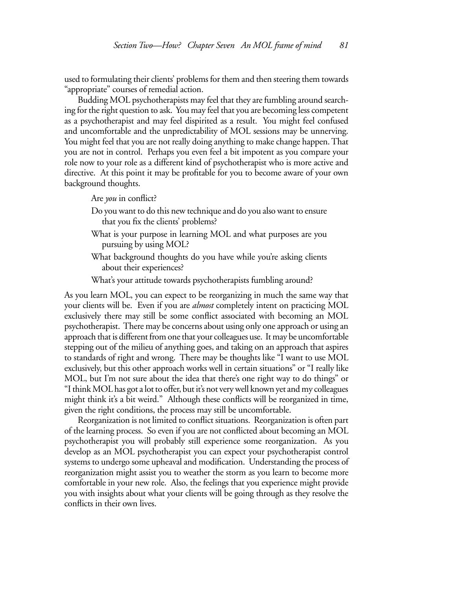used to formulating their clients' problems for them and then steering them towards "appropriate" courses of remedial action.

Budding MOL psychotherapists may feel that they are fumbling around searching for the right question to ask. You may feel that you are becoming less competent as a psychotherapist and may feel dispirited as a result. You might feel confused and uncomfortable and the unpredictability of MOL sessions may be unnerving. You might feel that you are not really doing anything to make change happen. That you are not in control. Perhaps you even feel a bit impotent as you compare your role now to your role as a different kind of psychotherapist who is more active and directive. At this point it may be profitable for you to become aware of your own background thoughts.

Are *you* in conflict?

- Do you want to do this new technique and do you also want to ensure that you fix the clients' problems?
- What is your purpose in learning MOL and what purposes are you pursuing by using MOL?
- What background thoughts do you have while you're asking clients about their experiences?
- What's your attitude towards psychotherapists fumbling around?

As you learn MOL, you can expect to be reorganizing in much the same way that your clients will be. Even if you are *almost* completely intent on practicing MOL exclusively there may still be some conflict associated with becoming an MOL psychotherapist. There may be concerns about using only one approach or using an approach that is different from one that your colleagues use. It may be uncomfortable stepping out of the milieu of anything goes, and taking on an approach that aspires to standards of right and wrong. There may be thoughts like "I want to use MOL exclusively, but this other approach works well in certain situations" or "I really like MOL, but I'm not sure about the idea that there's one right way to do things" or "I think MOL has got a lot to offer, but it's not very well known yet and my colleagues might think it's a bit weird." Although these conflicts will be reorganized in time, given the right conditions, the process may still be uncomfortable.

Reorganization is not limited to conflict situations. Reorganization is often part of the learning process. So even if you are not conflicted about becoming an MOL psychotherapist you will probably still experience some reorganization. As you develop as an MOL psychotherapist you can expect your psychotherapist control systems to undergo some upheaval and modification. Understanding the process of reorganization might assist you to weather the storm as you learn to become more comfortable in your new role. Also, the feelings that you experience might provide you with insights about what your clients will be going through as they resolve the conflicts in their own lives.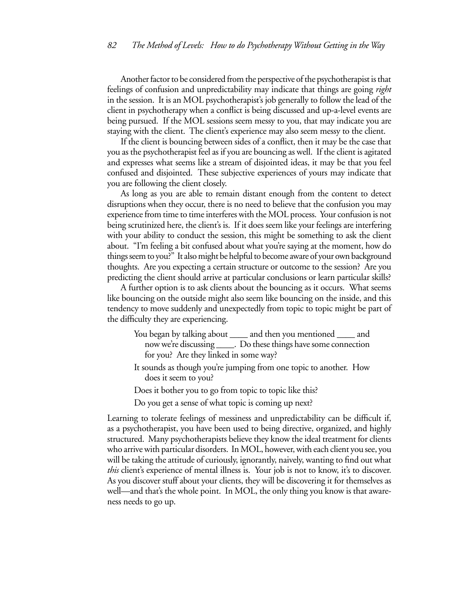Another factor to be considered from the perspective of the psychotherapist is that feelings of confusion and unpredictability may indicate that things are going *right* in the session. It is an MOL psychotherapist's job generally to follow the lead of the client in psychotherapy when a conflict is being discussed and up-a-level events are being pursued. If the MOL sessions seem messy to you, that may indicate you are staying with the client. The client's experience may also seem messy to the client.

If the client is bouncing between sides of a conflict, then it may be the case that you as the psychotherapist feel as if you are bouncing as well. If the client is agitated and expresses what seems like a stream of disjointed ideas, it may be that you feel confused and disjointed. These subjective experiences of yours may indicate that you are following the client closely.

As long as you are able to remain distant enough from the content to detect disruptions when they occur, there is no need to believe that the confusion you may experience from time to time interferes with the MOL process. Your confusion is not being scrutinized here, the client's is. If it does seem like your feelings are interfering with your ability to conduct the session, this might be something to ask the client about. "I'm feeling a bit confused about what you're saying at the moment, how do things seem to you?" It also might be helpful to become aware of your own background thoughts. Are you expecting a certain structure or outcome to the session? Are you predicting the client should arrive at particular conclusions or learn particular skills?

A further option is to ask clients about the bouncing as it occurs. What seems like bouncing on the outside might also seem like bouncing on the inside, and this tendency to move suddenly and unexpectedly from topic to topic might be part of the difficulty they are experiencing.

- You began by talking about <u>equal</u> and then you mentioned <u>equal</u> and now we're discussing \_\_\_\_. Do these things have some connection for you? Are they linked in some way?
- It sounds as though you're jumping from one topic to another. How does it seem to you?
- Does it bother you to go from topic to topic like this?
- Do you get a sense of what topic is coming up next?

Learning to tolerate feelings of messiness and unpredictability can be difficult if, as a psychotherapist, you have been used to being directive, organized, and highly structured. Many psychotherapists believe they know the ideal treatment for clients who arrive with particular disorders. In MOL, however, with each client you see, you will be taking the attitude of curiously, ignorantly, naively, wanting to find out what *this* client's experience of mental illness is. Your job is not to know, it's to discover. As you discover stuff about your clients, they will be discovering it for themselves as well—and that's the whole point. In MOL, the only thing you know is that awareness needs to go up.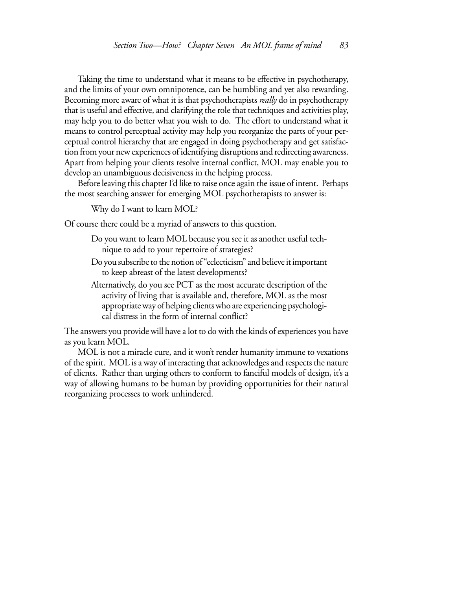Taking the time to understand what it means to be effective in psychotherapy, and the limits of your own omnipotence, can be humbling and yet also rewarding. Becoming more aware of what it is that psychotherapists *really* do in psychotherapy that is useful and effective, and clarifying the role that techniques and activities play, may help you to do better what you wish to do. The effort to understand what it means to control perceptual activity may help you reorganize the parts of your perceptual control hierarchy that are engaged in doing psychotherapy and get satisfaction from your new experiences of identifying disruptions and redirecting awareness. Apart from helping your clients resolve internal conflict, MOL may enable you to develop an unambiguous decisiveness in the helping process.

Before leaving this chapter I'd like to raise once again the issue of intent. Perhaps the most searching answer for emerging MOL psychotherapists to answer is:

Why do I want to learn MOL?

Of course there could be a myriad of answers to this question.

- Do you want to learn MOL because you see it as another useful technique to add to your repertoire of strategies?
- Do you subscribe to the notion of "eclecticism" and believe it important to keep abreast of the latest developments?
- Alternatively, do you see PCT as the most accurate description of the activity of living that is available and, therefore, MOL as the most appropriate way of helping clients who are experiencing psychological distress in the form of internal conflict?

The answers you provide will have a lot to do with the kinds of experiences you have as you learn MOL.

MOL is not a miracle cure, and it won't render humanity immune to vexations of the spirit. MOL is a way of interacting that acknowledges and respects the nature of clients. Rather than urging others to conform to fanciful models of design, it's a way of allowing humans to be human by providing opportunities for their natural reorganizing processes to work unhindered.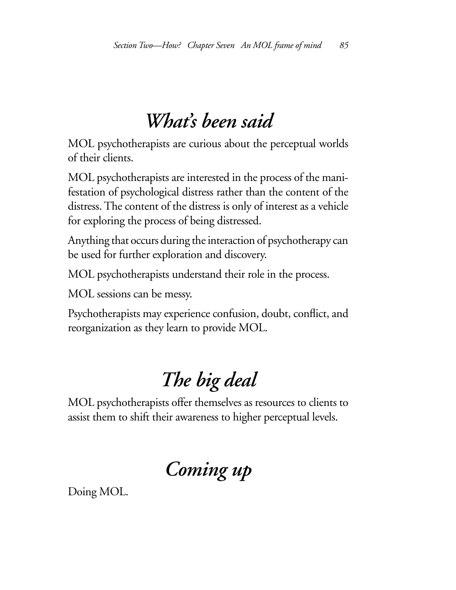### *What's been said*

MOL psychotherapists are curious about the perceptual worlds of their clients.

MOL psychotherapists are interested in the process of the manifestation of psychological distress rather than the content of the distress. The content of the distress is only of interest as a vehicle for exploring the process of being distressed.

Anything that occurs during the interaction of psychotherapy can be used for further exploration and discovery.

MOL psychotherapists understand their role in the process.

MOL sessions can be messy.

Psychotherapists may experience confusion, doubt, conflict, and reorganization as they learn to provide MOL.

# *The big deal*

MOL psychotherapists offer themselves as resources to clients to assist them to shift their awareness to higher perceptual levels.

# *Coming up*

Doing MOL.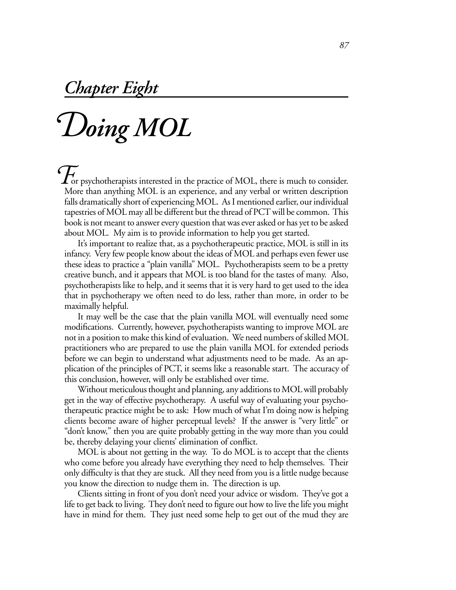### *Chapter Eight*

# *Doing MOL*

 $\boldsymbol{I}$  or psychotherapists interested in the practice of MOL, there is much to consider.  $\tau$  or psychotherapists interested in the practice of MOL, there is much to consider.<br>More than anything MOL is an experience, and any verbal or written description falls dramatically short of experiencing MOL. As I mentioned earlier, our individual tapestries of MOL may all be different but the thread of PCT will be common. This book is not meant to answer every question that was ever asked or has yet to be asked about MOL. My aim is to provide information to help you get started.

It's important to realize that, as a psychotherapeutic practice, MOL is still in its infancy. Very few people know about the ideas of MOL and perhaps even fewer use these ideas to practice a "plain vanilla" MOL. Psychotherapists seem to be a pretty creative bunch, and it appears that MOL is too bland for the tastes of many. Also, psychotherapists like to help, and it seems that it is very hard to get used to the idea that in psychotherapy we often need to do less, rather than more, in order to be maximally helpful.

It may well be the case that the plain vanilla MOL will eventually need some modifications. Currently, however, psychotherapists wanting to improve MOL are not in a position to make this kind of evaluation. We need numbers of skilled MOL practitioners who are prepared to use the plain vanilla MOL for extended periods before we can begin to understand what adjustments need to be made. As an application of the principles of PCT, it seems like a reasonable start. The accuracy of this conclusion, however, will only be established over time.

Without meticulous thought and planning, any additions to MOL will probably get in the way of effective psychotherapy. A useful way of evaluating your psychotherapeutic practice might be to ask: How much of what I'm doing now is helping clients become aware of higher perceptual levels? If the answer is "very little" or "don't know," then you are quite probably getting in the way more than you could be, thereby delaying your clients' elimination of conflict.

MOL is about not getting in the way. To do MOL is to accept that the clients who come before you already have everything they need to help themselves. Their only difficulty is that they are stuck. All they need from you is a little nudge because you know the direction to nudge them in. The direction is up.

Clients sitting in front of you don't need your advice or wisdom. They've got a life to get back to living. They don't need to figure out how to live the life you might have in mind for them. They just need some help to get out of the mud they are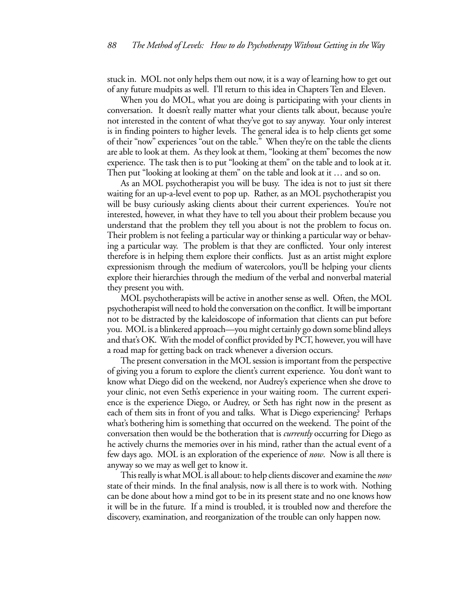stuck in. MOL not only helps them out now, it is a way of learning how to get out of any future mudpits as well. I'll return to this idea in Chapters Ten and Eleven.

When you do MOL, what you are doing is participating with your clients in conversation. It doesn't really matter what your clients talk about, because you're not interested in the content of what they've got to say anyway. Your only interest is in finding pointers to higher levels. The general idea is to help clients get some of their "now" experiences "out on the table." When they're on the table the clients are able to look at them. As they look at them, "looking at them" becomes the now experience. The task then is to put "looking at them" on the table and to look at it. Then put "looking at looking at them" on the table and look at it … and so on.

As an MOL psychotherapist you will be busy. The idea is not to just sit there waiting for an up-a-level event to pop up. Rather, as an MOL psychotherapist you will be busy curiously asking clients about their current experiences. You're not interested, however, in what they have to tell you about their problem because you understand that the problem they tell you about is not the problem to focus on. Their problem is not feeling a particular way or thinking a particular way or behaving a particular way. The problem is that they are conflicted. Your only interest therefore is in helping them explore their conflicts. Just as an artist might explore expressionism through the medium of watercolors, you'll be helping your clients explore their hierarchies through the medium of the verbal and nonverbal material they present you with.

MOL psychotherapists will be active in another sense as well. Often, the MOL psychotherapist will need to hold the conversation on the conflict. It will be important not to be distracted by the kaleidoscope of information that clients can put before you. MOL is a blinkered approach—you might certainly go down some blind alleys and that's OK. With the model of conflict provided by PCT, however, you will have a road map for getting back on track whenever a diversion occurs.

The present conversation in the MOL session is important from the perspective of giving you a forum to explore the client's current experience. You don't want to know what Diego did on the weekend, nor Audrey's experience when she drove to your clinic, not even Seth's experience in your waiting room. The current experience is the experience Diego, or Audrey, or Seth has right now in the present as each of them sits in front of you and talks. What is Diego experiencing? Perhaps what's bothering him is something that occurred on the weekend. The point of the conversation then would be the botheration that is *currently* occurring for Diego as he actively churns the memories over in his mind, rather than the actual event of a few days ago. MOL is an exploration of the experience of *now*. Now is all there is anyway so we may as well get to know it.

This really is what MOL is all about: to help clients discover and examine the *now* state of their minds. In the final analysis, now is all there is to work with. Nothing can be done about how a mind got to be in its present state and no one knows how it will be in the future. If a mind is troubled, it is troubled now and therefore the discovery, examination, and reorganization of the trouble can only happen now.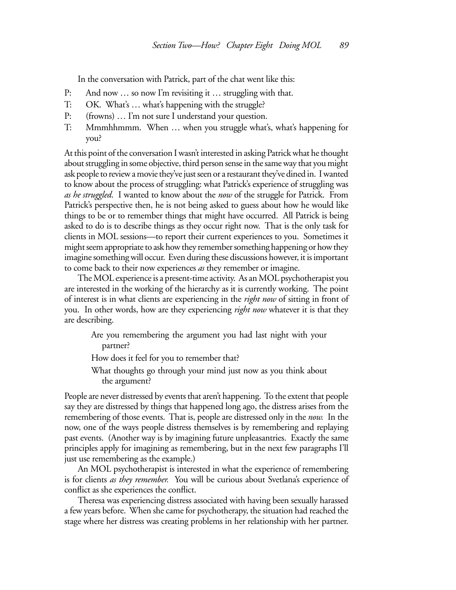In the conversation with Patrick, part of the chat went like this:

- P: And now … so now I'm revisiting it … struggling with that.
- T: OK. What's … what's happening with the struggle?
- P: (frowns) … I'm not sure I understand your question.
- T: Mmmhhmmm. When … when you struggle what's, what's happening for you?

At this point of the conversation I wasn't interested in asking Patrick what he thought about struggling in some objective, third person sense in the same way that you might ask people to review a movie they've just seen or a restaurant they've dined in. I wanted to know about the process of struggling: what Patrick's experience of struggling was *as he struggled*. I wanted to know about the *now* of the struggle for Patrick. From Patrick's perspective then, he is not being asked to guess about how he would like things to be or to remember things that might have occurred. All Patrick is being asked to do is to describe things as they occur right now. That is the only task for clients in MOL sessions—to report their current experiences to you. Sometimes it might seem appropriate to ask how they remember something happening or how they imagine something will occur. Even during these discussions however, it is important to come back to their now experiences *as* they remember or imagine.

The MOL experience is a present-time activity. As an MOL psychotherapist you are interested in the working of the hierarchy as it is currently working. The point of interest is in what clients are experiencing in the *right now* of sitting in front of you. In other words, how are they experiencing *right now* whatever it is that they are describing.

- Are you remembering the argument you had last night with your partner?
- How does it feel for you to remember that?
- What thoughts go through your mind just now as you think about the argument?

People are never distressed by events that aren't happening. To the extent that people say they are distressed by things that happened long ago, the distress arises from the remembering of those events. That is, people are distressed only in the *now.* In the now, one of the ways people distress themselves is by remembering and replaying past events. (Another way is by imagining future unpleasantries. Exactly the same principles apply for imagining as remembering, but in the next few paragraphs I'll just use remembering as the example.)

An MOL psychotherapist is interested in what the experience of remembering is for clients *as they remember.* You will be curious about Svetlana's experience of conflict as she experiences the conflict.

Theresa was experiencing distress associated with having been sexually harassed a few years before. When she came for psychotherapy, the situation had reached the stage where her distress was creating problems in her relationship with her partner.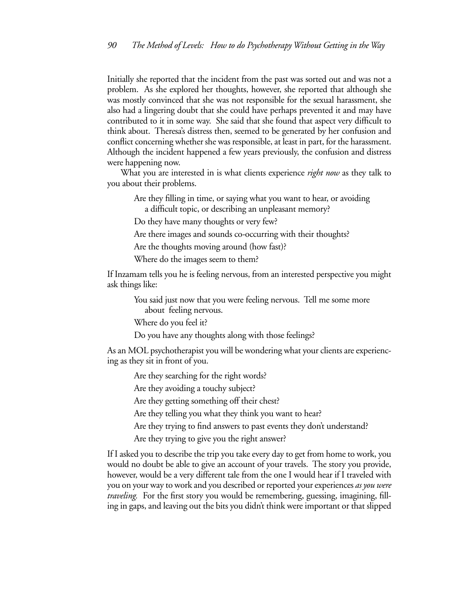Initially she reported that the incident from the past was sorted out and was not a problem. As she explored her thoughts, however, she reported that although she was mostly convinced that she was not responsible for the sexual harassment, she also had a lingering doubt that she could have perhaps prevented it and may have contributed to it in some way. She said that she found that aspect very difficult to think about. Theresa's distress then, seemed to be generated by her confusion and conflict concerning whether she was responsible, at least in part, for the harassment. Although the incident happened a few years previously, the confusion and distress were happening now.

What you are interested in is what clients experience *right now* as they talk to you about their problems.

Are they filling in time, or saying what you want to hear, or avoiding a difficult topic, or describing an unpleasant memory?

Do they have many thoughts or very few?

Are there images and sounds co-occurring with their thoughts?

Are the thoughts moving around (how fast)?

Where do the images seem to them?

If Inzamam tells you he is feeling nervous, from an interested perspective you might ask things like:

You said just now that you were feeling nervous. Tell me some more about feeling nervous.

Where do you feel it?

Do you have any thoughts along with those feelings?

As an MOL psychotherapist you will be wondering what your clients are experiencing as they sit in front of you.

Are they searching for the right words?

Are they avoiding a touchy subject?

Are they getting something off their chest?

Are they telling you what they think you want to hear?

Are they trying to find answers to past events they don't understand?

Are they trying to give you the right answer?

If I asked you to describe the trip you take every day to get from home to work, you would no doubt be able to give an account of your travels. The story you provide, however, would be a very different tale from the one I would hear if I traveled with you on your way to work and you described or reported your experiences *asyou were traveling.* For the first story you would be remembering, guessing, imagining, filling in gaps, and leaving out the bits you didn't think were important or that slipped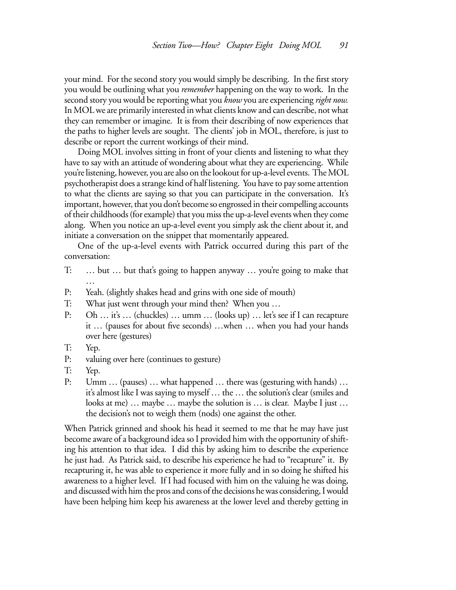your mind. For the second story you would simply be describing. In the first story you would be outlining what you *remember* happening on the way to work. In the second story you would be reporting what you *know* you are experiencing *right now.* In MOL we are primarily interested in what clients know and can describe, not what they can remember or imagine. It is from their describing of now experiences that the paths to higher levels are sought. The clients' job in MOL, therefore, is just to describe or report the current workings of their mind.

Doing MOL involves sitting in front of your clients and listening to what they have to say with an attitude of wondering about what they are experiencing. While you're listening, however, you are also on the lookout for up-a-level events. The MOL psychotherapist does a strange kind of half listening. You have to pay some attention to what the clients are saying so that you can participate in the conversation. It's important, however, that you don't become so engrossed in their compelling accounts of their childhoods (for example) that you miss the up-a-level events when they come along. When you notice an up-a-level event you simply ask the client about it, and initiate a conversation on the snippet that momentarily appeared.

One of the up-a-level events with Patrick occurred during this part of the conversation:

- T: … but … but that's going to happen anyway … you're going to make that …
- P: Yeah. (slightly shakes head and grins with one side of mouth)
- T: What just went through your mind then? When you …
- P: Oh ... it's ... (chuckles) ... umm ... (looks up) ... let's see if I can recapture it … (pauses for about five seconds) …when … when you had your hands over here (gestures)
- T: Yep.
- P: valuing over here (continues to gesture)
- T: Yep.
- P: Umm … (pauses) … what happened … there was (gesturing with hands) … it's almost like I was saying to myself … the … the solution's clear (smiles and looks at me) ... maybe ... maybe the solution is ... is clear. Maybe I just ... the decision's not to weigh them (nods) one against the other.

When Patrick grinned and shook his head it seemed to me that he may have just become aware of a background idea so I provided him with the opportunity of shifting his attention to that idea. I did this by asking him to describe the experience he just had. As Patrick said, to describe his experience he had to "recapture" it. By recapturing it, he was able to experience it more fully and in so doing he shifted his awareness to a higher level. If I had focused with him on the valuing he was doing, and discussed with him the pros and cons of the decisions he was considering, I would have been helping him keep his awareness at the lower level and thereby getting in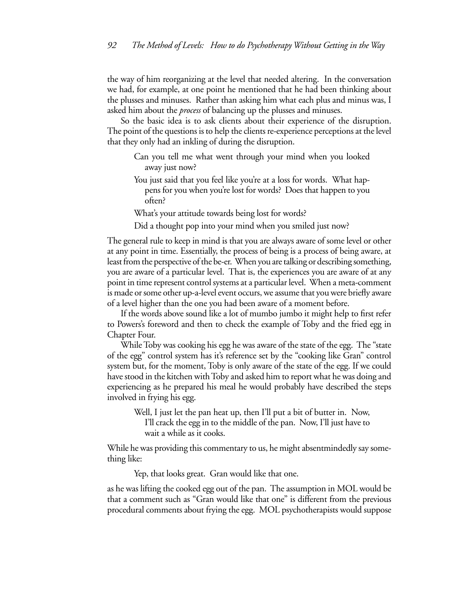the way of him reorganizing at the level that needed altering. In the conversation we had, for example, at one point he mentioned that he had been thinking about the plusses and minuses. Rather than asking him what each plus and minus was, I asked him about the *process* of balancing up the plusses and minuses.

So the basic idea is to ask clients about their experience of the disruption. The point of the questions is to help the clients re-experience perceptions at the level that they only had an inkling of during the disruption.

Can you tell me what went through your mind when you looked away just now?

You just said that you feel like you're at a loss for words. What happens for you when you're lost for words? Does that happen to you often?

What's your attitude towards being lost for words?

Did a thought pop into your mind when you smiled just now?

The general rule to keep in mind is that you are always aware of some level or other at any point in time. Essentially, the process of being is a process of being aware, at least from the perspective of the be-er. When you are talking or describing something, you are aware of a particular level. That is, the experiences you are aware of at any point in time represent control systems at a particular level. When a meta-comment is made or some other up-a-level event occurs, we assume that you were briefly aware of a level higher than the one you had been aware of a moment before.

If the words above sound like a lot of mumbo jumbo it might help to first refer to Powers's foreword and then to check the example of Toby and the fried egg in Chapter Four.

While Toby was cooking his egg he was aware of the state of the egg. The "state of the egg" control system has it's reference set by the "cooking like Gran" control system but, for the moment, Toby is only aware of the state of the egg. If we could have stood in the kitchen with Toby and asked him to report what he was doing and experiencing as he prepared his meal he would probably have described the steps involved in frying his egg.

Well, I just let the pan heat up, then I'll put a bit of butter in. Now, I'll crack the egg in to the middle of the pan. Now, I'll just have to wait a while as it cooks.

While he was providing this commentary to us, he might absentmindedly say something like:

Yep, that looks great. Gran would like that one.

as he was lifting the cooked egg out of the pan. The assumption in MOL would be that a comment such as "Gran would like that one" is different from the previous procedural comments about frying the egg. MOL psychotherapists would suppose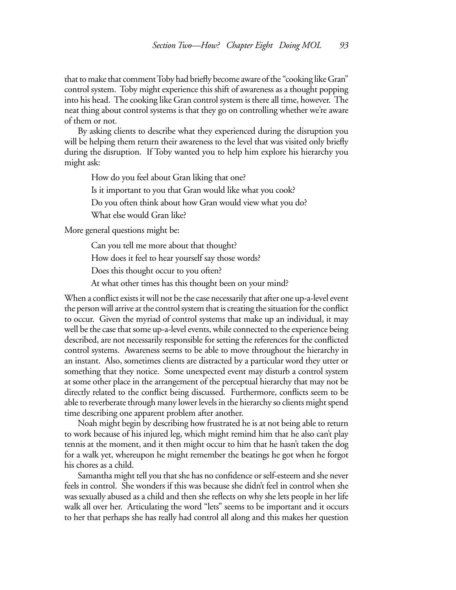that to make that comment Toby had briefly become aware of the "cooking like Gran" control system. Toby might experience this shift of awareness as a thought popping into his head. The cooking like Gran control system is there all time, however. The neat thing about control systems is that they go on controlling whether we're aware of them or not.

By asking clients to describe what they experienced during the disruption you will be helping them return their awareness to the level that was visited only briefly during the disruption. If Toby wanted you to help him explore his hierarchy you might ask:

How do you feel about Gran liking that one?

Is it important to you that Gran would like what you cook?

Do you often think about how Gran would view what you do?

What else would Gran like?

More general questions might be:

Can you tell me more about that thought?

How does it feel to hear yourself say those words?

Does this thought occur to you often?

At what other times has this thought been on your mind?

When a conflict exists it will not be the case necessarily that after one up-a-level event the person will arrive at the control system that is creating the situation for the conflict to occur. Given the myriad of control systems that make up an individual, it may well be the case that some up-a-level events, while connected to the experience being described, are not necessarily responsible for setting the references for the conflicted control systems. Awareness seems to be able to move throughout the hierarchy in an instant. Also, sometimes clients are distracted by a particular word they utter or something that they notice. Some unexpected event may disturb a control system at some other place in the arrangement of the perceptual hierarchy that may not be directly related to the conflict being discussed. Furthermore, conflicts seem to be able to reverberate through many lower levels in the hierarchy so clients might spend time describing one apparent problem after another.

Noah might begin by describing how frustrated he is at not being able to return to work because of his injured leg, which might remind him that he also can't play tennis at the moment, and it then might occur to him that he hasn't taken the dog for a walk yet, whereupon he might remember the beatings he got when he forgot his chores as a child.

Samantha might tell you that she has no confidence or self-esteem and she never feels in control. She wonders if this was because she didn't feel in control when she was sexually abused as a child and then she reflects on why she lets people in her life walk all over her. Articulating the word "lets" seems to be important and it occurs to her that perhaps she has really had control all along and this makes her question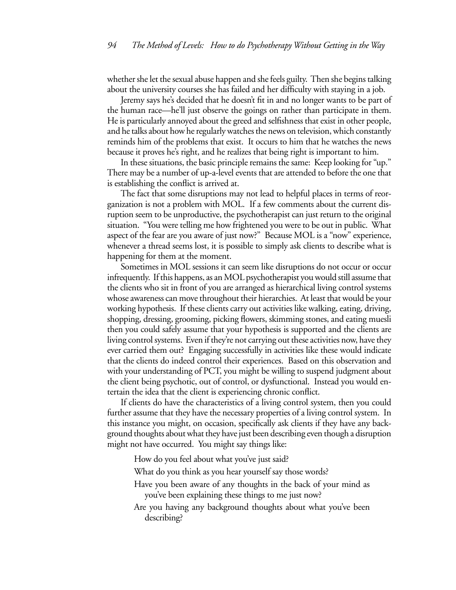whether she let the sexual abuse happen and she feels guilty. Then she begins talking about the university courses she has failed and her difficulty with staying in a job.

Jeremy says he's decided that he doesn't fit in and no longer wants to be part of the human race—he'll just observe the goings on rather than participate in them. He is particularly annoyed about the greed and selfishness that exist in other people, and he talks about how he regularly watches the news on television, which constantly reminds him of the problems that exist. It occurs to him that he watches the news because it proves he's right, and he realizes that being right is important to him.

In these situations, the basic principle remains the same: Keep looking for "up." There may be a number of up-a-level events that are attended to before the one that is establishing the conflict is arrived at.

The fact that some disruptions may not lead to helpful places in terms of reorganization is not a problem with MOL. If a few comments about the current disruption seem to be unproductive, the psychotherapist can just return to the original situation. "You were telling me how frightened you were to be out in public. What aspect of the fear are you aware of just now?" Because MOL is a "now" experience, whenever a thread seems lost, it is possible to simply ask clients to describe what is happening for them at the moment.

Sometimes in MOL sessions it can seem like disruptions do not occur or occur infrequently. If this happens, as an MOL psychotherapist you would still assume that the clients who sit in front of you are arranged as hierarchical living control systems whose awareness can move throughout their hierarchies. At least that would be your working hypothesis. If these clients carry out activities like walking, eating, driving, shopping, dressing, grooming, picking flowers, skimming stones, and eating muesli then you could safely assume that your hypothesis is supported and the clients are living control systems. Even if they're not carrying out these activities now, have they ever carried them out? Engaging successfully in activities like these would indicate that the clients do indeed control their experiences. Based on this observation and with your understanding of PCT, you might be willing to suspend judgment about the client being psychotic, out of control, or dysfunctional. Instead you would entertain the idea that the client is experiencing chronic conflict.

If clients do have the characteristics of a living control system, then you could further assume that they have the necessary properties of a living control system. In this instance you might, on occasion, specifically ask clients if they have any background thoughts about what they have just been describing even though a disruption might not have occurred. You might say things like:

How do you feel about what you've just said?

What do you think as you hear yourself say those words?

- Have you been aware of any thoughts in the back of your mind as you've been explaining these things to me just now?
- Are you having any background thoughts about what you've been describing?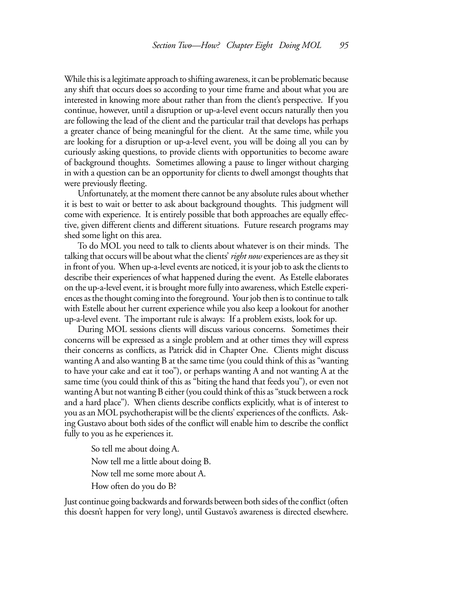While this is a legitimate approach to shifting awareness, it can be problematic because any shift that occurs does so according to your time frame and about what you are interested in knowing more about rather than from the client's perspective. If you continue, however, until a disruption or up-a-level event occurs naturally then you are following the lead of the client and the particular trail that develops has perhaps a greater chance of being meaningful for the client. At the same time, while you are looking for a disruption or up-a-level event, you will be doing all you can by curiously asking questions, to provide clients with opportunities to become aware of background thoughts. Sometimes allowing a pause to linger without charging in with a question can be an opportunity for clients to dwell amongst thoughts that were previously fleeting.

Unfortunately, at the moment there cannot be any absolute rules about whether it is best to wait or better to ask about background thoughts. This judgment will come with experience. It is entirely possible that both approaches are equally effective, given different clients and different situations. Future research programs may shed some light on this area.

To do MOL you need to talk to clients about whatever is on their minds. The talking that occurs will be about what the clients' *right now* experiences are as they sit in front of you. When up-a-level events are noticed, it is your job to ask the clients to describe their experiences of what happened during the event. As Estelle elaborates on the up-a-level event, it is brought more fully into awareness, which Estelle experiences as the thought coming into the foreground. Your job then is to continue to talk with Estelle about her current experience while you also keep a lookout for another up-a-level event. The important rule is always: If a problem exists, look for up.

During MOL sessions clients will discuss various concerns. Sometimes their concerns will be expressed as a single problem and at other times they will express their concerns as conflicts, as Patrick did in Chapter One. Clients might discuss wanting A and also wanting B at the same time (you could think of this as "wanting to have your cake and eat it too"), or perhaps wanting A and not wanting A at the same time (you could think of this as "biting the hand that feeds you"), or even not wanting A but not wanting B either (you could think of this as "stuck between a rock and a hard place"). When clients describe conflicts explicitly, what is of interest to you as an MOL psychotherapist will be the clients' experiences of the conflicts. Asking Gustavo about both sides of the conflict will enable him to describe the conflict fully to you as he experiences it.

So tell me about doing A. Now tell me a little about doing B. Now tell me some more about A. How often do you do B?

Just continue going backwards and forwards between both sides of the conflict (often this doesn't happen for very long), until Gustavo's awareness is directed elsewhere.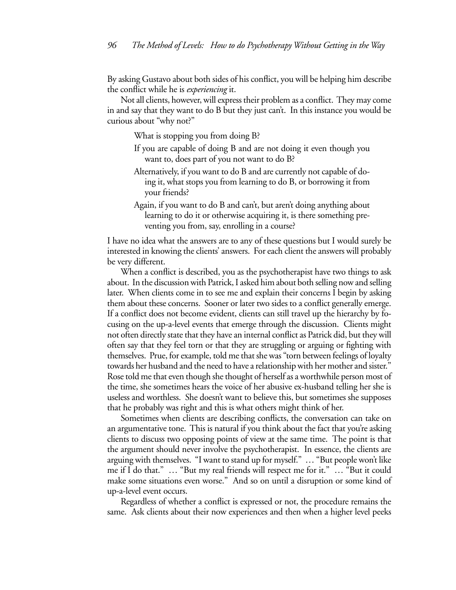By asking Gustavo about both sides of his conflict, you will be helping him describe the conflict while he is *experiencing* it.

Not all clients, however, will express their problem as a conflict. They may come in and say that they want to do B but they just can't. In this instance you would be curious about "why not?"

What is stopping you from doing B?

- If you are capable of doing B and are not doing it even though you want to, does part of you not want to do B?
- Alternatively, if you want to do B and are currently not capable of doing it, what stops you from learning to do B, or borrowing it from your friends?
- Again, if you want to do B and can't, but aren't doing anything about learning to do it or otherwise acquiring it, is there something preventing you from, say, enrolling in a course?

I have no idea what the answers are to any of these questions but I would surely be interested in knowing the clients' answers. For each client the answers will probably be very different.

When a conflict is described, you as the psychotherapist have two things to ask about. In the discussion with Patrick, I asked him about both selling now and selling later. When clients come in to see me and explain their concerns I begin by asking them about these concerns. Sooner or later two sides to a conflict generally emerge. If a conflict does not become evident, clients can still travel up the hierarchy by focusing on the up-a-level events that emerge through the discussion. Clients might not often directly state that they have an internal conflict as Patrick did, but they will often say that they feel torn or that they are struggling or arguing or fighting with themselves. Prue, for example, told me that she was "torn between feelings of loyalty towards her husband and the need to have a relationship with her mother and sister." Rose told me that even though she thought of herself as a worthwhile person most of the time, she sometimes hears the voice of her abusive ex-husband telling her she is useless and worthless. She doesn't want to believe this, but sometimes she supposes that he probably was right and this is what others might think of her.

Sometimes when clients are describing conflicts, the conversation can take on an argumentative tone. This is natural if you think about the fact that you're asking clients to discuss two opposing points of view at the same time. The point is that the argument should never involve the psychotherapist. In essence, the clients are arguing with themselves. "I want to stand up for myself." … "But people won't like me if I do that." … "But my real friends will respect me for it." … "But it could make some situations even worse." And so on until a disruption or some kind of up-a-level event occurs.

Regardless of whether a conflict is expressed or not, the procedure remains the same. Ask clients about their now experiences and then when a higher level peeks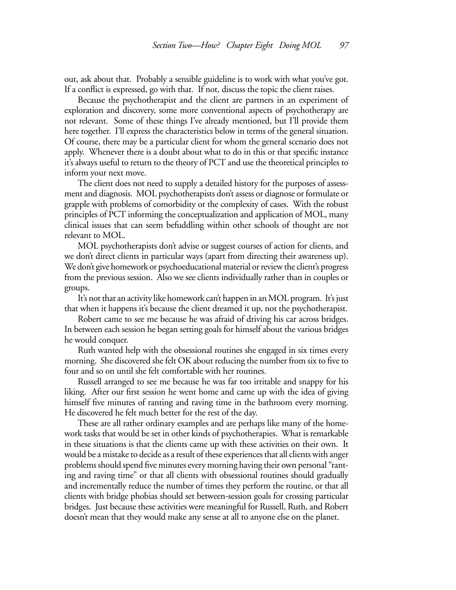out, ask about that. Probably a sensible guideline is to work with what you've got. If a conflict is expressed, go with that. If not, discuss the topic the client raises.

Because the psychotherapist and the client are partners in an experiment of exploration and discovery, some more conventional aspects of psychotherapy are not relevant. Some of these things I've already mentioned, but I'll provide them here together. I'll express the characteristics below in terms of the general situation. Of course, there may be a particular client for whom the general scenario does not apply. Whenever there is a doubt about what to do in this or that specific instance it's always useful to return to the theory of PCT and use the theoretical principles to inform your next move.

The client does not need to supply a detailed history for the purposes of assessment and diagnosis. MOL psychotherapists don't assess or diagnose or formulate or grapple with problems of comorbidity or the complexity of cases. With the robust principles of PCT informing the conceptualization and application of MOL, many clinical issues that can seem befuddling within other schools of thought are not relevant to MOL.

MOL psychotherapists don't advise or suggest courses of action for clients, and we don't direct clients in particular ways (apart from directing their awareness up). We don't give homework or psychoeducational material or review the client's progress from the previous session. Also we see clients individually rather than in couples or groups.

It's not that an activity like homework can't happen in an MOL program. It's just that when it happens it's because the client dreamed it up, not the psychotherapist.

Robert came to see me because he was afraid of driving his car across bridges. In between each session he began setting goals for himself about the various bridges he would conquer.

Ruth wanted help with the obsessional routines she engaged in six times every morning. She discovered she felt OK about reducing the number from six to five to four and so on until she felt comfortable with her routines.

Russell arranged to see me because he was far too irritable and snappy for his liking. After our first session he went home and came up with the idea of giving himself five minutes of ranting and raving time in the bathroom every morning. He discovered he felt much better for the rest of the day.

These are all rather ordinary examples and are perhaps like many of the homework tasks that would be set in other kinds of psychotherapies. What is remarkable in these situations is that the clients came up with these activities on their own. It would be a mistake to decide as a result of these experiences that all clients with anger problems should spend five minutes every morning having their own personal "ranting and raving time" or that all clients with obsessional routines should gradually and incrementally reduce the number of times they perform the routine, or that all clients with bridge phobias should set between-session goals for crossing particular bridges. Just because these activities were meaningful for Russell, Ruth, and Robert doesn't mean that they would make any sense at all to anyone else on the planet.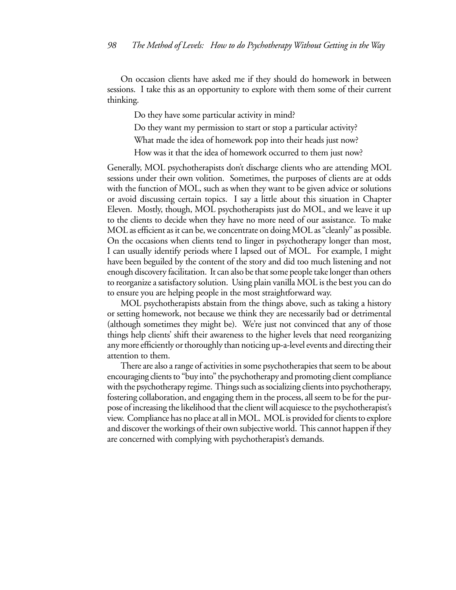On occasion clients have asked me if they should do homework in between sessions. I take this as an opportunity to explore with them some of their current thinking.

Do they have some particular activity in mind? Do they want my permission to start or stop a particular activity? What made the idea of homework pop into their heads just now? How was it that the idea of homework occurred to them just now?

Generally, MOL psychotherapists don't discharge clients who are attending MOL sessions under their own volition. Sometimes, the purposes of clients are at odds with the function of MOL, such as when they want to be given advice or solutions or avoid discussing certain topics. I say a little about this situation in Chapter Eleven. Mostly, though, MOL psychotherapists just do MOL, and we leave it up to the clients to decide when they have no more need of our assistance. To make MOL as efficient as it can be, we concentrate on doing MOL as "cleanly" as possible. On the occasions when clients tend to linger in psychotherapy longer than most, I can usually identify periods where I lapsed out of MOL. For example, I might have been beguiled by the content of the story and did too much listening and not enough discovery facilitation. It can also be that some people take longer than others to reorganize a satisfactory solution. Using plain vanilla MOL is the best you can do to ensure you are helping people in the most straightforward way.

MOL psychotherapists abstain from the things above, such as taking a history or setting homework, not because we think they are necessarily bad or detrimental (although sometimes they might be). We're just not convinced that any of those things help clients' shift their awareness to the higher levels that need reorganizing any more efficiently or thoroughly than noticing up-a-level events and directing their attention to them.

There are also a range of activities in some psychotherapies that seem to be about encouraging clients to "buy into" the psychotherapy and promoting client compliance with the psychotherapy regime. Things such as socializing clients into psychotherapy, fostering collaboration, and engaging them in the process, all seem to be for the purpose of increasing the likelihood that the client will acquiesce to the psychotherapist's view. Compliance has no place at all in MOL. MOL is provided for clients to explore and discover the workings of their own subjective world. This cannot happen if they are concerned with complying with psychotherapist's demands.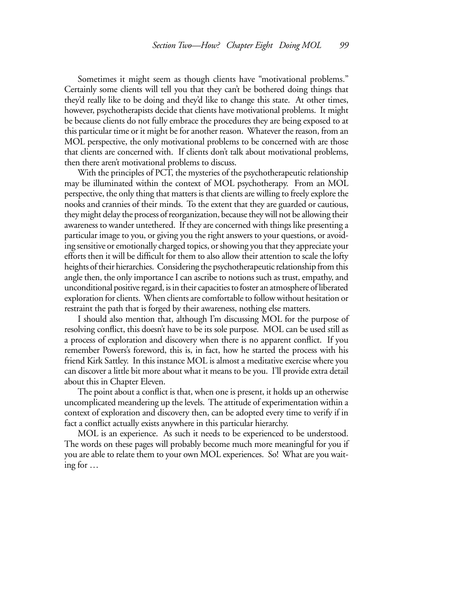Sometimes it might seem as though clients have "motivational problems." Certainly some clients will tell you that they can't be bothered doing things that they'd really like to be doing and they'd like to change this state. At other times, however, psychotherapists decide that clients have motivational problems. It might be because clients do not fully embrace the procedures they are being exposed to at this particular time or it might be for another reason. Whatever the reason, from an MOL perspective, the only motivational problems to be concerned with are those that clients are concerned with. If clients don't talk about motivational problems, then there aren't motivational problems to discuss.

With the principles of PCT, the mysteries of the psychotherapeutic relationship may be illuminated within the context of MOL psychotherapy. From an MOL perspective, the only thing that matters is that clients are willing to freely explore the nooks and crannies of their minds. To the extent that they are guarded or cautious, they might delay the process of reorganization, because they will not be allowing their awareness to wander untethered. If they are concerned with things like presenting a particular image to you, or giving you the right answers to your questions, or avoiding sensitive or emotionally charged topics, or showing you that they appreciate your efforts then it will be difficult for them to also allow their attention to scale the lofty heights of their hierarchies. Considering the psychotherapeutic relationship from this angle then, the only importance I can ascribe to notions such as trust, empathy, and unconditional positive regard, is in their capacities to foster an atmosphere of liberated exploration for clients. When clients are comfortable to follow without hesitation or restraint the path that is forged by their awareness, nothing else matters.

I should also mention that, although I'm discussing MOL for the purpose of resolving conflict, this doesn't have to be its sole purpose. MOL can be used still as a process of exploration and discovery when there is no apparent conflict. If you remember Powers's foreword, this is, in fact, how he started the process with his friend Kirk Sattley. In this instance MOL is almost a meditative exercise where you can discover a little bit more about what it means to be you. I'll provide extra detail about this in Chapter Eleven.

The point about a conflict is that, when one is present, it holds up an otherwise uncomplicated meandering up the levels. The attitude of experimentation within a context of exploration and discovery then, can be adopted every time to verify if in fact a conflict actually exists anywhere in this particular hierarchy.

MOL is an experience. As such it needs to be experienced to be understood. The words on these pages will probably become much more meaningful for you if you are able to relate them to your own MOL experiences. So! What are you waiting for …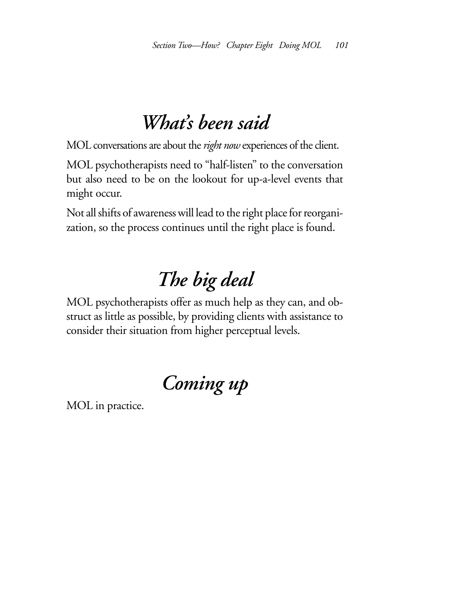### *What's been said*

MOL conversations are about the *right now* experiences of the client.

MOL psychotherapists need to "half-listen" to the conversation but also need to be on the lookout for up-a-level events that might occur.

Not all shifts of awareness will lead to the right place for reorganization, so the process continues until the right place is found.

## *The big deal*

MOL psychotherapists offer as much help as they can, and obstruct as little as possible, by providing clients with assistance to consider their situation from higher perceptual levels.

### *Coming up*

MOL in practice.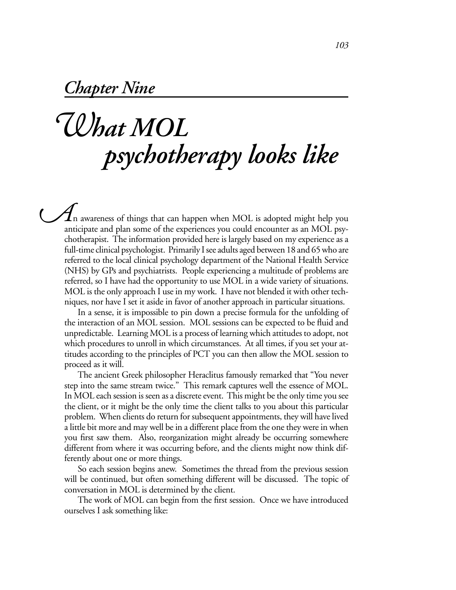### *Chapter Nine*

# *<sup>W</sup>hat MOL psychotherapy looks like*

 n awareness of things that can happen when MOL is adopted might help you *A*anticipate and plan some of the experiences you could encounter as an MOL psychotherapist. The information provided here is largely based on my experience as a full-time clinical psychologist. Primarily I see adults aged between 18 and 65 who are referred to the local clinical psychology department of the National Health Service (NHS) by GPs and psychiatrists. People experiencing a multitude of problems are referred, so I have had the opportunity to use MOL in a wide variety of situations. MOL is the only approach I use in my work. I have not blended it with other techniques, nor have I set it aside in favor of another approach in particular situations.

In a sense, it is impossible to pin down a precise formula for the unfolding of the interaction of an MOL session. MOL sessions can be expected to be fluid and unpredictable. Learning MOL is a process of learning which attitudes to adopt, not which procedures to unroll in which circumstances. At all times, if you set your attitudes according to the principles of PCT you can then allow the MOL session to proceed as it will.

The ancient Greek philosopher Heraclitus famously remarked that "You never step into the same stream twice." This remark captures well the essence of MOL. In MOL each session is seen as a discrete event. This might be the only time you see the client, or it might be the only time the client talks to you about this particular problem. When clients do return for subsequent appointments, they will have lived a little bit more and may well be in a different place from the one they were in when you first saw them. Also, reorganization might already be occurring somewhere different from where it was occurring before, and the clients might now think differently about one or more things.

So each session begins anew. Sometimes the thread from the previous session will be continued, but often something different will be discussed. The topic of conversation in MOL is determined by the client.

The work of MOL can begin from the first session. Once we have introduced ourselves I ask something like: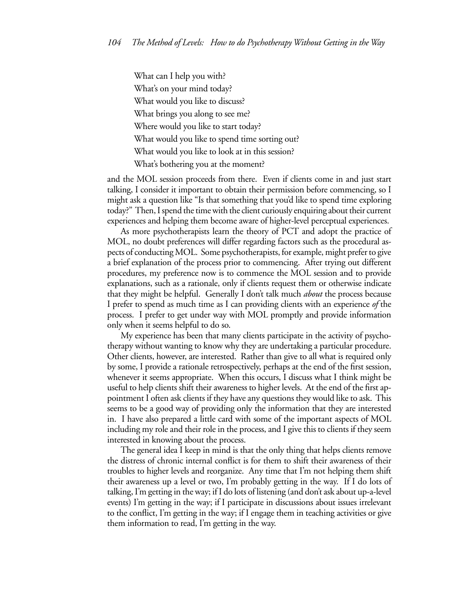What can I help you with? What's on your mind today? What would you like to discuss? What brings you along to see me? Where would you like to start today? What would you like to spend time sorting out? What would you like to look at in this session? What's bothering you at the moment?

and the MOL session proceeds from there. Even if clients come in and just start talking, I consider it important to obtain their permission before commencing, so I might ask a question like "Is that something that you'd like to spend time exploring today?" Then, I spend the time with the client curiously enquiring about their current experiences and helping them become aware of higher-level perceptual experiences.

As more psychotherapists learn the theory of PCT and adopt the practice of MOL, no doubt preferences will differ regarding factors such as the procedural aspects of conducting MOL. Some psychotherapists, for example, might prefer to give a brief explanation of the process prior to commencing. After trying out different procedures, my preference now is to commence the MOL session and to provide explanations, such as a rationale, only if clients request them or otherwise indicate that they might be helpful. Generally I don't talk much *about* the process because I prefer to spend as much time as I can providing clients with an experience *of* the process. I prefer to get under way with MOL promptly and provide information only when it seems helpful to do so.

My experience has been that many clients participate in the activity of psychotherapy without wanting to know why they are undertaking a particular procedure. Other clients, however, are interested. Rather than give to all what is required only by some, I provide a rationale retrospectively, perhaps at the end of the first session, whenever it seems appropriate. When this occurs, I discuss what I think might be useful to help clients shift their awareness to higher levels. At the end of the first appointment I often ask clients if they have any questions they would like to ask. This seems to be a good way of providing only the information that they are interested in. I have also prepared a little card with some of the important aspects of MOL including my role and their role in the process, and I give this to clients if they seem interested in knowing about the process.

The general idea I keep in mind is that the only thing that helps clients remove the distress of chronic internal conflict is for them to shift their awareness of their troubles to higher levels and reorganize. Any time that I'm not helping them shift their awareness up a level or two, I'm probably getting in the way. If I do lots of talking, I'm getting in the way; if I do lots of listening (and don't ask about up-a-level events) I'm getting in the way; if I participate in discussions about issues irrelevant to the conflict, I'm getting in the way; if I engage them in teaching activities or give them information to read, I'm getting in the way.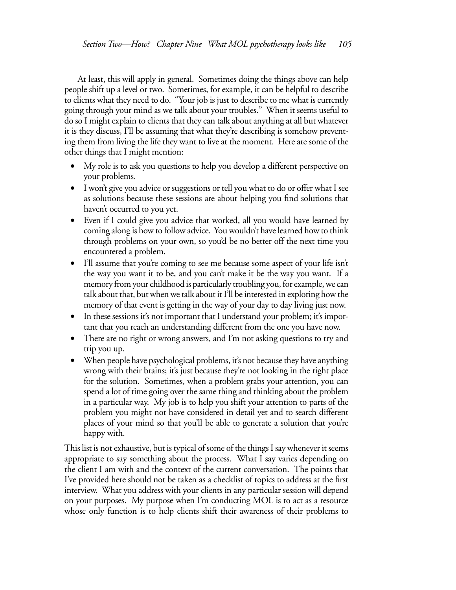At least, this will apply in general. Sometimes doing the things above can help people shift up a level or two. Sometimes, for example, it can be helpful to describe to clients what they need to do. "Your job is just to describe to me what is currently going through your mind as we talk about your troubles." When it seems useful to do so I might explain to clients that they can talk about anything at all but whatever it is they discuss, I'll be assuming that what they're describing is somehow preventing them from living the life they want to live at the moment. Here are some of the other things that I might mention:

- My role is to ask you questions to help you develop a different perspective on your problems.
- I won't give you advice or suggestions or tell you what to do or offer what I see as solutions because these sessions are about helping you find solutions that haven't occurred to you yet.
- Even if I could give you advice that worked, all you would have learned by coming along is how to follow advice. You wouldn't have learned how to think through problems on your own, so you'd be no better off the next time you encountered a problem.
- I'll assume that you're coming to see me because some aspect of your life isn't the way you want it to be, and you can't make it be the way you want. If a memory from your childhood is particularly troubling you, for example, we can talk about that, but when we talk about it I'll be interested in exploring how the memory of that event is getting in the way of your day to day living just now.
- In these sessions it's not important that I understand your problem; it's important that you reach an understanding different from the one you have now.
- There are no right or wrong answers, and I'm not asking questions to try and trip you up.
- When people have psychological problems, it's not because they have anything wrong with their brains; it's just because they're not looking in the right place for the solution. Sometimes, when a problem grabs your attention, you can spend a lot of time going over the same thing and thinking about the problem in a particular way. My job is to help you shift your attention to parts of the problem you might not have considered in detail yet and to search different places of your mind so that you'll be able to generate a solution that you're happy with.

This list is not exhaustive, but is typical of some of the things I say whenever it seems appropriate to say something about the process. What I say varies depending on the client I am with and the context of the current conversation. The points that I've provided here should not be taken as a checklist of topics to address at the first interview. What you address with your clients in any particular session will depend on your purposes. My purpose when I'm conducting MOL is to act as a resource whose only function is to help clients shift their awareness of their problems to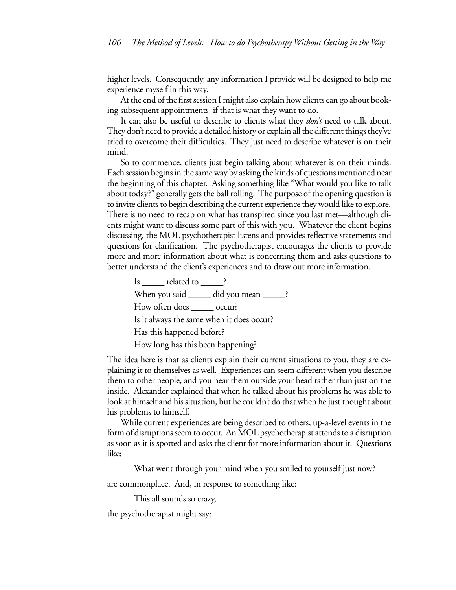higher levels. Consequently, any information I provide will be designed to help me experience myself in this way.

At the end of the first session I might also explain how clients can go about booking subsequent appointments, if that is what they want to do.

It can also be useful to describe to clients what they *don't* need to talk about. They don't need to provide a detailed history or explain all the different things they've tried to overcome their difficulties. They just need to describe whatever is on their mind.

So to commence, clients just begin talking about whatever is on their minds. Each session begins in the same way by asking the kinds of questions mentioned near the beginning of this chapter. Asking something like "What would you like to talk about today?" generally gets the ball rolling. The purpose of the opening question is to invite clients to begin describing the current experience they would like to explore. There is no need to recap on what has transpired since you last met—although clients might want to discuss some part of this with you. Whatever the client begins discussing, the MOL psychotherapist listens and provides reflective statements and questions for clarification. The psychotherapist encourages the clients to provide more and more information about what is concerning them and asks questions to better understand the client's experiences and to draw out more information.

 $Is \_\_\_\$  related to  $\_\_\$ ? When you said \_\_\_\_\_\_ did you mean \_\_\_\_\_? How often does \_\_\_\_\_\_ occur? Is it always the same when it does occur? Has this happened before? How long has this been happening?

The idea here is that as clients explain their current situations to you, they are explaining it to themselves as well. Experiences can seem different when you describe them to other people, and you hear them outside your head rather than just on the inside. Alexander explained that when he talked about his problems he was able to look at himself and his situation, but he couldn't do that when he just thought about his problems to himself.

While current experiences are being described to others, up-a-level events in the form of disruptions seem to occur. An MOL psychotherapist attends to a disruption as soon as it is spotted and asks the client for more information about it. Questions like:

What went through your mind when you smiled to yourself just now?

are commonplace. And, in response to something like:

This all sounds so crazy,

the psychotherapist might say: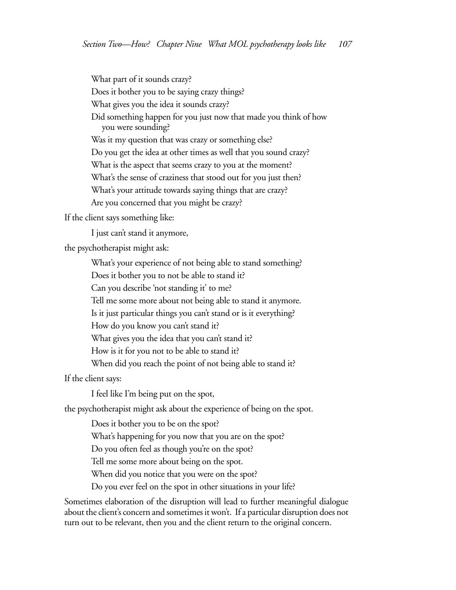What part of it sounds crazy? Does it bother you to be saying crazy things? What gives you the idea it sounds crazy? Did something happen for you just now that made you think of how you were sounding? Was it my question that was crazy or something else? Do you get the idea at other times as well that you sound crazy? What is the aspect that seems crazy to you at the moment? What's the sense of craziness that stood out for you just then? What's your attitude towards saying things that are crazy? Are you concerned that you might be crazy?

If the client says something like:

I just can't stand it anymore,

the psychotherapist might ask:

What's your experience of not being able to stand something?

Does it bother you to not be able to stand it?

Can you describe 'not standing it' to me?

Tell me some more about not being able to stand it anymore.

Is it just particular things you can't stand or is it everything?

How do you know you can't stand it?

What gives you the idea that you can't stand it?

How is it for you not to be able to stand it?

When did you reach the point of not being able to stand it?

If the client says:

I feel like I'm being put on the spot,

the psychotherapist might ask about the experience of being on the spot.

Does it bother you to be on the spot?

What's happening for you now that you are on the spot?

Do you often feel as though you're on the spot?

Tell me some more about being on the spot.

When did you notice that you were on the spot?

Do you ever feel on the spot in other situations in your life?

Sometimes elaboration of the disruption will lead to further meaningful dialogue about the client's concern and sometimes it won't. If a particular disruption does not turn out to be relevant, then you and the client return to the original concern.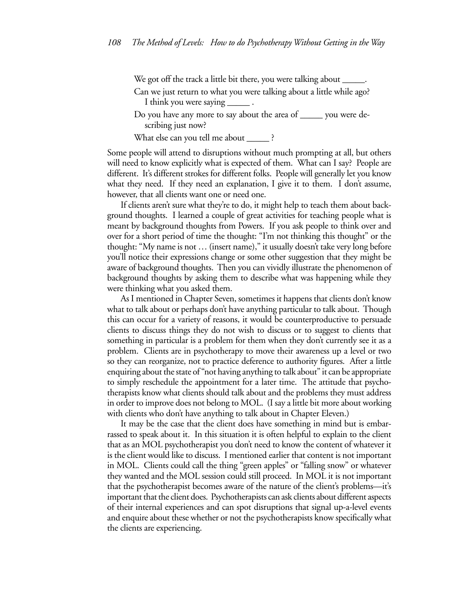We got off the track a little bit there, you were talking about  $\equiv$ Can we just return to what you were talking about a little while ago?

I think you were saying \_

Do you have any more to say about the area of \_\_\_\_\_ you were describing just now?

What else can you tell me about \_\_\_\_\_ ?

Some people will attend to disruptions without much prompting at all, but others will need to know explicitly what is expected of them. What can I say? People are different. It's different strokes for different folks. People will generally let you know what they need. If they need an explanation, I give it to them. I don't assume, however, that all clients want one or need one.

If clients aren't sure what they're to do, it might help to teach them about background thoughts. I learned a couple of great activities for teaching people what is meant by background thoughts from Powers. If you ask people to think over and over for a short period of time the thought: "I'm not thinking this thought" or the thought: "My name is not … (insert name)," it usually doesn't take very long before you'll notice their expressions change or some other suggestion that they might be aware of background thoughts. Then you can vividly illustrate the phenomenon of background thoughts by asking them to describe what was happening while they were thinking what you asked them.

As I mentioned in Chapter Seven, sometimes it happens that clients don't know what to talk about or perhaps don't have anything particular to talk about. Though this can occur for a variety of reasons, it would be counterproductive to persuade clients to discuss things they do not wish to discuss or to suggest to clients that something in particular is a problem for them when they don't currently see it as a problem. Clients are in psychotherapy to move their awareness up a level or two so they can reorganize, not to practice deference to authority figures. After a little enquiring about the state of "not having anything to talk about" it can be appropriate to simply reschedule the appointment for a later time. The attitude that psychotherapists know what clients should talk about and the problems they must address in order to improve does not belong to MOL. (I say a little bit more about working with clients who don't have anything to talk about in Chapter Eleven.)

It may be the case that the client does have something in mind but is embarrassed to speak about it. In this situation it is often helpful to explain to the client that as an MOL psychotherapist you don't need to know the content of whatever it is the client would like to discuss. I mentioned earlier that content is not important in MOL. Clients could call the thing "green apples" or "falling snow" or whatever they wanted and the MOL session could still proceed. In MOL it is not important that the psychotherapist becomes aware of the nature of the client's problems—it's important that the client does. Psychotherapists can ask clients about different aspects of their internal experiences and can spot disruptions that signal up-a-level events and enquire about these whether or not the psychotherapists know specifically what the clients are experiencing.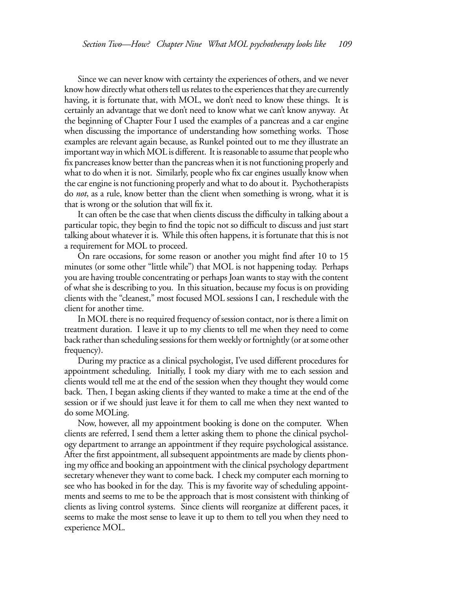Since we can never know with certainty the experiences of others, and we never know how directly what others tell us relates to the experiences that they are currently having, it is fortunate that, with MOL, we don't need to know these things. It is certainly an advantage that we don't need to know what we can't know anyway. At the beginning of Chapter Four I used the examples of a pancreas and a car engine when discussing the importance of understanding how something works. Those examples are relevant again because, as Runkel pointed out to me they illustrate an important way in which MOL is different. It is reasonable to assume that people who fix pancreases know better than the pancreas when it is not functioning properly and what to do when it is not. Similarly, people who fix car engines usually know when the car engine is not functioning properly and what to do about it. Psychotherapists do *not*, as a rule, know better than the client when something is wrong, what it is that is wrong or the solution that will fix it.

It can often be the case that when clients discuss the difficulty in talking about a particular topic, they begin to find the topic not so difficult to discuss and just start talking about whatever it is. While this often happens, it is fortunate that this is not a requirement for MOL to proceed.

On rare occasions, for some reason or another you might find after 10 to 15 minutes (or some other "little while") that MOL is not happening today. Perhaps you are having trouble concentrating or perhaps Joan wants to stay with the content of what she is describing to you. In this situation, because my focus is on providing clients with the "cleanest," most focused MOL sessions I can, I reschedule with the client for another time.

In MOL there is no required frequency of session contact, nor is there a limit on treatment duration. I leave it up to my clients to tell me when they need to come back rather than scheduling sessions for them weekly or fortnightly (or at some other frequency).

During my practice as a clinical psychologist, I've used different procedures for appointment scheduling. Initially, I took my diary with me to each session and clients would tell me at the end of the session when they thought they would come back. Then, I began asking clients if they wanted to make a time at the end of the session or if we should just leave it for them to call me when they next wanted to do some MOLing.

Now, however, all my appointment booking is done on the computer. When clients are referred, I send them a letter asking them to phone the clinical psychology department to arrange an appointment if they require psychological assistance. After the first appointment, all subsequent appointments are made by clients phoning my office and booking an appointment with the clinical psychology department secretary whenever they want to come back. I check my computer each morning to see who has booked in for the day. This is my favorite way of scheduling appointments and seems to me to be the approach that is most consistent with thinking of clients as living control systems. Since clients will reorganize at different paces, it seems to make the most sense to leave it up to them to tell you when they need to experience MOL.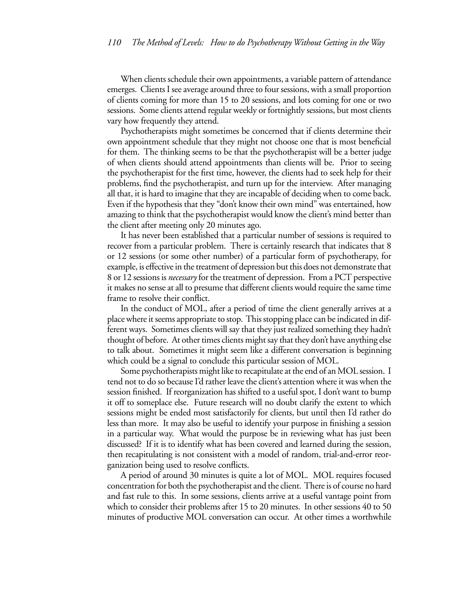When clients schedule their own appointments, a variable pattern of attendance emerges. Clients I see average around three to four sessions, with a small proportion of clients coming for more than 15 to 20 sessions, and lots coming for one or two sessions. Some clients attend regular weekly or fortnightly sessions, but most clients vary how frequently they attend.

Psychotherapists might sometimes be concerned that if clients determine their own appointment schedule that they might not choose one that is most beneficial for them. The thinking seems to be that the psychotherapist will be a better judge of when clients should attend appointments than clients will be. Prior to seeing the psychotherapist for the first time, however, the clients had to seek help for their problems, find the psychotherapist, and turn up for the interview. After managing all that, it is hard to imagine that they are incapable of deciding when to come back. Even if the hypothesis that they "don't know their own mind" was entertained, how amazing to think that the psychotherapist would know the client's mind better than the client after meeting only 20 minutes ago.

It has never been established that a particular number of sessions is required to recover from a particular problem. There is certainly research that indicates that 8 or 12 sessions (or some other number) of a particular form of psychotherapy, for example, is effective in the treatment of depression but this does not demonstrate that 8 or 12 sessions is *necessary* for the treatment of depression. From a PCT perspective it makes no sense at all to presume that different clients would require the same time frame to resolve their conflict.

In the conduct of MOL, after a period of time the client generally arrives at a place where it seems appropriate to stop. This stopping place can be indicated in different ways. Sometimes clients will say that they just realized something they hadn't thought of before. At other times clients might say that they don't have anything else to talk about. Sometimes it might seem like a different conversation is beginning which could be a signal to conclude this particular session of MOL.

Some psychotherapists might like to recapitulate at the end of an MOL session. I tend not to do so because I'd rather leave the client's attention where it was when the session finished. If reorganization has shifted to a useful spot, I don't want to bump it off to someplace else. Future research will no doubt clarify the extent to which sessions might be ended most satisfactorily for clients, but until then I'd rather do less than more. It may also be useful to identify your purpose in finishing a session in a particular way. What would the purpose be in reviewing what has just been discussed? If it is to identify what has been covered and learned during the session, then recapitulating is not consistent with a model of random, trial-and-error reorganization being used to resolve conflicts.

A period of around 30 minutes is quite a lot of MOL. MOL requires focused concentration for both the psychotherapist and the client. There is of course no hard and fast rule to this. In some sessions, clients arrive at a useful vantage point from which to consider their problems after 15 to 20 minutes. In other sessions 40 to 50 minutes of productive MOL conversation can occur. At other times a worthwhile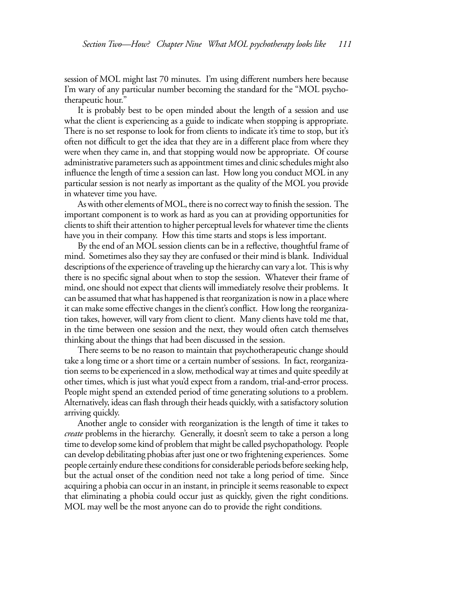session of MOL might last 70 minutes. I'm using different numbers here because I'm wary of any particular number becoming the standard for the "MOL psychotherapeutic hour."

It is probably best to be open minded about the length of a session and use what the client is experiencing as a guide to indicate when stopping is appropriate. There is no set response to look for from clients to indicate it's time to stop, but it's often not difficult to get the idea that they are in a different place from where they were when they came in, and that stopping would now be appropriate. Of course administrative parameters such as appointment times and clinic schedules might also influence the length of time a session can last. How long you conduct MOL in any particular session is not nearly as important as the quality of the MOL you provide in whatever time you have.

As with other elements of MOL, there is no correct way to finish the session. The important component is to work as hard as you can at providing opportunities for clients to shift their attention to higher perceptual levels for whatever time the clients have you in their company. How this time starts and stops is less important.

By the end of an MOL session clients can be in a reflective, thoughtful frame of mind. Sometimes also they say they are confused or their mind is blank. Individual descriptions of the experience of traveling up the hierarchy can vary a lot. This is why there is no specific signal about when to stop the session. Whatever their frame of mind, one should not expect that clients will immediately resolve their problems. It can be assumed that what has happened is that reorganization is now in a place where it can make some effective changes in the client's conflict. How long the reorganization takes, however, will vary from client to client. Many clients have told me that, in the time between one session and the next, they would often catch themselves thinking about the things that had been discussed in the session.

There seems to be no reason to maintain that psychotherapeutic change should take a long time or a short time or a certain number of sessions. In fact, reorganization seems to be experienced in a slow, methodical way at times and quite speedily at other times, which is just what you'd expect from a random, trial-and-error process. People might spend an extended period of time generating solutions to a problem. Alternatively, ideas can flash through their heads quickly, with a satisfactory solution arriving quickly.

Another angle to consider with reorganization is the length of time it takes to *create* problems in the hierarchy. Generally, it doesn't seem to take a person a long time to develop some kind of problem that might be called psychopathology. People can develop debilitating phobias after just one or two frightening experiences. Some people certainly endure these conditions for considerable periods before seeking help, but the actual onset of the condition need not take a long period of time. Since acquiring a phobia can occur in an instant, in principle it seems reasonable to expect that eliminating a phobia could occur just as quickly, given the right conditions. MOL may well be the most anyone can do to provide the right conditions.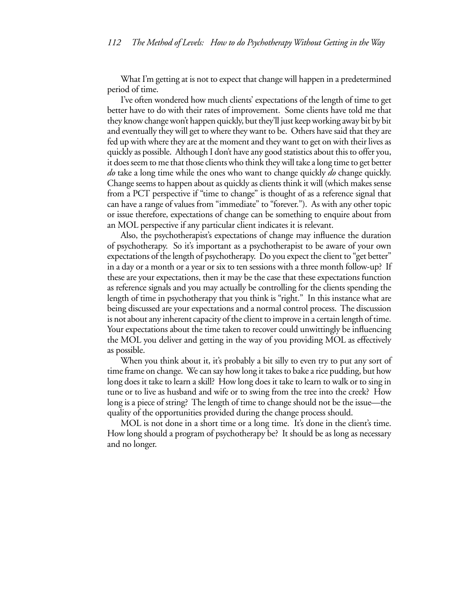What I'm getting at is not to expect that change will happen in a predetermined period of time.

I've often wondered how much clients' expectations of the length of time to get better have to do with their rates of improvement. Some clients have told me that they know change won't happen quickly, but they'll just keep working away bit by bit and eventually they will get to where they want to be. Others have said that they are fed up with where they are at the moment and they want to get on with their lives as quickly as possible. Although I don't have any good statistics about this to offer you, it does seem to me that those clients who think they will take a long time to get better *do* take a long time while the ones who want to change quickly *do* change quickly. Change seems to happen about as quickly as clients think it will (which makes sense from a PCT perspective if "time to change" is thought of as a reference signal that can have a range of values from "immediate" to "forever."). As with any other topic or issue therefore, expectations of change can be something to enquire about from an MOL perspective if any particular client indicates it is relevant.

Also, the psychotherapist's expectations of change may influence the duration of psychotherapy. So it's important as a psychotherapist to be aware of your own expectations of the length of psychotherapy. Do you expect the client to "get better" in a day or a month or a year or six to ten sessions with a three month follow-up? If these are your expectations, then it may be the case that these expectations function as reference signals and you may actually be controlling for the clients spending the length of time in psychotherapy that you think is "right." In this instance what are being discussed are your expectations and a normal control process. The discussion is not about any inherent capacity of the client to improve in a certain length of time. Your expectations about the time taken to recover could unwittingly be influencing the MOL you deliver and getting in the way of you providing MOL as effectively as possible.

When you think about it, it's probably a bit silly to even try to put any sort of time frame on change. We can say how long it takes to bake a rice pudding, but how long does it take to learn a skill? How long does it take to learn to walk or to sing in tune or to live as husband and wife or to swing from the tree into the creek? How long is a piece of string? The length of time to change should not be the issue—the quality of the opportunities provided during the change process should.

MOL is not done in a short time or a long time. It's done in the client's time. How long should a program of psychotherapy be? It should be as long as necessary and no longer.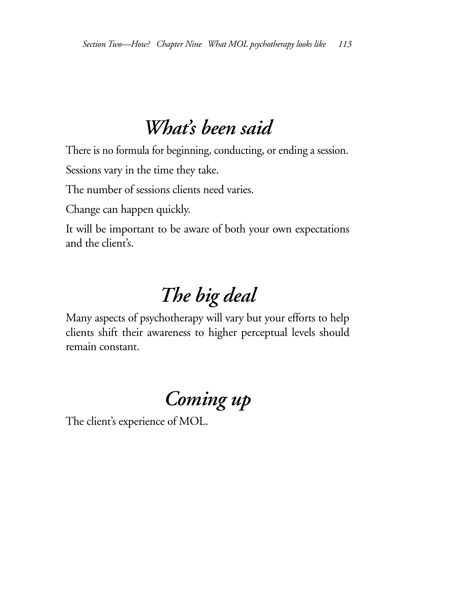### *What's been said*

There is no formula for beginning, conducting, or ending a session.

Sessions vary in the time they take.

The number of sessions clients need varies.

Change can happen quickly.

It will be important to be aware of both your own expectations and the client's.

## *The big deal*

Many aspects of psychotherapy will vary but your efforts to help clients shift their awareness to higher perceptual levels should remain constant.

### *Coming up*

The client's experience of MOL.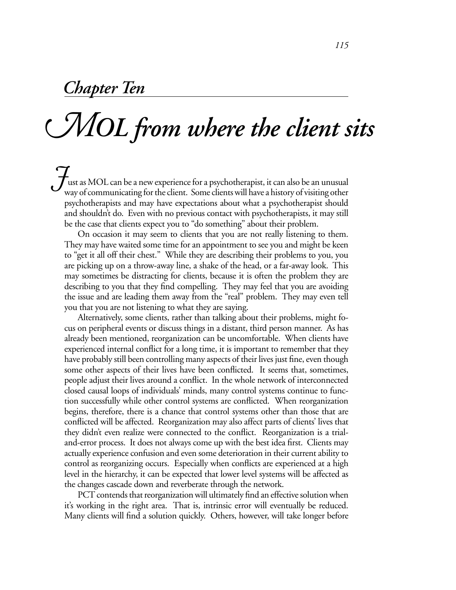#### *Chapter Ten*

# *MOL from where the client sits*

 $\int$ ust as MOL can be a new experience for a psychotherapist, it can also be an unusual way of communicating for the client. Some clients will have a history of visiting other psychotherapists and may have expectations about what a psychotherapist should and shouldn't do. Even with no previous contact with psychotherapists, it may still be the case that clients expect you to "do something" about their problem.

On occasion it may seem to clients that you are not really listening to them. They may have waited some time for an appointment to see you and might be keen to "get it all off their chest." While they are describing their problems to you, you are picking up on a throw-away line, a shake of the head, or a far-away look. This may sometimes be distracting for clients, because it is often the problem they are describing to you that they find compelling. They may feel that you are avoiding the issue and are leading them away from the "real" problem. They may even tell you that you are not listening to what they are saying.

Alternatively, some clients, rather than talking about their problems, might focus on peripheral events or discuss things in a distant, third person manner. As has already been mentioned, reorganization can be uncomfortable. When clients have experienced internal conflict for a long time, it is important to remember that they have probably still been controlling many aspects of their lives just fine, even though some other aspects of their lives have been conflicted. It seems that, sometimes, people adjust their lives around a conflict. In the whole network of interconnected closed causal loops of individuals' minds, many control systems continue to function successfully while other control systems are conflicted. When reorganization begins, therefore, there is a chance that control systems other than those that are conflicted will be affected. Reorganization may also affect parts of clients' lives that they didn't even realize were connected to the conflict. Reorganization is a trialand-error process. It does not always come up with the best idea first. Clients may actually experience confusion and even some deterioration in their current ability to control as reorganizing occurs. Especially when conflicts are experienced at a high level in the hierarchy, it can be expected that lower level systems will be affected as the changes cascade down and reverberate through the network.

PCT contends that reorganization will ultimately find an effective solution when it's working in the right area. That is, intrinsic error will eventually be reduced. Many clients will find a solution quickly. Others, however, will take longer before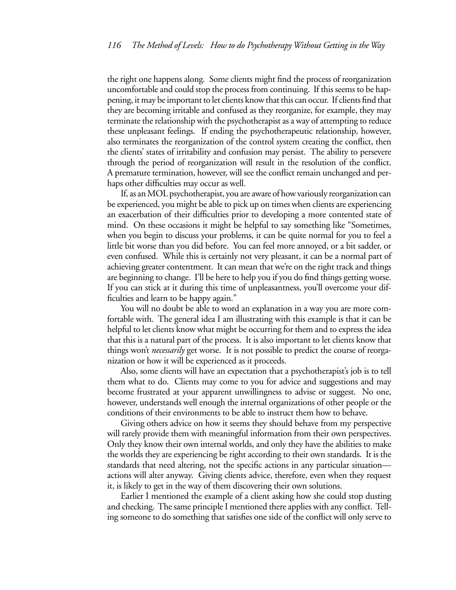the right one happens along. Some clients might find the process of reorganization uncomfortable and could stop the process from continuing. If this seems to be happening, it may be important to let clients know that this can occur. If clients find that they are becoming irritable and confused as they reorganize, for example, they may terminate the relationship with the psychotherapist as a way of attempting to reduce these unpleasant feelings. If ending the psychotherapeutic relationship, however, also terminates the reorganization of the control system creating the conflict, then the clients' states of irritability and confusion may persist. The ability to persevere through the period of reorganization will result in the resolution of the conflict. A premature termination, however, will see the conflict remain unchanged and perhaps other difficulties may occur as well.

If, as an MOL psychotherapist, you are aware of how variously reorganization can be experienced, you might be able to pick up on times when clients are experiencing an exacerbation of their difficulties prior to developing a more contented state of mind. On these occasions it might be helpful to say something like "Sometimes, when you begin to discuss your problems, it can be quite normal for you to feel a little bit worse than you did before. You can feel more annoyed, or a bit sadder, or even confused. While this is certainly not very pleasant, it can be a normal part of achieving greater contentment. It can mean that we're on the right track and things are beginning to change. I'll be here to help you if you do find things getting worse. If you can stick at it during this time of unpleasantness, you'll overcome your difficulties and learn to be happy again."

You will no doubt be able to word an explanation in a way you are more comfortable with. The general idea I am illustrating with this example is that it can be helpful to let clients know what might be occurring for them and to express the idea that this is a natural part of the process. It is also important to let clients know that things won't *necessarily* get worse. It is not possible to predict the course of reorganization or how it will be experienced as it proceeds.

Also, some clients will have an expectation that a psychotherapist's job is to tell them what to do. Clients may come to you for advice and suggestions and may become frustrated at your apparent unwillingness to advise or suggest. No one, however, understands well enough the internal organizations of other people or the conditions of their environments to be able to instruct them how to behave.

Giving others advice on how it seems they should behave from my perspective will rarely provide them with meaningful information from their own perspectives. Only they know their own internal worlds, and only they have the abilities to make the worlds they are experiencing be right according to their own standards. It is the standards that need altering, not the specific actions in any particular situation actions will alter anyway. Giving clients advice, therefore, even when they request it, is likely to get in the way of them discovering their own solutions.

Earlier I mentioned the example of a client asking how she could stop dusting and checking. The same principle I mentioned there applies with any conflict. Telling someone to do something that satisfies one side of the conflict will only serve to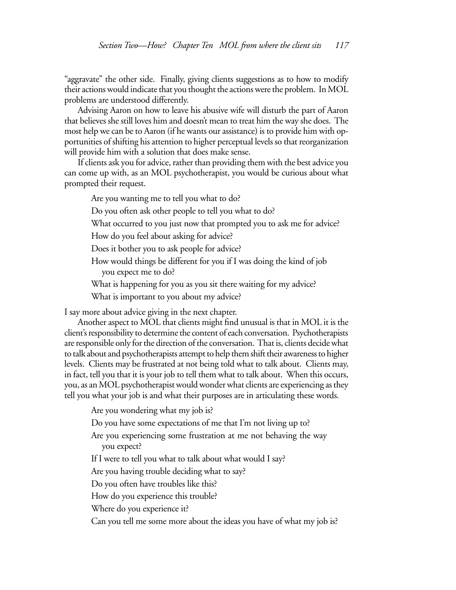"aggravate" the other side. Finally, giving clients suggestions as to how to modify their actions would indicate that you thought the actions were the problem. In MOL problems are understood differently.

Advising Aaron on how to leave his abusive wife will disturb the part of Aaron that believes she still loves him and doesn't mean to treat him the way she does. The most help we can be to Aaron (if he wants our assistance) is to provide him with opportunities of shifting his attention to higher perceptual levels so that reorganization will provide him with a solution that does make sense.

If clients ask you for advice, rather than providing them with the best advice you can come up with, as an MOL psychotherapist, you would be curious about what prompted their request.

Are you wanting me to tell you what to do?

Do you often ask other people to tell you what to do?

What occurred to you just now that prompted you to ask me for advice?

How do you feel about asking for advice?

Does it bother you to ask people for advice?

How would things be different for you if I was doing the kind of job you expect me to do?

What is happening for you as you sit there waiting for my advice?

What is important to you about my advice?

I say more about advice giving in the next chapter.

Another aspect to MOL that clients might find unusual is that in MOL it is the client's responsibility to determine the content of each conversation. Psychotherapists are responsible only for the direction of the conversation. That is, clients decide what to talk about and psychotherapists attempt to help them shift their awareness to higher levels. Clients may be frustrated at not being told what to talk about. Clients may, in fact, tell you that it is your job to tell them what to talk about. When this occurs, you, as an MOL psychotherapist would wonder what clients are experiencing as they tell you what your job is and what their purposes are in articulating these words.

Are you wondering what my job is?

Do you have some expectations of me that I'm not living up to?

Are you experiencing some frustration at me not behaving the way you expect?

If I were to tell you what to talk about what would I say?

Are you having trouble deciding what to say?

Do you often have troubles like this?

How do you experience this trouble?

Where do you experience it?

Can you tell me some more about the ideas you have of what my job is?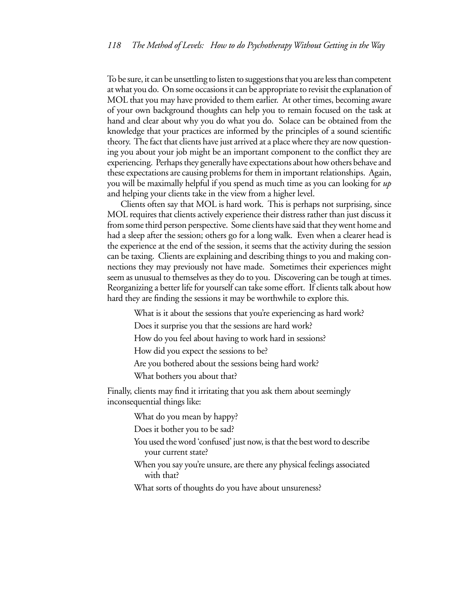To be sure, it can be unsettling to listen to suggestions that you are less than competent at what you do. On some occasions it can be appropriate to revisit the explanation of MOL that you may have provided to them earlier. At other times, becoming aware of your own background thoughts can help you to remain focused on the task at hand and clear about why you do what you do. Solace can be obtained from the knowledge that your practices are informed by the principles of a sound scientific theory. The fact that clients have just arrived at a place where they are now questioning you about your job might be an important component to the conflict they are experiencing. Perhaps they generally have expectations about how others behave and these expectations are causing problems for them in important relationships. Again, you will be maximally helpful if you spend as much time as you can looking for *up* and helping your clients take in the view from a higher level.

Clients often say that MOL is hard work. This is perhaps not surprising, since MOL requires that clients actively experience their distress rather than just discuss it from some third person perspective. Some clients have said that they went home and had a sleep after the session; others go for a long walk. Even when a clearer head is the experience at the end of the session, it seems that the activity during the session can be taxing. Clients are explaining and describing things to you and making connections they may previously not have made. Sometimes their experiences might seem as unusual to themselves as they do to you. Discovering can be tough at times. Reorganizing a better life for yourself can take some effort. If clients talk about how hard they are finding the sessions it may be worthwhile to explore this.

What is it about the sessions that you're experiencing as hard work?

Does it surprise you that the sessions are hard work?

How do you feel about having to work hard in sessions?

How did you expect the sessions to be?

Are you bothered about the sessions being hard work?

What bothers you about that?

Finally, clients may find it irritating that you ask them about seemingly inconsequential things like:

What do you mean by happy?

Does it bother you to be sad?

- You used the word 'confused' just now, is that the best word to describe your current state?
- When you say you're unsure, are there any physical feelings associated with that?

What sorts of thoughts do you have about unsureness?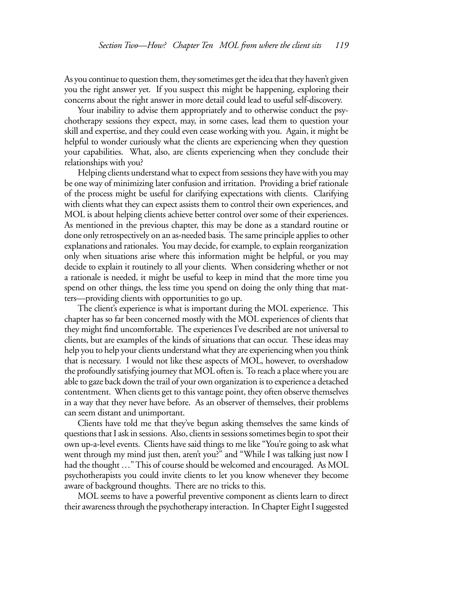As you continue to question them, they sometimes get the idea that they haven't given you the right answer yet. If you suspect this might be happening, exploring their concerns about the right answer in more detail could lead to useful self-discovery.

Your inability to advise them appropriately and to otherwise conduct the psychotherapy sessions they expect, may, in some cases, lead them to question your skill and expertise, and they could even cease working with you. Again, it might be helpful to wonder curiously what the clients are experiencing when they question your capabilities. What, also, are clients experiencing when they conclude their relationships with you?

Helping clients understand what to expect from sessions they have with you may be one way of minimizing later confusion and irritation. Providing a brief rationale of the process might be useful for clarifying expectations with clients. Clarifying with clients what they can expect assists them to control their own experiences, and MOL is about helping clients achieve better control over some of their experiences. As mentioned in the previous chapter, this may be done as a standard routine or done only retrospectively on an as-needed basis. The same principle applies to other explanations and rationales. You may decide, for example, to explain reorganization only when situations arise where this information might be helpful, or you may decide to explain it routinely to all your clients. When considering whether or not a rationale is needed, it might be useful to keep in mind that the more time you spend on other things, the less time you spend on doing the only thing that matters—providing clients with opportunities to go up.

The client's experience is what is important during the MOL experience. This chapter has so far been concerned mostly with the MOL experiences of clients that they might find uncomfortable. The experiences I've described are not universal to clients, but are examples of the kinds of situations that can occur. These ideas may help you to help your clients understand what they are experiencing when you think that is necessary. I would not like these aspects of MOL, however, to overshadow the profoundly satisfying journey that MOL often is. To reach a place where you are able to gaze back down the trail of your own organization is to experience a detached contentment. When clients get to this vantage point, they often observe themselves in a way that they never have before. As an observer of themselves, their problems can seem distant and unimportant.

Clients have told me that they've begun asking themselves the same kinds of questions that I ask in sessions. Also, clients in sessions sometimes begin to spot their own up-a-level events. Clients have said things to me like "You're going to ask what went through my mind just then, aren't you?" and "While I was talking just now I had the thought …" This of course should be welcomed and encouraged. As MOL psychotherapists you could invite clients to let you know whenever they become aware of background thoughts. There are no tricks to this.

MOL seems to have a powerful preventive component as clients learn to direct their awareness through the psychotherapy interaction. In Chapter Eight I suggested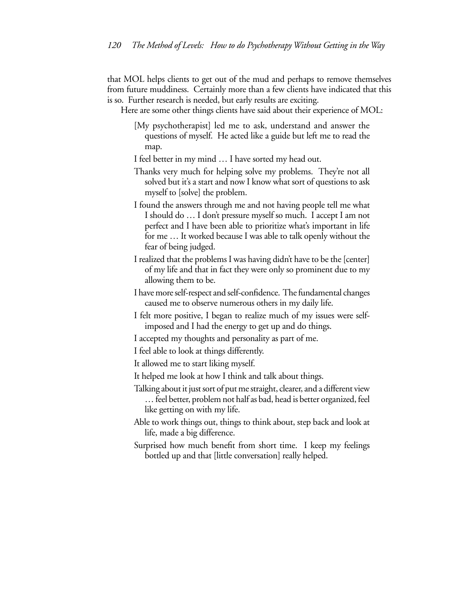that MOL helps clients to get out of the mud and perhaps to remove themselves from future muddiness. Certainly more than a few clients have indicated that this is so. Further research is needed, but early results are exciting.

Here are some other things clients have said about their experience of MOL:

- [My psychotherapist] led me to ask, understand and answer the questions of myself. He acted like a guide but left me to read the map.
- I feel better in my mind … I have sorted my head out.
- Thanks very much for helping solve my problems. They're not all solved but it's a start and now I know what sort of questions to ask myself to [solve] the problem.
- I found the answers through me and not having people tell me what I should do … I don't pressure myself so much. I accept I am not perfect and I have been able to prioritize what's important in life for me … It worked because I was able to talk openly without the fear of being judged.
- I realized that the problems I was having didn't have to be the [center] of my life and that in fact they were only so prominent due to my allowing them to be.
- I have more self-respect and self-confidence. The fundamental changes caused me to observe numerous others in my daily life.
- I felt more positive, I began to realize much of my issues were selfimposed and I had the energy to get up and do things.
- I accepted my thoughts and personality as part of me.
- I feel able to look at things differently.
- It allowed me to start liking myself.
- It helped me look at how I think and talk about things.
- Talking about it just sort of put me straight, clearer, and a different view
	- … feel better, problem not half as bad, head is better organized, feel like getting on with my life.
- Able to work things out, things to think about, step back and look at life, made a big difference.
- Surprised how much benefit from short time. I keep my feelings bottled up and that [little conversation] really helped.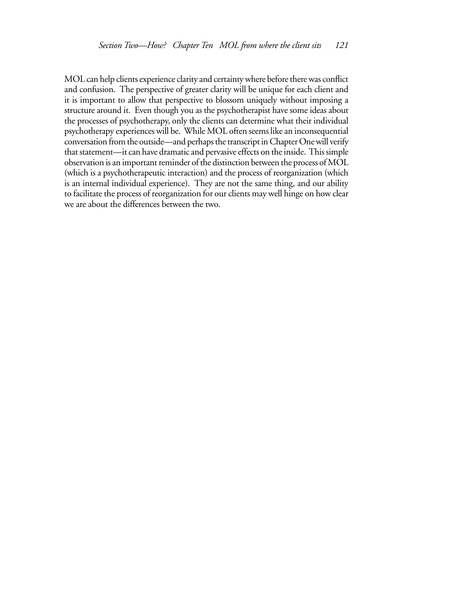MOL can help clients experience clarity and certainty where before there was conflict and confusion. The perspective of greater clarity will be unique for each client and it is important to allow that perspective to blossom uniquely without imposing a structure around it. Even though you as the psychotherapist have some ideas about the processes of psychotherapy, only the clients can determine what their individual psychotherapy experiences will be. While MOL often seems like an inconsequential conversation from the outside—and perhaps the transcript in Chapter One will verify that statement—it can have dramatic and pervasive effects on the inside. This simple observation is an important reminder of the distinction between the process of MOL (which is a psychotherapeutic interaction) and the process of reorganization (which is an internal individual experience). They are not the same thing, and our ability to facilitate the process of reorganization for our clients may well hinge on how clear we are about the differences between the two.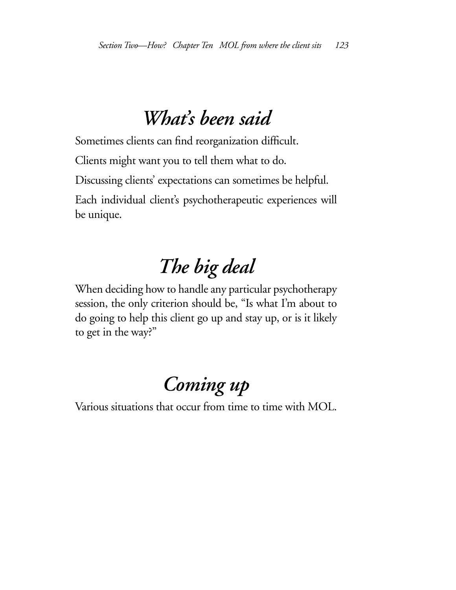### *What's been said*

Sometimes clients can find reorganization difficult.

Clients might want you to tell them what to do.

Discussing clients' expectations can sometimes be helpful.

Each individual client's psychotherapeutic experiences will be unique.

# *The big deal*

When deciding how to handle any particular psychotherapy session, the only criterion should be, "Is what I'm about to do going to help this client go up and stay up, or is it likely to get in the way?"

## *Coming up*

Various situations that occur from time to time with MOL.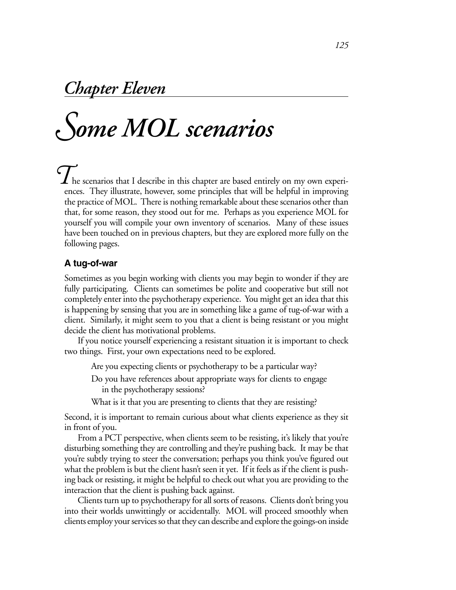### *Chapter Eleven*

# *Some MOL scenarios*

The scenarios that I describe in this chapter are based entirely on my own experiences. They illustrate, however, some principles that will be helpful in improving the practice of MOL. There is nothing remarkable about these scenarios other than that, for some reason, they stood out for me. Perhaps as you experience MOL for yourself you will compile your own inventory of scenarios. Many of these issues have been touched on in previous chapters, but they are explored more fully on the following pages.

### **A tug-of-war**

Sometimes as you begin working with clients you may begin to wonder if they are fully participating. Clients can sometimes be polite and cooperative but still not completely enter into the psychotherapy experience. You might get an idea that this is happening by sensing that you are in something like a game of tug-of-war with a client. Similarly, it might seem to you that a client is being resistant or you might decide the client has motivational problems.

If you notice yourself experiencing a resistant situation it is important to check two things. First, your own expectations need to be explored.

Are you expecting clients or psychotherapy to be a particular way?

Do you have references about appropriate ways for clients to engage in the psychotherapy sessions?

What is it that you are presenting to clients that they are resisting?

Second, it is important to remain curious about what clients experience as they sit in front of you.

From a PCT perspective, when clients seem to be resisting, it's likely that you're disturbing something they are controlling and they're pushing back. It may be that you're subtly trying to steer the conversation; perhaps you think you've figured out what the problem is but the client hasn't seen it yet. If it feels as if the client is pushing back or resisting, it might be helpful to check out what you are providing to the interaction that the client is pushing back against.

Clients turn up to psychotherapy for all sorts of reasons. Clients don't bring you into their worlds unwittingly or accidentally. MOL will proceed smoothly when clients employ your services so that they can describe and explore the goings-on inside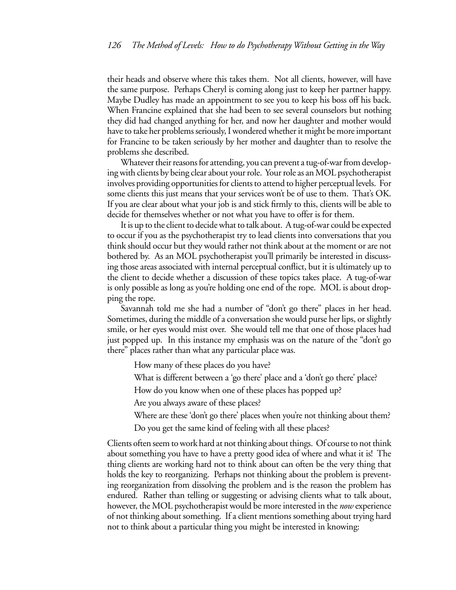their heads and observe where this takes them. Not all clients, however, will have the same purpose. Perhaps Cheryl is coming along just to keep her partner happy. Maybe Dudley has made an appointment to see you to keep his boss off his back. When Francine explained that she had been to see several counselors but nothing they did had changed anything for her, and now her daughter and mother would have to take her problems seriously, I wondered whether it might be more important for Francine to be taken seriously by her mother and daughter than to resolve the problems she described.

Whatever their reasons for attending, you can prevent a tug-of-war from developing with clients by being clear about your role. Your role as an MOL psychotherapist involves providing opportunities for clients to attend to higher perceptual levels. For some clients this just means that your services won't be of use to them. That's OK. If you are clear about what your job is and stick firmly to this, clients will be able to decide for themselves whether or not what you have to offer is for them.

It is up to the client to decide what to talk about. A tug-of-war could be expected to occur if you as the psychotherapist try to lead clients into conversations that you think should occur but they would rather not think about at the moment or are not bothered by. As an MOL psychotherapist you'll primarily be interested in discussing those areas associated with internal perceptual conflict, but it is ultimately up to the client to decide whether a discussion of these topics takes place. A tug-of-war is only possible as long as you're holding one end of the rope. MOL is about dropping the rope.

Savannah told me she had a number of "don't go there" places in her head. Sometimes, during the middle of a conversation she would purse her lips, or slightly smile, or her eyes would mist over. She would tell me that one of those places had just popped up. In this instance my emphasis was on the nature of the "don't go there" places rather than what any particular place was.

How many of these places do you have?

What is different between a 'go there' place and a 'don't go there' place?

How do you know when one of these places has popped up?

Are you always aware of these places?

Where are these 'don't go there' places when you're not thinking about them? Do you get the same kind of feeling with all these places?

Clients often seem to work hard at not thinking about things. Of course to not think about something you have to have a pretty good idea of where and what it is! The thing clients are working hard not to think about can often be the very thing that holds the key to reorganizing. Perhaps not thinking about the problem is preventing reorganization from dissolving the problem and is the reason the problem has endured. Rather than telling or suggesting or advising clients what to talk about, however, the MOL psychotherapist would be more interested in the *now* experience of not thinking about something. If a client mentions something about trying hard not to think about a particular thing you might be interested in knowing: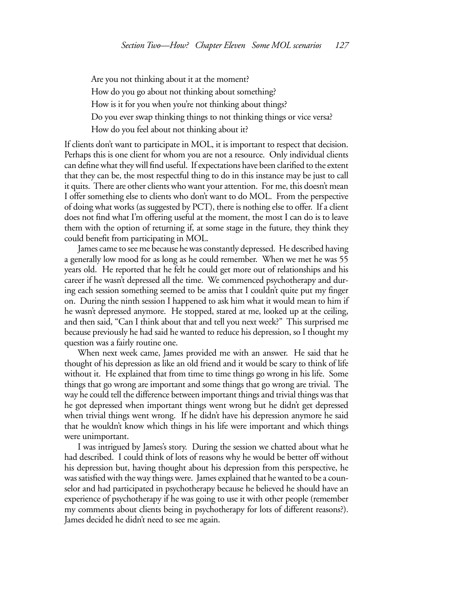Are you not thinking about it at the moment? How do you go about not thinking about something? How is it for you when you're not thinking about things? Do you ever swap thinking things to not thinking things or vice versa? How do you feel about not thinking about it?

If clients don't want to participate in MOL, it is important to respect that decision. Perhaps this is one client for whom you are not a resource. Only individual clients can define what they will find useful. If expectations have been clarified to the extent that they can be, the most respectful thing to do in this instance may be just to call it quits. There are other clients who want your attention. For me, this doesn't mean I offer something else to clients who don't want to do MOL. From the perspective of doing what works (as suggested by PCT), there is nothing else to offer. If a client does not find what I'm offering useful at the moment, the most I can do is to leave them with the option of returning if, at some stage in the future, they think they could benefit from participating in MOL.

James came to see me because he was constantly depressed. He described having a generally low mood for as long as he could remember. When we met he was 55 years old. He reported that he felt he could get more out of relationships and his career if he wasn't depressed all the time. We commenced psychotherapy and during each session something seemed to be amiss that I couldn't quite put my finger on. During the ninth session I happened to ask him what it would mean to him if he wasn't depressed anymore. He stopped, stared at me, looked up at the ceiling, and then said, "Can I think about that and tell you next week?" This surprised me because previously he had said he wanted to reduce his depression, so I thought my question was a fairly routine one.

When next week came, James provided me with an answer. He said that he thought of his depression as like an old friend and it would be scary to think of life without it. He explained that from time to time things go wrong in his life. Some things that go wrong are important and some things that go wrong are trivial. The way he could tell the difference between important things and trivial things was that he got depressed when important things went wrong but he didn't get depressed when trivial things went wrong. If he didn't have his depression anymore he said that he wouldn't know which things in his life were important and which things were unimportant.

I was intrigued by James's story. During the session we chatted about what he had described. I could think of lots of reasons why he would be better off without his depression but, having thought about his depression from this perspective, he was satisfied with the way things were. James explained that he wanted to be a counselor and had participated in psychotherapy because he believed he should have an experience of psychotherapy if he was going to use it with other people (remember my comments about clients being in psychotherapy for lots of different reasons?). James decided he didn't need to see me again.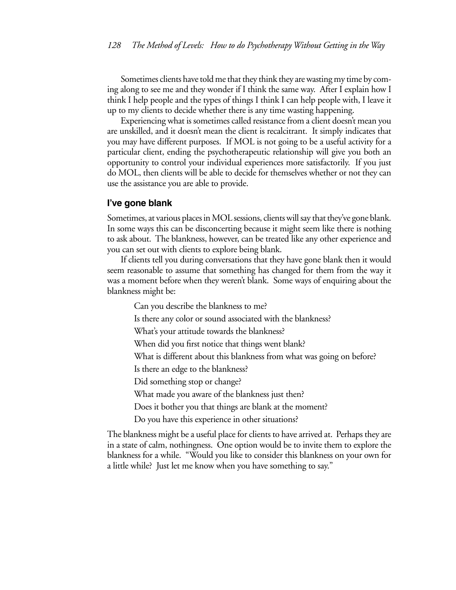Sometimes clients have told me that they think they are wasting my time by coming along to see me and they wonder if I think the same way. After I explain how I think I help people and the types of things I think I can help people with, I leave it up to my clients to decide whether there is any time wasting happening.

Experiencing what is sometimes called resistance from a client doesn't mean you are unskilled, and it doesn't mean the client is recalcitrant. It simply indicates that you may have different purposes. If MOL is not going to be a useful activity for a particular client, ending the psychotherapeutic relationship will give you both an opportunity to control your individual experiences more satisfactorily. If you just do MOL, then clients will be able to decide for themselves whether or not they can use the assistance you are able to provide.

### **I've gone blank**

Sometimes, at various places in MOL sessions, clients will say that they've gone blank. In some ways this can be disconcerting because it might seem like there is nothing to ask about. The blankness, however, can be treated like any other experience and you can set out with clients to explore being blank.

If clients tell you during conversations that they have gone blank then it would seem reasonable to assume that something has changed for them from the way it was a moment before when they weren't blank. Some ways of enquiring about the blankness might be:

Can you describe the blankness to me?

Is there any color or sound associated with the blankness?

What's your attitude towards the blankness?

When did you first notice that things went blank?

What is different about this blankness from what was going on before?

Is there an edge to the blankness?

Did something stop or change?

What made you aware of the blankness just then?

Does it bother you that things are blank at the moment?

Do you have this experience in other situations?

The blankness might be a useful place for clients to have arrived at. Perhaps they are in a state of calm, nothingness. One option would be to invite them to explore the blankness for a while. "Would you like to consider this blankness on your own for a little while? Just let me know when you have something to say."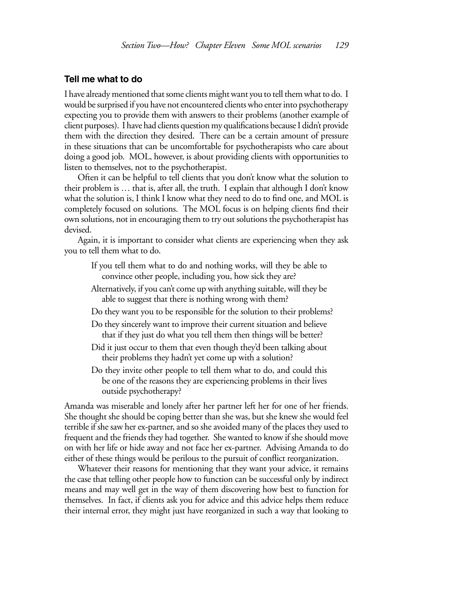### **Tell me what to do**

I have already mentioned that some clients might want you to tell them what to do. I would be surprised if you have not encountered clients who enter into psychotherapy expecting you to provide them with answers to their problems (another example of client purposes). I have had clients question my qualifications because I didn't provide them with the direction they desired. There can be a certain amount of pressure in these situations that can be uncomfortable for psychotherapists who care about doing a good job. MOL, however, is about providing clients with opportunities to listen to themselves, not to the psychotherapist.

Often it can be helpful to tell clients that you don't know what the solution to their problem is … that is, after all, the truth. I explain that although I don't know what the solution is, I think I know what they need to do to find one, and MOL is completely focused on solutions. The MOL focus is on helping clients find their own solutions, not in encouraging them to try out solutions the psychotherapist has devised.

Again, it is important to consider what clients are experiencing when they ask you to tell them what to do.

- If you tell them what to do and nothing works, will they be able to convince other people, including you, how sick they are?
- Alternatively, if you can't come up with anything suitable, will they be able to suggest that there is nothing wrong with them?
- Do they want you to be responsible for the solution to their problems?
- Do they sincerely want to improve their current situation and believe that if they just do what you tell them then things will be better?
- Did it just occur to them that even though they'd been talking about their problems they hadn't yet come up with a solution?
- Do they invite other people to tell them what to do, and could this be one of the reasons they are experiencing problems in their lives outside psychotherapy?

Amanda was miserable and lonely after her partner left her for one of her friends. She thought she should be coping better than she was, but she knew she would feel terrible if she saw her ex-partner, and so she avoided many of the places they used to frequent and the friends they had together. She wanted to know if she should move on with her life or hide away and not face her ex-partner. Advising Amanda to do either of these things would be perilous to the pursuit of conflict reorganization.

Whatever their reasons for mentioning that they want your advice, it remains the case that telling other people how to function can be successful only by indirect means and may well get in the way of them discovering how best to function for themselves. In fact, if clients ask you for advice and this advice helps them reduce their internal error, they might just have reorganized in such a way that looking to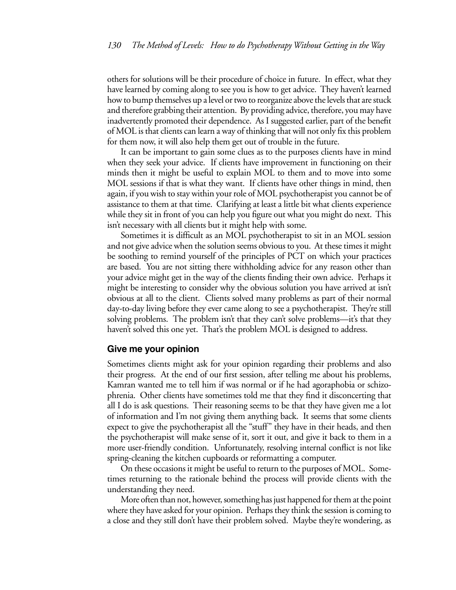others for solutions will be their procedure of choice in future. In effect, what they have learned by coming along to see you is how to get advice. They haven't learned how to bump themselves up a level or two to reorganize above the levels that are stuck and therefore grabbing their attention. By providing advice, therefore, you may have inadvertently promoted their dependence. As I suggested earlier, part of the benefit of MOL is that clients can learn a way of thinking that will not only fix this problem for them now, it will also help them get out of trouble in the future.

It can be important to gain some clues as to the purposes clients have in mind when they seek your advice. If clients have improvement in functioning on their minds then it might be useful to explain MOL to them and to move into some MOL sessions if that is what they want. If clients have other things in mind, then again, if you wish to stay within your role of MOL psychotherapist you cannot be of assistance to them at that time. Clarifying at least a little bit what clients experience while they sit in front of you can help you figure out what you might do next. This isn't necessary with all clients but it might help with some.

Sometimes it is difficult as an MOL psychotherapist to sit in an MOL session and not give advice when the solution seems obvious to you. At these times it might be soothing to remind yourself of the principles of PCT on which your practices are based. You are not sitting there withholding advice for any reason other than your advice might get in the way of the clients finding their own advice. Perhaps it might be interesting to consider why the obvious solution you have arrived at isn't obvious at all to the client. Clients solved many problems as part of their normal day-to-day living before they ever came along to see a psychotherapist. They're still solving problems. The problem isn't that they can't solve problems—it's that they haven't solved this one yet. That's the problem MOL is designed to address.

#### **Give me your opinion**

Sometimes clients might ask for your opinion regarding their problems and also their progress. At the end of our first session, after telling me about his problems, Kamran wanted me to tell him if was normal or if he had agoraphobia or schizophrenia. Other clients have sometimes told me that they find it disconcerting that all I do is ask questions. Their reasoning seems to be that they have given me a lot of information and I'm not giving them anything back. It seems that some clients expect to give the psychotherapist all the "stuff" they have in their heads, and then the psychotherapist will make sense of it, sort it out, and give it back to them in a more user-friendly condition. Unfortunately, resolving internal conflict is not like spring-cleaning the kitchen cupboards or reformatting a computer.

On these occasions it might be useful to return to the purposes of MOL. Sometimes returning to the rationale behind the process will provide clients with the understanding they need.

More often than not, however, something has just happened for them at the point where they have asked for your opinion. Perhaps they think the session is coming to a close and they still don't have their problem solved. Maybe they're wondering, as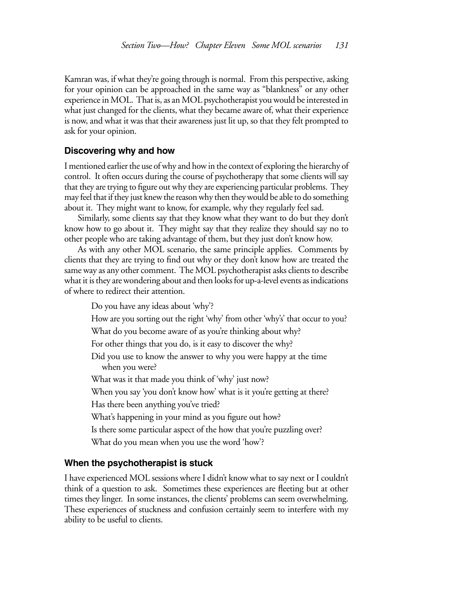Kamran was, if what they're going through is normal. From this perspective, asking for your opinion can be approached in the same way as "blankness" or any other experience in MOL. That is, as an MOL psychotherapist you would be interested in what just changed for the clients, what they became aware of, what their experience is now, and what it was that their awareness just lit up, so that they felt prompted to ask for your opinion.

### **Discovering why and how**

I mentioned earlier the use of why and how in the context of exploring the hierarchy of control. It often occurs during the course of psychotherapy that some clients will say that they are trying to figure out why they are experiencing particular problems. They may feel that if they just knew the reason why then they would be able to do something about it. They might want to know, for example, why they regularly feel sad.

Similarly, some clients say that they know what they want to do but they don't know how to go about it. They might say that they realize they should say no to other people who are taking advantage of them, but they just don't know how.

As with any other MOL scenario, the same principle applies. Comments by clients that they are trying to find out why or they don't know how are treated the same way as any other comment. The MOL psychotherapist asks clients to describe what it is they are wondering about and then looks for up-a-level events as indications of where to redirect their attention.

- Do you have any ideas about 'why'?
- How are you sorting out the right 'why' from other 'why's' that occur to you?
- What do you become aware of as you're thinking about why?
- For other things that you do, is it easy to discover the why?
- Did you use to know the answer to why you were happy at the time when you were?
- What was it that made you think of 'why' just now?
- When you say 'you don't know how' what is it you're getting at there? Has there been anything you've tried?
- What's happening in your mind as you figure out how?
- Is there some particular aspect of the how that you're puzzling over?
- What do you mean when you use the word 'how'?

### **When the psychotherapist is stuck**

I have experienced MOL sessions where I didn't know what to say next or I couldn't think of a question to ask. Sometimes these experiences are fleeting but at other times they linger. In some instances, the clients' problems can seem overwhelming. These experiences of stuckness and confusion certainly seem to interfere with my ability to be useful to clients.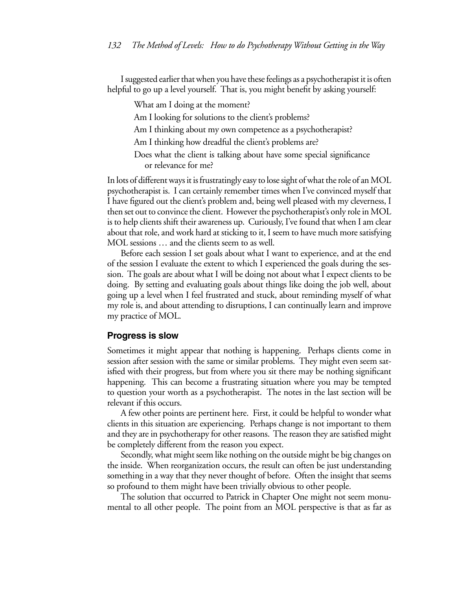I suggested earlier that when you have these feelings as a psychotherapist it is often helpful to go up a level yourself. That is, you might benefit by asking yourself:

What am I doing at the moment?

Am I looking for solutions to the client's problems?

Am I thinking about my own competence as a psychotherapist?

Am I thinking how dreadful the client's problems are?

Does what the client is talking about have some special significance or relevance for me?

In lots of different ways it is frustratingly easy to lose sight of what the role of an MOL psychotherapist is. I can certainly remember times when I've convinced myself that I have figured out the client's problem and, being well pleased with my cleverness, I then set out to convince the client. However the psychotherapist's only role in MOL is to help clients shift their awareness up. Curiously, I've found that when I am clear about that role, and work hard at sticking to it, I seem to have much more satisfying MOL sessions … and the clients seem to as well.

Before each session I set goals about what I want to experience, and at the end of the session I evaluate the extent to which I experienced the goals during the session. The goals are about what I will be doing not about what I expect clients to be doing. By setting and evaluating goals about things like doing the job well, about going up a level when I feel frustrated and stuck, about reminding myself of what my role is, and about attending to disruptions, I can continually learn and improve my practice of MOL.

#### **Progress is slow**

Sometimes it might appear that nothing is happening. Perhaps clients come in session after session with the same or similar problems. They might even seem satisfied with their progress, but from where you sit there may be nothing significant happening. This can become a frustrating situation where you may be tempted to question your worth as a psychotherapist. The notes in the last section will be relevant if this occurs.

A few other points are pertinent here. First, it could be helpful to wonder what clients in this situation are experiencing. Perhaps change is not important to them and they are in psychotherapy for other reasons. The reason they are satisfied might be completely different from the reason you expect.

Secondly, what might seem like nothing on the outside might be big changes on the inside. When reorganization occurs, the result can often be just understanding something in a way that they never thought of before. Often the insight that seems so profound to them might have been trivially obvious to other people.

The solution that occurred to Patrick in Chapter One might not seem monumental to all other people. The point from an MOL perspective is that as far as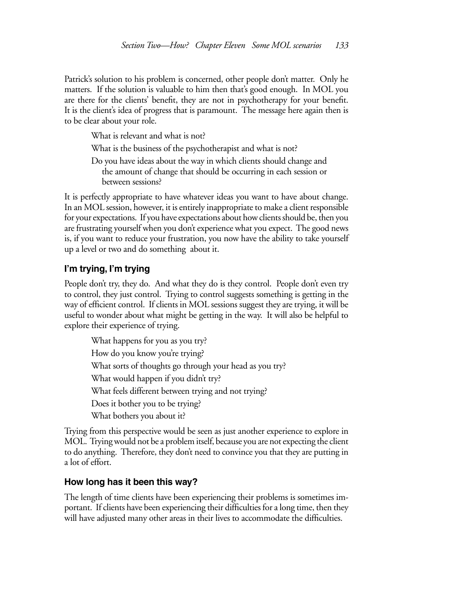Patrick's solution to his problem is concerned, other people don't matter. Only he matters. If the solution is valuable to him then that's good enough. In MOL you are there for the clients' benefit, they are not in psychotherapy for your benefit. It is the client's idea of progress that is paramount. The message here again then is to be clear about your role.

What is relevant and what is not?

What is the business of the psychotherapist and what is not?

Do you have ideas about the way in which clients should change and the amount of change that should be occurring in each session or between sessions?

It is perfectly appropriate to have whatever ideas you want to have about change. In an MOL session, however, it is entirely inappropriate to make a client responsible for your expectations. If you have expectations about how clients should be, then you are frustrating yourself when you don't experience what you expect. The good news is, if you want to reduce your frustration, you now have the ability to take yourself up a level or two and do something about it.

### **I'm trying, I'm trying**

People don't try, they do. And what they do is they control. People don't even try to control, they just control. Trying to control suggests something is getting in the way of efficient control. If clients in MOL sessions suggest they are trying, it will be useful to wonder about what might be getting in the way. It will also be helpful to explore their experience of trying.

What happens for you as you try? How do you know you're trying? What sorts of thoughts go through your head as you try? What would happen if you didn't try? What feels different between trying and not trying? Does it bother you to be trying? What bothers you about it?

Trying from this perspective would be seen as just another experience to explore in MOL. Trying would not be a problem itself, because you are not expecting the client to do anything. Therefore, they don't need to convince you that they are putting in a lot of effort.

### **How long has it been this way?**

The length of time clients have been experiencing their problems is sometimes important. If clients have been experiencing their difficulties for a long time, then they will have adjusted many other areas in their lives to accommodate the difficulties.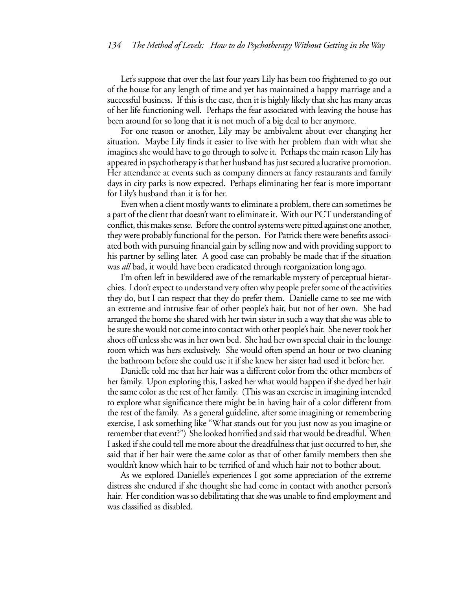Let's suppose that over the last four years Lily has been too frightened to go out of the house for any length of time and yet has maintained a happy marriage and a successful business. If this is the case, then it is highly likely that she has many areas of her life functioning well. Perhaps the fear associated with leaving the house has been around for so long that it is not much of a big deal to her anymore.

For one reason or another, Lily may be ambivalent about ever changing her situation. Maybe Lily finds it easier to live with her problem than with what she imagines she would have to go through to solve it. Perhaps the main reason Lily has appeared in psychotherapy is that her husband has just secured a lucrative promotion. Her attendance at events such as company dinners at fancy restaurants and family days in city parks is now expected. Perhaps eliminating her fear is more important for Lily's husband than it is for her.

Even when a client mostly wants to eliminate a problem, there can sometimes be a part of the client that doesn't want to eliminate it. With our PCT understanding of conflict, this makes sense. Before the control systems were pitted against one another, they were probably functional for the person. For Patrick there were benefits associated both with pursuing financial gain by selling now and with providing support to his partner by selling later. A good case can probably be made that if the situation was *all* bad, it would have been eradicated through reorganization long ago.

I'm often left in bewildered awe of the remarkable mystery of perceptual hierarchies. I don't expect to understand very often why people prefer some of the activities they do, but I can respect that they do prefer them. Danielle came to see me with an extreme and intrusive fear of other people's hair, but not of her own. She had arranged the home she shared with her twin sister in such a way that she was able to be sure she would not come into contact with other people's hair. She never took her shoes off unless she was in her own bed. She had her own special chair in the lounge room which was hers exclusively. She would often spend an hour or two cleaning the bathroom before she could use it if she knew her sister had used it before her.

Danielle told me that her hair was a different color from the other members of her family. Upon exploring this, I asked her what would happen if she dyed her hair the same color as the rest of her family. (This was an exercise in imagining intended to explore what significance there might be in having hair of a color different from the rest of the family. As a general guideline, after some imagining or remembering exercise, I ask something like "What stands out for you just now as you imagine or remember that event?") She looked horrified and said that would be dreadful. When I asked if she could tell me more about the dreadfulness that just occurred to her, she said that if her hair were the same color as that of other family members then she wouldn't know which hair to be terrified of and which hair not to bother about.

As we explored Danielle's experiences I got some appreciation of the extreme distress she endured if she thought she had come in contact with another person's hair. Her condition was so debilitating that she was unable to find employment and was classified as disabled.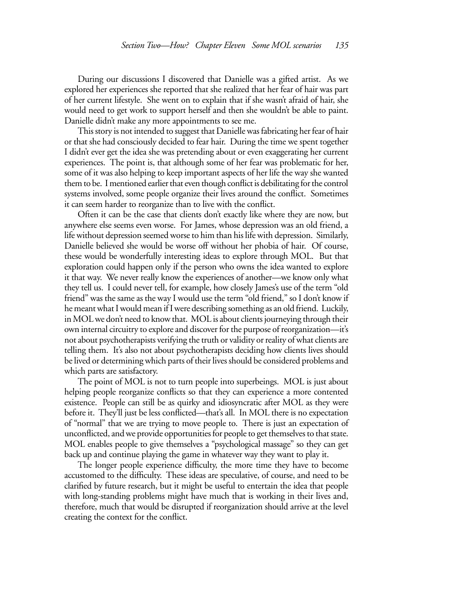During our discussions I discovered that Danielle was a gifted artist. As we explored her experiences she reported that she realized that her fear of hair was part of her current lifestyle. She went on to explain that if she wasn't afraid of hair, she would need to get work to support herself and then she wouldn't be able to paint. Danielle didn't make any more appointments to see me.

This story is not intended to suggest that Danielle was fabricating her fear of hair or that she had consciously decided to fear hair. During the time we spent together I didn't ever get the idea she was pretending about or even exaggerating her current experiences. The point is, that although some of her fear was problematic for her, some of it was also helping to keep important aspects of her life the way she wanted them to be. I mentioned earlier that even though conflict is debilitating for the control systems involved, some people organize their lives around the conflict. Sometimes it can seem harder to reorganize than to live with the conflict.

Often it can be the case that clients don't exactly like where they are now, but anywhere else seems even worse. For James, whose depression was an old friend, a life without depression seemed worse to him than his life with depression. Similarly, Danielle believed she would be worse off without her phobia of hair. Of course, these would be wonderfully interesting ideas to explore through MOL. But that exploration could happen only if the person who owns the idea wanted to explore it that way. We never really know the experiences of another—we know only what they tell us. I could never tell, for example, how closely James's use of the term "old friend" was the same as the way I would use the term "old friend," so I don't know if he meant what I would mean if I were describing something as an old friend. Luckily, in MOL we don't need to know that. MOL is about clients journeying through their own internal circuitry to explore and discover for the purpose of reorganization—it's not about psychotherapists verifying the truth or validity or reality of what clients are telling them. It's also not about psychotherapists deciding how clients lives should be lived or determining which parts of their lives should be considered problems and which parts are satisfactory.

The point of MOL is not to turn people into superbeings. MOL is just about helping people reorganize conflicts so that they can experience a more contented existence. People can still be as quirky and idiosyncratic after MOL as they were before it. They'll just be less conflicted—that's all. In MOL there is no expectation of "normal" that we are trying to move people to. There is just an expectation of unconflicted, and we provide opportunities for people to get themselves to that state. MOL enables people to give themselves a "psychological massage" so they can get back up and continue playing the game in whatever way they want to play it.

The longer people experience difficulty, the more time they have to become accustomed to the difficulty. These ideas are speculative, of course, and need to be clarified by future research, but it might be useful to entertain the idea that people with long-standing problems might have much that is working in their lives and, therefore, much that would be disrupted if reorganization should arrive at the level creating the context for the conflict.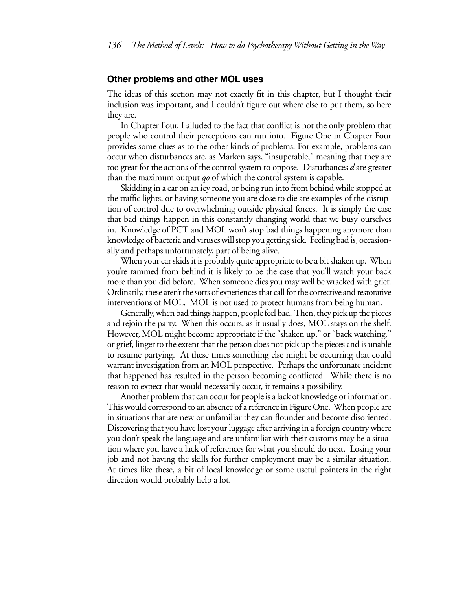#### **Other problems and other MOL uses**

The ideas of this section may not exactly fit in this chapter, but I thought their inclusion was important, and I couldn't figure out where else to put them, so here they are.

In Chapter Four, I alluded to the fact that conflict is not the only problem that people who control their perceptions can run into. Figure One in Chapter Four provides some clues as to the other kinds of problems. For example, problems can occur when disturbances are, as Marken says, "insuperable," meaning that they are too great for the actions of the control system to oppose. Disturbances *d* are greater than the maximum output *qo* of which the control system is capable.

Skidding in a car on an icy road, or being run into from behind while stopped at the traffic lights, or having someone you are close to die are examples of the disruption of control due to overwhelming outside physical forces. It is simply the case that bad things happen in this constantly changing world that we busy ourselves in. Knowledge of PCT and MOL won't stop bad things happening anymore than knowledge of bacteria and viruses will stop you getting sick. Feeling bad is, occasionally and perhaps unfortunately, part of being alive.

When your car skids it is probably quite appropriate to be a bit shaken up. When you're rammed from behind it is likely to be the case that you'll watch your back more than you did before. When someone dies you may well be wracked with grief. Ordinarily, these aren't the sorts of experiences that call for the corrective and restorative interventions of MOL. MOL is not used to protect humans from being human.

Generally, when bad things happen, people feel bad. Then, they pick up the pieces and rejoin the party. When this occurs, as it usually does, MOL stays on the shelf. However, MOL might become appropriate if the "shaken up," or "back watching," or grief, linger to the extent that the person does not pick up the pieces and is unable to resume partying. At these times something else might be occurring that could warrant investigation from an MOL perspective. Perhaps the unfortunate incident that happened has resulted in the person becoming conflicted. While there is no reason to expect that would necessarily occur, it remains a possibility.

Another problem that can occur for people is a lack of knowledge or information. This would correspond to an absence of a reference in Figure One. When people are in situations that are new or unfamiliar they can flounder and become disoriented. Discovering that you have lost your luggage after arriving in a foreign country where you don't speak the language and are unfamiliar with their customs may be a situation where you have a lack of references for what you should do next. Losing your job and not having the skills for further employment may be a similar situation. At times like these, a bit of local knowledge or some useful pointers in the right direction would probably help a lot.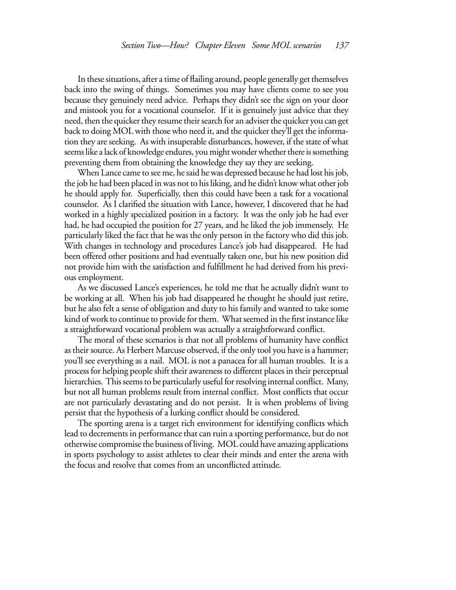In these situations, after a time of flailing around, people generally get themselves back into the swing of things. Sometimes you may have clients come to see you because they genuinely need advice. Perhaps they didn't see the sign on your door and mistook you for a vocational counselor. If it is genuinely just advice that they need, then the quicker they resume their search for an adviser the quicker you can get back to doing MOL with those who need it, and the quicker they'll get the information they are seeking. As with insuperable disturbances, however, if the state of what seems like a lack of knowledge endures, you might wonder whether there is something preventing them from obtaining the knowledge they say they are seeking.

When Lance came to see me, he said he was depressed because he had lost his job, the job he had been placed in was not to his liking, and he didn't know what other job he should apply for. Superficially, then this could have been a task for a vocational counselor. As I clarified the situation with Lance, however, I discovered that he had worked in a highly specialized position in a factory. It was the only job he had ever had, he had occupied the position for 27 years, and he liked the job immensely. He particularly liked the fact that he was the only person in the factory who did this job. With changes in technology and procedures Lance's job had disappeared. He had been offered other positions and had eventually taken one, but his new position did not provide him with the satisfaction and fulfillment he had derived from his previous employment.

As we discussed Lance's experiences, he told me that he actually didn't want to be working at all. When his job had disappeared he thought he should just retire, but he also felt a sense of obligation and duty to his family and wanted to take some kind of work to continue to provide for them. What seemed in the first instance like a straightforward vocational problem was actually a straightforward conflict.

The moral of these scenarios is that not all problems of humanity have conflict as their source. As Herbert Marcuse observed, if the only tool you have is a hammer; you'll see everything as a nail. MOL is not a panacea for all human troubles. It is a process for helping people shift their awareness to different places in their perceptual hierarchies. This seems to be particularly useful for resolving internal conflict. Many, but not all human problems result from internal conflict. Most conflicts that occur are not particularly devastating and do not persist. It is when problems of living persist that the hypothesis of a lurking conflict should be considered.

The sporting arena is a target rich environment for identifying conflicts which lead to decrements in performance that can ruin a sporting performance, but do not otherwise compromise the business of living. MOL could have amazing applications in sports psychology to assist athletes to clear their minds and enter the arena with the focus and resolve that comes from an unconflicted attitude.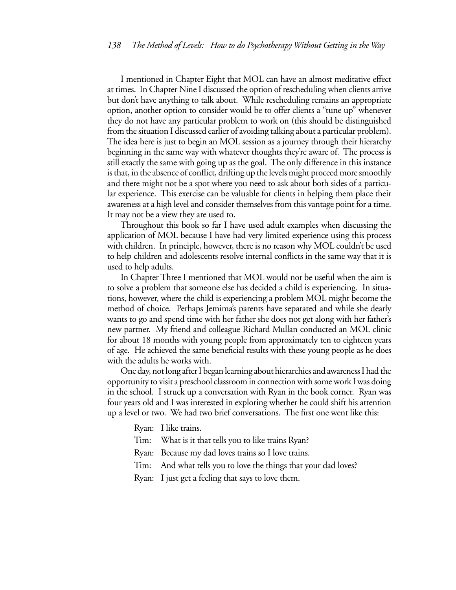I mentioned in Chapter Eight that MOL can have an almost meditative effect at times. In Chapter Nine I discussed the option of rescheduling when clients arrive but don't have anything to talk about. While rescheduling remains an appropriate option, another option to consider would be to offer clients a "tune up" whenever they do not have any particular problem to work on (this should be distinguished from the situation I discussed earlier of avoiding talking about a particular problem). The idea here is just to begin an MOL session as a journey through their hierarchy beginning in the same way with whatever thoughts they're aware of. The process is still exactly the same with going up as the goal. The only difference in this instance is that, in the absence of conflict, drifting up the levels might proceed more smoothly and there might not be a spot where you need to ask about both sides of a particular experience. This exercise can be valuable for clients in helping them place their awareness at a high level and consider themselves from this vantage point for a time. It may not be a view they are used to.

Throughout this book so far I have used adult examples when discussing the application of MOL because I have had very limited experience using this process with children. In principle, however, there is no reason why MOL couldn't be used to help children and adolescents resolve internal conflicts in the same way that it is used to help adults.

In Chapter Three I mentioned that MOL would not be useful when the aim is to solve a problem that someone else has decided a child is experiencing. In situations, however, where the child is experiencing a problem MOL might become the method of choice. Perhaps Jemima's parents have separated and while she dearly wants to go and spend time with her father she does not get along with her father's new partner. My friend and colleague Richard Mullan conducted an MOL clinic for about 18 months with young people from approximately ten to eighteen years of age. He achieved the same beneficial results with these young people as he does with the adults he works with.

One day, not long after I began learning about hierarchies and awareness I had the opportunity to visit a preschool classroom in connection with some work I was doing in the school. I struck up a conversation with Ryan in the book corner. Ryan was four years old and I was interested in exploring whether he could shift his attention up a level or two. We had two brief conversations. The first one went like this:

- Ryan: I like trains.
- Tim: What is it that tells you to like trains Ryan?
- Ryan: Because my dad loves trains so I love trains.
- Tim: And what tells you to love the things that your dad loves?
- Ryan: I just get a feeling that says to love them.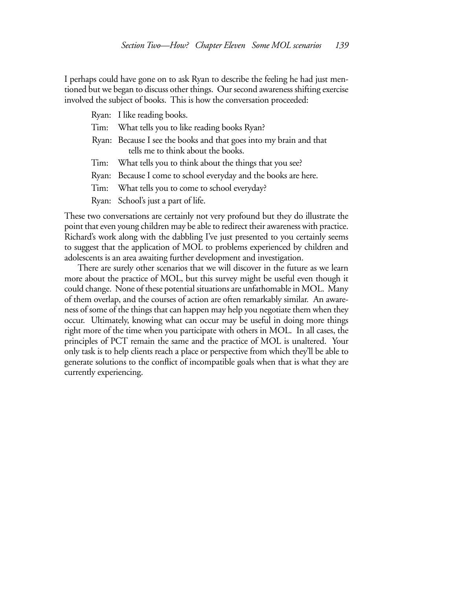I perhaps could have gone on to ask Ryan to describe the feeling he had just mentioned but we began to discuss other things. Our second awareness shifting exercise involved the subject of books. This is how the conversation proceeded:

- Ryan: I like reading books.
- Tim: What tells you to like reading books Ryan?
- Ryan: Because I see the books and that goes into my brain and that tells me to think about the books.
- Tim: What tells you to think about the things that you see?
- Ryan: Because I come to school everyday and the books are here.
- Tim: What tells you to come to school everyday?
- Ryan: School's just a part of life.

These two conversations are certainly not very profound but they do illustrate the point that even young children may be able to redirect their awareness with practice. Richard's work along with the dabbling I've just presented to you certainly seems to suggest that the application of MOL to problems experienced by children and adolescents is an area awaiting further development and investigation.

There are surely other scenarios that we will discover in the future as we learn more about the practice of MOL, but this survey might be useful even though it could change. None of these potential situations are unfathomable in MOL. Many of them overlap, and the courses of action are often remarkably similar. An awareness of some of the things that can happen may help you negotiate them when they occur. Ultimately, knowing what can occur may be useful in doing more things right more of the time when you participate with others in MOL. In all cases, the principles of PCT remain the same and the practice of MOL is unaltered. Your only task is to help clients reach a place or perspective from which they'll be able to generate solutions to the conflict of incompatible goals when that is what they are currently experiencing.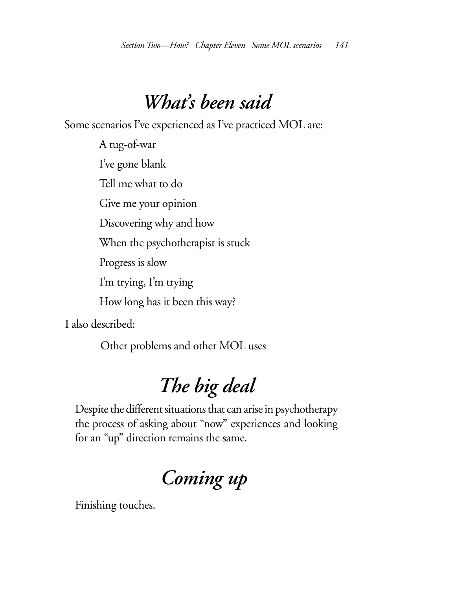### *What's been said*

Some scenarios I've experienced as I've practiced MOL are:

A tug-of-war

I've gone blank

Tell me what to do

Give me your opinion

Discovering why and how

When the psychotherapist is stuck

Progress is slow

I'm trying, I'm trying

How long has it been this way?

I also described:

Other problems and other MOL uses

# *The big deal*

Despite the different situations that can arise in psychotherapy the process of asking about "now" experiences and looking for an "up" direction remains the same.

## *Coming up*

Finishing touches.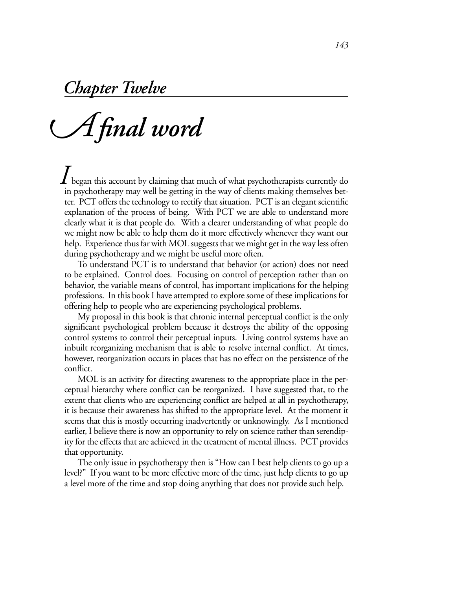### *Chapter Twelve*

# *A final word*

 began this account by claiming that much of what psychotherapists currently do *I*in psychotherapy may well be getting in the way of clients making themselves better. PCT offers the technology to rectify that situation. PCT is an elegant scientific explanation of the process of being. With PCT we are able to understand more clearly what it is that people do. With a clearer understanding of what people do we might now be able to help them do it more effectively whenever they want our help. Experience thus far with MOL suggests that we might get in the way less often during psychotherapy and we might be useful more often.

To understand PCT is to understand that behavior (or action) does not need to be explained. Control does. Focusing on control of perception rather than on behavior, the variable means of control, has important implications for the helping professions. In this book I have attempted to explore some of these implications for offering help to people who are experiencing psychological problems.

My proposal in this book is that chronic internal perceptual conflict is the only significant psychological problem because it destroys the ability of the opposing control systems to control their perceptual inputs. Living control systems have an inbuilt reorganizing mechanism that is able to resolve internal conflict. At times, however, reorganization occurs in places that has no effect on the persistence of the conflict.

MOL is an activity for directing awareness to the appropriate place in the perceptual hierarchy where conflict can be reorganized. I have suggested that, to the extent that clients who are experiencing conflict are helped at all in psychotherapy, it is because their awareness has shifted to the appropriate level. At the moment it seems that this is mostly occurring inadvertently or unknowingly. As I mentioned earlier, I believe there is now an opportunity to rely on science rather than serendipity for the effects that are achieved in the treatment of mental illness. PCT provides that opportunity.

The only issue in psychotherapy then is "How can I best help clients to go up a level?" If you want to be more effective more of the time, just help clients to go up a level more of the time and stop doing anything that does not provide such help.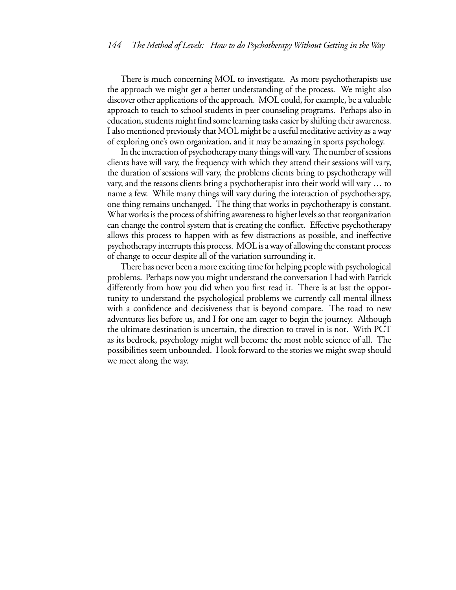There is much concerning MOL to investigate. As more psychotherapists use the approach we might get a better understanding of the process. We might also discover other applications of the approach. MOL could, for example, be a valuable approach to teach to school students in peer counseling programs. Perhaps also in education, students might find some learning tasks easier by shifting their awareness. I also mentioned previously that MOL might be a useful meditative activity as a way of exploring one's own organization, and it may be amazing in sports psychology.

In the interaction of psychotherapy many things will vary. The number of sessions clients have will vary, the frequency with which they attend their sessions will vary, the duration of sessions will vary, the problems clients bring to psychotherapy will vary, and the reasons clients bring a psychotherapist into their world will vary … to name a few. While many things will vary during the interaction of psychotherapy, one thing remains unchanged. The thing that works in psychotherapy is constant. What works is the process of shifting awareness to higher levels so that reorganization can change the control system that is creating the conflict. Effective psychotherapy allows this process to happen with as few distractions as possible, and ineffective psychotherapy interrupts this process. MOL is a way of allowing the constant process of change to occur despite all of the variation surrounding it.

There has never been a more exciting time for helping people with psychological problems. Perhaps now you might understand the conversation I had with Patrick differently from how you did when you first read it. There is at last the opportunity to understand the psychological problems we currently call mental illness with a confidence and decisiveness that is beyond compare. The road to new adventures lies before us, and I for one am eager to begin the journey. Although the ultimate destination is uncertain, the direction to travel in is not. With PCT as its bedrock, psychology might well become the most noble science of all. The possibilities seem unbounded. I look forward to the stories we might swap should we meet along the way.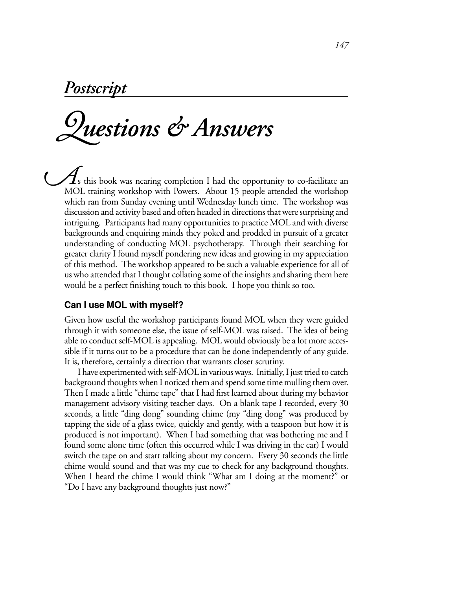### *Postscript*

*Questions & Answers*

*A* s this book was nearing completion I had the opportunity to co-facilitate an MOL training workshop with Powers. About 15 people attended the workshop which ran from Sunday evening until Wednesday lunch time. The workshop was discussion and activity based and often headed in directions that were surprising and intriguing. Participants had many opportunities to practice MOL and with diverse backgrounds and enquiring minds they poked and prodded in pursuit of a greater understanding of conducting MOL psychotherapy. Through their searching for greater clarity I found myself pondering new ideas and growing in my appreciation of this method. The workshop appeared to be such a valuable experience for all of us who attended that I thought collating some of the insights and sharing them here would be a perfect finishing touch to this book. I hope you think so too.

### **Can I use MOL with myself?**

Given how useful the workshop participants found MOL when they were guided through it with someone else, the issue of self-MOL was raised. The idea of being able to conduct self-MOL is appealing. MOL would obviously be a lot more accessible if it turns out to be a procedure that can be done independently of any guide. It is, therefore, certainly a direction that warrants closer scrutiny.

I have experimented with self-MOL in various ways. Initially, I just tried to catch background thoughts when I noticed them and spend some time mulling them over. Then I made a little "chime tape" that I had first learned about during my behavior management advisory visiting teacher days. On a blank tape I recorded, every 30 seconds, a little "ding dong" sounding chime (my "ding dong" was produced by tapping the side of a glass twice, quickly and gently, with a teaspoon but how it is produced is not important). When I had something that was bothering me and I found some alone time (often this occurred while I was driving in the car) I would switch the tape on and start talking about my concern. Every 30 seconds the little chime would sound and that was my cue to check for any background thoughts. When I heard the chime I would think "What am I doing at the moment?" or "Do I have any background thoughts just now?"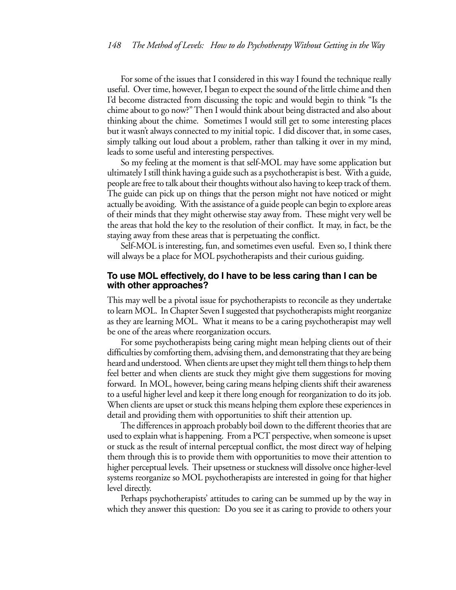For some of the issues that I considered in this way I found the technique really useful. Over time, however, I began to expect the sound of the little chime and then I'd become distracted from discussing the topic and would begin to think "Is the chime about to go now?" Then I would think about being distracted and also about thinking about the chime. Sometimes I would still get to some interesting places but it wasn't always connected to my initial topic. I did discover that, in some cases, simply talking out loud about a problem, rather than talking it over in my mind, leads to some useful and interesting perspectives.

So my feeling at the moment is that self-MOL may have some application but ultimately I still think having a guide such as a psychotherapist is best. With a guide, people are free to talk about their thoughts without also having to keep track of them. The guide can pick up on things that the person might not have noticed or might actually be avoiding. With the assistance of a guide people can begin to explore areas of their minds that they might otherwise stay away from. These might very well be the areas that hold the key to the resolution of their conflict. It may, in fact, be the staying away from these areas that is perpetuating the conflict.

Self-MOL is interesting, fun, and sometimes even useful. Even so, I think there will always be a place for MOL psychotherapists and their curious guiding.

### **To use MOL effectively, do I have to be less caring than I can be with other approaches?**

This may well be a pivotal issue for psychotherapists to reconcile as they undertake to learn MOL. In Chapter Seven I suggested that psychotherapists might reorganize as they are learning MOL. What it means to be a caring psychotherapist may well be one of the areas where reorganization occurs.

For some psychotherapists being caring might mean helping clients out of their difficulties by comforting them, advising them, and demonstrating that they are being heard and understood. When clients are upset they might tell them things to help them feel better and when clients are stuck they might give them suggestions for moving forward. In MOL, however, being caring means helping clients shift their awareness to a useful higher level and keep it there long enough for reorganization to do its job. When clients are upset or stuck this means helping them explore these experiences in detail and providing them with opportunities to shift their attention up.

The differences in approach probably boil down to the different theories that are used to explain what is happening. From a PCT perspective, when someone is upset or stuck as the result of internal perceptual conflict, the most direct way of helping them through this is to provide them with opportunities to move their attention to higher perceptual levels. Their upsetness or stuckness will dissolve once higher-level systems reorganize so MOL psychotherapists are interested in going for that higher level directly.

Perhaps psychotherapists' attitudes to caring can be summed up by the way in which they answer this question: Do you see it as caring to provide to others your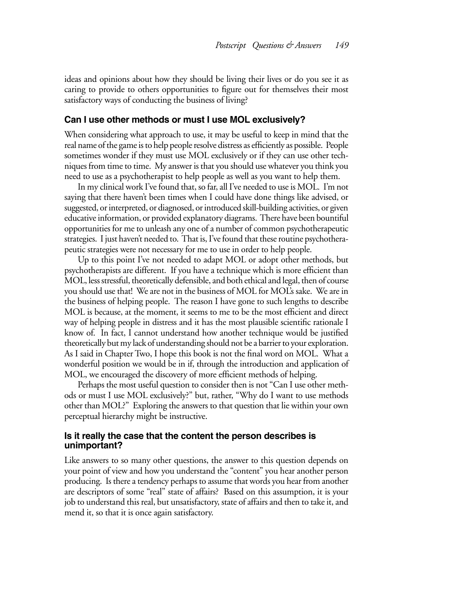ideas and opinions about how they should be living their lives or do you see it as caring to provide to others opportunities to figure out for themselves their most satisfactory ways of conducting the business of living?

#### **Can I use other methods or must I use MOL exclusively?**

When considering what approach to use, it may be useful to keep in mind that the real name of the game is to help people resolve distress as efficiently as possible. People sometimes wonder if they must use MOL exclusively or if they can use other techniques from time to time. My answer is that you should use whatever you think you need to use as a psychotherapist to help people as well as you want to help them.

In my clinical work I've found that, so far, all I've needed to use is MOL. I'm not saying that there haven't been times when I could have done things like advised, or suggested, or interpreted, or diagnosed, or introduced skill-building activities, or given educative information, or provided explanatory diagrams. There have been bountiful opportunities for me to unleash any one of a number of common psychotherapeutic strategies. I just haven't needed to. That is, I've found that these routine psychotherapeutic strategies were not necessary for me to use in order to help people.

Up to this point I've not needed to adapt MOL or adopt other methods, but psychotherapists are different. If you have a technique which is more efficient than MOL, less stressful, theoretically defensible, and both ethical and legal, then of course you should use that! We are not in the business of MOL for MOL's sake. We are in the business of helping people. The reason I have gone to such lengths to describe MOL is because, at the moment, it seems to me to be the most efficient and direct way of helping people in distress and it has the most plausible scientific rationale I know of. In fact, I cannot understand how another technique would be justified theoretically but my lack of understanding should not be a barrier to your exploration. As I said in Chapter Two, I hope this book is not the final word on MOL. What a wonderful position we would be in if, through the introduction and application of MOL, we encouraged the discovery of more efficient methods of helping.

Perhaps the most useful question to consider then is not "Can I use other methods or must I use MOL exclusively?" but, rather, "Why do I want to use methods other than MOL?" Exploring the answers to that question that lie within your own perceptual hierarchy might be instructive.

### **Is it really the case that the content the person describes is unimportant?**

Like answers to so many other questions, the answer to this question depends on your point of view and how you understand the "content" you hear another person producing. Is there a tendency perhaps to assume that words you hear from another are descriptors of some "real" state of affairs? Based on this assumption, it is your job to understand this real, but unsatisfactory, state of affairs and then to take it, and mend it, so that it is once again satisfactory.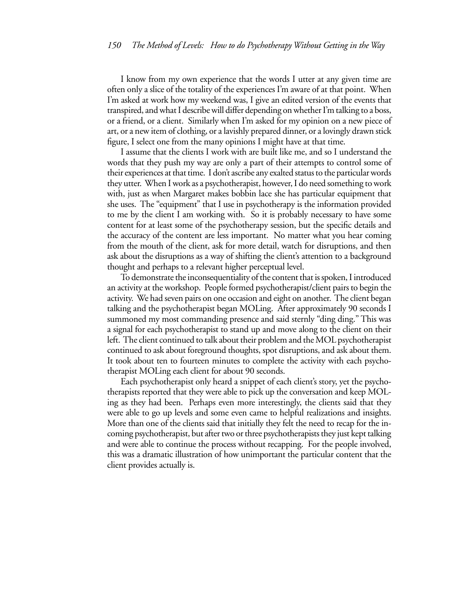I know from my own experience that the words I utter at any given time are often only a slice of the totality of the experiences I'm aware of at that point. When I'm asked at work how my weekend was, I give an edited version of the events that transpired, and what I describe will differ depending on whether I'm talking to a boss, or a friend, or a client. Similarly when I'm asked for my opinion on a new piece of art, or a new item of clothing, or a lavishly prepared dinner, or a lovingly drawn stick figure, I select one from the many opinions I might have at that time.

I assume that the clients I work with are built like me, and so I understand the words that they push my way are only a part of their attempts to control some of their experiences at that time. I don't ascribe any exalted status to the particular words they utter. When I work as a psychotherapist, however, I do need something to work with, just as when Margaret makes bobbin lace she has particular equipment that she uses. The "equipment" that I use in psychotherapy is the information provided to me by the client I am working with. So it is probably necessary to have some content for at least some of the psychotherapy session, but the specific details and the accuracy of the content are less important. No matter what you hear coming from the mouth of the client, ask for more detail, watch for disruptions, and then ask about the disruptions as a way of shifting the client's attention to a background thought and perhaps to a relevant higher perceptual level.

To demonstrate the inconsequentiality of the content that is spoken, I introduced an activity at the workshop. People formed psychotherapist/client pairs to begin the activity. We had seven pairs on one occasion and eight on another. The client began talking and the psychotherapist began MOLing. After approximately 90 seconds I summoned my most commanding presence and said sternly "ding ding." This was a signal for each psychotherapist to stand up and move along to the client on their left. The client continued to talk about their problem and the MOL psychotherapist continued to ask about foreground thoughts, spot disruptions, and ask about them. It took about ten to fourteen minutes to complete the activity with each psychotherapist MOLing each client for about 90 seconds.

Each psychotherapist only heard a snippet of each client's story, yet the psychotherapists reported that they were able to pick up the conversation and keep MOLing as they had been. Perhaps even more interestingly, the clients said that they were able to go up levels and some even came to helpful realizations and insights. More than one of the clients said that initially they felt the need to recap for the incoming psychotherapist, but after two or three psychotherapists they just kept talking and were able to continue the process without recapping. For the people involved, this was a dramatic illustration of how unimportant the particular content that the client provides actually is.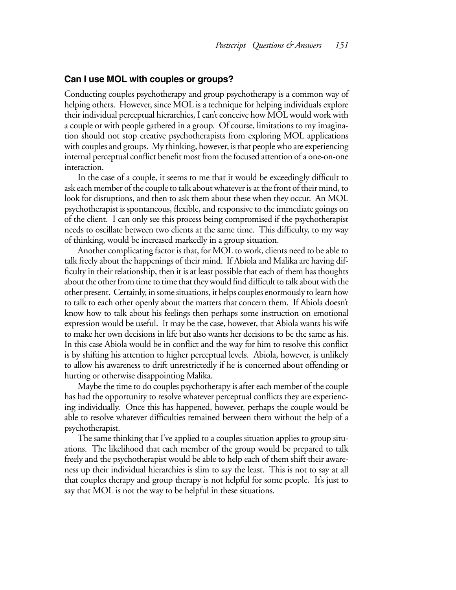### **Can I use MOL with couples or groups?**

Conducting couples psychotherapy and group psychotherapy is a common way of helping others. However, since MOL is a technique for helping individuals explore their individual perceptual hierarchies, I can't conceive how MOL would work with a couple or with people gathered in a group. Of course, limitations to my imagination should not stop creative psychotherapists from exploring MOL applications with couples and groups. My thinking, however, is that people who are experiencing internal perceptual conflict benefit most from the focused attention of a one-on-one interaction.

In the case of a couple, it seems to me that it would be exceedingly difficult to ask each member of the couple to talk about whatever is at the front of their mind, to look for disruptions, and then to ask them about these when they occur. An MOL psychotherapist is spontaneous, flexible, and responsive to the immediate goings on of the client. I can only see this process being compromised if the psychotherapist needs to oscillate between two clients at the same time. This difficulty, to my way of thinking, would be increased markedly in a group situation.

Another complicating factor is that, for MOL to work, clients need to be able to talk freely about the happenings of their mind. If Abiola and Malika are having difficulty in their relationship, then it is at least possible that each of them has thoughts about the other from time to time that they would find difficult to talk about with the other present. Certainly, in some situations, it helps couples enormously to learn how to talk to each other openly about the matters that concern them. If Abiola doesn't know how to talk about his feelings then perhaps some instruction on emotional expression would be useful. It may be the case, however, that Abiola wants his wife to make her own decisions in life but also wants her decisions to be the same as his. In this case Abiola would be in conflict and the way for him to resolve this conflict is by shifting his attention to higher perceptual levels. Abiola, however, is unlikely to allow his awareness to drift unrestrictedly if he is concerned about offending or hurting or otherwise disappointing Malika.

Maybe the time to do couples psychotherapy is after each member of the couple has had the opportunity to resolve whatever perceptual conflicts they are experiencing individually. Once this has happened, however, perhaps the couple would be able to resolve whatever difficulties remained between them without the help of a psychotherapist.

The same thinking that I've applied to a couples situation applies to group situations. The likelihood that each member of the group would be prepared to talk freely and the psychotherapist would be able to help each of them shift their awareness up their individual hierarchies is slim to say the least. This is not to say at all that couples therapy and group therapy is not helpful for some people. It's just to say that MOL is not the way to be helpful in these situations.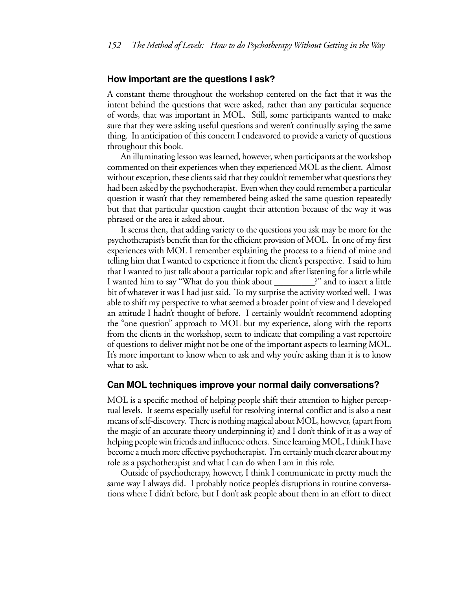### **How important are the questions I ask?**

A constant theme throughout the workshop centered on the fact that it was the intent behind the questions that were asked, rather than any particular sequence of words, that was important in MOL. Still, some participants wanted to make sure that they were asking useful questions and weren't continually saying the same thing. In anticipation of this concern I endeavored to provide a variety of questions throughout this book.

An illuminating lesson was learned, however, when participants at the workshop commented on their experiences when they experienced MOL as the client. Almost without exception, these clients said that they couldn't remember what questions they had been asked by the psychotherapist. Even when they could remember a particular question it wasn't that they remembered being asked the same question repeatedly but that that particular question caught their attention because of the way it was phrased or the area it asked about.

It seems then, that adding variety to the questions you ask may be more for the psychotherapist's benefit than for the efficient provision of MOL. In one of my first experiences with MOL I remember explaining the process to a friend of mine and telling him that I wanted to experience it from the client's perspective. I said to him that I wanted to just talk about a particular topic and after listening for a little while I wanted him to say "What do you think about \_\_\_\_\_\_\_\_\_?" and to insert a little bit of whatever it was I had just said. To my surprise the activity worked well. I was able to shift my perspective to what seemed a broader point of view and I developed an attitude I hadn't thought of before. I certainly wouldn't recommend adopting the "one question" approach to MOL but my experience, along with the reports from the clients in the workshop, seem to indicate that compiling a vast repertoire of questions to deliver might not be one of the important aspects to learning MOL. It's more important to know when to ask and why you're asking than it is to know what to ask.

### **Can MOL techniques improve your normal daily conversations?**

MOL is a specific method of helping people shift their attention to higher perceptual levels. It seems especially useful for resolving internal conflict and is also a neat means of self-discovery. There is nothing magical about MOL, however, (apart from the magic of an accurate theory underpinning it) and I don't think of it as a way of helping people win friends and influence others. Since learning MOL, I think I have become a much more effective psychotherapist. I'm certainly much clearer about my role as a psychotherapist and what I can do when I am in this role.

Outside of psychotherapy, however, I think I communicate in pretty much the same way I always did. I probably notice people's disruptions in routine conversations where I didn't before, but I don't ask people about them in an effort to direct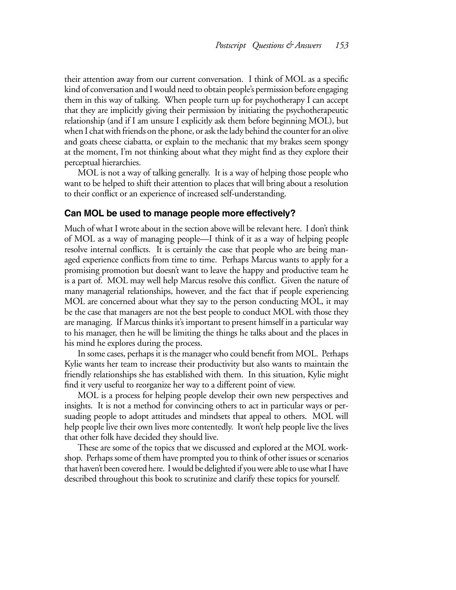their attention away from our current conversation. I think of MOL as a specific kind of conversation and I would need to obtain people's permission before engaging them in this way of talking. When people turn up for psychotherapy I can accept that they are implicitly giving their permission by initiating the psychotherapeutic relationship (and if I am unsure I explicitly ask them before beginning MOL), but when I chat with friends on the phone, or ask the lady behind the counter for an olive and goats cheese ciabatta, or explain to the mechanic that my brakes seem spongy at the moment, I'm not thinking about what they might find as they explore their perceptual hierarchies.

MOL is not a way of talking generally. It is a way of helping those people who want to be helped to shift their attention to places that will bring about a resolution to their conflict or an experience of increased self-understanding.

#### **Can MOL be used to manage people more effectively?**

Much of what I wrote about in the section above will be relevant here. I don't think of MOL as a way of managing people—I think of it as a way of helping people resolve internal conflicts. It is certainly the case that people who are being managed experience conflicts from time to time. Perhaps Marcus wants to apply for a promising promotion but doesn't want to leave the happy and productive team he is a part of. MOL may well help Marcus resolve this conflict. Given the nature of many managerial relationships, however, and the fact that if people experiencing MOL are concerned about what they say to the person conducting MOL, it may be the case that managers are not the best people to conduct MOL with those they are managing. If Marcus thinks it's important to present himself in a particular way to his manager, then he will be limiting the things he talks about and the places in his mind he explores during the process.

In some cases, perhaps it is the manager who could benefit from MOL. Perhaps Kylie wants her team to increase their productivity but also wants to maintain the friendly relationships she has established with them. In this situation, Kylie might find it very useful to reorganize her way to a different point of view.

MOL is a process for helping people develop their own new perspectives and insights. It is not a method for convincing others to act in particular ways or persuading people to adopt attitudes and mindsets that appeal to others. MOL will help people live their own lives more contentedly. It won't help people live the lives that other folk have decided they should live.

These are some of the topics that we discussed and explored at the MOL workshop. Perhaps some of them have prompted you to think of other issues or scenarios that haven't been covered here. I would be delighted if you were able to use what I have described throughout this book to scrutinize and clarify these topics for yourself.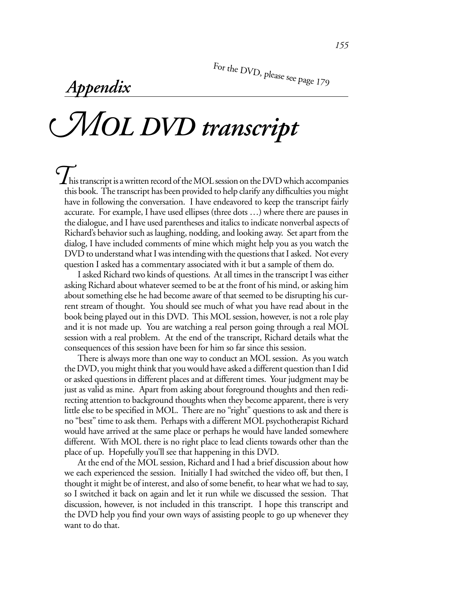For the DVD, please see page 179

 *Appendix*

# *MOL DVD transcript*

This transcript is a written record of the MOL session on the DVD which accompanies<br>this book. The transcript has been provided to help clarify any difficulties you might have in following the conversation. I have endeavored to keep the transcript fairly accurate. For example, I have used ellipses (three dots …) where there are pauses in the dialogue, and I have used parentheses and italics to indicate nonverbal aspects of Richard's behavior such as laughing, nodding, and looking away. Set apart from the dialog, I have included comments of mine which might help you as you watch the DVD to understand what I was intending with the questions that I asked. Not every question I asked has a commentary associated with it but a sample of them do.

I asked Richard two kinds of questions. At all times in the transcript I was either asking Richard about whatever seemed to be at the front of his mind, or asking him about something else he had become aware of that seemed to be disrupting his current stream of thought. You should see much of what you have read about in the book being played out in this DVD. This MOL session, however, is not a role play and it is not made up. You are watching a real person going through a real MOL session with a real problem. At the end of the transcript, Richard details what the consequences of this session have been for him so far since this session.

There is always more than one way to conduct an MOL session. As you watch the DVD, you might think that you would have asked a different question than I did or asked questions in different places and at different times. Your judgment may be just as valid as mine. Apart from asking about foreground thoughts and then redirecting attention to background thoughts when they become apparent, there is very little else to be specified in MOL. There are no "right" questions to ask and there is no "best" time to ask them. Perhaps with a different MOL psychotherapist Richard would have arrived at the same place or perhaps he would have landed somewhere different. With MOL there is no right place to lead clients towards other than the place of up. Hopefully you'll see that happening in this DVD.

At the end of the MOL session, Richard and I had a brief discussion about how we each experienced the session. Initially I had switched the video off, but then, I thought it might be of interest, and also of some benefit, to hear what we had to say, so I switched it back on again and let it run while we discussed the session. That discussion, however, is not included in this transcript. I hope this transcript and the DVD help you find your own ways of assisting people to go up whenever they want to do that.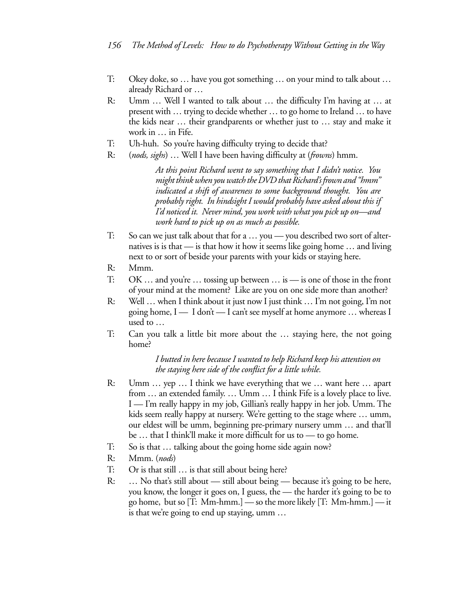- T: Okey doke, so … have you got something … on your mind to talk about … already Richard or …
- R: Umm … Well I wanted to talk about … the difficulty I'm having at … at present with … trying to decide whether … to go home to Ireland … to have the kids near … their grandparents or whether just to … stay and make it work in … in Fife.
- T: Uh-huh. So you're having difficulty trying to decide that?
- R: (*nods, sighs*) … Well I have been having difficulty at (*frowns*) hmm.

*At this point Richard went to say something that I didn't notice. You mightthinkwhen youwatch theDVDthatRichard's frown and "hmm" indicated a shift of awareness to some background thought. You are probablyright. In hindsight I would probably have asked about this if I'd* noticed it. Never mind, you work with what you pick up on—and *work hard to pick up on as much as possible.*

- T: So can we just talk about that for a … you you described two sort of alternatives is is that — is that how it how it seems like going home … and living next to or sort of beside your parents with your kids or staying here.
- R: Mmm.
- T: OK ... and you're ... tossing up between ... is is one of those in the front of your mind at the moment? Like are you on one side more than another?
- R: Well … when I think about it just now I just think … I'm not going, I'm not going home,  $I - I$  don't  $I$  can't see myself at home anymore  $\ldots$  whereas I used to …
- T: Can you talk a little bit more about the … staying here, the not going home?

*I butted in here because I wanted to help Richard keep his attention on the staying here side of the conflict for a little while.*

- R: Umm … yep … I think we have everything that we … want here … apart from … an extended family. … Umm … I think Fife is a lovely place to live. I — I'm really happy in my job, Gillian's really happy in her job. Umm. The kids seem really happy at nursery. We're getting to the stage where … umm, our eldest will be umm, beginning pre-primary nursery umm … and that'll be … that I think'll make it more difficult for us to — to go home.
- T: So is that … talking about the going home side again now?
- R: Mmm. (*nods*)
- T: Or is that still … is that still about being here?
- R: … No that's still about still about being because it's going to be here, you know, the longer it goes on, I guess, the — the harder it's going to be to go home, but so [T: Mm-hmm.] — so the more likely [T: Mm-hmm.] — it is that we're going to end up staying, umm …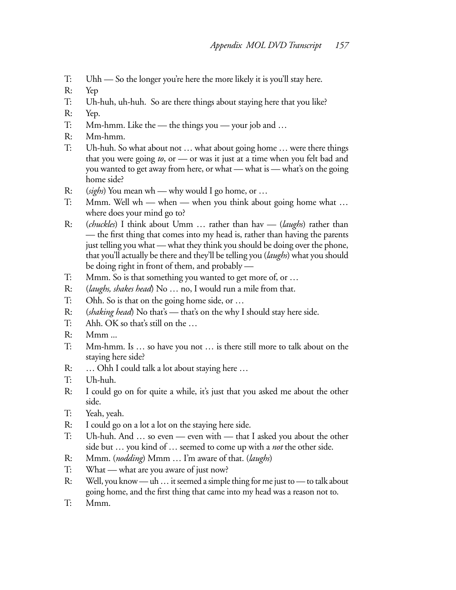- T: Uhh So the longer you're here the more likely it is you'll stay here.
- R: Yep
- T: Uh-huh, uh-huh. So are there things about staying here that you like?
- R: Yep.
- T: Mm-hmm. Like the the things you your job and …
- R: Mm-hmm.
- T: Uh-huh. So what about not … what about going home … were there things that you were going *to*, or — or was it just at a time when you felt bad and you wanted to get away from here, or what — what is — what's on the going home side?
- R: (*sighs*) You mean wh why would I go home, or …
- T: Mmm. Well wh when when you think about going home what … where does your mind go to?
- R: (*chuckles*) I think about Umm … rather than hav (*laughs*) rather than — the first thing that comes into my head is, rather than having the parents just telling you what — what they think you should be doing over the phone, that you'll actually be there and they'll be telling you (*laughs*) what you should be doing right in front of them, and probably —
- T: Mmm. So is that something you wanted to get more of, or …
- R: (*laughs, shakes head*) No … no, I would run a mile from that.
- T: Ohh. So is that on the going home side, or …
- R: (*shaking head*) No that's that's on the why I should stay here side.
- T: Ahh. OK so that's still on the …
- R: Mmm ...
- T: Mm-hmm. Is … so have you not … is there still more to talk about on the staying here side?
- R: … Ohh I could talk a lot about staying here …
- T: Uh-huh.
- R: I could go on for quite a while, it's just that you asked me about the other side.
- T: Yeah, yeah.
- R: I could go on a lot a lot on the staying here side.
- T: Uh-huh. And … so even even with that I asked you about the other side but … you kind of … seemed to come up with a *not* the other side.
- R: Mmm. (*nodding*) Mmm … I'm aware of that. (*laughs*)
- T: What what are you aware of just now?
- R: Well, you know uh … it seemed a simple thing for me just to to talk about going home, and the first thing that came into my head was a reason not to.
- T: Mmm.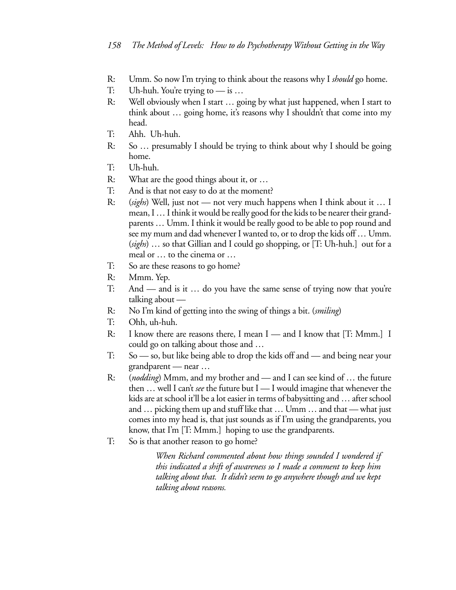- R: Umm. So now I'm trying to think about the reasons why I *should* go home.
- T: Uh-huh. You're trying to is ...
- R: Well obviously when I start … going by what just happened, when I start to think about … going home, it's reasons why I shouldn't that come into my head.
- T: Ahh. Uh-huh.
- R: So … presumably I should be trying to think about why I should be going home.
- T: Uh-huh.
- R: What are the good things about it, or …
- T: And is that not easy to do at the moment?
- R: (*sighs*) Well, just not not very much happens when I think about it … I mean, I … I think it would be really good for the kids to be nearer their grandparents … Umm. I think it would be really good to be able to pop round and see my mum and dad whenever I wanted to, or to drop the kids off … Umm. (*sighs*) … so that Gillian and I could go shopping, or [T: Uh-huh.] out for a meal or … to the cinema or …
- T: So are these reasons to go home?
- R: Mmm. Yep.
- T: And and is it … do you have the same sense of trying now that you're talking about —
- R: No I'm kind of getting into the swing of things a bit. (*smiling*)
- T: Ohh, uh-huh.
- R: I know there are reasons there, I mean I and I know that [T: Mmm.] I could go on talking about those and …
- T: So so, but like being able to drop the kids off and and being near your grandparent — near …
- R: (*nodding*) Mmm, and my brother and and I can see kind of … the future then … well I can't *see* the future but I — I would imagine that whenever the kids are at school it'll be a lot easier in terms of babysitting and … after school and … picking them up and stuff like that … Umm … and that — what just comes into my head is, that just sounds as if I'm using the grandparents, you know, that I'm [T: Mmm.] hoping to use the grandparents.
- T: So is that another reason to go home?

*When Richard commented about how things sounded I wondered if this indicated a shift of awareness so I made a comment to keep him talking about that. It didn't seem to go anywhere though and we kept talking about reasons.*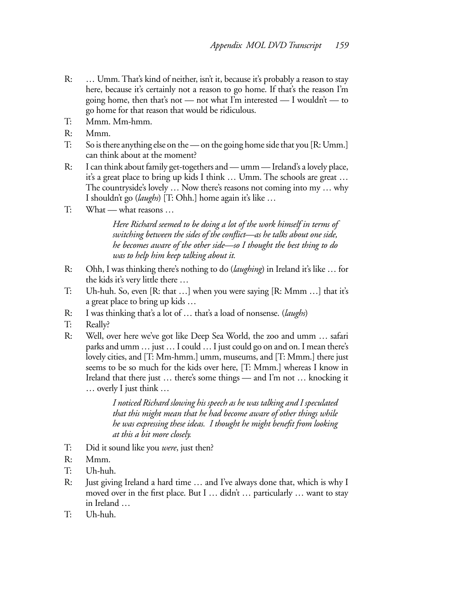- R: ... Umm. That's kind of neither, isn't it, because it's probably a reason to stay here, because it's certainly not a reason to go home. If that's the reason I'm going home, then that's not — not what I'm interested — I wouldn't — to go home for that reason that would be ridiculous.
- T: Mmm. Mm-hmm.
- R: Mmm.
- T: So is there anything else on the on the going home side that you [R: Umm.] can think about at the moment?
- R: I can think about family get-togethers and umm Ireland's a lovely place, it's a great place to bring up kids I think ... Umm. The schools are great ... The countryside's lovely … Now there's reasons not coming into my … why I shouldn't go (*laughs*) [T: Ohh.] home again it's like …
- T: What what reasons …

*Here Richard seemed to be doing a lot of the work himself in terms of switching between the sides of the conflict—as he talks about one side, he becomes aware of the other side—so I thought the best thing to do was to help him keep talking about it.*

- R: Ohh, I was thinking there's nothing to do (*laughing*) in Ireland it's like … for the kids it's very little there …
- T: Uh-huh. So, even [R: that …] when you were saying [R: Mmm …] that it's a great place to bring up kids …
- R: I was thinking that's a lot of … that's a load of nonsense. (*laughs*)
- T: Really?
- R: Well, over here we've got like Deep Sea World, the zoo and umm … safari parks and umm … just … I could … I just could go on and on. I mean there's lovely cities, and [T: Mm-hmm.] umm, museums, and [T: Mmm.] there just seems to be so much for the kids over here, [T: Mmm.] whereas I know in Ireland that there just … there's some things — and I'm not … knocking it … overly I just think …

*I noticed Richard slowing his speech as he was talking and I speculated that this might mean that he had become aware of other things while he was expressing these ideas. I thought he might benefit from looking at this a bit more closely.*

- T: Did it sound like you *were*, just then?
- R: Mmm.
- T: Uh-huh.
- R: Just giving Ireland a hard time … and I've always done that, which is why I moved over in the first place. But I … didn't … particularly … want to stay in Ireland …
- T: Uh-huh.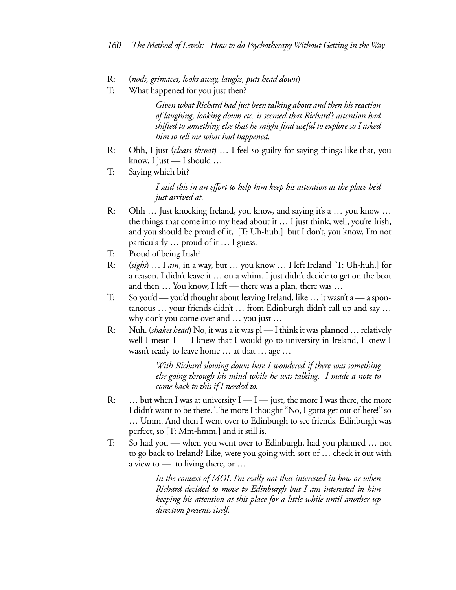- R: (*nods, grimaces, looks away, laughs, puts head down*)
- T: What happened for you just then?

*Given what Richard had just been talking about and then his reaction of laughing, looking down etc. it seemed that Richard's attention had shifted to something else that he might find useful to explore so I asked him to tell me what had happened.*

- R: Ohh, I just (*clears throat*) … I feel so guilty for saying things like that, you know, I just — I should  $\dots$
- T: Saying which bit?

*I said this in an effort to help him keep his attention at the place he'd just arrived at.*

- R: Ohh ... Just knocking Ireland, you know, and saying it's a ... you know ... the things that come into my head about it … I just think, well, you're Irish, and you should be proud of it, [T: Uh-huh.] but I don't, you know, I'm not particularly … proud of it … I guess.
- T: Proud of being Irish?
- R: (*sighs*) … I *am*, in a way, but … you know … I left Ireland [T: Uh-huh.] for a reason. I didn't leave it … on a whim. I just didn't decide to get on the boat and then ... You know, I left — there was a plan, there was ...
- T: So you'd you'd thought about leaving Ireland, like … it wasn't a a spontaneous … your friends didn't … from Edinburgh didn't call up and say … why don't you come over and … you just …
- R: Nuh. (*shakes head*) No, it was a it was pl I think it was planned … relatively well I mean I — I knew that I would go to university in Ireland, I knew I wasn't ready to leave home … at that … age …

*With Richard slowing down here I wondered if there was something else going through his mind while he was talking. I made a note to come back to this if I needed to.*

- R: ... but when I was at university  $I I -$  just, the more I was there, the more I didn't want to be there. The more I thought "No, I gotta get out of here!" so … Umm. And then I went over to Edinburgh to see friends. Edinburgh was perfect, so [T: Mm-hmm.] and it still is.
- T: So had you when you went over to Edinburgh, had you planned … not to go back to Ireland? Like, were you going with sort of … check it out with a view to — to living there, or  $\dots$

*In the context of MOL I'm really not that interested in how or when Richard decided to move to Edinburgh but I am interested in him keeping his attention at this place for a little while until another up direction presents itself.*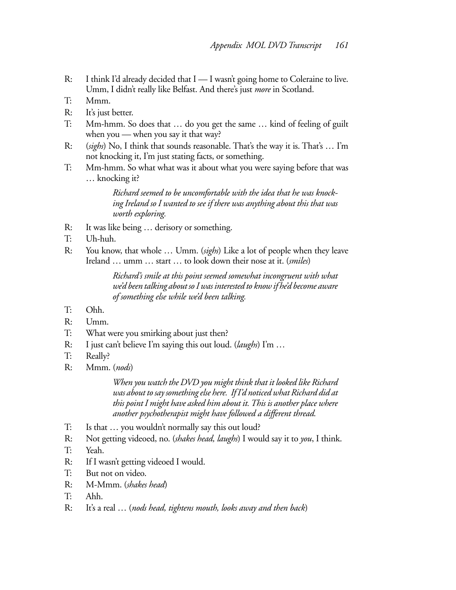- R: I think I'd already decided that I I wasn't going home to Coleraine to live. Umm, I didn't really like Belfast. And there's just *more* in Scotland.
- T: Mmm.
- R: It's just better.
- T: Mm-hmm. So does that … do you get the same … kind of feeling of guilt when you — when you say it that way?
- R: (*sighs*) No, I think that sounds reasonable. That's the way it is. That's … I'm not knocking it, I'm just stating facts, or something.
- T: Mm-hmm. So what what was it about what you were saying before that was … knocking it?

*Richard seemed to be uncomfortable with the idea that he was knockingIreland so I wanted to see if there was anything about this that was worth exploring.*

- R: It was like being … derisory or something.
- T: Uh-huh.
- R: You know, that whole … Umm. (*sighs*) Like a lot of people when they leave Ireland … umm … start … to look down their nose at it. (*smiles*)

*Richard's smile at this point seemed somewhat incongruent with what we'd been talking about so Iwas interested to knowif he'd become aware of something else while we'd been talking.*

- T: Ohh.
- R: Umm.
- T: What were you smirking about just then?
- R: I just can't believe I'm saying this out loud. (*laughs*) I'm …
- T: Really?
- R: Mmm. (*nods*)

*When you watch the DVD you might think that it looked like Richard was about to saysomethingelse here. IfI'd noticedwhat Richard did at this point I might have asked him about it.This is another place where another psychotherapist might have followed a different thread.*

- T: Is that … you wouldn't normally say this out loud?
- R: Not getting videoed, no. (*shakes head, laughs*) I would say it to *you*, I think.
- T: Yeah.
- R: If I wasn't getting videoed I would.
- T: But not on video.
- R: M-Mmm. (*shakes head*)
- T: Ahh.
- R: It's a real … (*nods head, tightens mouth, looks away and then back*)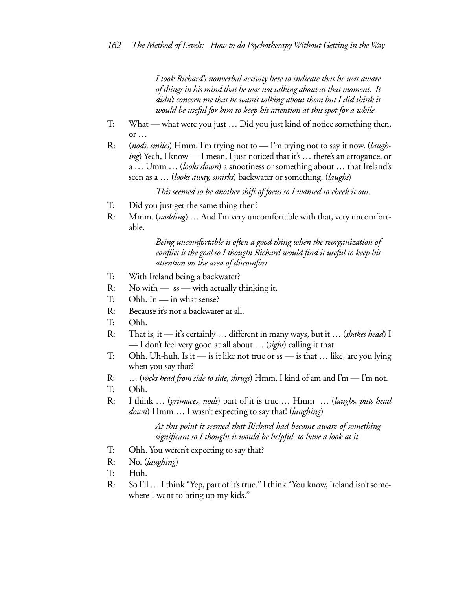*I took Richard's nonverbal activity here to indicate that he was aware of things in his mind that he was not talking about at that moment. It didn't concern me that he wasn't talking about them but I did think it would be useful for him to keep his attention at this spot for a while.*

- T: What what were you just … Did you just kind of notice something then,  $or \ldots$
- R: (*nods, smiles*) Hmm. I'm trying not to I'm trying not to say it now. (*laughing*) Yeah, I know — I mean, I just noticed that it's ... there's an arrogance, or a … Umm … (*looks down*) a snootiness or something about … that Ireland's seen as a … (*looks away, smirks*) backwater or something. (*laughs*)

*This seemed to be another shift of focus so I wanted to check it out.*

- T: Did you just get the same thing then?
- R: Mmm. (*nodding*) … And I'm very uncomfortable with that, very uncomfortable.

*Being uncomfortable is often a good thing when the reorganization of conflict is the goal so I thought Richard would find it useful to keep his attention on the area of discomfort.*

- T: With Ireland being a backwater?
- R: No with ss with actually thinking it.
- T: Ohh. In in what sense?
- R: Because it's not a backwater at all.
- T: Ohh.
- R: That is, it it's certainly … different in many ways, but it … (*shakes head*) I — I don't feel very good at all about … (*sighs*) calling it that.
- T: Ohh. Uh-huh. Is it is it like not true or ss is that … like, are you lying when you say that?
- R: … (*rocks head from side to side, shrugs*) Hmm. I kind of am and I'm I'm not.
- T: Ohh.
- R: I think … (*grimaces, nods*) part of it is true … Hmm … (*laughs, puts head down*) Hmm … I wasn't expecting to say that! (*laughing*)

*At this point it seemed that Richard had become aware of something significant so I thought it would be helpful to have a look at it.*

- T: Ohh. You weren't expecting to say that?
- R: No. (*laughing*)
- T: Huh.
- R: So I'll … I think "Yep, part of it's true." I think "You know, Ireland isn't somewhere I want to bring up my kids."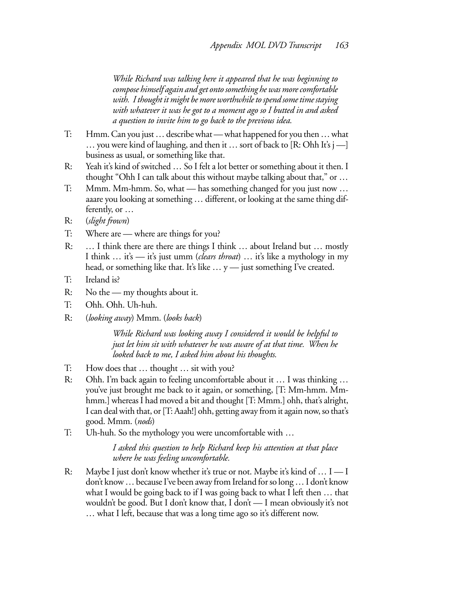*While Richard was talking here it appeared that he was beginning to compose himself again and get onto something hewas morecomfortable with. I thought it might be more worthwhile to spend some time staying with whatever it was he got to a moment ago so I butted in and asked a question to invite him to go back to the previous idea.*

- T: Hmm. Can you just … describe what what happened for you then … what … you were kind of laughing, and then it … sort of back to [R: Ohh It's j —] business as usual, or something like that.
- R: Yeah it's kind of switched … So I felt a lot better or something about it then. I thought "Ohh I can talk about this without maybe talking about that," or …
- T: Mmm. Mm-hmm. So, what has something changed for you just now … aaare you looking at something … different, or looking at the same thing differently, or …
- R: (*slight frown*)
- T: Where are where are things for you?
- R: … I think there are there are things I think … about Ireland but … mostly I think … it's — it's just umm (*clears throat*) … it's like a mythology in my head, or something like that. It's like ...  $y$  — just something I've created.
- T: Ireland is?
- R: No the my thoughts about it.
- T: Ohh. Ohh. Uh-huh.
- R: (*looking away*) Mmm. (*looks back*)

*While Richard was looking away I considered it would be helpful to just let him sit with whatever he was aware of at that time. When he looked back to me, I asked him about his thoughts.*

- T: How does that … thought … sit with you?
- R: Ohh. I'm back again to feeling uncomfortable about it … I was thinking … you've just brought me back to it again, or something, [T: Mm-hmm. Mmhmm.] whereas I had moved a bit and thought [T: Mmm.] ohh, that's alright, I can deal with that, or [T: Aaah!] ohh, getting away from it again now, so that's good. Mmm. (*nods*)
- T: Uh-huh. So the mythology you were uncomfortable with …

*I asked this question to help Richard keep his attention at that place where he was feeling uncomfortable.*

R: Maybe I just don't know whether it's true or not. Maybe it's kind of  $\dots I - I$ don't know … because I've been away from Ireland for so long … I don't know what I would be going back to if I was going back to what I left then … that wouldn't be good. But I don't know that, I don't — I mean obviously it's not … what I left, because that was a long time ago so it's different now.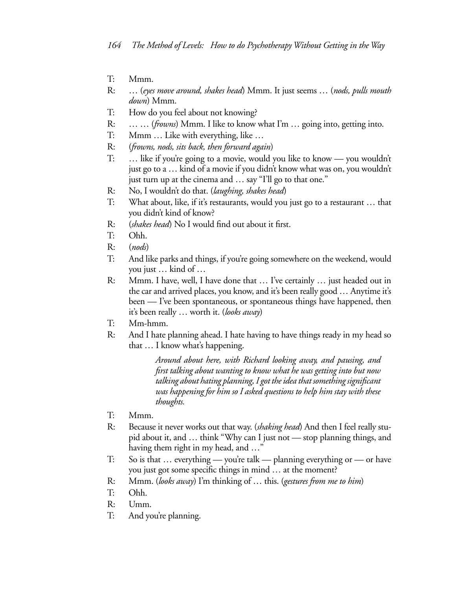- T: Mmm.
- R: … (*eyes move around, shakes head*) Mmm. It just seems … (*nods, pulls mouth down*) Mmm.
- T: How do you feel about not knowing?
- R: … … (*frowns*) Mmm. I like to know what I'm … going into, getting into.
- T: Mmm … Like with everything, like …
- R: (*frowns, nods, sits back, then forward again*)
- T: … like if you're going to a movie, would you like to know you wouldn't just go to a … kind of a movie if you didn't know what was on, you wouldn't just turn up at the cinema and … say "I'll go to that one."
- R: No, I wouldn't do that. (*laughing, shakes head*)
- T: What about, like, if it's restaurants, would you just go to a restaurant … that you didn't kind of know?
- R: (*shakes head*) No I would find out about it first.
- T: Ohh.
- R: (*nods*)
- T: And like parks and things, if you're going somewhere on the weekend, would you just … kind of …
- R: Mmm. I have, well, I have done that … I've certainly … just headed out in the car and arrived places, you know, and it's been really good … Anytime it's been — I've been spontaneous, or spontaneous things have happened, then it's been really … worth it. (*looks away*)
- T: Mm-hmm.
- R: And I hate planning ahead. I hate having to have things ready in my head so that … I know what's happening.

*Around about here, with Richard looking away, and pausing, and first talking about wanting to know what he was getting into but now talking about hating planning,Igot theidea that somethingsignificant was happening for him so I asked questions to help him stay with these thoughts.*

- T: Mmm.
- R: Because it never works out that way. (*shaking head*) And then I feel really stupid about it, and … think "Why can I just not — stop planning things, and having them right in my head, and …"
- T: So is that … everything you're talk planning everything or or have you just got some specific things in mind … at the moment?
- R: Mmm. (*looks away*) I'm thinking of … this. (*gestures from me to him*)
- T: Ohh.
- R: Umm.
- T: And you're planning.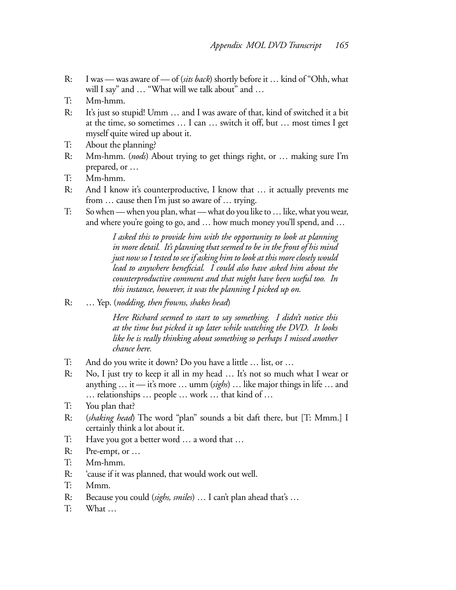- R: I was was aware of of (*sits back*) shortly before it … kind of "Ohh, what will I say" and ... "What will we talk about" and ...
- T: Mm-hmm.
- R: It's just so stupid! Umm … and I was aware of that, kind of switched it a bit at the time, so sometimes … I can … switch it off, but … most times I get myself quite wired up about it.
- T: About the planning?
- R: Mm-hmm. (*nods*) About trying to get things right, or … making sure I'm prepared, or …
- T: Mm-hmm.
- R: And I know it's counterproductive, I know that ... it actually prevents me from … cause then I'm just so aware of … trying.
- T: So when when you plan, what what do you like to … like, what you wear, and where you're going to go, and ... how much money you'll spend, and ...

*I asked this to provide him with the opportunity to look at planning in more detail. It's planning that seemed to be in the front of his mind just nowso Itested to seeif asking him to look at this morecloselywould lead to anywhere beneficial. I could also have asked him about the counterproductive comment and that might have been useful too. In this instance, however, it was the planning I picked up on.*

R: … Yep. (*nodding, then frowns, shakes head*)

*Here Richard seemed to start to say something. I didn't notice this at the time but picked it up later while watching the DVD. It looks like he is really thinking about something so perhaps I missed another chance here.*

- T: And do you write it down? Do you have a little … list, or …
- R: No, I just try to keep it all in my head ... It's not so much what I wear or anything … it — it's more … umm (*sighs*) … like major things in life … and … relationships … people … work … that kind of …
- T: You plan that?
- R: (*shaking head*) The word "plan" sounds a bit daft there, but [T: Mmm.] I certainly think a lot about it.
- T: Have you got a better word … a word that …
- R: Pre-empt, or …
- T: Mm-hmm.
- R: 'cause if it was planned, that would work out well.
- T: Mmm.
- R: Because you could (*sighs, smiles*) … I can't plan ahead that's …
- T: What …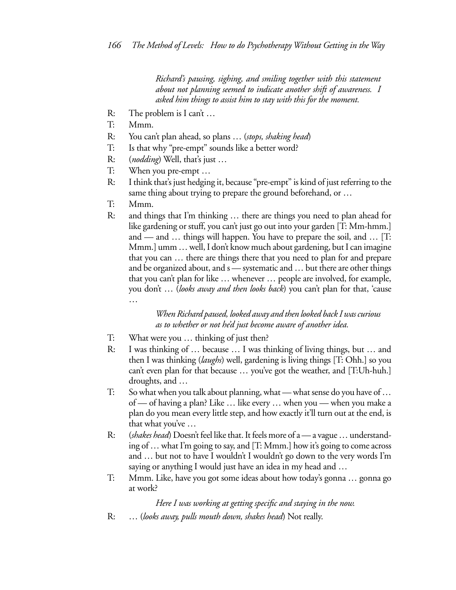*Richard's pausing, sighing, and smiling together with this statement about not planning seemed to indicate another shift of awareness. I asked him things to assist him to stay with this for the moment.*

- R: The problem is I can't …
- T: Mmm.
- R: You can't plan ahead, so plans … (*stops, shaking head*)
- T: Is that why "pre-empt" sounds like a better word?
- R: (*nodding*) Well, that's just …
- T: When you pre-empt …
- R: I think that's just hedging it, because "pre-empt" is kind of just referring to the same thing about trying to prepare the ground beforehand, or …
- T: Mmm.
- R: and things that I'm thinking … there are things you need to plan ahead for like gardening or stuff, you can't just go out into your garden [T: Mm-hmm.] and — and … things will happen. You have to prepare the soil, and … [T: Mmm.] umm … well, I don't know much about gardening, but I can imagine that you can … there are things there that you need to plan for and prepare and be organized about, and  $s$  — systematic and  $\ldots$  but there are other things that you can't plan for like … whenever … people are involved, for example, you don't … (*looks away and then looks back*) you can't plan for that, 'cause …

#### *When Richard paused, looked away and then looked back Iwascurious as to whether or not he'd just become aware of another idea.*

- T: What were you … thinking of just then?
- R: I was thinking of … because … I was thinking of living things, but … and then I was thinking (*laughs*) well, gardening is living things [T: Ohh.] so you can't even plan for that because … you've got the weather, and [T:Uh-huh.] droughts, and …
- T: So what when you talk about planning, what what sense do you have of … of — of having a plan? Like … like every … when you — when you make a plan do you mean every little step, and how exactly it'll turn out at the end, is that what you've …
- R: (*shakes head*) Doesn't feel like that. It feels more of a a vague … understanding of … what I'm going to say, and [T: Mmm.] how it's going to come across and … but not to have I wouldn't I wouldn't go down to the very words I'm saying or anything I would just have an idea in my head and …
- T: Mmm. Like, have you got some ideas about how today's gonna … gonna go at work?

#### *Here I was working at getting specific and staying in the now.*

R: … (*looks away, pulls mouth down, shakes head*) Not really.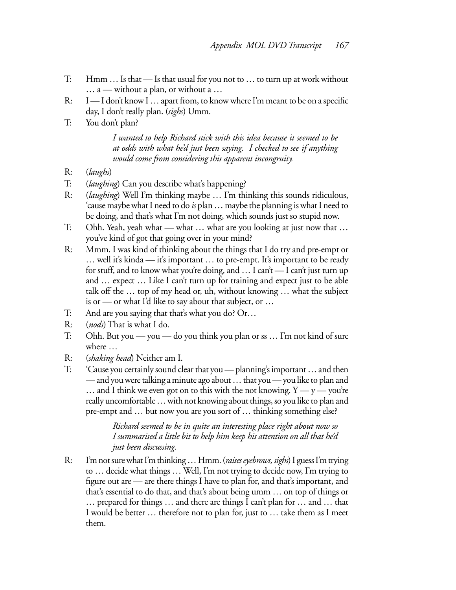- T: Hmm … Is that Is that usual for you not to … to turn up at work without … a — without a plan, or without a …
- R: I I don't know I ... apart from, to know where I'm meant to be on a specific day, I don't really plan. (*sighs*) Umm.
- T: You don't plan?

*I wanted to help Richard stick with this idea because it seemed to be at odds with what he'd just been saying. I checked to see if anything would come from considering this apparent incongruity.*

- R: (*laughs*)
- T: (*laughing*) Can you describe what's happening?
- R: (*laughing*) Well I'm thinking maybe … I'm thinking this sounds ridiculous, 'cause maybe what I need to do *is* plan … maybe the planning is what I need to be doing, and that's what I'm not doing, which sounds just so stupid now.
- T: Ohh. Yeah, yeah what what … what are you looking at just now that … you've kind of got that going over in your mind?
- R: Mmm. I was kind of thinking about the things that I do try and pre-empt or … well it's kinda — it's important … to pre-empt. It's important to be ready for stuff, and to know what you're doing, and  $\dots$  I can't  $-$  I can't just turn up and … expect … Like I can't turn up for training and expect just to be able talk off the … top of my head or, uh, without knowing … what the subject is or — or what I'd like to say about that subject, or …
- T: And are you saying that that's what you do? Or…
- R: (*nods*) That is what I do.
- T: Ohh. But you you do you think you plan or ss … I'm not kind of sure where …
- R: (*shaking head*) Neither am I.
- T: 'Cause you certainly sound clear that you planning's important … and then — and you were talking a minute ago about … that you — you like to plan and  $\dots$  and I think we even got on to this with the not knowing.  $Y - y - y$  you're really uncomfortable … with not knowing about things, so you like to plan and pre-empt and … but now you are you sort of … thinking something else?

*Richard seemed to be in quite an interesting place right about now so I summarised a little bit to help him keep his attention on all that he'd just been discussing.*

R: I'm not sure what I'm thinking … Hmm. (*raiseseyebrows,sighs*) I guess I'm trying to … decide what things … Well, I'm not trying to decide now, I'm trying to figure out are — are there things I have to plan for, and that's important, and that's essential to do that, and that's about being umm … on top of things or … prepared for things … and there are things I can't plan for … and … that I would be better … therefore not to plan for, just to … take them as I meet them.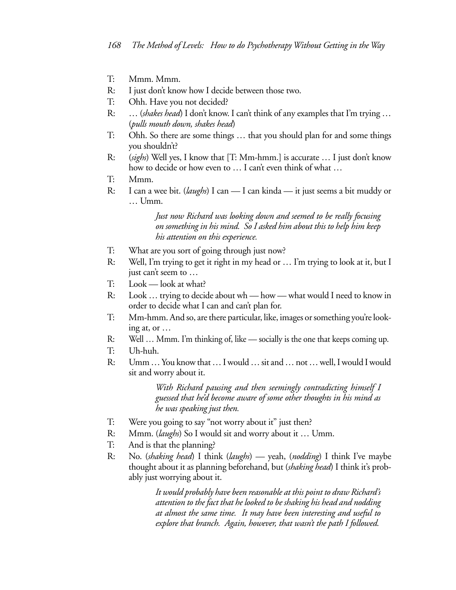- T: Mmm. Mmm.
- R: I just don't know how I decide between those two.
- T: Ohh. Have you not decided?
- R: … (*shakes head*) I don't know. I can't think of any examples that I'm trying … (*pulls mouth down, shakes head*)
- T: Ohh. So there are some things … that you should plan for and some things you shouldn't?
- R: (*sighs*) Well yes, I know that [T: Mm-hmm.] is accurate … I just don't know how to decide or how even to … I can't even think of what …
- T: Mmm.
- R: I can a wee bit. (*laughs*) I can I can kinda it just seems a bit muddy or … Umm.

*Just now Richard was looking down and seemed to be really focusing on something in his mind. So I asked him about this to help him keep his attention on this experience.*

- T: What are you sort of going through just now?
- R: Well, I'm trying to get it right in my head or … I'm trying to look at it, but I just can't seem to …
- T: Look look at what?
- R: Look … trying to decide about wh how what would I need to know in order to decide what I can and can't plan for.
- T: Mm-hmm. And so, are there particular, like, images or something you're looking at, or …
- R: Well … Mmm. I'm thinking of, like socially is the one that keeps coming up.
- T: Uh-huh.
- R: Umm … You know that … I would … sit and … not … well, I would I would sit and worry about it.

*With Richard pausing and then seemingly contradicting himself I guessed that he'd become aware of some other thoughts in his mind as he was speaking just then.*

- T: Were you going to say "not worry about it" just then?
- R: Mmm. (*laughs*) So I would sit and worry about it … Umm.
- T: And is that the planning?
- R: No. (*shaking head*) I think (*laughs*) yeah, (*nodding*) I think I've maybe thought about it as planning beforehand, but (*shaking head*) I think it's probably just worrying about it.

*It would probably have been reasonable at this point to draw Richard's attention to the fact that he looked to be shaking his head and nodding at almost the same time. It may have been interesting and useful to explore that branch. Again, however, that wasn't the path I followed.*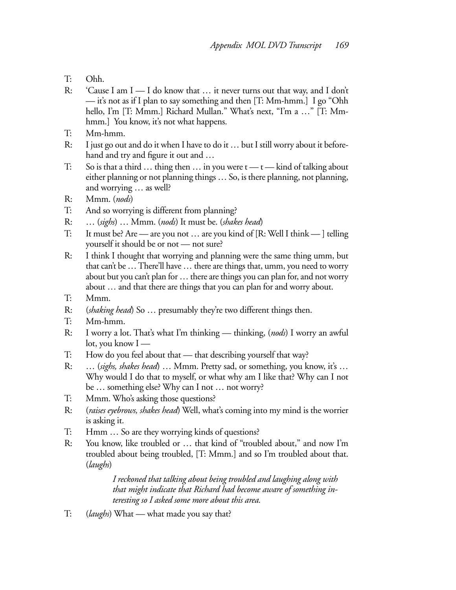- T: Ohh.
- R: 'Cause I am I I do know that ... it never turns out that way, and I don't — it's not as if I plan to say something and then [T: Mm-hmm.] I go "Ohh hello, I'm [T: Mmm.] Richard Mullan." What's next, "I'm a ..." [T: Mmhmm.] You know, it's not what happens.
- T: Mm-hmm.
- R: I just go out and do it when I have to do it … but I still worry about it beforehand and try and figure it out and …
- T: So is that a third  $\ldots$  thing then  $\ldots$  in you were  $t t$  kind of talking about either planning or not planning things … So, is there planning, not planning, and worrying … as well?
- R: Mmm. (*nods*)
- T: And so worrying is different from planning?
- R: … (*sighs*) … Mmm. (*nods*) It must be. (*shakes head*)
- T: It must be? Are are you not … are you kind of [R: Well I think ] telling yourself it should be or not — not sure?
- R: I think I thought that worrying and planning were the same thing umm, but that can't be … There'll have … there are things that, umm, you need to worry about but you can't plan for … there are things you can plan for, and not worry about … and that there are things that you can plan for and worry about.
- T: Mmm.
- R: (*shaking head*) So … presumably they're two different things then.
- T: Mm-hmm.
- R: I worry a lot. That's what I'm thinking thinking, (*nods*) I worry an awful lot, you know I —
- T: How do you feel about that that describing yourself that way?
- R: … (*sighs, shakes head*) … Mmm. Pretty sad, or something, you know, it's … Why would I do that to myself, or what why am I like that? Why can I not be … something else? Why can I not … not worry?
- T: Mmm. Who's asking those questions?
- R: (*raises eyebrows, shakes head*) Well, what's coming into my mind is the worrier is asking it.
- T: Hmm … So are they worrying kinds of questions?
- R: You know, like troubled or … that kind of "troubled about," and now I'm troubled about being troubled, [T: Mmm.] and so I'm troubled about that. (*laughs*)

*I reckoned that talking about being troubled and laughing along with that might indicate that Richard had become aware of something interesting so I asked some more about this area.*

T: (*laughs*) What — what made you say that?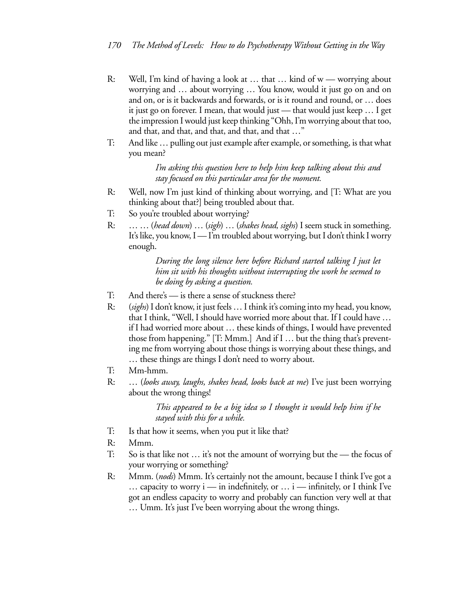- R: Well, I'm kind of having a look at … that … kind of w worrying about worrying and … about worrying … You know, would it just go on and on and on, or is it backwards and forwards, or is it round and round, or … does it just go on forever. I mean, that would just — that would just keep … I get the impression I would just keep thinking "Ohh, I'm worrying about that too, and that, and that, and that, and that, and that …"
- T: And like … pulling out just example after example, or something, is that what you mean?

*I'm asking this question here to help him keep talking about this and stay focused on this particular area for the moment.*

- R: Well, now I'm just kind of thinking about worrying, and [T: What are you thinking about that?] being troubled about that.
- T: So you're troubled about worrying?
- R: … … (*head down*) … (*sigh*) … (*shakes head, sighs*) I seem stuck in something. It's like, you know, I — I'm troubled about worrying, but I don't think I worry enough.

*During the long silence here before Richard started talking I just let him sit with his thoughts without interrupting the work he seemed to be doing by asking a question.*

- T: And there's is there a sense of stuckness there?
- R: (*sighs*) I don't know, it just feels … I think it's coming into my head, you know, that I think, "Well, I should have worried more about that. If I could have … if I had worried more about … these kinds of things, I would have prevented those from happening." [T: Mmm.] And if I … but the thing that's preventing me from worrying about those things is worrying about these things, and … these things are things I don't need to worry about.
- T: Mm-hmm.
- R: … (*looks away, laughs, shakes head, looks back at me*) I've just been worrying about the wrong things!

*This appeared to be a big idea so I thought it would help him if he stayed with this for a while.*

- T: Is that how it seems, when you put it like that?
- R: Mmm.
- T: So is that like not … it's not the amount of worrying but the the focus of your worrying or something?
- R: Mmm. (*nods*) Mmm. It's certainly not the amount, because I think I've got a  $\ldots$  capacity to worry  $i$  — in indefinitely, or  $\ldots$  i — infinitely, or I think I've got an endless capacity to worry and probably can function very well at that … Umm. It's just I've been worrying about the wrong things.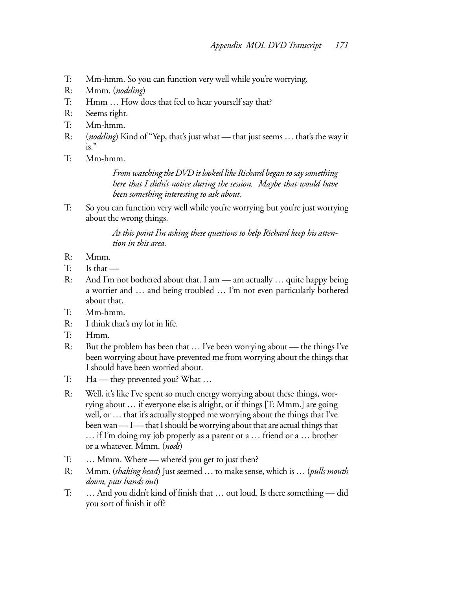- T: Mm-hmm. So you can function very well while you're worrying.
- R: Mmm. (*nodding*)
- T: Hmm … How does that feel to hear yourself say that?
- R: Seems right.
- T: Mm-hmm.
- R: (*nodding*) Kind of "Yep, that's just what that just seems … that's the way it is."
- T: Mm-hmm.

*From watchingthe DVD it looked like Richard began to saysomething here that I didn't notice during the session. Maybe that would have been something interesting to ask about.*

T: So you can function very well while you're worrying but you're just worrying about the wrong things.

> *At this point I'm asking these questions to help Richard keep his attention in this area.*

- R: Mmm.
- T: Is that —
- R: And I'm not bothered about that. I am am actually ... quite happy being a worrier and … and being troubled … I'm not even particularly bothered about that.
- T: Mm-hmm.
- R: I think that's my lot in life.
- T: Hmm.
- R: But the problem has been that … I've been worrying about the things I've been worrying about have prevented me from worrying about the things that I should have been worried about.
- T: Ha they prevented you? What …
- R: Well, it's like I've spent so much energy worrying about these things, worrying about … if everyone else is alright, or if things [T: Mmm.] are going well, or … that it's actually stopped me worrying about the things that I've been wan — I — that I should be worrying about that are actual things that … if I'm doing my job properly as a parent or a … friend or a … brother or a whatever. Mmm. (*nods*)
- T: … Mmm. Where where'd you get to just then?
- R: Mmm. (*shaking head*) Just seemed … to make sense, which is … (*pulls mouth down, puts hands out*)
- T: … And you didn't kind of finish that … out loud. Is there something did you sort of finish it off?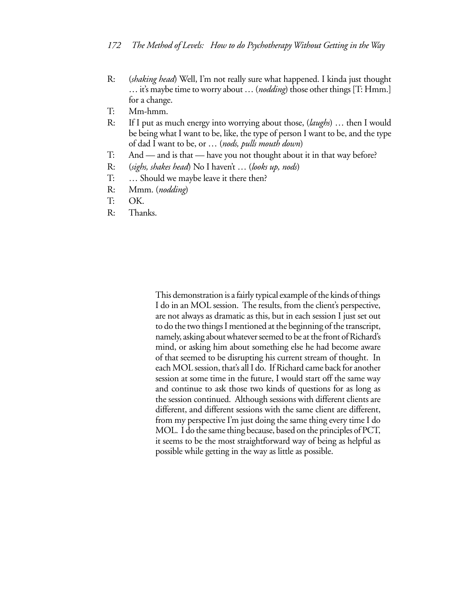- R: (*shaking head*) Well, I'm not really sure what happened. I kinda just thought … it's maybe time to worry about … (*nodding*) those other things [T: Hmm.] for a change.
- T: Mm-hmm.
- R: If I put as much energy into worrying about those, (*laughs*) … then I would be being what I want to be, like, the type of person I want to be, and the type of dad I want to be, or … (*nods, pulls mouth down*)
- T: And and is that have you not thought about it in that way before?
- R: (*sighs, shakes head*) No I haven't … (*looks up, nods*)
- T: … Should we maybe leave it there then?
- R: Mmm. (*nodding*)
- T: OK.
- R: Thanks.

This demonstration is a fairly typical example of the kinds of things I do in an MOL session. The results, from the client's perspective, are not always as dramatic as this, but in each session I just set out to do the two things I mentioned at the beginning of the transcript, namely, asking about whatever seemed to be at the front of Richard's mind, or asking him about something else he had become aware of that seemed to be disrupting his current stream of thought. In each MOL session, that's all I do. If Richard came back for another session at some time in the future, I would start off the same way and continue to ask those two kinds of questions for as long as the session continued. Although sessions with different clients are different, and different sessions with the same client are different, from my perspective I'm just doing the same thing every time I do MOL. I do the same thing because, based on the principles of PCT, it seems to be the most straightforward way of being as helpful as possible while getting in the way as little as possible.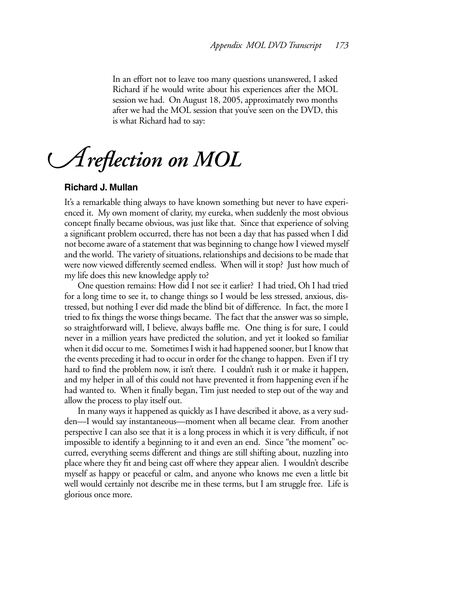In an effort not to leave too many questions unanswered, I asked Richard if he would write about his experiences after the MOL session we had. On August 18, 2005, approximately two months after we had the MOL session that you've seen on the DVD, this is what Richard had to say:

## *Areflection on MOL*

#### **Richard J. Mullan**

It's a remarkable thing always to have known something but never to have experienced it. My own moment of clarity, my eureka, when suddenly the most obvious concept finally became obvious, was just like that. Since that experience of solving a significant problem occurred, there has not been a day that has passed when I did not become aware of a statement that was beginning to change how I viewed myself and the world. The variety of situations, relationships and decisions to be made that were now viewed differently seemed endless. When will it stop? Just how much of my life does this new knowledge apply to?

One question remains: How did I not see it earlier? I had tried, Oh I had tried for a long time to see it, to change things so I would be less stressed, anxious, distressed, but nothing I ever did made the blind bit of difference. In fact, the more I tried to fix things the worse things became. The fact that the answer was so simple, so straightforward will, I believe, always baffle me. One thing is for sure, I could never in a million years have predicted the solution, and yet it looked so familiar when it did occur to me. Sometimes I wish it had happened sooner, but I know that the events preceding it had to occur in order for the change to happen. Even if I try hard to find the problem now, it isn't there. I couldn't rush it or make it happen, and my helper in all of this could not have prevented it from happening even if he had wanted to. When it finally began, Tim just needed to step out of the way and allow the process to play itself out.

In many ways it happened as quickly as I have described it above, as a very sudden—I would say instantaneous—moment when all became clear. From another perspective I can also see that it is a long process in which it is very difficult, if not impossible to identify a beginning to it and even an end. Since "the moment" occurred, everything seems different and things are still shifting about, nuzzling into place where they fit and being cast off where they appear alien. I wouldn't describe myself as happy or peaceful or calm, and anyone who knows me even a little bit well would certainly not describe me in these terms, but I am struggle free. Life is glorious once more.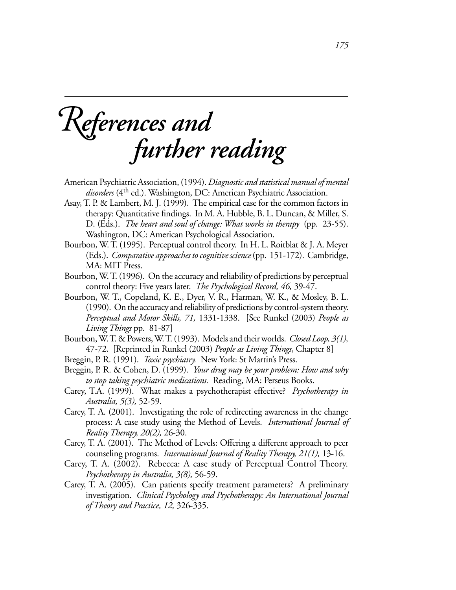# *References and further reading*

- American Psychiatric Association, (1994). *Diagnostic and statistical manual of mental* disorders (4<sup>th</sup> ed.). Washington, DC: American Psychiatric Association.
- Asay, T. P. & Lambert, M. J. (1999). The empirical case for the common factors in therapy: Quantitative findings. In M. A. Hubble, B. L. Duncan, & Miller, S. D. (Eds.). *The heart and soul of change: What works in therapy* (pp. 23-55). Washington, DC: American Psychological Association.
- Bourbon, W. T. (1995). Perceptual control theory. In H. L. Roitblat & J. A. Meyer (Eds.). *Comparative approaches to cognitivescience* (pp. 151-172). Cambridge, MA: MIT Press.
- Bourbon, W. T. (1996). On the accuracy and reliability of predictions by perceptual control theory: Five years later. *The Psychological Record, 46,* 39-47.
- Bourbon, W. T., Copeland, K. E., Dyer, V. R., Harman, W. K., & Mosley, B. L. (1990). On the accuracy and reliability of predictions by control-system theory. *Perceptual and Motor Skills, 71,* 1331-1338. [See Runkel (2003) *People as Living Things* pp. 81-87]
- Bourbon, W. T. & Powers, W. T. (1993). Models and their worlds. *Closed Loop, 3(1),* 47-72. [Reprinted in Runkel (2003) *People as Living Things*, Chapter 8]
- Breggin, P. R. (1991). *Toxic psychiatry.* New York: St Martin's Press.
- Breggin, P. R. & Cohen, D. (1999). *Your drug may be your problem: How and why to stop taking psychiatric medications.* Reading, MA: Perseus Books.
- Carey, T.A. (1999). What makes a psychotherapist effective? *Psychotherapy in Australia, 5(3),* 52-59.
- Carey, T. A. (2001). Investigating the role of redirecting awareness in the change process: A case study using the Method of Levels. *International Journal of Reality Therapy, 20(2),* 26-30.
- Carey, T. A. (2001). The Method of Levels: Offering a different approach to peer counseling programs. *International Journal of Reality Therapy, 21(1),* 13-16.
- Carey, T. A. (2002). Rebecca: A case study of Perceptual Control Theory. *Psychotherapy in Australia, 3(8),* 56-59.
- Carey, T. A. (2005). Can patients specify treatment parameters? A preliminary investigation. *Clinical Psychology and Psychotherapy: An International Journal of Theory and Practice, 12,* 326-335.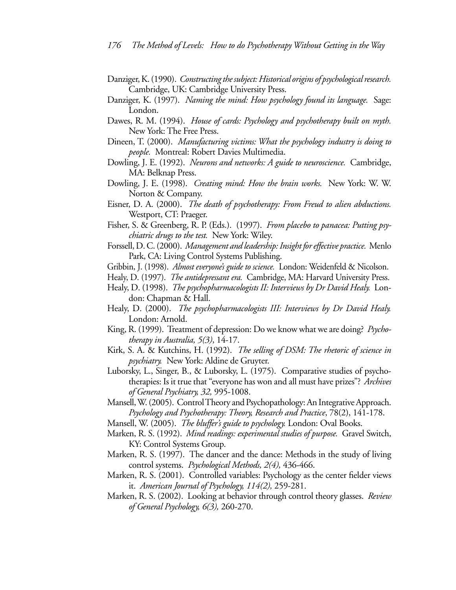- Danziger, K. (1990). *Constructing the subject: Historical origins of psychological research.* Cambridge, UK: Cambridge University Press.
- Danziger, K. (1997). *Naming the mind: How psychology found its language.* Sage: London.
- Dawes, R. M. (1994). *House of cards: Psychology and psychotherapy built on myth.* New York: The Free Press.
- Dineen, T. (2000). *Manufacturing victims: What the psychology industry is doing to people.* Montreal: Robert Davies Multimedia.
- Dowling, J. E. (1992). *Neurons and networks: A guide to neuroscience.* Cambridge, MA: Belknap Press.
- Dowling, J. E. (1998). *Creating mind: How the brain works.* New York: W. W. Norton & Company.
- Eisner, D. A. (2000). *The death of psychotherapy: From Freud to alien abductions.* Westport, CT: Praeger.
- Fisher, S. & Greenberg, R. P. (Eds.). (1997). *From placebo to panacea: Putting psychiatric drugs to the test.* New York: Wiley.
- Forssell, D. C. (2000). *Management and leadership:Insight foreffective practice.* Menlo Park, CA: Living Control Systems Publishing.
- Gribbin, J. (1998). *Almost everyone's guide to science.* London: Weidenfeld & Nicolson.
- Healy, D. (1997). *The antidepressant era.* Cambridge, MA: Harvard University Press.
- Healy, D. (1998). *The psychopharmacologists II: Interviews by Dr David Healy.* London: Chapman & Hall.
- Healy, D. (2000). *The psychopharmacologists III: Interviews by Dr David Healy.* London: Arnold.
- King, R. (1999). Treatment of depression: Do we know what we are doing? *Psychotherapy in Australia, 5(3)*, 14-17.
- Kirk, S. A. & Kutchins, H. (1992). *The selling of DSM: The rhetoric of science in psychiatry.* New York: Aldine de Gruyter.
- Luborsky, L., Singer, B., & Luborsky, L. (1975). Comparative studies of psychotherapies: Is it true that "everyone has won and all must have prizes"? *Archives of General Psychiatry, 32,* 995-1008.
- Mansell, W. (2005). Control Theory and Psychopathology: An Integrative Approach. *Psychology and Psychotherapy: Theory, Research and Practice*, 78(2), 141-178.
- Mansell, W. (2005). *The bluffer's guide to psychology.* London: Oval Books.
- Marken, R. S. (1992). *Mind readings: experimental studies of purpose.* Gravel Switch, KY: Control Systems Group.
- Marken, R. S. (1997). The dancer and the dance: Methods in the study of living control systems. *Psychological Methods, 2(4),* 436-466.
- Marken, R. S. (2001). Controlled variables: Psychology as the center fielder views it. *American Journal of Psychology, 114(2),* 259-281.
- Marken, R. S. (2002). Looking at behavior through control theory glasses. *Review of General Psychology, 6(3),* 260-270.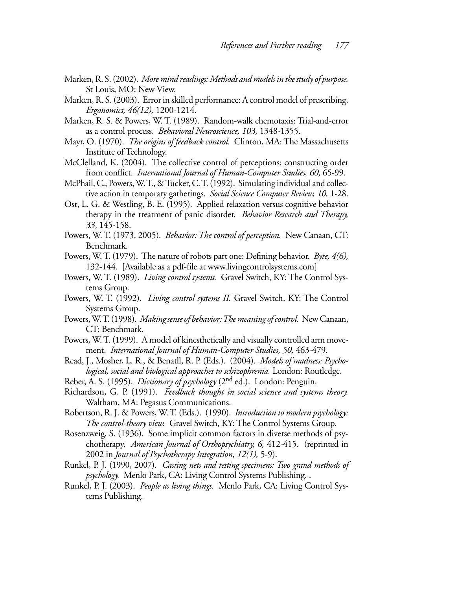- Marken, R. S. (2002). *More mind readings: Methods and models in thestudy of purpose.* St Louis, MO: New View.
- Marken, R. S. (2003). Error in skilled performance: A control model of prescribing. *Ergonomics, 46(12),* 1200-1214.
- Marken, R. S. & Powers, W. T. (1989). Random-walk chemotaxis: Trial-and-error as a control process. *Behavioral Neuroscience, 103,* 1348-1355.
- Mayr, O. (1970). *The origins of feedback control.* Clinton, MA: The Massachusetts Institute of Technology.
- McClelland, K. (2004). The collective control of perceptions: constructing order from conflict. *International Journal of Human-Computer Studies, 60,* 65-99.
- McPhail, C., Powers, W. T., & Tucker, C. T. (1992). Simulating individual and collective action in temporary gatherings. *Social Science Computer Review, 10,* 1-28.
- Ost, L. G. & Westling, B. E. (1995). Applied relaxation versus cognitive behavior therapy in the treatment of panic disorder. *Behavior Research and Therapy, 33*, 145-158.
- Powers, W. T. (1973, 2005). *Behavior: The control of perception.* New Canaan, CT: Benchmark.
- Powers, W. T. (1979). The nature of robots part one: Defining behavior. *Byte, 4(6),* 132-144. [Available as a pdf-file at www.livingcontrolsystems.com]
- Powers, W. T. (1989). *Living control systems.* Gravel Switch, KY: The Control Systems Group.
- Powers, W. T. (1992). *Living control systems II.* Gravel Switch, KY: The Control Systems Group.
- Powers, W. T. (1998). *Makingsense of behavior:The meaning ofcontrol.* New Canaan, CT: Benchmark.
- Powers, W. T. (1999). A model of kinesthetically and visually controlled arm movement. *International Journal of Human-Computer Studies, 50,* 463-479.
- Read, J., Mosher, L. R., & Benatll, R. P. (Eds.). (2004). *Models of madness: Psychological, social and biological approaches to schizophrenia.* London: Routledge.
- Reber, A. S. (1995). *Dictionary of psychology* (2nd ed.). London: Penguin.
- Richardson, G. P. (1991). *Feedback thought in social science and systems theory.* Waltham, MA: Pegasus Communications.
- Robertson, R. J. & Powers, W. T. (Eds.). (1990). *Introduction to modern psychology: The control-theory view.* Gravel Switch, KY: The Control Systems Group.
- Rosenzweig, S. (1936). Some implicit common factors in diverse methods of psychotherapy. *American Journal of Orthopsychiatry, 6,* 412-415. (reprinted in 2002 in *Journal of Psychotherapy Integration, 12(1),* 5-9).
- Runkel, P. J. (1990, 2007). *Casting nets and testing specimens: Two grand methods of psychology.* Menlo Park, CA: Living Control Systems Publishing. .
- Runkel, P. J. (2003). *People as living things.* Menlo Park, CA: Living Control Systems Publishing.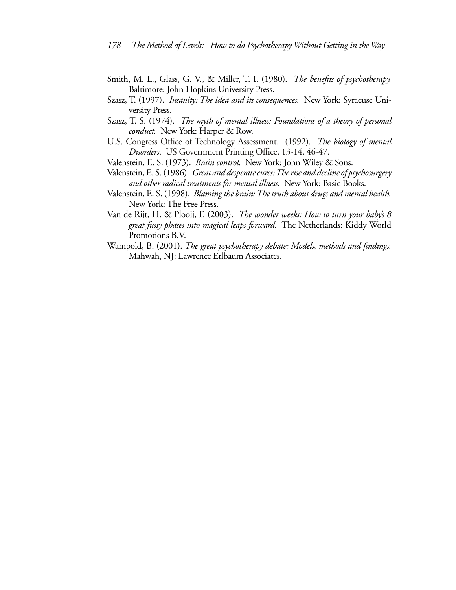- Smith, M. L., Glass, G. V., & Miller, T. I. (1980). *The benefits of psychotherapy.* Baltimore: John Hopkins University Press.
- Szasz, T. (1997). *Insanity: The idea and its consequences.* New York: Syracuse University Press.
- Szasz, T. S. (1974). *The myth of mental illness: Foundations of a theory of personal conduct.* New York: Harper & Row.
- U.S. Congress Office of Technology Assessment. (1992). *The biology of mental Disorders*. US Government Printing Office, 13-14, 46-47.
- Valenstein, E. S. (1973). *Brain control.* New York: John Wiley & Sons.
- Valenstein, E. S. (1986). *Great and desperatecures:Therise and decline of psychosurgery and other radical treatments for mental illness.* New York: Basic Books.
- Valenstein, E. S. (1998). *Blamingthe brain:The truth about drugs and mental health.* New York: The Free Press.
- Van de Rijt, H. & Plooij, F. (2003). *The wonder weeks: How to turn your baby's 8 great fussy phases into magical leaps forward.* The Netherlands: Kiddy World Promotions B.V.
- Wampold, B. (2001). *The great psychotherapy debate: Models, methods and findings.* Mahwah, NJ: Lawrence Erlbaum Associates.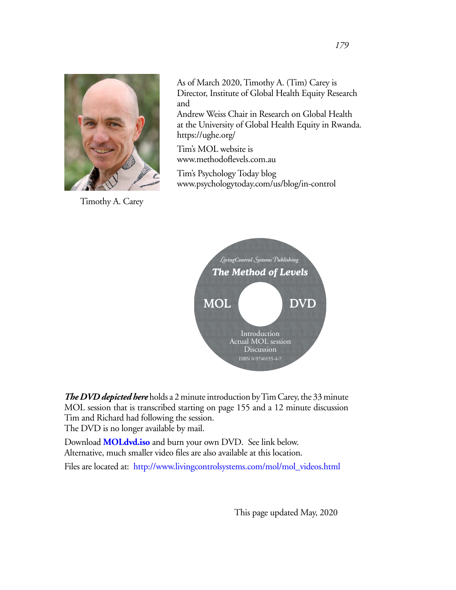

Timothy A. Carey

As of March 2020, Timothy A. (Tim) Carey is Director, Institute of Global Health Equity Research and

Andrew Weiss Chair in Research on Global Health at the University of Global Health Equity in Rwanda. https://ughe.org/

Tim's MOL website is www.methodoflevels.com.au

Tim's Psychology Today blog www.psychologytoday.com/us/blog/in-control



*The DVD depicted here* holds a 2 minute introduction by Tim Carey, the 33 minute MOL session that is transcribed starting on page 155 and a 12 minute discussion Tim and Richard had following the session.

The DVD is no longer available by mail.

Download **MOLdvd.iso** and burn your own DVD. See link below. Alternative, much smaller video files are also available at this location.

Files are located at: http://www.livingcontrolsystems.com/mol/mol\_videos.html

This page updated May, 2020